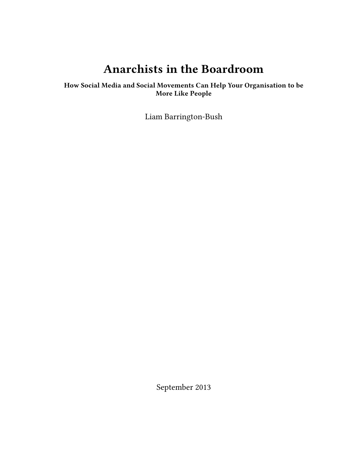# **Anarchists in the Boardroom**

**How Social Media and Social Movements Can Help Your Organisation to be More Like People**

Liam Barrington-Bush

September 2013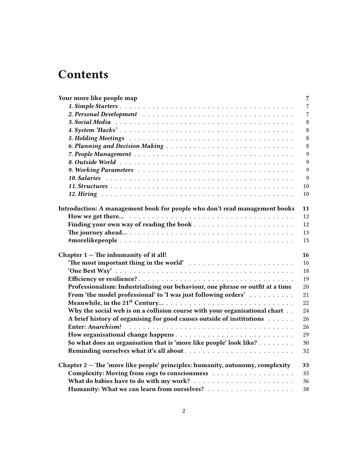# **Contents**

| Your more like people map                                                                                                                                                                                                      | 7  |
|--------------------------------------------------------------------------------------------------------------------------------------------------------------------------------------------------------------------------------|----|
|                                                                                                                                                                                                                                | 7  |
| 2. Personal Development enterprise in the contract of the contract of the contract of the contract of the control of the contract of the contract of the contract of the contract of the contract of the contract of the contr | 7  |
|                                                                                                                                                                                                                                | 8  |
|                                                                                                                                                                                                                                | 8  |
|                                                                                                                                                                                                                                | 8  |
|                                                                                                                                                                                                                                | 8  |
|                                                                                                                                                                                                                                | 9  |
|                                                                                                                                                                                                                                | 9  |
|                                                                                                                                                                                                                                | 9  |
|                                                                                                                                                                                                                                | 9  |
|                                                                                                                                                                                                                                | 10 |
|                                                                                                                                                                                                                                | 10 |
| Introduction: A management book for people who don't read management books                                                                                                                                                     | 11 |
|                                                                                                                                                                                                                                | 12 |
|                                                                                                                                                                                                                                | 12 |
|                                                                                                                                                                                                                                | 13 |
|                                                                                                                                                                                                                                | 15 |
| Chapter $1$ – The inhumanity of it all!                                                                                                                                                                                        | 16 |
| 'The most important thing in the world'                                                                                                                                                                                        | 16 |
|                                                                                                                                                                                                                                | 18 |
|                                                                                                                                                                                                                                | 19 |
| Professionalism: Industrialising our behaviour, one phrase or outfit at a time                                                                                                                                                 | 20 |
| From 'the model professional' to 'I was just following orders'                                                                                                                                                                 | 21 |
|                                                                                                                                                                                                                                | 22 |
| Why the social web is on a collision course with your organisational chart                                                                                                                                                     | 24 |
| A brief history of organising for good causes outside of institutions                                                                                                                                                          | 26 |
|                                                                                                                                                                                                                                | 26 |
|                                                                                                                                                                                                                                | 29 |
| So what does an organisation that is 'more like people' look like?                                                                                                                                                             | 30 |
|                                                                                                                                                                                                                                | 32 |
| Chapter 2 – The 'more like people' principles: humanity, autonomy, complexity                                                                                                                                                  | 33 |
|                                                                                                                                                                                                                                | 33 |
|                                                                                                                                                                                                                                | 36 |
|                                                                                                                                                                                                                                | 38 |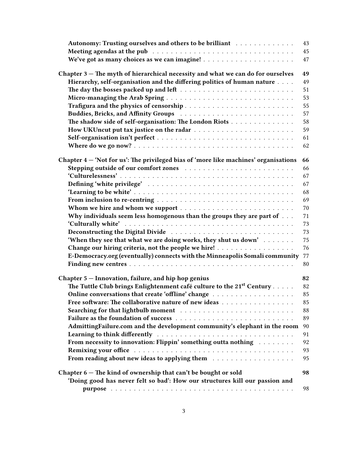| Autonomy: Trusting ourselves and others to be brilliant                                                                                                                                                                        | 43 |
|--------------------------------------------------------------------------------------------------------------------------------------------------------------------------------------------------------------------------------|----|
| Meeting agendas at the pub enterpreteration of the state of the state of the public of the state of the state of the state of the state of the state of the state of the state of the state of the state of the state of the s | 45 |
| We've got as many choices as we can imagine! $\ldots \ldots \ldots \ldots \ldots \ldots \ldots$                                                                                                                                | 47 |
| Chapter 3 – The myth of hierarchical necessity and what we can do for ourselves                                                                                                                                                | 49 |
| Hierarchy, self-organisation and the differing politics of human nature                                                                                                                                                        | 49 |
| The day the bosses packed up and left $\dots \dots \dots \dots \dots \dots \dots \dots \dots \dots$                                                                                                                            | 51 |
|                                                                                                                                                                                                                                | 53 |
|                                                                                                                                                                                                                                | 55 |
|                                                                                                                                                                                                                                | 57 |
| The shadow side of self-organisation: The London Riots                                                                                                                                                                         | 58 |
|                                                                                                                                                                                                                                | 59 |
|                                                                                                                                                                                                                                | 61 |
|                                                                                                                                                                                                                                | 62 |
| Chapter $4 - '$ Not for us': The privileged bias of 'more like machines' organisations                                                                                                                                         | 66 |
| Stepping outside of our comfort zones electronic resources and supplying outside of our comfort zones electronic resources and supplying $\mathbf{S}$                                                                          | 66 |
|                                                                                                                                                                                                                                | 67 |
|                                                                                                                                                                                                                                | 67 |
|                                                                                                                                                                                                                                | 68 |
|                                                                                                                                                                                                                                | 69 |
| Whom we hire and whom we support                                                                                                                                                                                               | 70 |
| Why individuals seem less homogenous than the groups they are part of $\dots$                                                                                                                                                  | 71 |
|                                                                                                                                                                                                                                | 73 |
|                                                                                                                                                                                                                                | 73 |
| 'When they see that what we are doing works, they shut us down'                                                                                                                                                                | 75 |
| Change our hiring criteria, not the people we hire!                                                                                                                                                                            | 76 |
| E-Democracy.org (eventually) connects with the Minneapolis Somali community                                                                                                                                                    | 77 |
|                                                                                                                                                                                                                                | 80 |
| Chapter 5 – Innovation, failure, and hip hop genius                                                                                                                                                                            | 82 |
| The Tuttle Club brings Enlightenment café culture to the 21 <sup>st</sup> Century                                                                                                                                              | 82 |
|                                                                                                                                                                                                                                | 85 |
| Free software: The collaborative nature of new ideas                                                                                                                                                                           | 85 |
|                                                                                                                                                                                                                                | 88 |
|                                                                                                                                                                                                                                | 89 |
| AdmittingFailure.com and the development community's elephant in the room                                                                                                                                                      | 90 |
| Learning to think differently resources and contained a set of the set of the set of the set of the set of the set of the set of the set of the set of the set of the set of the set of the set of the set of the set of the s | 91 |
| From necessity to innovation: Flippin' something outta nothing results in the set of the south of the set of the set of the set of the set of the set of the set of the set of the set of the set of the set of the set of the | 92 |
| Remixing your office enterpreteration of the contract of the contract of the contract of the contract of the contract of the contract of the contract of the contract of the contract of the contract of the contract of the c | 93 |
| From reading about new ideas to applying them                                                                                                                                                                                  | 95 |
| Chapter $6$ – The kind of ownership that can't be bought or sold                                                                                                                                                               | 98 |
| 'Doing good has never felt so bad': How our structures kill our passion and                                                                                                                                                    |    |
|                                                                                                                                                                                                                                | 98 |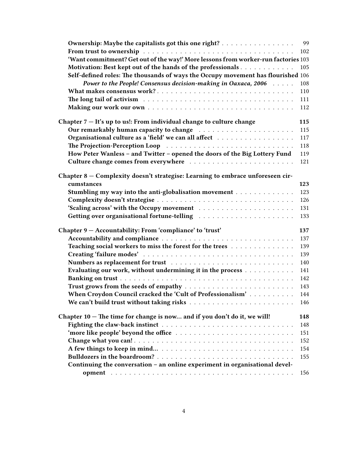| Ownership: Maybe the capitalists got this one right?                                                           | 99  |
|----------------------------------------------------------------------------------------------------------------|-----|
|                                                                                                                | 102 |
| 'Want commitment? Get out of the way!' More lessons from worker-run factories 103                              |     |
| Motivation: Best kept out of the hands of the professionals                                                    | 105 |
| Self-defined roles: The thousands of ways the Occupy movement has flourished 106                               |     |
| Power to the People! Consensus decision-making in Oaxaca, 2006                                                 | 108 |
| What makes consensus work?                                                                                     | 110 |
|                                                                                                                | 111 |
|                                                                                                                | 112 |
| Chapter $7 - It's$ up to us!: From individual change to culture change                                         | 115 |
| Our remarkably human capacity to change remain the set of the set of the contract of the set of the set of the | 115 |
| Organisational culture as a 'field' we can all affect                                                          | 117 |
|                                                                                                                | 118 |
| How Peter Wanless - and Twitter - opened the doors of the Big Lottery Fund                                     | 119 |
|                                                                                                                | 121 |
| Chapter 8 – Complexity doesn't strategise: Learning to embrace unforeseen cir-                                 |     |
| cumstances                                                                                                     | 123 |
| <b>Stumbling my way into the anti-globalisation movement</b>                                                   | 123 |
|                                                                                                                | 126 |
|                                                                                                                | 131 |
|                                                                                                                | 133 |
| Chapter 9 - Accountability: From 'compliance' to 'trust'                                                       | 137 |
|                                                                                                                | 137 |
| Teaching social workers to miss the forest for the trees                                                       | 139 |
|                                                                                                                | 139 |
|                                                                                                                | 140 |
| Evaluating our work, without undermining it in the process                                                     | 141 |
|                                                                                                                | 142 |
| Trust grows from the seeds of empathy                                                                          | 143 |
| When Croydon Council cracked the 'Cult of Professionalism'                                                     | 144 |
|                                                                                                                | 146 |
| Chapter $10$ – The time for change is now and if you don't do it, we will!                                     | 148 |
|                                                                                                                | 148 |
|                                                                                                                | 151 |
|                                                                                                                | 152 |
|                                                                                                                | 154 |
|                                                                                                                | 155 |
| Continuing the conversation - an online experiment in organisational devel-                                    |     |
|                                                                                                                | 156 |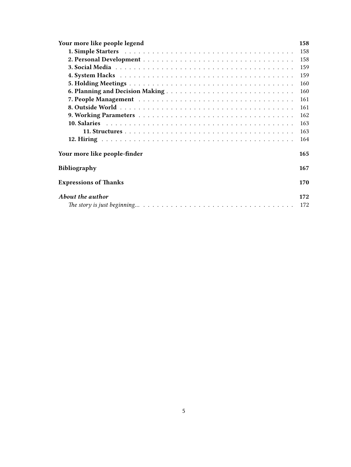| Your more like people legend | 158 |
|------------------------------|-----|
|                              | 158 |
|                              | 158 |
|                              | 159 |
|                              | 159 |
|                              | 160 |
|                              | 160 |
|                              | 161 |
|                              | 161 |
|                              | 162 |
|                              | 163 |
|                              | 163 |
|                              | 164 |
| Your more like people-finder | 165 |
| <b>Bibliography</b>          | 167 |
| <b>Expressions of Thanks</b> | 170 |
| <b>About the author</b>      | 172 |
|                              | 172 |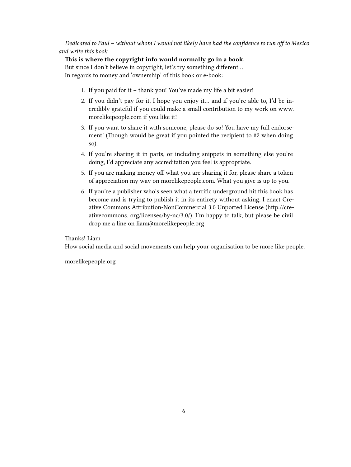*Dedicated to Paul – without whom I would not likely have had the confidence to run off to Mexico and write this book.*

### **This is where the copyright info would normally go in a book.**

But since I don't believe in copyright, let's try something different… In regards to money and 'ownership' of this book or e-book:

- 1. If you paid for it thank you! You've made my life a bit easier!
- 2. If you didn't pay for it, I hope you enjoy it… and if you're able to, I'd be incredibly grateful if you could make a small contribution to my work on www. morelikepeople.com if you like it!
- 3. If you want to share it with someone, please do so! You have my full endorsement! (Though would be great if you pointed the recipient to #2 when doing so).
- 4. If you're sharing it in parts, or including snippets in something else you're doing, I'd appreciate any accreditation you feel is appropriate.
- 5. If you are making money off what you are sharing it for, please share a token of appreciation my way on morelikepeople.com. What you give is up to you.
- 6. If you're a publisher who's seen what a terrific underground hit this book has become and is trying to publish it in its entirety without asking, I enact Creative Commons Attribution-NonCommercial 3.0 Unported License (http://creativecommons. org/licenses/by-nc/3.0/). I'm happy to talk, but please be civil drop me a line on liam@morelikepeople.org

Thanks! Liam

How social media and social movements can help your organisation to be more like people.

morelikepeople.org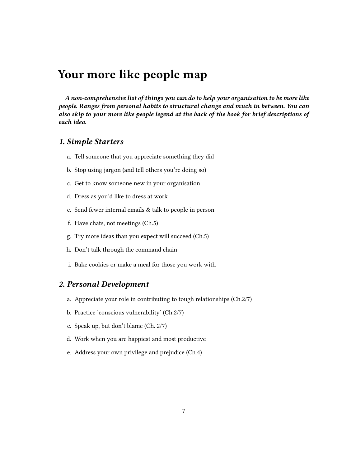## <span id="page-6-0"></span>**Your more like people map**

*A non-comprehensive list of things you can do to help your organisation to be more like people. Ranges from personal habits to structural change and much in between. You can also skip to your more like people legend at the back of the book for brief descriptions of each idea.*

### <span id="page-6-1"></span>*1. Simple Starters*

- a. Tell someone that you appreciate something they did
- b. Stop using jargon (and tell others you're doing so)
- c. Get to know someone new in your organisation
- d. Dress as you'd like to dress at work
- e. Send fewer internal emails & talk to people in person
- f. Have chats, not meetings (Ch.5)
- g. Try more ideas than you expect will succeed (Ch.5)
- h. Don't talk through the command chain
- i. Bake cookies or make a meal for those you work with

### <span id="page-6-2"></span>*2. Personal Development*

- a. Appreciate your role in contributing to tough relationships (Ch.2/7)
- b. Practice 'conscious vulnerability' (Ch.2/7)
- c. Speak up, but don't blame (Ch. 2/7)
- d. Work when you are happiest and most productive
- e. Address your own privilege and prejudice (Ch.4)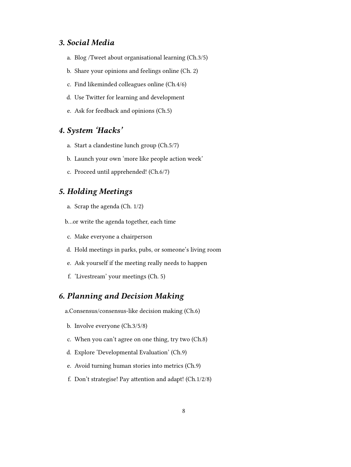## <span id="page-7-0"></span>*3. Social Media*

- a. Blog /Tweet about organisational learning (Ch.3/5)
- b. Share your opinions and feelings online (Ch. 2)
- c. Find likeminded colleagues online (Ch.4/6)
- d. Use Twitter for learning and development
- e. Ask for feedback and opinions (Ch.5)

## <span id="page-7-1"></span>*4. System 'Hacks'*

- a. Start a clandestine lunch group (Ch.5/7)
- b. Launch your own 'more like people action week'
- c. Proceed until apprehended! (Ch.6/7)

## <span id="page-7-2"></span>*5. Holding Meetings*

- a. Scrap the agenda (Ch. 1/2)
- b…or write the agenda together, each time
- c. Make everyone a chairperson
- d. Hold meetings in parks, pubs, or someone's living room
- e. Ask yourself if the meeting really needs to happen
- f. 'Livestream' your meetings (Ch. 5)

## <span id="page-7-3"></span>*6. Planning and Decision Making*

a.Consensus/consensus-like decision making (Ch.6)

- b. Involve everyone (Ch.3/5/8)
- c. When you can't agree on one thing, try two (Ch.8)
- d. Explore 'Developmental Evaluation' (Ch.9)
- e. Avoid turning human stories into metrics (Ch.9)
- f. Don't strategise! Pay attention and adapt! (Ch.1/2/8)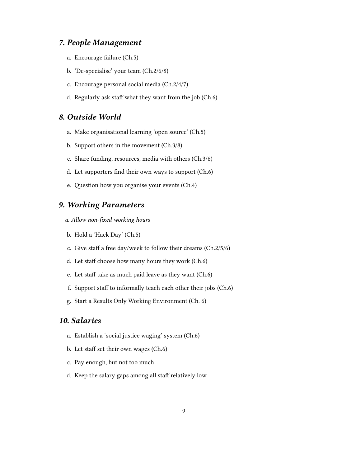## <span id="page-8-0"></span>*7. People Management*

- a. Encourage failure (Ch.5)
- b. 'De-specialise' your team (Ch.2/6/8)
- c. Encourage personal social media (Ch.2/4/7)
- d. Regularly ask staff what they want from the job (Ch.6)

## <span id="page-8-1"></span>*8. Outside World*

- a. Make organisational learning 'open source' (Ch.5)
- b. Support others in the movement (Ch.3/8)
- c. Share funding, resources, media with others (Ch.3/6)
- d. Let supporters find their own ways to support (Ch.6)
- e. Question how you organise your events (Ch.4)

## <span id="page-8-2"></span>*9. Working Parameters*

- *a. Allow non-fixed working hours*
- b. Hold a 'Hack Day' (Ch.5)
- c. Give staff a free day/week to follow their dreams (Ch.2/5/6)
- d. Let staff choose how many hours they work (Ch.6)
- e. Let staff take as much paid leave as they want (Ch.6)
- f. Support staff to informally teach each other their jobs (Ch.6)
- g. Start a Results Only Working Environment (Ch. 6)

### <span id="page-8-3"></span>*10. Salaries*

- a. Establish a 'social justice waging' system (Ch.6)
- b. Let staff set their own wages (Ch.6)
- c. Pay enough, but not too much
- d. Keep the salary gaps among all staff relatively low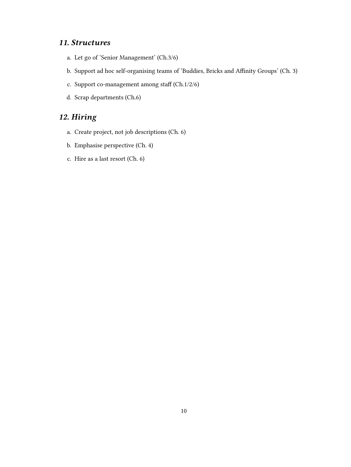## <span id="page-9-0"></span>*11. Structures*

- a. Let go of 'Senior Management' (Ch.3/6)
- b. Support ad hoc self-organising teams of 'Buddies, Bricks and Affinity Groups' (Ch. 3)
- c. Support co-management among staff (Ch.1/2/6)
- d. Scrap departments (Ch.6)

## <span id="page-9-1"></span>*12. Hiring*

- a. Create project, not job descriptions (Ch. 6)
- b. Emphasise perspective (Ch. 4)
- c. Hire as a last resort (Ch. 6)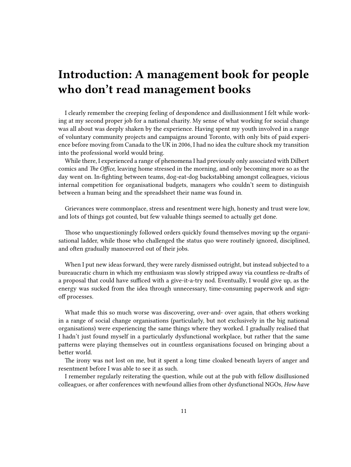# <span id="page-10-0"></span>**Introduction: A management book for people who don't read management books**

I clearly remember the creeping feeling of despondence and disillusionment I felt while working at my second proper job for a national charity. My sense of what working for social change was all about was deeply shaken by the experience. Having spent my youth involved in a range of voluntary community projects and campaigns around Toronto, with only bits of paid experience before moving from Canada to the UK in 2006, I had no idea the culture shock my transition into the professional world would bring.

While there, I experienced a range of phenomena I had previously only associated with Dilbert comics and *The Office,* leaving home stressed in the morning, and only becoming more so as the day went on. In-fighting between teams, dog-eat-dog backstabbing amongst colleagues, vicious internal competition for organisational budgets, managers who couldn't seem to distinguish between a human being and the spreadsheet their name was found in.

Grievances were commonplace, stress and resentment were high, honesty and trust were low, and lots of things got counted, but few valuable things seemed to actually get done.

Those who unquestioningly followed orders quickly found themselves moving up the organisational ladder, while those who challenged the status quo were routinely ignored, disciplined, and often gradually manoeuvred out of their jobs.

When I put new ideas forward, they were rarely dismissed outright, but instead subjected to a bureaucratic churn in which my enthusiasm was slowly stripped away via countless re-drafts of a proposal that could have sufficed with a give-it-a-try nod. Eventually, I would give up, as the energy was sucked from the idea through unnecessary, time-consuming paperwork and signoff processes.

What made this so much worse was discovering, over-and- over again, that others working in a range of social change organisations (particularly, but not exclusively in the big national organisations) were experiencing the same things where they worked. I gradually realised that I hadn't just found myself in a particularly dysfunctional workplace, but rather that the same patterns were playing themselves out in countless organisations focused on bringing about a better world.

The irony was not lost on me, but it spent a long time cloaked beneath layers of anger and resentment before I was able to see it as such.

I remember regularly reiterating the question, while out at the pub with fellow disillusioned colleagues, or after conferences with newfound allies from other dysfunctional NGOs, *How have*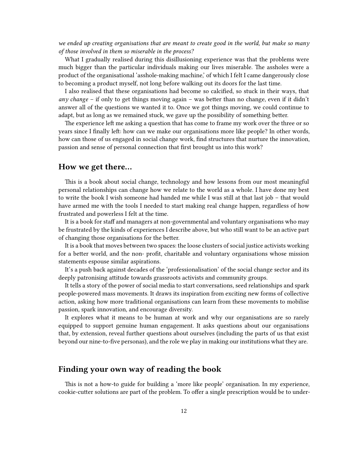*we ended up creating organisations that are meant to create good in the world, but make so many of those involved in them so miserable in the process?*

What I gradually realised during this disillusioning experience was that the problems were much bigger than the particular individuals making our lives miserable. The assholes were a product of the organisational 'asshole-making machine,' of which I felt I came dangerously close to becoming a product myself, not long before walking out its doors for the last time.

I also realised that these organisations had become so calcified, so stuck in their ways, that *any change* – if only to get things moving again – was better than no change, even if it didn't answer all of the questions we wanted it to. Once we got things moving, we could continue to adapt, but as long as we remained stuck, we gave up the possibility of something better.

The experience left me asking a question that has come to frame my work over the three or so years since I finally left: how can we make our organisations more like people? In other words, how can those of us engaged in social change work, find structures that nurture the innovation, passion and sense of personal connection that first brought us into this work?

### <span id="page-11-0"></span>**How we get there…**

This is a book about social change, technology and how lessons from our most meaningful personal relationships can change how we relate to the world as a whole. I have done my best to write the book I wish someone had handed me while I was still at that last job – that would have armed me with the tools I needed to start making real change happen, regardless of how frustrated and powerless I felt at the time.

It is a book for staff and managers at non-governmental and voluntary organisations who may be frustrated by the kinds of experiences I describe above, but who still want to be an active part of changing those organisations for the better.

It is a book that moves between two spaces: the loose clusters of social justice activists working for a better world, and the non- profit, charitable and voluntary organisations whose mission statements espouse similar aspirations.

It's a push back against decades of the 'professionalisation' of the social change sector and its deeply patronising attitude towards grassroots activists and community groups.

It tells a story of the power of social media to start conversations, seed relationships and spark people-powered mass movements. It draws its inspiration from exciting new forms of collective action, asking how more traditional organisations can learn from these movements to mobilise passion, spark innovation, and encourage diversity.

It explores what it means to be human at work and why our organisations are so rarely equipped to support genuine human engagement. It asks questions about our organisations that, by extension, reveal further questions about ourselves (including the parts of us that exist beyond our nine-to-five personas), and the role we play in making our institutions what they are.

## <span id="page-11-1"></span>**Finding your own way of reading the book**

This is not a how-to guide for building a 'more like people' organisation. In my experience, cookie-cutter solutions are part of the problem. To offer a single prescription would be to under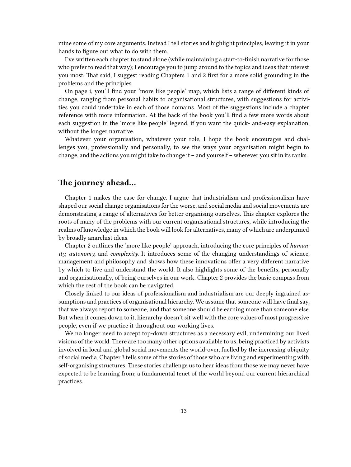mine some of my core arguments. Instead I tell stories and highlight principles, leaving it in your hands to figure out what to do with them.

I've written each chapter to stand alone (while maintaining a start-to-finish narrative for those who prefer to read that way); I encourage you to jump around to the topics and ideas that interest you most. That said, I suggest reading Chapters 1 and 2 first for a more solid grounding in the problems and the principles.

On page i, you'll find your 'more like people' map, which lists a range of different kinds of change, ranging from personal habits to organisational structures, with suggestions for activities you could undertake in each of those domains. Most of the suggestions include a chapter reference with more information. At the back of the book you'll find a few more words about each suggestion in the 'more like people' legend, if you want the quick- and-easy explanation, without the longer narrative.

Whatever your organisation, whatever your role, I hope the book encourages and challenges you, professionally and personally, to see the ways your organisation might begin to change, and the actions you might take to change it – and yourself – wherever you sit in its ranks.

### <span id="page-12-0"></span>**The journey ahead…**

Chapter 1 makes the case for change. I argue that industrialism and professionalism have shaped our social change organisations for the worse, and social media and social movements are demonstrating a range of alternatives for better organising ourselves. This chapter explores the roots of many of the problems with our current organisational structures, while introducing the realms of knowledge in which the book will look for alternatives, many of which are underpinned by broadly anarchist ideas.

Chapter 2 outlines the 'more like people' approach, introducing the core principles of *humanity, autonomy,* and *complexity.* It introduces some of the changing understandings of science, management and philosophy and shows how these innovations offer a very different narrative by which to live and understand the world. It also highlights some of the benefits, personally and organisationally, of being ourselves in our work. Chapter 2 provides the basic compass from which the rest of the book can be navigated.

Closely linked to our ideas of professionalism and industrialism are our deeply ingrained assumptions and practices of organisational hierarchy. We assume that someone will have final say, that we always report to someone, and that someone should be earning more than someone else. But when it comes down to it, hierarchy doesn't sit well with the core values of most progressive people, even if we practice it throughout our working lives.

We no longer need to accept top-down structures as a necessary evil, undermining our lived visions of the world. There are too many other options available to us, being practiced by activists involved in local and global social movements the world-over, fuelled by the increasing ubiquity of social media. Chapter 3 tells some of the stories of those who are living and experimenting with self-organising structures. These stories challenge us to hear ideas from those we may never have expected to be learning from; a fundamental tenet of the world beyond our current hierarchical practices.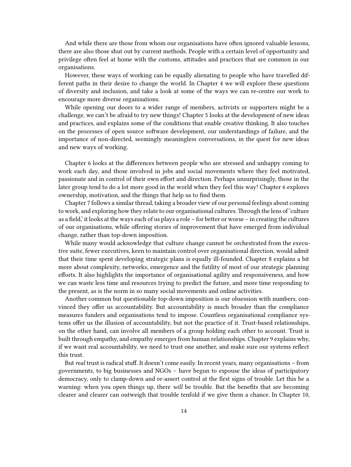And while there are those from whom our organisations have often ignored valuable lessons, there are also those shut out by current methods. People with a certain level of opportunity and privilege often feel at home with the customs, attitudes and practices that are common in our organisations.

However, these ways of working can be equally alienating to people who have travelled different paths in their desire to change the world. In Chapter 4 we will explore these questions of diversity and inclusion, and take a look at some of the ways we can re-centre our work to encourage more diverse organisations.

While opening our doors to a wider range of members, activists or supporters might be a challenge, we can't be afraid to try new things! Chapter 5 looks at the development of new ideas and practices, and explains some of the conditions that enable creative thinking. It also touches on the processes of open source software development, our understandings of failure, and the importance of non-directed, seemingly meaningless conversations, in the quest for new ideas and new ways of working.

Chapter 6 looks at the differences between people who are stressed and unhappy coming to work each day, and those involved in jobs and social movements where they feel motivated, passionate and in control of their own effort and direction. Perhaps unsurprisingly, those in the later group tend to do a lot more good in the world when they feel this way! Chapter 6 explores ownership, motivation, and the things that help us to find them.

Chapter 7 follows a similar thread, taking a broader view of our personal feelings about coming to work, and exploring how they relate to our organisational cultures.Through the lens of 'culture as a field,' it looks at the ways each of us plays a role – for better or worse – in creating the cultures of our organisations, while offering stories of improvement that have emerged from individual change, rather than top-down imposition.

While many would acknowledge that culture change cannot be orchestrated from the executive suite, fewer executives, keen to maintain control over organisational direction, would admit that their time spent developing strategic plans is equally ill-founded. Chapter 8 explains a bit more about complexity, networks, emergence and the futility of most of our strategic planning efforts. It also highlights the importance of organisational agility and responsiveness, and how we can waste less time and resources trying to predict the future, and more time responding to the present, as is the norm in so many social movements and online activities.

Another common but questionable top-down imposition is our obsession with numbers, convinced they offer us accountability. But accountability is much broader than the compliance measures funders and organisations tend to impose. Countless organisational compliance systems offer us the illusion of accountability, but not the practice of it. Trust-based relationships, on the other hand, can involve all members of a group holding each other to account. Trust is built through empathy, and empathy emerges from human relationships. Chapter 9 explains why, if we want real accountability, we need to trust one another, and make sure our systems reflect this trust.

But *real* trust is radical stuff. It doesn't come easily. In recent years, many organisations – from governments, to big businesses and NGOs – have begun to espouse the ideas of participatory democracy, only to clamp-down and re-assert control at the first signs of trouble. Let this be a warning: when you open things up, there *will* be trouble. But the benefits that are becoming clearer and clearer can outweigh that trouble tenfold if we give them a chance. In Chapter 10,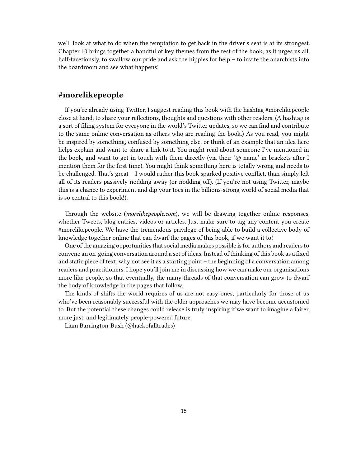we'll look at what to do when the temptation to get back in the driver's seat is at its strongest. Chapter 10 brings together a handful of key themes from the rest of the book, as it urges us all, half-facetiously, to swallow our pride and ask the hippies for help – to invite the anarchists into the boardroom and see what happens!

### <span id="page-14-0"></span>**#morelikepeople**

If you're already using Twitter, I suggest reading this book with the hashtag #morelikepeople close at hand, to share your reflections, thoughts and questions with other readers. (A hashtag is a sort of filing system for everyone in the world's Twitter updates, so we can find and contribute to the same online conversation as others who are reading the book.) As you read, you might be inspired by something, confused by something else, or think of an example that an idea here helps explain and want to share a link to it. You might read about someone I've mentioned in the book, and want to get in touch with them directly (via their '@ name' in brackets after I mention them for the first time). You might think something here is totally wrong and needs to be challenged. That's great – I would rather this book sparked positive conflict, than simply left all of its readers passively nodding away (or nodding off). (If you're not using Twitter, maybe this is a chance to experiment and dip your toes in the billions-strong world of social media that is so central to this book!).

Through the website (*morelikepeople.com*), we will be drawing together online responses, whether Tweets, blog entries, videos or articles. Just make sure to tag any content you create #morelikepeople. We have the tremendous privilege of being able to build a collective body of knowledge together online that can dwarf the pages of this book, if we want it to!

One of the amazing opportunities that social media makes possible is for authors and readers to convene an on-going conversation around a set of ideas. Instead of thinking of this book as a fixed and static piece of text, why not see it as a starting point – the beginning of a conversation among readers and practitioners. I hope you'll join me in discussing how we can make our organisations more like people, so that eventually, the many threads of that conversation can grow to dwarf the body of knowledge in the pages that follow.

The kinds of shifts the world requires of us are not easy ones, particularly for those of us who've been reasonably successful with the older approaches we may have become accustomed to. But the potential these changes could release is truly inspiring if we want to imagine a fairer, more just, and legitimately people-powered future.

Liam Barrington-Bush (@hackofalltrades)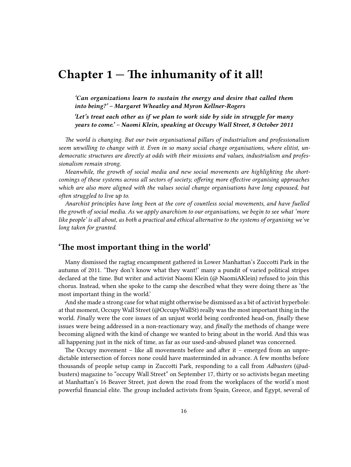## <span id="page-15-0"></span>**Chapter 1 — The inhumanity of it all!**

*'Can organizations learn to sustain the energy and desire that called them into being?' – Margaret Wheatley and Myron Kellner-Rogers*

*'Let's treat each other as if we plan to work side by side in struggle for many years to come.' – Naomi Klein, speaking at Occupy Wall Street, 8 October 2011*

*The world is changing. But our twin organisational pillars of industrialism and professionalism seem unwilling to change with it. Even in so many social change organisations, where elitist, undemocratic structures are directly at odds with their missions and values, industrialism and professionalism remain strong.*

*Meanwhile, the growth of social media and new social movements are highlighting the shortcomings of these systems across all sectors of society, offering more effective organising approaches which are also more aligned with the values social change organisations have long espoused, but often struggled to live up to.*

*Anarchist principles have long been at the core of countless social movements, and have fuelled the growth of social media. As we apply anarchism to our organisations, we begin to see what 'more like people' is all about, as both a practical and ethical alternative to the systems of organising we've long taken for granted.*

### <span id="page-15-1"></span>**'The most important thing in the world'**

Many dismissed the ragtag encampment gathered in Lower Manhattan's Zuccotti Park in the autumn of 2011. 'They don't know what they want!' many a pundit of varied political stripes declared at the time. But writer and activist Naomi Klein (@ NaomiAKlein) refused to join this chorus. Instead, when she spoke to the camp she described what they were doing there as 'the most important thing in the world.'

And she made a strong case for what might otherwise be dismissed as a bit of activist hyperbole: at that moment, Occupy Wall Street (@OccupyWallSt) really was the most important thing in the world. *Finally* were the core issues of an unjust world being confronted head-on, *finally* these issues were being addressed in a non-reactionary way, and *finally* the methods of change were becoming aligned with the kind of change we wanted to bring about in the world. And this was all happening just in the nick of time, as far as our used-and-abused planet was concerned.

The Occupy movement – like all movements before and after it – emerged from an unpredictable intersection of forces none could have masterminded in advance. A few months before thousands of people setup camp in Zuccotti Park, responding to a call from *Adbusters* (@adbusters) magazine to "occupy Wall Street" on September 17, thirty or so activists began meeting at Manhattan's 16 Beaver Street, just down the road from the workplaces of the world's most powerful financial elite. The group included activists from Spain, Greece, and Egypt, several of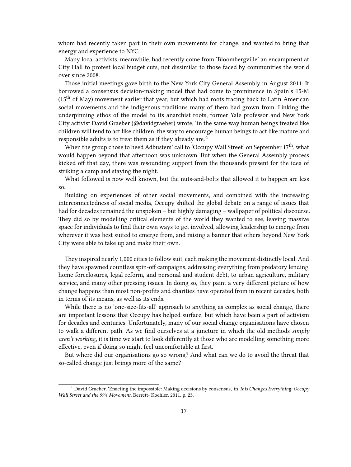whom had recently taken part in their own movements for change, and wanted to bring that energy and experience to NYC.

Many local activists, meanwhile, had recently come from 'Bloombergville' an encampment at City Hall to protest local budget cuts, not dissimilar to those faced by communities the world over since 2008.

Those initial meetings gave birth to the New York City General Assembly in August 2011. It borrowed a consensus decision-making model that had come to prominence in Spain's 15-M  $(15<sup>th</sup>$  of May) movement earlier that year, but which had roots tracing back to Latin American social movements and the indigenous traditions many of them had grown from. Linking the underpinning ethos of the model to its anarchist roots, former Yale professor and New York City activist David Graeber (@davidgraeber) wrote, 'in the same way human beings treated like children will tend to act like children, the way to encourage human beings to act like mature and responsible adults is to treat them as if they already are.'<sup>1</sup>

When the group chose to heed Adbusters' call to 'Occupy Wall Street' on September  $17<sup>th</sup>$ , what would happen beyond that afternoon was unknown. But when the General Assembly process kicked off that day, there was resounding support from the thousands present for the idea of striking a camp and staying the night.

What followed is now well known, but the nuts-and-bolts that allowed it to happen are less so.

Building on experiences of other social movements, and combined with the increasing interconnectedness of social media, Occupy shifted the global debate on a range of issues that had for decades remained the unspoken – but highly damaging – wallpaper of political discourse. They did so by modelling critical elements of the world they wanted to see, leaving massive space for individuals to find their own ways to get involved, allowing leadership to emerge from wherever it was best suited to emerge from, and raising a banner that others beyond New York City were able to take up and make their own.

They inspired nearly 1,000 cities to follow suit, each making the movement distinctly local. And they have spawned countless spin-off campaigns, addressing everything from predatory lending, home foreclosures, legal reform, and personal and student debt, to urban agriculture, military service, and many other pressing issues. In doing so, they paint a very different picture of how change happens than most non-profits and charities have operated from in recent decades, both in terms of its means, as well as its ends.

While there is no 'one-size-fits-all' approach to anything as complex as social change, there are important lessons that Occupy has helped surface, but which have been a part of activism for decades and centuries. Unfortunately, many of our social change organisations have chosen to walk a different path. As we find ourselves at a juncture in which the old methods *simply aren't working*, it is time we start to look differently at those who are modelling something more effective, even if doing so might feel uncomfortable at first.

But where did our organisations go so wrong? And what can we do to avoid the threat that so-called change just brings more of the same?

<sup>1</sup> David Graeber, 'Enacting the impossible: Making decisions by consensus,' in *This Changes Everything: Occupy Wall Street and the 99% Movement*, Berrett- Koehler, 2011, p. 23.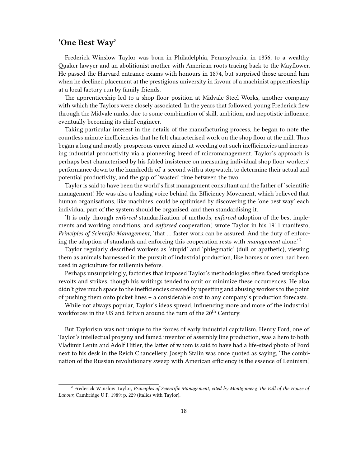## <span id="page-17-0"></span>**'One Best Way'**

Frederick Winslow Taylor was born in Philadelphia, Pennsylvania, in 1856, to a wealthy Quaker lawyer and an abolitionist mother with American roots tracing back to the Mayflower. He passed the Harvard entrance exams with honours in 1874, but surprised those around him when he declined placement at the prestigious university in favour of a machinist apprenticeship at a local factory run by family friends.

The apprenticeship led to a shop floor position at Midvale Steel Works, another company with which the Taylors were closely associated. In the years that followed, young Frederick flew through the Midvale ranks, due to some combination of skill, ambition, and nepotistic influence, eventually becoming its chief engineer.

Taking particular interest in the details of the manufacturing process, he began to note the countless minute inefficiencies that he felt characterised work on the shop floor at the mill. Thus began a long and mostly prosperous career aimed at weeding out such inefficiencies and increasing industrial productivity via a pioneering breed of micromanagement. Taylor's approach is perhaps best characterised by his fabled insistence on measuring individual shop floor workers' performance down to the hundredth-of-a-second with a stopwatch, to determine their actual and potential productivity, and the gap of 'wasted' time between the two.

Taylor is said to have been the world's first management consultant and the father of 'scientific management.' He was also a leading voice behind the Efficiency Movement, which believed that human organisations, like machines, could be optimised by discovering the 'one best way' each individual part of the system should be organised, and then standardising it.

'It is only through *enforced* standardization of methods, *enforced* adoption of the best implements and working conditions, and *enforced* cooperation,' wrote Taylor in his 1911 manifesto, *Principles of Scientific Management*, 'that … faster work can be assured. And the duty of enforcing the adoption of standards and enforcing this cooperation rests with *management* alone.'<sup>2</sup>

Taylor regularly described workers as 'stupid' and 'phlegmatic' (dull or apathetic), viewing them as animals harnessed in the pursuit of industrial production, like horses or oxen had been used in agriculture for millennia before.

Perhaps unsurprisingly, factories that imposed Taylor's methodologies often faced workplace revolts and strikes, though his writings tended to omit or minimize these occurrences. He also didn't give much space to the inefficiencies created by upsetting and abusing workers to the point of pushing them onto picket lines – a considerable cost to any company's production forecasts.

While not always popular, Taylor's ideas spread, influencing more and more of the industrial workforces in the US and Britain around the turn of the  $20^{\rm th}$  Century.

But Taylorism was not unique to the forces of early industrial capitalism. Henry Ford, one of Taylor's intellectual progeny and famed inventor of assembly line production, was a hero to both Vladimir Lenin and Adolf Hitler, the latter of whom is said to have had a life-sized photo of Ford next to his desk in the Reich Chancellery. Joseph Stalin was once quoted as saying, 'The combination of the Russian revolutionary sweep with American efficiency is the essence of Leninism,'

<sup>2</sup> Frederick Winslow Taylor, *Principles of Scientific Management, cited by Montgomery, The Fall of the House of Labour*, Cambridge U P, 1989: p. 229 (italics with Taylor).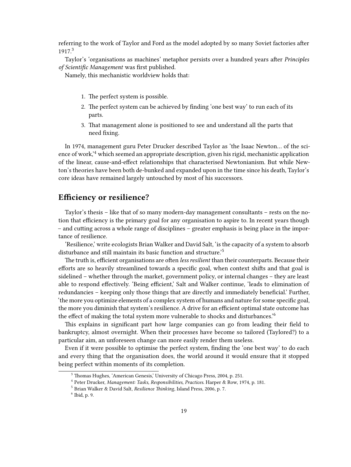referring to the work of Taylor and Ford as the model adopted by so many Soviet factories after 1917.<sup>3</sup>

Taylor's 'organisations as machines' metaphor persists over a hundred years after *Principles of Scientific Management* was first published.

Namely, this mechanistic worldview holds that:

- 1. The perfect system is possible.
- 2. The perfect system can be achieved by finding 'one best way' to run each of its parts.
- 3. That management alone is positioned to see and understand all the parts that need fixing.

In 1974, management guru Peter Drucker described Taylor as 'the Isaac Newton… of the science of work,<sup>4</sup> which seemed an appropriate description, given his rigid, mechanistic application of the linear, cause-and-effect relationships that characterised Newtonianism. But while Newton's theories have been both de-bunked and expanded upon in the time since his death, Taylor's core ideas have remained largely untouched by most of his successors.

### <span id="page-18-0"></span>**Efficiency or resilience?**

Taylor's thesis – like that of so many modern-day management consultants – rests on the notion that efficiency is the primary goal for any organisation to aspire to. In recent years though – and cutting across a whole range of disciplines – greater emphasis is being place in the importance of resilience.

'Resilience,' write ecologists Brian Walker and David Salt, 'is the capacity of a system to absorb disturbance and still maintain its basic function and structure.'<sup>5</sup>

The truth is, efficient organisations are often *less resilient* than their counterparts. Because their efforts are so heavily streamlined towards a specific goal, when context shifts and that goal is sidelined – whether through the market, government policy, or internal changes – they are least able to respond effectively. 'Being efficient,' Salt and Walker continue, 'leads to elimination of redundancies – keeping only those things that are directly and immediately beneficial.' Further, 'the more you optimize elements of a complex system of humans and nature for some specific goal, the more you diminish that system's resilience. A drive for an efficient optimal state outcome has the effect of making the total system more vulnerable to shocks and disturbances.'<sup>6</sup>

This explains in significant part how large companies can go from leading their field to bankruptcy, almost overnight. When their processes have become so tailored (Taylored?) to a particular aim, an unforeseen change can more easily render them useless.

Even if it were possible to optimise the perfect system, finding the 'one best way' to do each and every thing that the organisation does, the world around it would ensure that it stopped being perfect within moments of its completion.

<sup>&</sup>lt;sup>3</sup> Thomas Hughes, 'American Genesis,' University of Chicago Press, 2004, p. 251.

<sup>4</sup> Peter Drucker, *Management: Tasks, Responsibilities, Practices*. Harper & Row, 1974, p. 181.

<sup>5</sup> Brian Walker & David Salt, *Resilience Thinking*, Island Press, 2006, p. 7.

<sup>6</sup> Ibid, p. 9.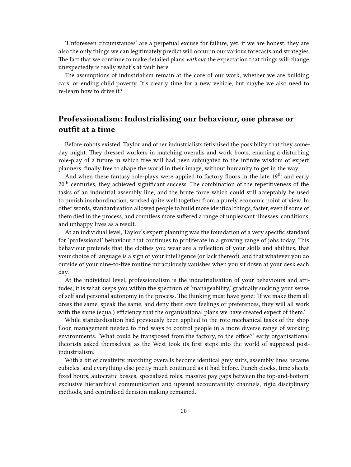'Unforeseen circumstances' are a perpetual excuse for failure, yet, if we are honest, they are also the only things we can legitimately predict will occur in our various forecasts and strategies. The fact that we continue to make detailed plans *without* the expectation that things will change unexpectedly is really what's at fault here.

The assumptions of industrialism remain at the core of our work, whether we are building cars, or ending child poverty. It's clearly time for a new vehicle, but maybe we also need to re-learn how to drive it?

## <span id="page-19-0"></span>**Professionalism: Industrialising our behaviour, one phrase or outfit at a time**

Before robots existed, Taylor and other industrialists fetishised the possibility that they someday might. They dressed workers in matching overalls and work boots, enacting a disturbing role-play of a future in which free will had been subjugated to the infinite wisdom of expert planners, finally free to shape the world in their image, without humanity to get in the way.

And when these fantasy role-plays were applied to factory floors in the late  $19<sup>th</sup>$  and early 20<sup>th</sup> centuries, they achieved significant success. The combination of the repetitiveness of the tasks of an industrial assembly line, and the brute force which could still acceptably be used to punish insubordination, worked quite well together from a purely economic point of view. In other words, standardisation allowed people to build more identical things, faster, even if some of them died in the process, and countless more suffered a range of unpleasant illnesses, conditions, and unhappy lives as a result.

At an individual level, Taylor's expert planning was the foundation of a very specific standard for 'professional' behaviour that continues to proliferate in a growing range of jobs today. This behaviour pretends that the clothes you wear are a reflection of your skills and abilities, that your choice of language is a sign of your intelligence (or lack thereof), and that whatever you do outside of your nine-to-five routine miraculously vanishes when you sit down at your desk each day.

At the individual level, professionalism is the industrialisation of your behaviours and attitudes; it is what keeps you within the spectrum of 'manageability,' gradually sucking your sense of self and personal autonomy in the process. The thinking must have gone: 'If we make them all dress the same, speak the same, and deny their own feelings or preferences, they will all work with the same (equal) efficiency that the organisational plans we have created expect of them.'

While standardisation had previously been applied to the rote mechanical tasks of the shop floor, management needed to find ways to control people in a more diverse range of working environments. 'What could be transposed from the factory, to the office?' early organisational theorists asked themselves, as the West took its first steps into the world of supposed postindustrialism.

With a bit of creativity, matching overalls become identical grey suits, assembly lines became cubicles, and everything else pretty much continued as it had before. Punch clocks, time sheets, fixed hours, autocratic bosses, specialised roles, massive pay gaps between the top-and-bottom, exclusive hierarchical communication and upward accountability channels, rigid disciplinary methods, and centralised decision making remained.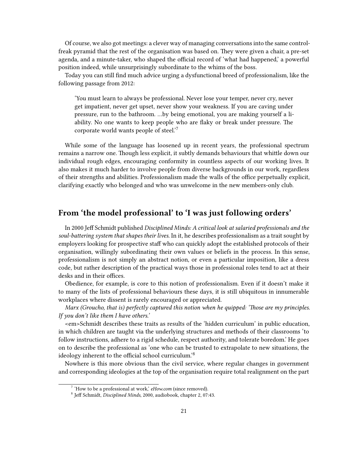Of course, we also got meetings: a clever way of managing conversations into the same controlfreak pyramid that the rest of the organisation was based on. They were given a chair, a pre-set agenda, and a minute-taker, who shaped the official record of 'what had happened,' a powerful position indeed, while unsurprisingly subordinate to the whims of the boss.

Today you can still find much advice urging a dysfunctional breed of professionalism, like the following passage from 2012:

'You must learn to always be professional. Never lose your temper, never cry, never get impatient, never get upset, never show your weakness. If you are caving under pressure, run to the bathroom. …by being emotional, you are making yourself a liability. No one wants to keep people who are flaky or break under pressure. The corporate world wants people of steel.'<sup>7</sup>

While some of the language has loosened up in recent years, the professional spectrum remains a narrow one. Though less explicit, it subtly demands behaviours that whittle down our individual rough edges, encouraging conformity in countless aspects of our working lives. It also makes it much harder to involve people from diverse backgrounds in our work, regardless of their strengths and abilities. Professionalism made the walls of the office perpetually explicit, clarifying exactly who belonged and who was unwelcome in the new members-only club.

### <span id="page-20-0"></span>**From 'the model professional' to 'I was just following orders'**

In 2000 Jeff Schmidt published *Disciplined Minds: A critical look at salaried professionals and the soul-battering system that shapes their lives.* In it, he describes professionalism as a trait sought by employers looking for prospective staff who can quickly adopt the established protocols of their organisation, willingly subordinating their own values or beliefs in the process. In this sense, professionalism is not simply an abstract notion, or even a particular imposition, like a dress code, but rather description of the practical ways those in professional roles tend to act at their desks and in their offices.

Obedience, for example, is core to this notion of professionalism. Even if it doesn't make it to many of the lists of professional behaviours these days, it is still ubiquitous in innumerable workplaces where dissent is rarely encouraged or appreciated.

*Marx (Groucho, that is) perfectly captured this notion when he quipped: 'Those are my principles. If you don't like them I have others.'*

<em>Schmidt describes these traits as results of the 'hidden curriculum' in public education, in which children are taught via the underlying structures and methods of their classrooms 'to follow instructions, adhere to a rigid schedule, respect authority, and tolerate boredom.' He goes on to describe the professional as 'one who can be trusted to extrapolate to new situations, the ideology inherent to the official school curriculum.'<sup>8</sup>

Nowhere is this more obvious than the civil service, where regular changes in government and corresponding ideologies at the top of the organisation require total realignment on the part

<sup>7</sup> 'How to be a professional at work,' *eHow.com* (since removed).

<sup>8</sup> Jeff Schmidt, *Disciplined Minds*, 2000, audiobook, chapter 2, 07:43.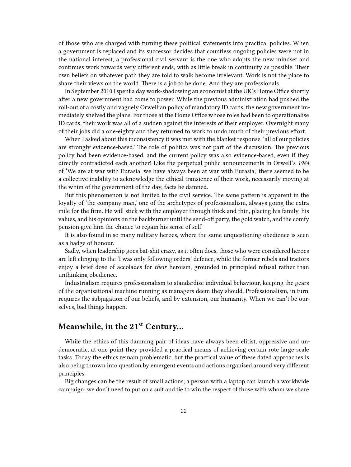of those who are charged with turning these political statements into practical policies. When a government is replaced and its successor decides that countless ongoing policies were not in the national interest, a professional civil servant is the one who adopts the new mindset and continues work towards very different ends, with as little break in continuity as possible. Their own beliefs on whatever path they are told to walk become irrelevant. Work is not the place to share their views on the world. There is a job to be done. And they are professionals.

In September 2010 I spent a day work-shadowing an economist at the UK's Home Office shortly after a new government had come to power. While the previous administration had pushed the roll-out of a costly and vaguely Orwellian policy of mandatory ID cards, the new government immediately shelved the plans. For those at the Home Office whose roles had been to operationalise ID cards, their work was all of a sudden against the interests of their employer. Overnight many of their jobs did a one-eighty and they returned to work to undo much of their previous effort.

When I asked about this inconsistency it was met with the blanket response, 'all of our policies are strongly evidence-based.' The role of politics was not part of the discussion. The previous policy had been evidence-based, and the current policy was also evidence-based, even if they directly contradicted each another! Like the perpetual public announcements in Orwell's *1984* of 'We are at war with Eurasia, we have always been at war with Eurasia,' there seemed to be a collective inability to acknowledge the ethical transience of their work, necessarily moving at the whim of the government of the day, facts be damned.

But this phenomenon is not limited to the civil service. The same pattern is apparent in the loyalty of 'the company man,' one of the archetypes of professionalism, always going the extra mile for the firm. He will stick with the employer through thick and thin, placing his family, his values, and his opinions on the backburner until the send-off party, the gold watch, and the comfy pension give him the chance to regain his sense of self.

It is also found in so many military heroes, where the same unquestioning obedience is seen as a badge of honour.

Sadly, when leadership goes bat-shit crazy, as it often does, those who were considered heroes are left clinging to the 'I was only following orders' defence, while the former rebels and traitors enjoy a brief dose of accolades for *their* heroism, grounded in principled refusal rather than unthinking obedience.

Industrialism requires professionalism to standardise individual behaviour, keeping the gears of the organisational machine running as managers deem they should. Professionalism, in turn, requires the subjugation of our beliefs, and by extension, our humanity. When we can't be ourselves, bad things happen.

## <span id="page-21-0"></span>**Meanwhile, in the 21st Century…**

While the ethics of this damning pair of ideas have always been elitist, oppressive and undemocratic, at one point they provided a practical means of achieving certain rote large-scale tasks. Today the ethics remain problematic, but the practical value of these dated approaches is also being thrown into question by emergent events and actions organised around very different principles.

Big changes can be the result of small actions; a person with a laptop can launch a worldwide campaign; we don't need to put on a suit and tie to win the respect of those with whom we share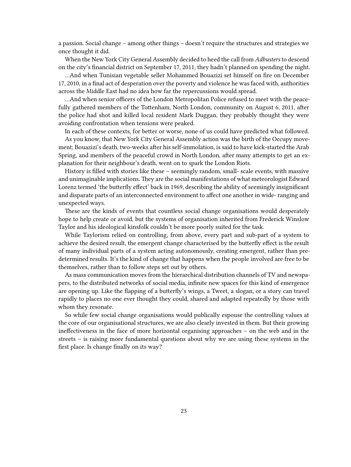a passion. Social change – among other things – doesn't require the structures and strategies we once thought it did.

When the New York City General Assembly decided to heed the call from *Adbusters* to descend on the city's financial district on September 17, 2011, they hadn't planned on spending the night.

…And when Tunisian vegetable seller Mohammed Bouazizi set himself on fire on December 17, 2010, in a final act of desperation over the poverty and violence he was faced with, authorities across the Middle East had no idea how far the repercussions would spread.

…And when senior officers of the London Metropolitan Police refused to meet with the peacefully gathered members of the Tottenham, North London, community on August 6, 2011, after the police had shot and killed local resident Mark Duggan, they probably thought they were avoiding confrontation when tensions were peaked.

In each of these contexts, for better or worse, none of us could have predicted what followed.

As you know, that New York City General Assembly action was the birth of the Occupy movement; Bouazizi's death, two-weeks after his self-immolation, is said to have kick-started the Arab Spring, and members of the peaceful crowd in North London, after many attempts to get an explanation for their neighbour's death, went on to spark the London Riots.

History is filled with stories like these – seemingly random, small- scale events, with massive and unimaginable implications. They are the social manifestations of what meteorologist Edward Lorenz termed 'the butterfly effect' back in 1969, describing the ability of seemingly insignificant and disparate parts of an interconnected environment to affect one another in wide- ranging and unexpected ways.

These are the kinds of events that countless social change organisations would desperately hope to help create or avoid, but the systems of organisation inherited from Frederick Winslow Taylor and his ideological kinsfolk couldn't be more poorly suited for the task.

While Taylorism relied on controlling, from above, every part and sub-part of a system to achieve the desired result, the emergent change characterised by the butterfly effect is the result of many individual parts of a system acting autonomously, creating emergent, rather than predetermined results. It's the kind of change that happens when the people involved are free to be themselves, rather than to follow steps set out by others.

As mass communication moves from the hierarchical distribution channels of TV and newspapers, to the distributed networks of social media, infinite new spaces for this kind of emergence are opening up. Like the flapping of a butterfly's wings, a Tweet, a slogan, or a story can travel rapidly to places no one ever thought they could, shared and adapted repeatedly by those with whom they resonate.

So while few social change organisations would publically espouse the controlling values at the core of our organisational structures, we are also clearly invested in them. But their growing ineffectiveness in the face of more horizontal organising approaches – on the web and in the streets – is raising more fundamental questions about why we are using these systems in the first place. Is change finally on its way?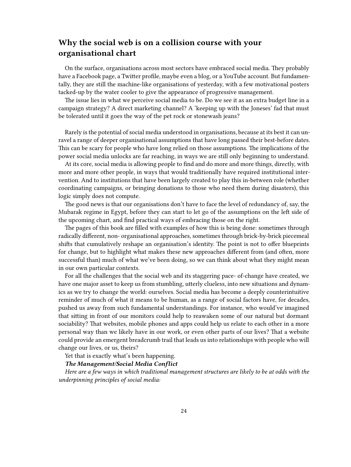## <span id="page-23-0"></span>**Why the social web is on a collision course with your organisational chart**

On the surface, organisations across most sectors have embraced social media. They probably have a Facebook page, a Twitter profile, maybe even a blog, or a YouTube account. But fundamentally, they are still the machine-like organisations of yesterday, with a few motivational posters tacked-up by the water cooler to give the appearance of progressive management.

The issue lies in what we perceive social media to be. Do we see it as an extra budget line in a campaign strategy? A direct marketing channel? A 'keeping up with the Joneses' fad that must be tolerated until it goes the way of the pet rock or stonewash jeans?

Rarely is the potential of social media understood in organisations, because at its best it can unravel a range of deeper organisational assumptions that have long passed their best-before dates. This can be scary for people who have long relied on those assumptions. The implications of the power social media unlocks are far reaching, in ways we are still only beginning to understand.

At its core, social media is allowing people to find and do more and more things, directly, with more and more other people, in ways that would traditionally have required institutional intervention. And to institutions that have been largely created to play this in-between role (whether coordinating campaigns, or bringing donations to those who need them during disasters), this logic simply does not compute.

The good news is that our organisations don't have to face the level of redundancy of, say, the Mubarak regime in Egypt, before they can start to let go of the assumptions on the left side of the upcoming chart, and find practical ways of embracing those on the right.

The pages of this book are filled with examples of how this is being done: sometimes through radically different, non- organisational approaches, sometimes through brick-by-brick piecemeal shifts that cumulatively reshape an organisation's identity. The point is not to offer blueprints for change, but to highlight what makes these new approaches different from (and often, more successful than) much of what we've been doing, so we can think about what they might mean in our own particular contexts.

For all the challenges that the social web and its staggering pace- of-change have created, we have one major asset to keep us from stumbling, utterly clueless, into new situations and dynamics as we try to change the world: ourselves. Social media has become a deeply counterintuitive reminder of much of what it means to be human, as a range of social factors have, for decades, pushed us away from such fundamental understandings. For instance, who would've imagined that sitting in front of our monitors could help to reawaken some of our natural but dormant sociability? That websites, mobile phones and apps could help us relate to each other in a more personal way than we likely have in our work, or even other parts of our lives? That a website could provide an emergent breadcrumb trail that leads us into relationships with people who will change our lives, or us, theirs?

Yet that is exactly what's been happening.

#### *The Management/Social Media Conflict*

*Here are a few ways in which traditional management structures are likely to be at odds with the underpinning principles of social media:*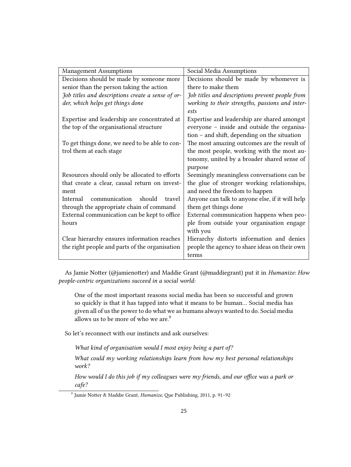| <b>Management Assumptions</b>                     | Social Media Assumptions                        |
|---------------------------------------------------|-------------------------------------------------|
| Decisions should be made by someone more          | Decisions should be made by whomever is         |
| senior than the person taking the action          | there to make them                              |
| Job titles and descriptions create a sense of or- | Job titles and descriptions prevent people from |
| der, which helps get things done                  | working to their strengths, passions and inter- |
|                                                   | ests                                            |
| Expertise and leadership are concentrated at      | Expertise and leadership are shared amongst     |
| the top of the organisational structure           | everyone - inside and outside the organisa-     |
|                                                   | $tion$ – and shift, depending on the situation  |
| To get things done, we need to be able to con-    | The most amazing outcomes are the result of     |
| trol them at each stage                           | the most people, working with the most au-      |
|                                                   | tonomy, united by a broader shared sense of     |
|                                                   | purpose                                         |
| Resources should only be allocated to efforts     | Seemingly meaningless conversations can be      |
| that create a clear, causal return on invest-     | the glue of stronger working relationships,     |
| ment                                              | and need the freedom to happen                  |
| communication should<br>Internal<br>travel        | Anyone can talk to anyone else, if it will help |
| through the appropriate chain of command          | them get things done                            |
| External communication can be kept to office      | External communication happens when peo-        |
| hours                                             | ple from outside your organisation engage       |
|                                                   | with you                                        |
| Clear hierarchy ensures information reaches       | Hierarchy distorts information and denies       |
| the right people and parts of the organisation    | people the agency to share ideas on their own   |
|                                                   | terms                                           |

As Jamie Notter (@jamienotter) and Maddie Grant (@maddiegrant) put it in *Humanize: How people-centric organizations succeed in a social world:*

One of the most important reasons social media has been so successful and grown so quickly is that it has tapped into what it means to be human… Social media has given all of us the power to do what we as humans always wanted to do. Social media allows us to be more of who we are.<sup>9</sup>

So let's reconnect with our instincts and ask ourselves:

*What kind of organisation would I most enjoy being a part of?*

*What could my working relationships learn from how my best personal relationships work?*

*How would I do this job if my colleagues were my friends, and our office was a park or cafe?*

9 Jamie Notter & Maddie Grant, *Humanize*, Que Publishing, 2011, p. 91–92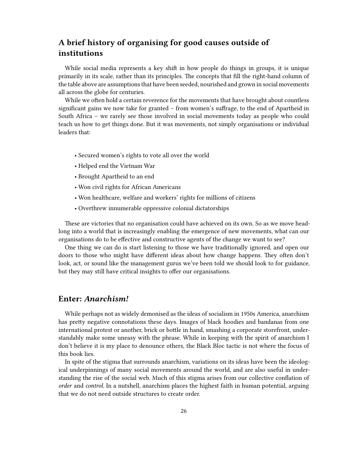## <span id="page-25-0"></span>**A brief history of organising for good causes outside of institutions**

While social media represents a key shift in how people do things in groups, it is unique primarily in its scale, rather than its principles. The concepts that fill the right-hand column of the table above are assumptions that have been seeded, nourished and grown in social movements all across the globe for centuries.

While we often hold a certain reverence for the movements that have brought about countless significant gains we now take for granted – from women's suffrage, to the end of Apartheid in South Africa – we rarely see those involved in social movements today as people who could teach us how to get things done. But it was movements, not simply organisations or individual leaders that:

- Secured women's rights to vote all over the world
- Helped end the Vietnam War
- Brought Apartheid to an end
- Won civil rights for African Americans
- Won healthcare, welfare and workers' rights for millions of citizens
- Overthrew innumerable oppressive colonial dictatorships

These are victories that no organisation could have achieved on its own. So as we move headlong into a world that is increasingly enabling the emergence of new movements, what can our organisations do to be effective and constructive agents of the change we want to see?

One thing we can do is start listening to those we have traditionally ignored, and open our doors to those who might have different ideas about how change happens. They often don't look, act, or sound like the management gurus we've been told we should look to for guidance, but they may still have critical insights to offer our organisations.

### <span id="page-25-1"></span>**Enter:** *Anarchism!*

While perhaps not as widely demonised as the ideas of socialism in 1950s America, anarchism has pretty negative connotations these days. Images of black hoodies and bandanas from one international protest or another, brick or bottle in hand, smashing a corporate storefront, understandably make some uneasy with the phrase. While in keeping with the spirit of anarchism I don't believe it is my place to denounce others, the Black Bloc tactic is not where the focus of this book lies.

In spite of the stigma that surrounds anarchism, variations on its ideas have been the ideological underpinnings of many social movements around the world, and are also useful in understanding the rise of the social web. Much of this stigma arises from our collective conflation of *order* and *control*. In a nutshell, anarchism places the highest faith in human potential, arguing that we do not need outside structures to create order.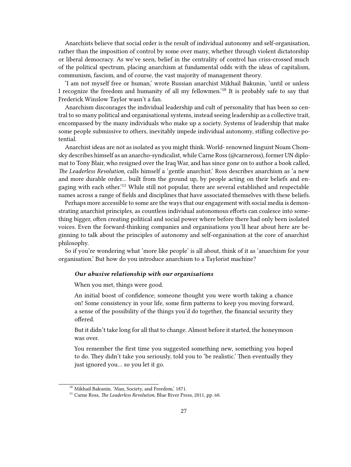Anarchists believe that social order is the result of individual autonomy and self-organisation, rather than the imposition of control by some over many, whether through violent dictatorship or liberal democracy. As we've seen, belief in the centrality of control has criss-crossed much of the political spectrum, placing anarchism at fundamental odds with the ideas of capitalism, communism, fascism, and of course, the vast majority of management theory.

'I am not myself free or human,' wrote Russian anarchist Mikhail Bakunin, 'until or unless I recognize the freedom and humanity of all my fellowmen.'<sup>10</sup> It is probably safe to say that Frederick Winslow Taylor wasn't a fan.

Anarchism discourages the individual leadership and cult of personality that has been so central to so many political and organisational systems, instead seeing leadership as a collective trait, encompassed by the many individuals who make up a society. Systems of leadership that make some people submissive to others, inevitably impede individual autonomy, stifling collective potential.

Anarchist ideas are not as isolated as you might think. World- renowned linguist Noam Chomsky describes himself as an anarcho-syndicalist, while Carne Ross (@carneross), former UN diplomat to Tony Blair, who resigned over the Iraq War, and has since gone on to author a book called, *The Leaderless Revolution*, calls himself a 'gentle anarchist.' Ross describes anarchism as 'a new and more durable order… built from the ground up, by people acting on their beliefs and engaging with each other.'<sup>11</sup> While still not popular, there are several established and respectable names across a range of fields and disciplines that have associated themselves with these beliefs.

Perhaps more accessible to some are the ways that our engagement with social media is demonstrating anarchist principles, as countless individual autonomous efforts can coalesce into something bigger, often creating political and social power where before there had only been isolated voices. Even the forward-thinking companies and organisations you'll hear about here are beginning to talk about the principles of autonomy and self-organisation at the core of anarchist philosophy.

So if you're wondering what 'more like people' is all about, think of it as 'anarchism for your organisation.' But how do you introduce anarchism to a Taylorist machine?

#### *Our abusive relationship with our organisations*

When you met, things were good.

An initial boost of confidence; someone thought you were worth taking a chance on! Some consistency in your life, some firm patterns to keep you moving forward, a sense of the possibility of the things you'd do together, the financial security they offered.

But it didn't take long for all that to change. Almost before it started, the honeymoon was over.

You remember the first time you suggested something new, something you hoped to do. They didn't take you seriously, told you to 'be realistic.' Then eventually they just ignored you… so you let it go.

<sup>&</sup>lt;sup>10</sup> Mikhail Bakunin, 'Man, Society, and Freedom,' 1871.

<sup>11</sup> Carne Ross, *The Leaderless Revolution*, Blue River Press, 2011, pp. 60.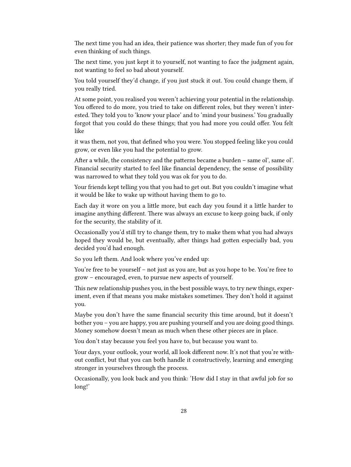The next time you had an idea, their patience was shorter; they made fun of you for even thinking of such things.

The next time, you just kept it to yourself, not wanting to face the judgment again, not wanting to feel so bad about yourself.

You told yourself they'd change, if you just stuck it out. You could change them, if you really tried.

At some point, you realised you weren't achieving your potential in the relationship. You offered to do more, you tried to take on different roles, but they weren't interested. They told you to 'know your place' and to 'mind your business.' You gradually forgot that you could do these things; that you had more you could offer. You felt like

it was them, not you, that defined who you were. You stopped feeling like you could grow, or even like you had the potential to grow.

After a while, the consistency and the patterns became a burden – same ol', same ol'. Financial security started to feel like financial dependency, the sense of possibility was narrowed to what they told you was ok for you to do.

Your friends kept telling you that you had to get out. But you couldn't imagine what it would be like to wake up without having them to go to.

Each day it wore on you a little more, but each day you found it a little harder to imagine anything different. There was always an excuse to keep going back, if only for the security, the stability of it.

Occasionally you'd still try to change them, try to make them what you had always hoped they would be, but eventually, after things had gotten especially bad, you decided you'd had enough.

So you left them. And look where you've ended up:

You're free to be yourself – not just as you are, but as you hope to be. You're free to grow – encouraged, even, to pursue new aspects of yourself.

This new relationship pushes you, in the best possible ways, to try new things, experiment, even if that means you make mistakes sometimes. They don't hold it against you.

Maybe you don't have the same financial security this time around, but it doesn't bother you – you are happy, you are pushing yourself and you are doing good things. Money somehow doesn't mean as much when these other pieces are in place.

You don't stay because you feel you have to, but because you want to.

Your days, your outlook, your world, all look different now. It's not that you're without conflict, but that you can both handle it constructively, learning and emerging stronger in yourselves through the process.

Occasionally, you look back and you think: 'How did I stay in that awful job for so long!'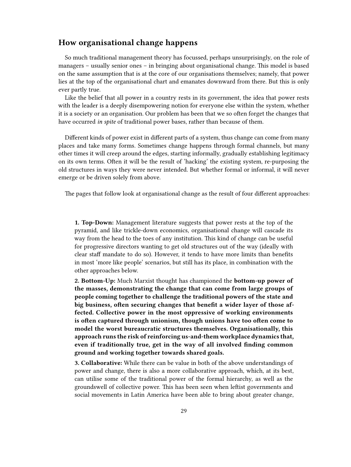### <span id="page-28-0"></span>**How organisational change happens**

So much traditional management theory has focussed, perhaps unsurprisingly, on the role of managers – usually senior ones – in bringing about organisational change. This model is based on the same assumption that is at the core of our organisations themselves; namely, that power lies at the top of the organisational chart and emanates downward from there. But this is only ever partly true.

Like the belief that all power in a country rests in its government, the idea that power rests with the leader is a deeply disempowering notion for everyone else within the system, whether it is a society or an organisation. Our problem has been that we so often forget the changes that have occurred *in spite* of traditional power bases, rather than because of them.

Different kinds of power exist in different parts of a system, thus change can come from many places and take many forms. Sometimes change happens through formal channels, but many other times it will creep around the edges, starting informally, gradually establishing legitimacy on its own terms. Often it will be the result of 'hacking' the existing system, re-purposing the old structures in ways they were never intended. But whether formal or informal, it will never emerge or be driven solely from above.

The pages that follow look at organisational change as the result of four different approaches:

**1. Top-Down:** Management literature suggests that power rests at the top of the pyramid, and like trickle-down economics, organisational change will cascade its way from the head to the toes of any institution. This kind of change can be useful for progressive directors wanting to get old structures out of the way (ideally with clear staff mandate to do so). However, it tends to have more limits than benefits in most 'more like people' scenarios, but still has its place, in combination with the other approaches below.

**2. Bottom-Up:** Much Marxist thought has championed the **bottom-up power of the masses, demonstrating the change that can come from large groups of people coming together to challenge the traditional powers of the state and big business, often securing changes that benefit a wider layer of those affected. Collective power in the most oppressive of working environments is often captured through unionism, though unions have too often come to model the worst bureaucratic structures themselves. Organisationally, this approach runs the risk of reinforcing us-and-them workplace dynamics that, even if traditionally true, get in the way of all involved finding common ground and working together towards shared goals.**

**3. Collaborative:** While there can be value in both of the above understandings of power and change, there is also a more collaborative approach, which, at its best, can utilise some of the traditional power of the formal hierarchy, as well as the groundswell of collective power. This has been seen when leftist governments and social movements in Latin America have been able to bring about greater change,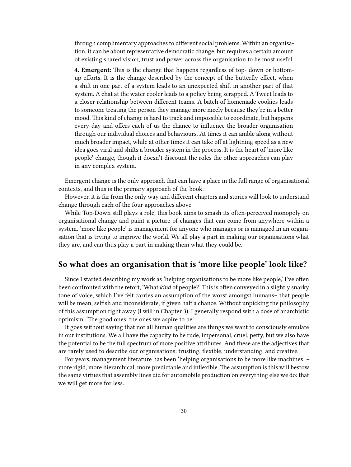through complimentary approaches to different social problems. Within an organisation, it can be about representative democratic change, but requires a certain amount of existing shared vision, trust and power across the organisation to be most useful.

**4. Emergent:** This is the change that happens regardless of top- down or bottomup efforts. It is the change described by the concept of the butterfly effect, when a shift in one part of a system leads to an unexpected shift in another part of that system. A chat at the water cooler leads to a policy being scrapped. A Tweet leads to a closer relationship between different teams. A batch of homemade cookies leads to someone treating the person they manage more nicely because they're in a better mood. This kind of change is hard to track and impossible to coordinate, but happens every day and offers each of us the chance to influence the broader organisation through our individual choices and behaviours. At times it can amble along without much broader impact, while at other times it can take off at lightning speed as a new idea goes viral and shifts a broader system in the process. It is the heart of 'more like people' change, though it doesn't discount the roles the other approaches can play in any complex system.

Emergent change is the only approach that can have a place in the full range of organisational contexts, and thus is the primary approach of the book.

However, it is far from the only way and different chapters and stories will look to understand change through each of the four approaches above.

While Top-Down still plays a role, this book aims to smash its often-perceived monopoly on organisational change and paint a picture of changes that can come from anywhere within a system. 'more like people' is management for anyone who manages or is managed in an organisation that is trying to improve the world. We all play a part in making our organisations what they are, and can thus play a part in making them what they could be.

### <span id="page-29-0"></span>**So what does an organisation that is 'more like people' look like?**

Since I started describing my work as 'helping organisations to be more like people,' I've often been confronted with the retort, 'What *kind* of people?' This is often conveyed in a slightly snarky tone of voice, which I've felt carries an assumption of the worst amongst humans– that people will be mean, selfish and inconsiderate, if given half a chance. Without unpicking the philosophy of this assumption right away (I will in Chapter 3), I generally respond with a dose of anarchistic optimism: 'The good ones; the ones we aspire to be.'

It goes without saying that not all human qualities are things we want to consciously emulate in our institutions. We all have the capacity to be rude, impersonal, cruel, petty, but we also have the potential to be the full spectrum of more positive attributes. And these are the adjectives that are rarely used to describe our organisations: trusting, flexible, understanding, and creative.

For years, management literature has been 'helping organisations to be more like machines' – more rigid, more hierarchical, more predictable and inflexible. The assumption is this will bestow the same virtues that assembly lines did for automobile production on everything else we do: that we will get more for less.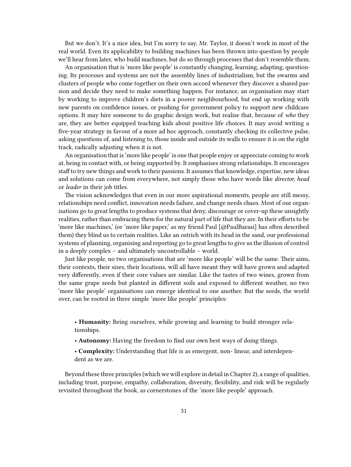But we don't. It's a nice idea, but I'm sorry to say, Mr. Taylor, it doesn't work in most of the real world. Even its applicability to building machines has been thrown into question by people we'll hear from later, who build machines, but do so through processes that don't resemble them.

An organisation that is 'more like people' is constantly changing, learning, adapting, questioning. Its processes and systems are not the assembly lines of industrialism, but the swarms and clusters of people who come together on their own accord whenever they discover a shared passion and decide they need to make something happen. For instance, an organisation may start by working to improve children's diets in a poorer neighbourhood, but end up working with new parents on confidence issues, or pushing for government policy to support new childcare options. It may hire someone to do graphic design work, but realise that, because of *who* they are, they are better equipped teaching kids about positive life choices. It may avoid writing a five-year strategy in favour of a more ad hoc approach, constantly checking its collective pulse, asking questions of, and listening to, those inside and outside its walls to ensure it is on the right track, radically adjusting when it is not.

An organisation that is 'more like people' is one that people enjoy or appreciate coming to work at, being in contact with, or being supported by. It emphasises strong relationships. It encourages staff to try new things and work to their passions. It assumes that knowledge, expertise, new ideas and solutions can come from everywhere, not simply those who have words like *director, head* or *leader* in their job titles.

The vision acknowledges that even in our more aspirational moments, people are still messy, relationships need conflict, innovation needs failure, and change needs chaos. Most of our organisations go to great lengths to produce systems that deny, discourage or cover-up these unsightly realities, rather than embracing them for the natural part of life that they are. In their efforts to be 'more like machines,' (or 'more like paper,' as my friend Paul [@PaulBarasi] has often described them) they blind us to certain realities. Like an ostrich with its head in the sand, our professional systems of planning, organising and reporting go to great lengths to give us the illusion of control in a deeply complex – and ultimately uncontrollable – world.

Just like people, no two organisations that are 'more like people' will be the same. Their aims, their contexts, their sizes, their locations, will all have meant they will have grown and adapted very differently, even if their core values are similar. Like the tastes of two wines, grown from the same grape seeds but planted in different soils and exposed to different weather, no two 'more like people' organisations can emerge identical to one another. But the seeds, the world over, can be rooted in three simple 'more like people' principles:

• **Humanity:** Being ourselves, while growing and learning to build stronger relationships.

• **Autonomy:** Having the freedom to find our own best ways of doing things.

• **Complexity:** Understanding that life is as emergent, non- linear, and interdependent as we are.

Beyond these three principles (which we will explore in detail in Chapter 2), a range of qualities, including trust, purpose, empathy, collaboration, diversity, flexibility, and risk will be regularly revisited throughout the book, as cornerstones of the 'more like people' approach.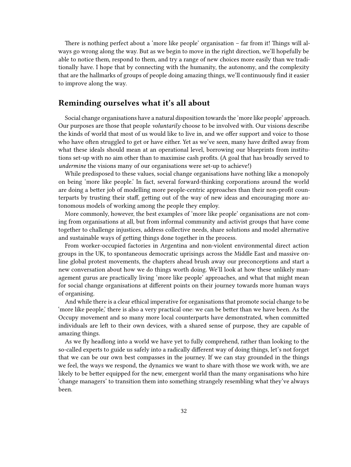There is nothing perfect about a 'more like people' organisation – far from it! Things will always go wrong along the way. But as we begin to move in the right direction, we'll hopefully be able to notice them, respond to them, and try a range of new choices more easily than we traditionally have. I hope that by connecting with the humanity, the autonomy, and the complexity that are the hallmarks of groups of people doing amazing things, we'll continuously find it easier to improve along the way.

### <span id="page-31-0"></span>**Reminding ourselves what it's all about**

Social change organisations have a natural disposition towards the 'more like people' approach. Our purposes are those that people *voluntarily* choose to be involved with. Our visions describe the kinds of world that most of us would like to live in, and we offer support and voice to those who have often struggled to get or have either. Yet as we've seen, many have drifted away from what these ideals should mean at an operational level, borrowing our blueprints from institutions set-up with no aim other than to maximise cash profits. (A goal that has broadly served to *undermine* the visions many of our organisations were set-up to achieve!)

While predisposed to these values, social change organisations have nothing like a monopoly on being 'more like people.' In fact, several forward-thinking corporations around the world are doing a better job of modelling more people-centric approaches than their non-profit counterparts by trusting their staff, getting out of the way of new ideas and encouraging more autonomous models of working among the people they employ.

More commonly, however, the best examples of 'more like people' organisations are not coming from organisations at all, but from informal community and activist groups that have come together to challenge injustices, address collective needs, share solutions and model alternative and sustainable ways of getting things done together in the process.

From worker-occupied factories in Argentina and non-violent environmental direct action groups in the UK, to spontaneous democratic uprisings across the Middle East and massive online global protest movements, the chapters ahead brush away our preconceptions and start a new conversation about how we do things worth doing. We'll look at how these unlikely management gurus are practically living 'more like people' approaches, and what that might mean for social change organisations at different points on their journey towards more human ways of organising.

And while there is a clear ethical imperative for organisations that promote social change to be 'more like people,' there is also a very practical one: we can be better than we have been. As the Occupy movement and so many more local counterparts have demonstrated, when committed individuals are left to their own devices, with a shared sense of purpose, they are capable of amazing things.

As we fly headlong into a world we have yet to fully comprehend, rather than looking to the so-called experts to guide us safely into a radically different way of doing things, let's not forget that we can be our own best compasses in the journey. If we can stay grounded in the things we feel, the ways we respond, the dynamics we want to share with those we work with, we are likely to be better equipped for the new, emergent world than the many organisations who hire 'change managers' to transition them into something strangely resembling what they've always been.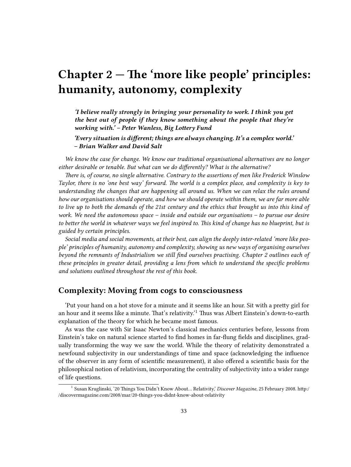# <span id="page-32-0"></span>**Chapter 2 — The 'more like people' principles: humanity, autonomy, complexity**

*'I believe really strongly in bringing your personality to work. I think you get the best out of people if they know something about the people that they're working with.' – Peter Wanless, Big Lottery Fund*

*'Every situation is different; things are always changing. It's a complex world.' – Brian Walker and David Salt*

*We know the case for change. We know our traditional organisational alternatives are no longer either desirable or tenable. But what can we do differently? What is the alternative?*

*There is, of course, no single alternative. Contrary to the assertions of men like Frederick Winslow Taylor, there is no 'one best way' forward. The world is a complex place, and complexity is key to understanding the changes that are happening all around us. When we can relax the rules around how our organisations should operate, and how we should operate within them, we are far more able to live up to both the demands of the 21st century and the ethics that brought us into this kind of work. We need the autonomous space – inside and outside our organisations – to pursue our desire to better the world in whatever ways we feel inspired to. This kind of change has no blueprint, but is guided by certain principles.*

*Social media and social movements, at their best, can align the deeply inter-related 'more like people' principles of humanity, autonomy and complexity, showing us new ways of organising ourselves beyond the remnants of Industrialism we still find ourselves practising. Chapter 2 outlines each of these principles in greater detail, providing a lens from which to understand the specific problems and solutions outlined throughout the rest of this book.*

## <span id="page-32-1"></span>**Complexity: Moving from cogs to consciousness**

'Put your hand on a hot stove for a minute and it seems like an hour. Sit with a pretty girl for an hour and it seems like a minute. That's relativity.'<sup>1</sup> Thus was Albert Einstein's down-to-earth explanation of the theory for which he became most famous.

As was the case with Sir Isaac Newton's classical mechanics centuries before, lessons from Einstein's take on natural science started to find homes in far-flung fields and disciplines, gradually transforming the way we saw the world. While the theory of relativity demonstrated a newfound subjectivity in our understandings of time and space (acknowledging the influence of the observer in any form of scientific measurement), it also offered a scientific basis for the philosophical notion of relativism, incorporating the centrality of subjectivity into a wider range of life questions.

<sup>1</sup> Susan Kruglinski, '20 Things You Didn't Know About… Relativity,' *Discover Magazine*, 25 February 2008. http:/ /discovermagazine.com/2008/mar/20-things-you-didnt-know-about-relativity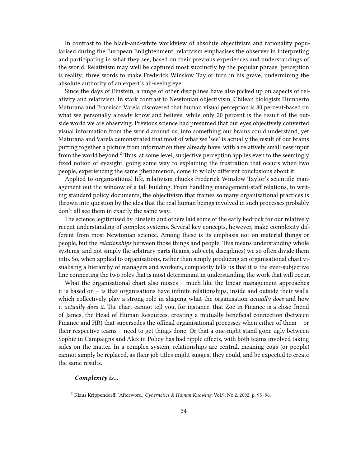In contrast to the black-and-white worldview of absolute objectivism and rationality popularised during the European Enlightenment, relativism emphasises the observer in interpreting and participating in what they see, based on their previous experiences and understandings of the world. Relativism may well be captured most succinctly by the popular phrase 'perception is reality,' three words to make Frederick Winslow Taylor turn in his grave, undermining the absolute authority of an expert's all-seeing eye.

Since the days of Einstein, a range of other disciplines have also picked up on aspects of relativity and relativism. In stark contrast to Newtonian objectivism, Chilean biologists Humberto Maturana and Fransisco Varela discovered that human visual perception is 80 percent-based on what we personally already know and believe, while only 20 percent is the result of the outside world we are observing. Previous science had presumed that our eyes objectively converted visual information from the world around us, into something our brains could understand, yet Maturana and Varela demonstrated that most of what we 'see' is actually the result of our brains putting together a picture from information they already have, with a relatively small new input from the world beyond.<sup>2</sup> Thus, at some level, subjective perception applies even to the seemingly fixed notion of eyesight, going some way to explaining the frustration that occurs when two people, experiencing the same phenomenon, come to wildly different conclusions about it.

Applied to organisational life, relativism chucks Frederick Winslow Taylor's scientific management out the window of a tall building. From handling management-staff relations, to writing standard policy documents, the objectivism that frames so many organisational practices is thrown into question by the idea that the real human beings involved in such processes probably don't all see them in exactly the same way.

The science legitimised by Einstein and others laid some of the early bedrock for our relatively recent understanding of complex systems. Several key concepts, however, make complexity different from most Newtonian science. Among these is its emphasis not on material things or people, but the *relationships* between those things and people. This means understanding whole systems, and not simply the arbitrary parts (teams, subjects, disciplines) we so often divide them into. So, when applied to organisations, rather than simply producing an organisational chart visualising a hierarchy of managers and workers, complexity tells us that it is the ever-subjective line connecting the two roles that is most determinant in understanding the work that will occur.

What the organisational chart also misses – much like the linear management approaches it is based on – is that organisations have infinite relationships, inside and outside their walls, which collectively play a strong role in shaping what the organisation *actually does* and how it *actually does it*. The chart cannot tell you, for instance, that Zoe in Finance is a close friend of James, the Head of Human Resources, creating a mutually beneficial connection (between Finance and HR) that supersedes the official organisational processes when either of them – or their respective teams – need to get things done. Or that a one-night stand gone ugly between Sophie in Campaigns and Alex in Policy has had ripple effects, with both teams involved taking sides on the matter. In a complex system, relationships are central, meaning cogs (or people) cannot simply be replaced, as their job titles might suggest they could, and be expected to create the same results.

### *Complexity is…*

<sup>2</sup> Klaus Krippendorff, 'Afterword,' *Cybernetics & Human Knowing*, Vol.9, No.2, 2002, p. 95–96.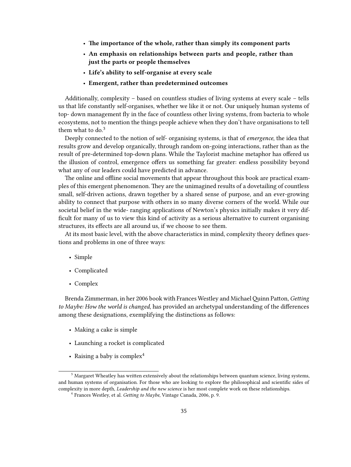- **The importance of the whole, rather than simply its component parts**
- **An emphasis on relationships between parts and people, rather than just the parts or people themselves**
- **Life's ability to self-organise at every scale**
- **Emergent, rather than predetermined outcomes**

Additionally, complexity – based on countless studies of living systems at every scale – tells us that life constantly self-organises, whether we like it or not. Our uniquely human systems of top- down management fly in the face of countless other living systems, from bacteria to whole ecosystems, not to mention the things people achieve when they don't have organisations to tell them what to do.<sup>3</sup>

Deeply connected to the notion of self- organising systems, is that of *emergence*, the idea that results grow and develop organically, through random on-going interactions, rather than as the result of pre-determined top-down plans. While the Taylorist machine metaphor has offered us the illusion of control, emergence offers us something far greater: endless possibility beyond what any of our leaders could have predicted in advance.

The online and offline social movements that appear throughout this book are practical examples of this emergent phenomenon. They are the unimagined results of a dovetailing of countless small, self-driven actions, drawn together by a shared sense of purpose, and an ever-growing ability to connect that purpose with others in so many diverse corners of the world. While our societal belief in the wide- ranging applications of Newton's physics initially makes it very difficult for many of us to view this kind of activity as a serious alternative to current organising structures, its effects are all around us, if we choose to see them.

At its most basic level, with the above characteristics in mind, complexity theory defines questions and problems in one of three ways:

- Simple
- Complicated
- Complex

Brenda Zimmerman, in her 2006 book with Frances Westley and MichaelQuinn Patton, *Getting to Maybe: How the world is changed*, has provided an archetypal understanding of the differences among these designations, exemplifying the distinctions as follows:

- Making a cake is simple
- Launching a rocket is complicated
- Raising a baby is complex<sup>4</sup>

<sup>3</sup> Margaret Wheatley has written extensively about the relationships between quantum science, living systems, and human systems of organisation. For those who are looking to explore the philosophical and scientific sides of complexity in more depth, *Leadership and the new science* is her most complete work on these relationships.

<sup>4</sup> Frances Westley, et al. *Getting to Maybe*, Vintage Canada, 2006, p. 9.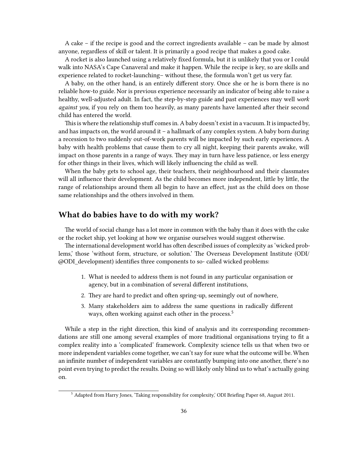A cake – if the recipe is good and the correct ingredients available – can be made by almost anyone, regardless of skill or talent. It is primarily a good recipe that makes a good cake.

A rocket is also launched using a relatively fixed formula, but it is unlikely that you or I could walk into NASA's Cape Canaveral and make it happen. While the recipe is key, so are skills and experience related to rocket-launching– without these, the formula won't get us very far.

A baby, on the other hand, is an entirely different story. Once she or he is born there is no reliable how-to guide. Nor is previous experience necessarily an indicator of being able to raise a healthy, well-adjusted adult. In fact, the step-by-step guide and past experiences may well *work against you*, if you rely on them too heavily, as many parents have lamented after their second child has entered the world.

This is where the relationship stuff comes in. A baby doesn't exist in a vacuum. It is impacted by, and has impacts on, the world around it – a hallmark of any complex system. A baby born during a recession to two suddenly out-of-work parents will be impacted by such early experiences. A baby with health problems that cause them to cry all night, keeping their parents awake, will impact on those parents in a range of ways. They may in turn have less patience, or less energy for other things in their lives, which will likely influencing the child as well.

When the baby gets to school age, their teachers, their neighbourhood and their classmates will all influence their development. As the child becomes more independent, little by little, the range of relationships around them all begin to have an effect, just as the child does on those same relationships and the others involved in them.

### <span id="page-35-0"></span>**What do babies have to do with my work?**

The world of social change has a lot more in common with the baby than it does with the cake or the rocket ship, yet looking at how we organise ourselves would suggest otherwise.

The international development world has often described issues of complexity as 'wicked problems,' those 'without form, structure, or solution.' The Overseas Development Institute (ODI/ @ODI\_development) identifies three components to so- called wicked problems:

- 1. What is needed to address them is not found in any particular organisation or agency, but in a combination of several different institutions,
- 2. They are hard to predict and often spring-up, seemingly out of nowhere,
- 3. Many stakeholders aim to address the same questions in radically different ways, often working against each other in the process.<sup>5</sup>

While a step in the right direction, this kind of analysis and its corresponding recommendations are still one among several examples of more traditional organisations trying to fit a complex reality into a 'complicated' framework. Complexity science tells us that when two or more independent variables come together, we can't say for sure what the outcome will be. When an infinite number of independent variables are constantly bumping into one another, there's no point even trying to predict the results. Doing so will likely only blind us to what's actually going on.

<sup>5</sup> Adapted from Harry Jones, 'Taking responsibility for complexity,' ODI Briefing Paper 68, August 2011.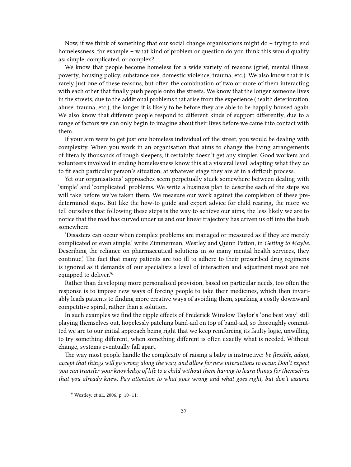Now, if we think of something that our social change organisations might do – trying to end homelessness, for example – what kind of problem or question do you think this would qualify as: simple, complicated, or complex?

We know that people become homeless for a wide variety of reasons (grief, mental illness, poverty, housing policy, substance use, domestic violence, trauma, etc.). We also know that it is rarely just one of these reasons, but often the combination of two or more of them interacting with each other that finally push people onto the streets. We know that the longer someone lives in the streets, due to the additional problems that arise from the experience (health deterioration, abuse, trauma, etc.), the longer it is likely to be before they are able to be happily housed again. We also know that different people respond to different kinds of support differently, due to a range of factors we can only begin to imagine about their lives before we came into contact with them.

If your aim were to get just one homeless individual off the street, you would be dealing with complexity. When you work in an organisation that aims to change the living arrangements of literally thousands of rough sleepers, it certainly doesn't get any simpler. Good workers and volunteers involved in ending homelessness know this at a visceral level, adapting what they do to fit each particular person's situation, at whatever stage they are at in a difficult process.

Yet our organisations' approaches seem perpetually stuck somewhere between dealing with 'simple' and 'complicated' problems. We write a business plan to describe each of the steps we will take before we've taken them. We measure our work against the completion of these predetermined steps. But like the how-to guide and expert advice for child rearing, the more we tell ourselves that following these steps is the way to achieve our aims, the less likely we are to notice that the road has curved under us and our linear trajectory has driven us off into the bush somewhere.

'Disasters can occur when complex problems are managed or measured as if they are merely complicated or even simple,' write Zimmerman, Westley and Quinn Patton, in *Getting to Maybe*. Describing the reliance on pharmaceutical solutions in so many mental health services, they continue,' The fact that many patients are too ill to adhere to their prescribed drug regimens is ignored as it demands of our specialists a level of interaction and adjustment most are not equipped to deliver.'<sup>6</sup>

Rather than developing more personalised provision, based on particular needs, too often the response is to impose new ways of forcing people to take their medicines, which then invariably leads patients to finding more creative ways of avoiding them, sparking a costly downward competitive spiral, rather than a solution.

In such examples we find the ripple effects of Frederick Winslow Taylor's 'one best way' still playing themselves out, hopelessly patching band-aid on top of band-aid, so thoroughly committed we are to our initial approach being right that we keep reinforcing its faulty logic, unwilling to try something different, when something different is often exactly what is needed. Without change, systems eventually fall apart.

The way most people handle the complexity of raising a baby is instructive: *be flexible, adapt, accept that things will go wrong along the way, and allow for new interactions to occur. Don't expect you can transfer your knowledge of life to a child without them having to learn things for themselves that you already knew. Pay attention to what goes wrong and what goes right, but don't assume*

<sup>6</sup> Westley, et al., 2006, p. 10–11.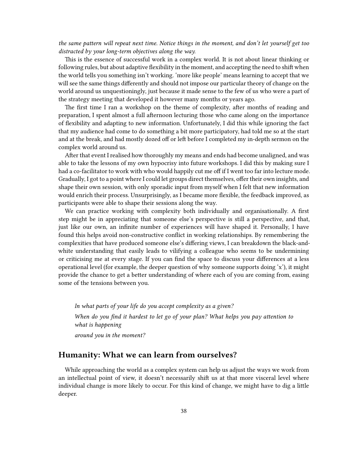*the same pattern will repeat next time. Notice things in the moment, and don't let yourself get too distracted by your long-term objectives along the way.*

This is the essence of successful work in a complex world. It is not about linear thinking or following rules, but about adaptive flexibility in the moment, and accepting the need to shift when the world tells you something isn't working. 'more like people' means learning to accept that we will see the same things differently and should not impose our particular theory of change on the world around us unquestioningly, just because it made sense to the few of us who were a part of the strategy meeting that developed it however many months or years ago.

The first time I ran a workshop on the theme of complexity, after months of reading and preparation, I spent almost a full afternoon lecturing those who came along on the importance of flexibility and adapting to new information. Unfortunately, I did this while ignoring the fact that my audience had come to do something a bit more participatory, had told me so at the start and at the break, and had mostly dozed off or left before I completed my in-depth sermon on the complex world around us.

After that event I realised how thoroughly my means and ends had become unaligned, and was able to take the lessons of my own hypocrisy into future workshops. I did this by making sure I had a co-facilitator to work with who would happily cut me off if I went too far into lecture mode. Gradually, I got to a point where I could let groups direct themselves, offer their own insights, and shape their own session, with only sporadic input from myself when I felt that new information would enrich their process. Unsurprisingly, as I became more flexible, the feedback improved, as participants were able to shape their sessions along the way.

We can practice working with complexity both individually and organisationally. A first step might be in appreciating that someone else's perspective is still a perspective, and that, just like our own, an infinite number of experiences will have shaped it. Personally, I have found this helps avoid non-constructive conflict in working relationships. By remembering the complexities that have produced someone else's differing views, I can breakdown the black-andwhite understanding that easily leads to vilifying a colleague who seems to be undermining or criticising me at every stage. If you can find the space to discuss your differences at a less operational level (for example, the deeper question of why someone supports doing 'x'), it might provide the chance to get a better understanding of where each of you are coming from, easing some of the tensions between you.

*In what parts of your life do you accept complexity as a given? When do you find it hardest to let go of your plan? What helps you pay attention to what is happening around you in the moment?*

## **Humanity: What we can learn from ourselves?**

While approaching the world as a complex system can help us adjust the ways we work from an intellectual point of view, it doesn't necessarily shift us at that more visceral level where individual change is more likely to occur. For this kind of change, we might have to dig a little deeper.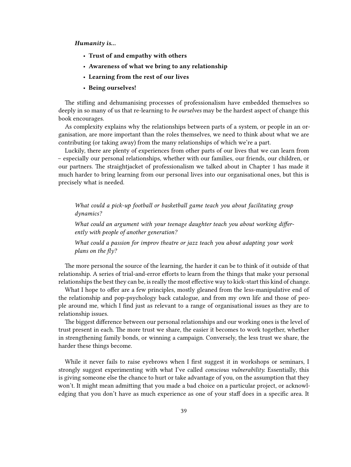*Humanity is…*

- **Trust of and empathy with others**
- **Awareness of what we bring to any relationship**
- **Learning from the rest of our lives**
- **Being ourselves!**

The stifling and dehumanising processes of professionalism have embedded themselves so deeply in so many of us that re-learning to *be ourselves* may be the hardest aspect of change this book encourages.

As complexity explains why the relationships between parts of a system, or people in an organisation, are more important than the roles themselves, we need to think about what we are contributing (or taking away) from the many relationships of which we're a part.

Luckily, there are plenty of experiences from other parts of our lives that we can learn from – especially our personal relationships, whether with our families, our friends, our children, or our partners. The straightjacket of professionalism we talked about in Chapter 1 has made it much harder to bring learning from our personal lives into our organisational ones, but this is precisely what is needed.

*What could a pick-up football or basketball game teach you about facilitating group dynamics?*

*What could an argument with your teenage daughter teach you about working differently with people of another generation?*

*What could a passion for improv theatre or jazz teach you about adapting your work plans on the fly?*

The more personal the source of the learning, the harder it can be to think of it outside of that relationship. A series of trial-and-error efforts to learn from the things that make your personal relationships the best they can be, is really the most effective way to kick-start this kind of change.

What I hope to offer are a few principles, mostly gleaned from the less-manipulative end of the relationship and pop-psychology back catalogue, and from my own life and those of people around me, which I find just as relevant to a range of organisational issues as they are to relationship issues.

The biggest difference between our personal relationships and our working ones is the level of trust present in each. The more trust we share, the easier it becomes to work together, whether in strengthening family bonds, or winning a campaign. Conversely, the less trust we share, the harder these things become.

While it never fails to raise eyebrows when I first suggest it in workshops or seminars, I strongly suggest experimenting with what I've called *conscious vulnerability.* Essentially, this is giving someone else the chance to hurt or take advantage of you, on the assumption that they won't. It might mean admitting that you made a bad choice on a particular project, or acknowledging that you don't have as much experience as one of your staff does in a specific area. It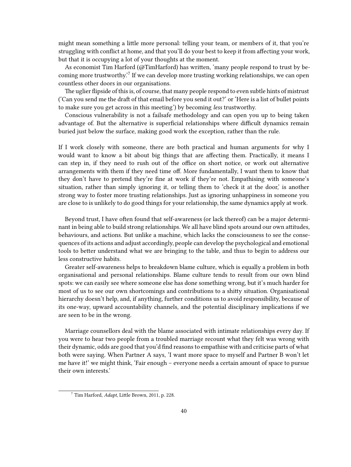might mean something a little more personal: telling your team, or members of it, that you're struggling with conflict at home, and that you'll do your best to keep it from affecting your work, but that it is occupying a lot of your thoughts at the moment.

As economist Tim Harford (@TimHarford) has written, 'many people respond to trust by becoming more trustworthy.<sup>'7</sup> If we can develop more trusting working relationships, we can open countless other doors in our organisations.

The uglier flipside of this is, of course, that many people respond to even subtle hints of mistrust ('Can you send me the draft of that email before you send it out?' or 'Here is a list of bullet points to make sure you get across in this meeting') by becoming *less* trustworthy.

Conscious vulnerability is not a failsafe methodology and can open you up to being taken advantage of. But the alternative is superficial relationships where difficult dynamics remain buried just below the surface, making good work the exception, rather than the rule.

If I work closely with someone, there are both practical and human arguments for why I would want to know a bit about big things that are affecting them. Practically, it means I can step in, if they need to rush out of the office on short notice, or work out alternative arrangements with them if they need time off. More fundamentally, I want them to know that they don't have to pretend they're fine at work if they're not. Empathising with someone's situation, rather than simply ignoring it, or telling them to 'check it at the door,' is another strong way to foster more trusting relationships. Just as ignoring unhappiness in someone you are close to is unlikely to do good things for your relationship, the same dynamics apply at work.

Beyond trust, I have often found that self-awareness (or lack thereof) can be a major determinant in being able to build strong relationships. We all have blind spots around our own attitudes, behaviours, and actions. But unlike a machine, which lacks the consciousness to see the consequences of its actions and adjust accordingly, people can develop the psychological and emotional tools to better understand what we are bringing to the table, and thus to begin to address our less constructive habits.

Greater self-awareness helps to breakdown blame culture, which is equally a problem in both organisational and personal relationships. Blame culture tends to result from our own blind spots: we can easily see where someone else has done something wrong, but it's much harder for most of us to see our own shortcomings and contributions to a shitty situation. Organisational hierarchy doesn't help, and, if anything, further conditions us to avoid responsibility, because of its one-way, upward accountability channels, and the potential disciplinary implications if we are seen to be in the wrong.

Marriage counsellors deal with the blame associated with intimate relationships every day. If you were to hear two people from a troubled marriage recount what they felt was wrong with their dynamic, odds are good that you'd find reasons to empathise with and criticise parts of what both were saying. When Partner A says, 'I want more space to myself and Partner B won't let me have it!' we might think, 'Fair enough – everyone needs a certain amount of space to pursue their own interests.'

<sup>7</sup> Tim Harford, *Adapt*, Little Brown, 2011, p. 228.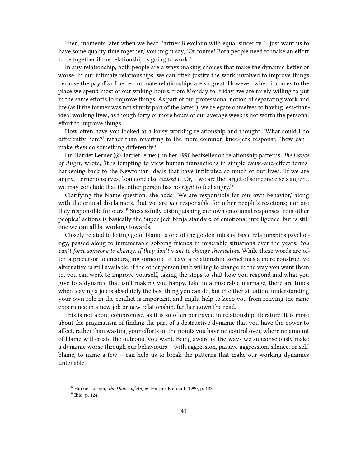Then, moments later when we hear Partner B exclaim with equal sincerity, 'I just want us to have some quality time together,' you might say, 'Of course! Both people need to make an effort to be together if the relationship is going to work!'

In any relationship, both people are always making choices that make the dynamic better or worse. In our intimate relationships, we can often justify the work involved to improve things because the payoffs of better intimate relationships are so great. However, when it comes to the place we spend most of our waking hours, from Monday to Friday, we are rarely willing to put in the same efforts to improve things. As part of our professional notion of separating work and life (as if the former was not simply part of the latter!), we relegate ourselves to having less-thanideal working lives, as though forty or more hours of our average week is not worth the personal effort to improve things.

How often have you looked at a lousy working relationship and thought: 'What could I do differently here?' rather than reverting to the more common knee-jerk response: 'how can I make *them* do something differently?'

Dr. Harriet Lerner (@HarrietLerner), in her 1990 bestseller on relationship patterns, *The Dance of Anger*, wrote, 'It is tempting to view human transactions in simple cause-and-effect terms,' harkening back to the Newtonian ideals that have infiltrated so much of our lives. 'If we are angry,' Lerner observes, 'someone else *caused* it. Or, if we are the target of someone else's anger… we may conclude that the other person has no *right* to feel angry.'<sup>8</sup>

Clarifying the blame question, she adds, 'We are responsible for our own behavior,' along with the critical disclaimers, 'but we are *not* responsible for other people's reactions; nor are they responsible for ours.'<sup>9</sup> Successfully distinguishing our own emotional responses from other peoples' actions is basically the Super Jedi Ninja standard of emotional intelligence, but is still one we can all be working towards.

Closely related to letting go of blame is one of the golden rules of basic relationships psychology, passed along to innumerable sobbing friends in miserable situations over the years: *You can't force someone to change, if they don't want to change themselves*. While these words are often a precursor to encouraging someone to leave a relationship, sometimes a more constructive alternative is still available: if the other person isn't willing to change in the way you want them to, you can work to improve yourself, taking the steps to shift how you respond and what you give to a dynamic that isn't making you happy. Like in a miserable marriage, there are times when leaving a job is absolutely the best thing you can do, but in either situation, understanding your own role in the conflict is important, and might help to keep you from reliving the same experience in a new job or new relationship, further down the road.

This is not about compromise, as it is so often portrayed in relationship literature. It is more about the pragmatism of finding the part of a destructive dynamic that you have the power to affect, rather than wasting your efforts on the points you have no control over, where no amount of blame will create the outcome you want. Being aware of the ways we subconsciously make a dynamic worse through our behaviours – with aggression, passive aggression, silence, or selfblame, to name a few – can help us to break the patterns that make our working dynamics untenable.

<sup>8</sup> Harriet Lerner, *The Dance of Anger*, Harper Element, 1990, p. 123.

<sup>9</sup> Ibid, p. 124.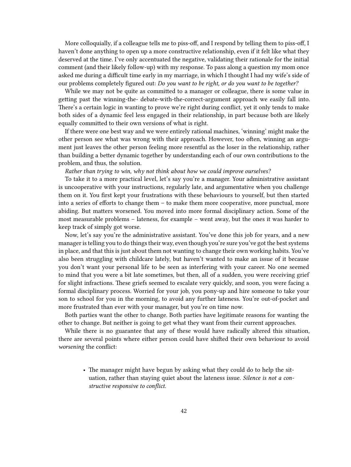More colloquially, if a colleague tells me to piss-off, and I respond by telling them to piss-off, I haven't done anything to open up a more constructive relationship, even if it felt like what they deserved at the time. I've only accentuated the negative, validating their rationale for the initial comment (and their likely follow-up) with my response. To pass along a question my mom once asked me during a difficult time early in my marriage, in which I thought I had my wife's side of our problems completely figured out: *Do you want to be right, or do you want to be together?*

While we may not be quite as committed to a manager or colleague, there is some value in getting past the winning-the- debate-with-the-correct-argument approach we easily fall into. There's a certain logic in wanting to prove we're right during conflict, yet it only tends to make both sides of a dynamic feel less engaged in their relationship, in part because both are likely equally committed to their own versions of what is right.

If there were one best way and we were entirely rational machines, 'winning' might make the other person see what was wrong with their approach. However, too often, winning an argument just leaves the other person feeling more resentful as the loser in the relationship, rather than building a better dynamic together by understanding each of our own contributions to the problem, and thus, the solution.

#### *Rather than trying to win, why not think about how we could improve ourselves?*

To take it to a more practical level, let's say you're a manager. Your administrative assistant is uncooperative with your instructions, regularly late, and argumentative when you challenge them on it. You first kept your frustrations with these behaviours to yourself, but then started into a series of efforts to change them – to make them more cooperative, more punctual, more abiding. But matters worsened. You moved into more formal disciplinary action. Some of the most measurable problems – lateness, for example – went away, but the ones it was harder to keep track of simply got worse.

Now, let's say you're the administrative assistant. You've done this job for years, and a new manager is telling you to do things their way, even though you're sure you've got the best systems in place, and that this is just about them not wanting to change their own working habits. You've also been struggling with childcare lately, but haven't wanted to make an issue of it because you don't want your personal life to be seen as interfering with your career. No one seemed to mind that you were a bit late sometimes, but then, all of a sudden, you were receiving grief for slight infractions. These griefs seemed to escalate very quickly, and soon, you were facing a formal disciplinary process. Worried for your job, you pony-up and hire someone to take your son to school for you in the morning, to avoid any further lateness. You're out-of-pocket and more frustrated than ever with your manager, but you're on time now.

Both parties want the other to change. Both parties have legitimate reasons for wanting the other to change. But neither is going to get what they want from their current approaches.

While there is no guarantee that any of these would have radically altered this situation, there are several points where either person could have shifted their own behaviour to avoid *worsening* the conflict:

• The manager might have begun by asking what they could do to help the situation, rather than staying quiet about the lateness issue. *Silence is not a constructive responsive to conflict.*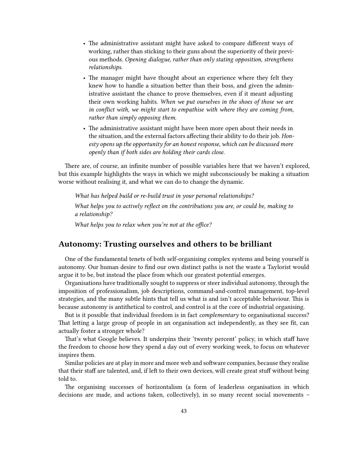- The administrative assistant might have asked to compare different ways of working, rather than sticking to their guns about the superiority of their previous methods. *Opening dialogue, rather than only stating opposition, strengthens relationships.*
- The manager might have thought about an experience where they felt they knew how to handle a situation better than their boss, and given the administrative assistant the chance to prove themselves, even if it meant adjusting their own working habits. *When we put ourselves in the shoes of those we are in conflict with, we might start to empathise with where they are coming from, rather than simply opposing them.*
- The administrative assistant might have been more open about their needs in the situation, and the external factors affecting their ability to do their job. *Honesty opens up the opportunity for an honest response, which can be discussed more openly than if both sides are holding their cards close.*

There are, of course, an infinite number of possible variables here that we haven't explored, but this example highlights the ways in which we might subconsciously be making a situation worse without realising it, and what we can do to change the dynamic.

*What has helped build or re-build trust in your personal relationships?*

*What helps you to actively reflect on the contributions you are, or could be, making to a relationship?*

*What helps you to relax when you're not at the office?*

## **Autonomy: Trusting ourselves and others to be brilliant**

One of the fundamental tenets of both self-organising complex systems and being yourself is autonomy. Our human desire to find our own distinct paths is not the waste a Taylorist would argue it to be, but instead the place from which our greatest potential emerges.

Organisations have traditionally sought to suppress or steer individual autonomy, through the imposition of professionalism, job descriptions, command-and-control management, top-level strategies, and the many subtle hints that tell us what is and isn't acceptable behaviour. This is because autonomy is antithetical to control, and control is at the core of industrial organising.

But is it possible that individual freedom is in fact *complementary* to organisational success? That letting a large group of people in an organisation act independently, as they see fit, can actually foster a stronger whole?

That's what Google believes. It underpins their 'twenty percent' policy, in which staff have the freedom to choose how they spend a day out of every working week, to focus on whatever inspires them.

Similar policies are at play in more and more web and software companies, because they realise that their staff are talented, and, if left to their own devices, will create great stuff without being told to.

The organising successes of horizontalism (a form of leaderless organisation in which decisions are made, and actions taken, collectively), in so many recent social movements –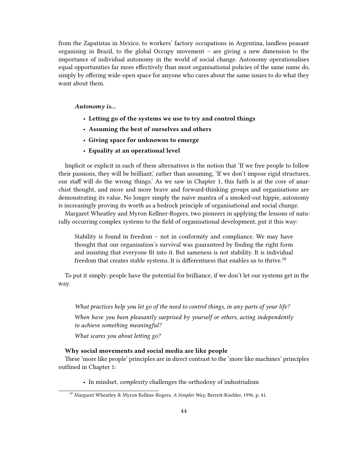from the Zapatistas in Mexico, to workers' factory occupations in Argentina, landless peasant organising in Brazil, to the global Occupy movement – are giving a new dimension to the importance of individual autonomy in the world of social change. Autonomy operationalises equal opportunities far more effectively than most organisational policies of the same name do, simply by offering wide-open space for anyone who cares about the same issues to do what they want about them.

#### *Autonomy is…*

- **Letting go of the systems we use to try and control things**
- **Assuming the best of ourselves and others**
- **Giving space for unknowns to emerge**
- **Equality at an operational level**

Implicit or explicit in each of these alternatives is the notion that 'If we free people to follow their passions, they will be brilliant,' rather than assuming, 'If we don't impose rigid structures, our staff will do the wrong things.' As we saw in Chapter 1, this faith is at the core of anarchist thought, and more and more brave and forward-thinking groups and organisations are demonstrating its value. No longer simply the naive mantra of a smoked-out hippie, autonomy is increasingly proving its worth as a bedrock principle of organisational and social change.

Margaret Wheatley and Myron Kellner-Rogers, two pioneers in applying the lessons of naturally occurring complex systems to the field of organisational development, put it this way:

Stability is found in freedom – not in conformity and compliance. We may have thought that our organisation's survival was guaranteed by finding the right form and insisting that everyone fit into it. But sameness is not stability. It is individual freedom that creates stable systems. It is differentness that enables us to thrive.<sup>10</sup>

To put it simply: people have the potential for brilliance, if we don't let our systems get in the way.

*What practices help you let go of the need to control things, in any parts of your life? When have you been pleasantly surprised by yourself or others, acting independently to achieve something meaningful?*

*What scares you about letting go?*

## **Why social movements and social media are like people**

These 'more like people' principles are in direct contrast to the 'more like machines' principles outlined in Chapter 1:

• In mindset, *complexity* challenges the orthodoxy of industrialism

<sup>10</sup> Margaret Wheatley & Myron Kellner-Rogers, *A Simpler Way*, Berrett-Koehler, 1996, p. 41.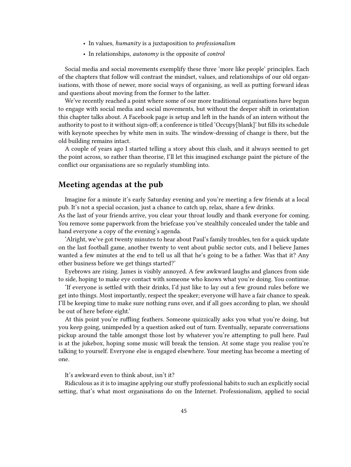- In values, *humanity* is a juxtaposition to *professionalism*
- In relationships, *autonomy* is the opposite of *control*

Social media and social movements exemplify these three 'more like people' principles. Each of the chapters that follow will contrast the mindset, values, and relationships of our old organisations, with those of newer, more social ways of organising, as well as putting forward ideas and questions about moving from the former to the latter.

We've recently reached a point where some of our more traditional organisations have begun to engage with social media and social movements, but without the deeper shift in orientation this chapter talks about. A Facebook page is setup and left in the hands of an intern without the authority to post to it without sign-off; a conference is titled 'Occupy[blank]' but fills its schedule with keynote speeches by white men in suits. The window-dressing of change is there, but the old building remains intact.

A couple of years ago I started telling a story about this clash, and it always seemed to get the point across, so rather than theorise, I'll let this imagined exchange paint the picture of the conflict our organisations are so regularly stumbling into.

## **Meeting agendas at the pub**

Imagine for a minute it's early Saturday evening and you're meeting a few friends at a local pub. It's not a special occasion, just a chance to catch up, relax, share a few drinks.

As the last of your friends arrive, you clear your throat loudly and thank everyone for coming. You remove some paperwork from the briefcase you've stealthily concealed under the table and hand everyone a copy of the evening's agenda.

'Alright, we've got twenty minutes to hear about Paul's family troubles, ten for a quick update on the last football game, another twenty to vent about public sector cuts, and I believe James wanted a few minutes at the end to tell us all that he's going to be a father. Was that it? Any other business before we get things started?'

Eyebrows are rising. James is visibly annoyed. A few awkward laughs and glances from side to side, hoping to make eye contact with someone who knows what you're doing. You continue.

'If everyone is settled with their drinks, I'd just like to lay out a few ground rules before we get into things. Most importantly, respect the speaker; everyone will have a fair chance to speak. I'll be keeping time to make sure nothing runs over, and if all goes according to plan, we should be out of here before eight.'

At this point you're ruffling feathers. Someone quizzically asks you what you're doing, but you keep going, unimpeded by a question asked out of turn. Eventually, separate conversations pickup around the table amongst those lost by whatever you're attempting to pull here. Paul is at the jukebox, hoping some music will break the tension. At some stage you realise you're talking to yourself. Everyone else is engaged elsewhere. Your meeting has become a meeting of one.

It's awkward even to think about, isn't it?

Ridiculous as it is to imagine applying our stuffy professional habits to such an explicitly social setting, that's what most organisations do on the Internet. Professionalism, applied to social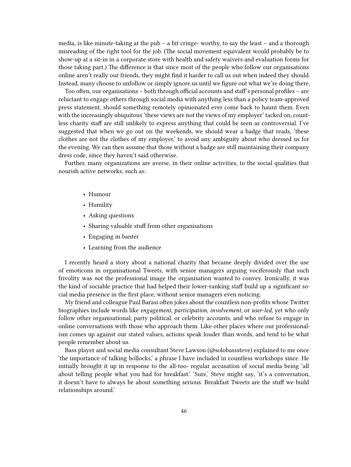media, is like minute-taking at the pub – a bit cringe- worthy, to say the least – and a thorough misreading of the right tool for the job. (The social movement equivalent would probably be to show-up at a sit-in in a corporate store with health and safety waivers and evaluation forms for those taking part.) The difference is that since most of the people who follow our organisations online aren't really our friends, they might find it harder to call us out when indeed they should. Instead, many choose to unfollow or simply ignore us until we figure out what we're doing there.

Too often, our organisations – both through official accounts and staff's personal profiles – are reluctant to engage others through social media with anything less than a policy team-approved press statement, should something remotely opinionated ever come back to haunt them. Even with the increasingly ubiquitous 'these views are not the views of my employer' tacked on, countless charity staff are still unlikely to express anything that could be seen as controversial. I've suggested that when we go out on the weekends, we should wear a badge that reads, 'these clothes are not the clothes of my employer,' to avoid any ambiguity about who dressed us for the evening. We can then assume that those without a badge are still maintaining their company dress code, since they haven't said otherwise.

Further, many organizations are averse, in their online activities, to the social qualities that nourish active networks, such as:

- Humour
- Humility
- Asking questions
- Sharing valuable stuff from other organisations
- Engaging in banter
- Learning from the audience

I recently heard a story about a national charity that became deeply divided over the use of emoticons in organisational Tweets, with senior managers arguing vociferously that such frivolity was *not* the professional image the organisation wanted to convey. Ironically, it was the kind of sociable practice that had helped their lower-ranking staff build up a significant social media presence in the first place, without senior managers even noticing.

My friend and colleague Paul Barasi often jokes about the countless non-profits whose Twitter biographies include words like *engagement*, *participation*, *involvement*, or *user-led,* yet who only follow other organisational, party political, or celebrity accounts, and who refuse to engage in online conversations with those who approach them. Like other places where our professionalism comes up against our stated values, actions speak louder than words, and tend to be what people remember about us.

Bass player and social media consultant Steve Lawson (@solobasssteve) explained to me once 'the importance of talking bollocks,' a phrase I have included in countless workshops since. He initially brought it up in response to the all-too- regular accusation of social media being 'all about telling people what you had for breakfast.' 'Sure,' Steve might say, 'it's a conversation, it doesn't have to always be about something serious. Breakfast Tweets are the stuff we build relationships around.'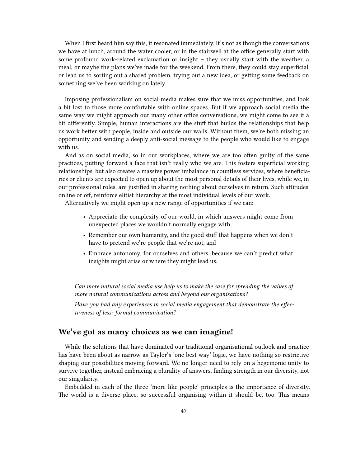When I first heard him say this, it resonated immediately. It's not as though the conversations we have at lunch, around the water cooler, or in the stairwell at the office generally start with some profound work-related exclamation or insight – they usually start with the weather, a meal, or maybe the plans we've made for the weekend. From there, they could stay superficial, or lead us to sorting out a shared problem, trying out a new idea, or getting some feedback on something we've been working on lately.

Imposing professionalism on social media makes sure that we miss opportunities, and look a bit lost to those more comfortable with online spaces. But if we approach social media the same way we might approach our many other office conversations, we might come to see it a bit differently. Simple, human interactions are the stuff that builds the relationships that help us work better with people, inside and outside our walls. Without them, we're both missing an opportunity and sending a deeply anti-social message to the people who would like to engage with us.

And as on social media, so in our workplaces, where we are too often guilty of the same practices, putting forward a face that isn't really who we are. This fosters superficial working relationships, but also creates a massive power imbalance in countless services, where beneficiaries or clients are expected to open up about the most personal details of their lives, while we, in our professional roles, are justified in sharing nothing about ourselves in return. Such attitudes, online or off, reinforce elitist hierarchy at the most individual levels of our work.

Alternatively we might open up a new range of opportunities if we can:

- Appreciate the complexity of our world, in which answers might come from unexpected places we wouldn't normally engage with,
- Remember our own humanity, and the good stuff that happens when we don't have to pretend we're people that we're not, and
- Embrace autonomy, for ourselves and others, because we can't predict what insights might arise or where they might lead us.

*Can more natural social media use help us to make the case for spreading the values of more natural communications across and beyond our organisations?*

*Have you had any experiences in social media engagement that demonstrate the effectiveness of less- formal communication?*

## **We've got as many choices as we can imagine!**

While the solutions that have dominated our traditional organisational outlook and practice has have been about as narrow as Taylor's 'one best way' logic, we have nothing so restrictive shaping our possibilities moving forward. We no longer need to rely on a hegemonic unity to survive together, instead embracing a plurality of answers, finding strength in our diversity, not our singularity.

Embedded in each of the three 'more like people' principles is the importance of diversity. The world is a diverse place, so successful organising within it should be, too. This means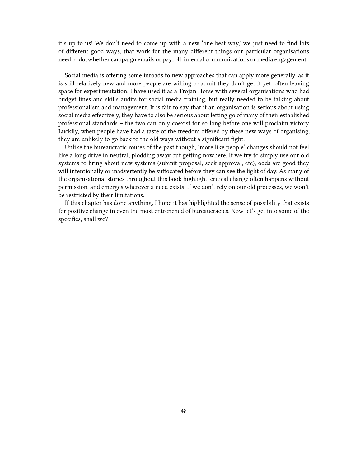it's up to us! We don't need to come up with a new 'one best way,' we just need to find lots of different good ways, that work for the many different things our particular organisations need to do, whether campaign emails or payroll, internal communications or media engagement.

Social media is offering some inroads to new approaches that can apply more generally, as it is still relatively new and more people are willing to admit they don't get it yet, often leaving space for experimentation. I have used it as a Trojan Horse with several organisations who had budget lines and skills audits for social media training, but really needed to be talking about professionalism and management. It is fair to say that if an organisation is serious about using social media effectively, they have to also be serious about letting go of many of their established professional standards – the two can only coexist for so long before one will proclaim victory. Luckily, when people have had a taste of the freedom offered by these new ways of organising, they are unlikely to go back to the old ways without a significant fight.

Unlike the bureaucratic routes of the past though, 'more like people' changes should not feel like a long drive in neutral, plodding away but getting nowhere. If we try to simply use our old systems to bring about new systems (submit proposal, seek approval, etc), odds are good they will intentionally or inadvertently be suffocated before they can see the light of day. As many of the organisational stories throughout this book highlight, critical change often happens without permission, and emerges wherever a need exists. If we don't rely on our old processes, we won't be restricted by their limitations.

If this chapter has done anything, I hope it has highlighted the sense of possibility that exists for positive change in even the most entrenched of bureaucracies. Now let's get into some of the specifics, shall we?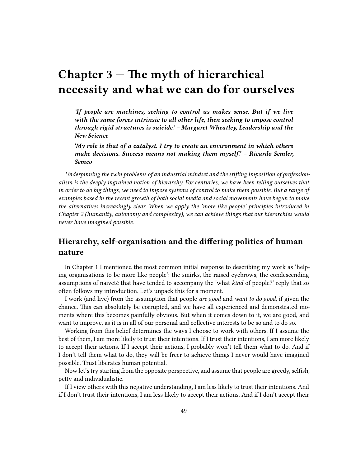# **Chapter 3 — The myth of hierarchical necessity and what we can do for ourselves**

*'If people are machines, seeking to control us makes sense. But if we live with the same forces intrinsic to all other life, then seeking to impose control through rigid structures is suicide.' – Margaret Wheatley, Leadership and the New Science*

*'My role is that of a catalyst. I try to create an environment in which others make decisions. Success means not making them myself.' – Ricardo Semler, Semco*

*Underpinning the twin problems of an industrial mindset and the stifling imposition of professionalism is the deeply ingrained notion of hierarchy. For centuries, we have been telling ourselves that in order to do big things, we need to impose systems of control to make them possible. But a range of examples based in the recent growth of both social media and social movements have begun to make the alternatives increasingly clear. When we apply the 'more like people' principles introduced in Chapter 2 (humanity, autonomy and complexity), we can achieve things that our hierarchies would never have imagined possible.*

# **Hierarchy, self-organisation and the differing politics of human nature**

In Chapter 1 I mentioned the most common initial response to describing my work as 'helping organisations to be more like people': the smirks, the raised eyebrows, the condescending assumptions of naiveté that have tended to accompany the 'what *kind* of people?' reply that so often follows my introduction. Let's unpack this for a moment.

I work (and live) from the assumption that people *are good* and *want to do good*, if given the chance. This can absolutely be corrupted, and we have all experienced and demonstrated moments where this becomes painfully obvious. But when it comes down to it, we are good, and want to improve, as it is in all of our personal and collective interests to be so and to do so.

Working from this belief determines the ways I choose to work with others. If I assume the best of them, I am more likely to trust their intentions. If I trust their intentions, I am more likely to accept their actions. If I accept their actions, I probably won't tell them what to do. And if I don't tell them what to do, they will be freer to achieve things I never would have imagined possible. Trust liberates human potential.

Now let's try starting from the opposite perspective, and assume that people are greedy, selfish, petty and individualistic.

If I view others with this negative understanding, I am less likely to trust their intentions. And if I don't trust their intentions, I am less likely to accept their actions. And if I don't accept their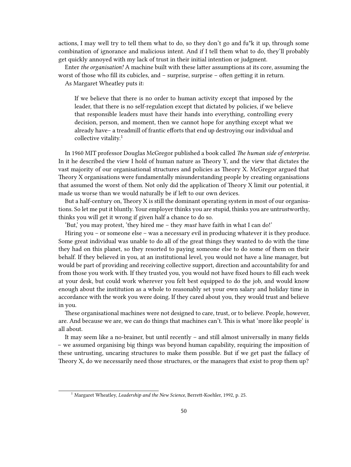actions, I may well try to tell them what to do, so they don't go and fu\*k it up, through some combination of ignorance and malicious intent. And if I tell them what to do, they'll probably get quickly annoyed with my lack of trust in their initial intention or judgment.

Enter *the organisation!* A machine built with these latter assumptions at its core, assuming the worst of those who fill its cubicles, and – surprise, surprise – often getting it in return. As Margaret Wheatley puts it:

If we believe that there is no order to human activity except that imposed by the leader, that there is no self-regulation except that dictated by policies, if we believe that responsible leaders must have their hands into everything, controlling every decision, person, and moment, then we cannot hope for anything except what we already have– a treadmill of frantic efforts that end up destroying our individual and collective vitality.<sup>1</sup>

In 1960 MIT professor Douglas McGregor published a book called *The human side of enterprise.* In it he described the view I hold of human nature as Theory Y, and the view that dictates the vast majority of our organisational structures and policies as Theory X. McGregor argued that Theory X organisations were fundamentally misunderstanding people by creating organisations that assumed the worst of them. Not only did the application of Theory X limit our potential, it made us worse than we would naturally be if left to our own devices.

But a half-century on, Theory X is still the dominant operating system in most of our organisations. So let me put it bluntly. Your employer thinks you are stupid, thinks you are untrustworthy, thinks you will get it wrong if given half a chance to do so.

'But,' you may protest, 'they hired me – they *must* have faith in what I can do!'

Hiring you – or someone else – was a necessary evil in producing whatever it is they produce. Some great individual was unable to do all of the great things they wanted to do with the time they had on this planet, so they resorted to paying someone else to do some of them on their behalf. If they believed in you, at an institutional level, you would not have a line manager, but would be part of providing and receiving collective support, direction and accountability for and from those you work with. If they trusted you, you would not have fixed hours to fill each week at your desk, but could work wherever you felt best equipped to do the job, and would know enough about the institution as a whole to reasonably set your own salary and holiday time in accordance with the work you were doing. If they cared about you, they would trust and believe in you.

These organisational machines were not designed to care, trust, or to believe. People, however, are. And because we are, we can do things that machines can't. This is what 'more like people' is all about.

It may seem like a no-brainer, but until recently – and still almost universally in many fields – we assumed organising big things was beyond human capability, requiring the imposition of these untrusting, uncaring structures to make them possible. But if we get past the fallacy of Theory X, do we necessarily need those structures, or the managers that exist to prop them up?

<sup>1</sup> Margaret Wheatley, *Leadership and the New Science*, Berrett-Koehler, 1992, p. 25.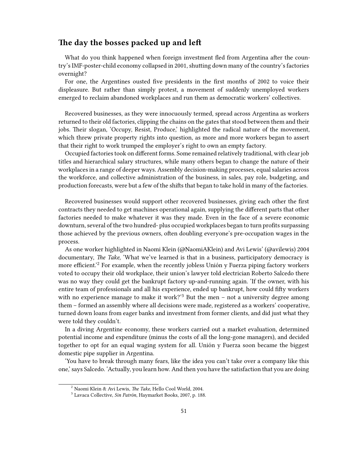## **The day the bosses packed up and left**

What do you think happened when foreign investment fled from Argentina after the country's IMF-poster-child economy collapsed in 2001, shutting down many of the country's factories overnight?

For one, the Argentines ousted five presidents in the first months of 2002 to voice their displeasure. But rather than simply protest, a movement of suddenly unemployed workers emerged to reclaim abandoned workplaces and run them as democratic workers' collectives.

Recovered businesses, as they were innocuously termed, spread across Argentina as workers returned to their old factories, clipping the chains on the gates that stood between them and their jobs. Their slogan, 'Occupy, Resist, Produce,' highlighted the radical nature of the movement, which threw private property rights into question, as more and more workers began to assert that their right to work trumped the employer's right to own an empty factory.

Occupied factories took on different forms. Some remained relatively traditional, with clear job titles and hierarchical salary structures, while many others began to change the nature of their workplaces in a range of deeper ways. Assembly decision-making processes, equal salaries across the workforce, and collective administration of the business, in sales, pay role, budgeting, and production forecasts, were but a few of the shifts that began to take hold in many of the factories.

Recovered businesses would support other recovered businesses, giving each other the first contracts they needed to get machines operational again, supplying the different parts that other factories needed to make whatever it was they made. Even in the face of a severe economic downturn, several of the two hundred- plus occupied workplaces began to turn profits surpassing those achieved by the previous owners, often doubling everyone's pre-occupation wages in the process.

As one worker highlighted in Naomi Klein (@NaomiAKlein) and Avi Lewis' (@avilewis) 2004 documentary, *The Take*, 'What we've learned is that in a business, participatory democracy is more efficient.'<sup>2</sup> For example, when the recently jobless Unión y Fuerza piping factory workers voted to occupy their old workplace, their union's lawyer told electrician Roberto Salcedo there was no way they could get the bankrupt factory up-and-running again. 'If the owner, with his entire team of professionals and all his experience, ended up bankrupt, how could fifty workers with no experience manage to make it work?<sup>3</sup> But the men – not a university degree among them – formed an assembly where all decisions were made, registered as a workers' cooperative, turned down loans from eager banks and investment from former clients, and did just what they were told they couldn't.

In a diving Argentine economy, these workers carried out a market evaluation, determined potential income and expenditure (minus the costs of all the long-gone managers), and decided together to opt for an equal waging system for all. Unión y Fuerza soon became the biggest domestic pipe supplier in Argentina.

'You have to break through many fears, like the idea you can't take over a company like this one,' says Salcedo. 'Actually, you learn how. And then you have the satisfaction that you are doing

<sup>2</sup> Naomi Klein & Avi Lewis, *The Take*, Hello Cool World, 2004.

<sup>3</sup> Lavaca Collective, *Sin Patrón*, Haymarket Books, 2007, p. 188.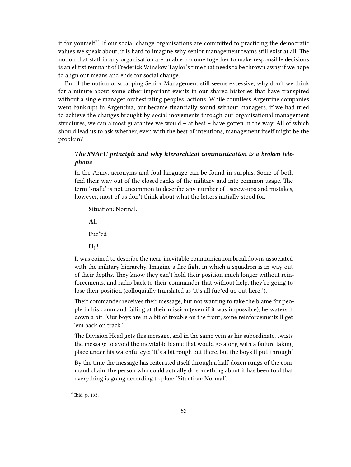it for yourself.<sup>24</sup> If our social change organisations are committed to practicing the democratic values we speak about, it is hard to imagine why senior management teams still exist at all. The notion that staff in any organisation are unable to come together to make responsible decisions is an elitist remnant of Frederick Winslow Taylor's time that needs to be thrown away if we hope to align our means and ends for social change.

But if the notion of scrapping Senior Management still seems excessive, why don't we think for a minute about some other important events in our shared histories that have transpired without a single manager orchestrating peoples' actions. While countless Argentine companies went bankrupt in Argentina, but became financially sound without managers, if we had tried to achieve the changes brought by social movements through our organisational management structures, we can almost guarantee we would – at best – have gotten in the way. All of which should lead us to ask whether, even with the best of intentions, management itself might be the problem?

## *The SNAFU principle and why hierarchical communication is a broken telephone*

In the Army, acronyms and foul language can be found in surplus. Some of both find their way out of the closed ranks of the military and into common usage. The term 'snafu' is not uncommon to describe any number of , screw-ups and mistakes, however, most of us don't think about what the letters initially stood for.

**S**ituation: **N**ormal.

**A**ll

**F**uc\*ed

**U**p!

It was coined to describe the near-inevitable communication breakdowns associated with the military hierarchy. Imagine a fire fight in which a squadron is in way out of their depths. They know they can't hold their position much longer without reinforcements, and radio back to their commander that without help, they're going to lose their position (colloquially translated as 'it's all fuc\*ed up out here!').

Their commander receives their message, but not wanting to take the blame for people in his command failing at their mission (even if it was impossible), he waters it down a bit: 'Our boys are in a bit of trouble on the front; some reinforcements'll get 'em back on track.'

The Division Head gets this message, and in the same vein as his subordinate, twists the message to avoid the inevitable blame that would go along with a failure taking place under his watchful eye: 'It's a bit rough out there, but the boys'll pull through.'

By the time the message has reiterated itself through a half-dozen rungs of the command chain, the person who could actually do something about it has been told that everything is going according to plan: 'Situation: Normal'.

<sup>4</sup> Ibid. p. 193.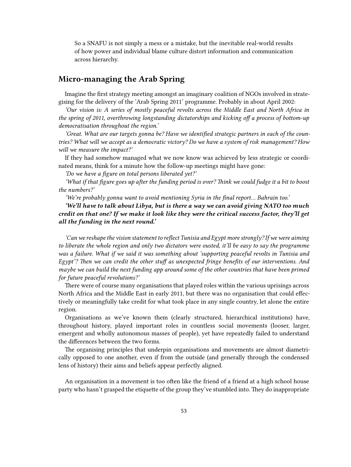So a SNAFU is not simply a mess or a mistake, but the inevitable real-world results of how power and individual blame culture distort information and communication across hierarchy.

# **Micro-managing the Arab Spring**

Imagine the first strategy meeting amongst an imaginary coalition of NGOs involved in strategising for the delivery of the 'Arab Spring 2011' programme. Probably in about April 2002:

*'Our vision is: A series of mostly peaceful revolts across the Middle East and North Africa in the spring of 2011, overthrowing longstanding dictatorships and kicking off a process of bottom-up democratisation throughout the region.'*

*'Great. What are our targets gonna be? Have we identified strategic partners in each of the countries? What will we accept as a democratic victory? Do we have a system of risk management? How will we measure the impact?'*

If they had somehow managed what we now know was achieved by less strategic or coordinated means, think for a minute how the follow-up meetings might have gone:

*'Do we have a figure on total persons liberated yet?'*

*'What if that figure goes up after the funding period is over? Think we could fudge it a bit to boost the numbers?'*

*'We're probably gonna want to avoid mentioning Syria in the final report… Bahrain too.'*

*'We'll have to talk about Libya, but is there a way we can avoid giving NATO too much credit on that one? If we make it look like they were the critical success factor, they'll get all the funding in the next round.'*

*'Can we reshape the vision statement to reflect Tunisia and Egypt more strongly? If we were aiming to liberate the whole region and only two dictators were ousted, it'll be easy to say the programme was a failure. What if we said it was something about 'supporting peaceful revolts in Tunisia and Egypt'? Then we can credit the other stuff as unexpected fringe benefits of our interventions. And maybe we can build the next funding app around some of the other countries that have been primed for future peaceful revolutions?'*

There were of course many organisations that played roles within the various uprisings across North Africa and the Middle East in early 2011, but there was no organisation that could effectively or meaningfully take credit for what took place in any single country, let alone the entire region.

Organisations as we've known them (clearly structured, hierarchical institutions) have, throughout history, played important roles in countless social movements (looser, larger, emergent and wholly autonomous masses of people), yet have repeatedly failed to understand the differences between the two forms.

The organising principles that underpin organisations and movements are almost diametrically opposed to one another, even if from the outside (and generally through the condensed lens of history) their aims and beliefs appear perfectly aligned.

An organisation in a movement is too often like the friend of a friend at a high school house party who hasn't grasped the etiquette of the group they've stumbled into. They do inappropriate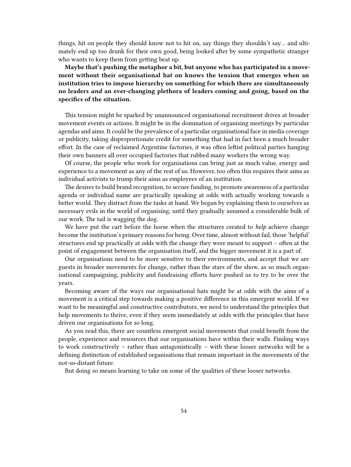things, hit on people they should know not to hit on, say things they shouldn't say… and ultimately end up too drunk for their own good, being looked after by some sympathetic stranger who wants to keep them from getting beat up.

**Maybe that's pushing the metaphor a bit, but anyone who has participated in a movement without their organisational hat on knows the tension that emerges when an institution tries to impose hierarchy on something for which there are simultaneously no leaders** *and* **an ever-changing plethora of leaders coming and going, based on the specifics of the situation.**

This tension might be sparked by unannounced organisational recruitment drives at broader movement events or actions. It might be in the domination of organising meetings by particular agendas and aims. It could be the prevalence of a particular organisational face in media coverage or publicity, taking disproportionate credit for something that had in fact been a much broader effort. In the case of reclaimed Argentine factories, it was often leftist political parties hanging their own banners all over occupied factories that rubbed many workers the wrong way.

Of course, the people who work for organisations can bring just as much value, energy and experience to a movement as any of the rest of us. However, too often this requires their aims as individual activists to trump their aims as employees of an institution.

The desires to build brand recognition, to secure funding, to promote awareness of a particular agenda or individual name are practically speaking at odds with actually working towards a better world. They distract from the tasks at hand. We began by explaining them to ourselves as necessary evils in the world of organising, until they gradually assumed a considerable bulk of our work. The tail is wagging the dog.

We have put the cart before the horse when the structures created to *help* achieve change become the institution's primary reasons for being. Over time, almost without fail, those 'helpful' structures end up practically at odds with the change they were meant to support – often at the point of engagement between the organisation itself, and the bigger movement it is a part of.

Our organisations need to be more sensitive to their environments, and accept that we are guests in broader movements for change, rather than the stars of the show, as so much organisational campaigning, publicity and fundraising efforts have pushed us to try to be over the years.

Becoming aware of the ways our organisational hats might be at odds with the aims of a movement is a critical step towards making a positive difference in this emergent world. If we want to be meaningful and constructive contributors, we need to understand the principles that help movements to thrive, even if they seem immediately at odds with the principles that have driven our organisations for so long.

As you read this, there are countless emergent social movements that could benefit from the people, experience and resources that our organisations have within their walls. Finding ways to work constructively – rather than antagonistically – with these looser networks will be a defining distinction of established organisations that remain important in the movements of the not-so-distant future.

But doing so means learning to take on some of the qualities of these looser networks.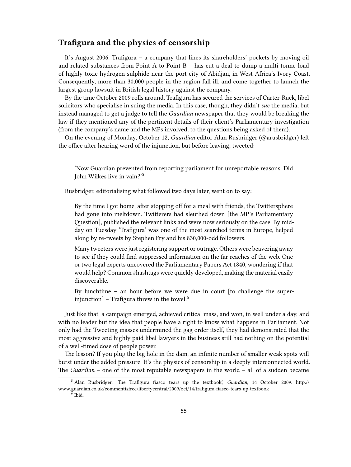# **Trafigura and the physics of censorship**

It's August 2006. Trafigura – a company that lines its shareholders' pockets by moving oil and related substances from Point A to Point B – has cut a deal to dump a multi-tonne load of highly toxic hydrogen sulphide near the port city of Abidjan, in West Africa's Ivory Coast. Consequently, more than 30,000 people in the region fall ill, and come together to launch the largest group lawsuit in British legal history against the company.

By the time October 2009 rolls around, Trafigura has secured the services of Carter-Ruck, libel solicitors who specialise in suing the media. In this case, though, they didn't *sue* the media, but instead managed to get a judge to tell the *Guardian* newspaper that they would be breaking the law if they mentioned any of the pertinent details of their client's Parliamentary investigation (from the company's name and the MPs involved, to the questions being asked of them).

On the evening of Monday, October 12, *Guardian* editor Alan Rusbridger (@arusbridger) left the office after hearing word of the injunction, but before leaving, tweeted:

'Now Guardian prevented from reporting parliament for unreportable reasons. Did John Wilkes live in vain?'<sup>5</sup>

Rusbridger, editorialising what followed two days later, went on to say:

By the time I got home, after stopping off for a meal with friends, the Twittersphere had gone into meltdown. Twitterers had sleuthed down [the MP's Parliamentary Question], published the relevant links and were now seriously on the case. By midday on Tuesday 'Trafigura' was one of the most searched terms in Europe, helped along by re-tweets by Stephen Fry and his 830,000-odd followers.

Many tweeters were just registering support or outrage. Others were beavering away to see if they could find suppressed information on the far reaches of the web. One or two legal experts uncovered the Parliamentary Papers Act 1840, wondering if that would help? Common #hashtags were quickly developed, making the material easily discoverable.

By lunchtime – an hour before we were due in court [to challenge the superinjunction] – Trafigura threw in the towel. $6$ 

Just like that, a campaign emerged, achieved critical mass, and won, in well under a day, and with no leader but the idea that people have a right to know what happens in Parliament. Not only had the Tweeting masses undermined the gag order itself, they had demonstrated that the most aggressive and highly paid libel lawyers in the business still had nothing on the potential of a well-timed dose of people power.

The lesson? If you plug the big hole in the dam, an infinite number of smaller weak spots will burst under the added pressure. It's the physics of censorship in a deeply interconnected world. The *Guardian* – one of the most reputable newspapers in the world – all of a sudden became

<sup>5</sup> Alan Rusbridger, 'The Trafigura fiasco tears up the textbook,' *Guardian*, 14 October 2009. http:// www.guardian.co.uk/commentisfree/libertycentral/2009/oct/14/trafigura-fiasco-tears-up-textbook

<sup>6</sup> Ibid.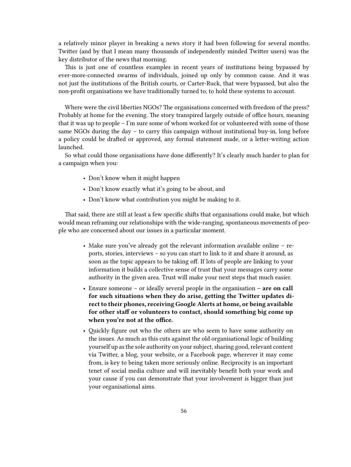a relatively minor player in breaking a news story it had been following for several months. Twitter (and by that I mean many thousands of independently minded Twitter users) was the key distributor of the news that morning.

This is just one of countless examples in recent years of institutions being bypassed by ever-more-connected swarms of individuals, joined up only by common cause. And it was not just the institutions of the British courts, or Carter-Ruck, that were bypassed, but also the non-profit organisations we have traditionally turned to, to hold these systems to account.

Where were the civil liberties NGOs? The organisations concerned with freedom of the press? Probably at home for the evening. The story transpired largely outside of office hours, meaning that it was up to people – I'm sure some of whom worked for or volunteered with some of those same NGOs during the day – to carry this campaign without institutional buy-in, long before a policy could be drafted or approved, any formal statement made, or a letter-writing action launched.

So what could those organisations have done differently? It's clearly much harder to plan for a campaign when you:

- Don't know when it might happen
- Don't know exactly what it's going to be about, and
- Don't know what contribution you might be making to it.

That said, there are still at least a few specific shifts that organisations could make, but which would mean reframing our relationships with the wide-ranging, spontaneous movements of people who are concerned about our issues in a particular moment.

- Make sure you've already got the relevant information available online reports, stories, interviews – so you can start to link to it and share it around, as soon as the topic appears to be taking off. If lots of people are linking to your information it builds a collective sense of trust that your messages carry some authority in the given area. Trust will make your next steps that much easier.
- Ensure someone or ideally several people in the organisation  **are on call for such situations when they do arise, getting the Twitter updates direct to their phones, receiving Google Alerts at home, or being available for other staff or volunteers to contact, should something big come up when you're not at the office.**
- Quickly figure out who the others are who seem to have some authority on the issues. As much as this cuts against the old organisational logic of building yourself up as the sole authority on your subject, sharing good, relevant content via Twitter, a blog, your website, or a Facebook page, wherever it may come from, is key to being taken more seriously online. Reciprocity is an important tenet of social media culture and will inevitably benefit both your work and your cause if you can demonstrate that your involvement is bigger than just your organisational aims.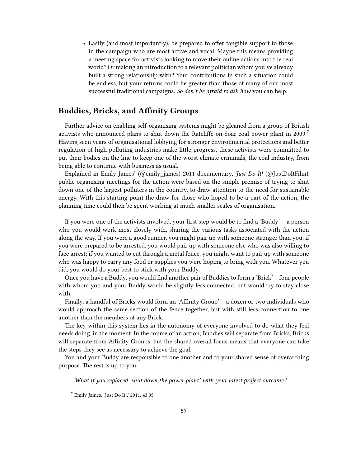• Lastly (and most importantly), be prepared to offer tangible support to those in the campaign who are most active and vocal. Maybe this means providing a meeting space for activists looking to move their online actions into the real world? Or making an introduction to a relevant politician whom you've already built a strong relationship with? Your contributions in such a situation could be endless, but your returns could be greater than those of many of our most successful traditional campaigns. *So don't be afraid to ask how* you can help.

# **Buddies, Bricks, and Affinity Groups**

Further advice on enabling self-organising systems might be gleaned from a group of British activists who announced plans to shut down the Ratcliffe-on-Soar coal power plant in 2009.<sup>7</sup> Having seen years of organisational lobbying for stronger environmental protections and better regulation of high-polluting industries make little progress, these activists were committed to put their bodies on the line to keep one of the worst climate criminals, the coal industry, from being able to continue with business as usual.

Explained in Emily James' (@emily\_james) 2011 documentary, *Just Do It!* (@JustDoItFilm), public organising meetings for the action were based on the simple premise of trying to shut down one of the largest polluters in the country, to draw attention to the need for sustainable energy. With this starting point the draw for those who hoped to be a part of the action, the planning time could then be spent working at much smaller scales of organisation.

If you were one of the activists involved, your first step would be to find a 'Buddy' – a person who you would work most closely with, sharing the various tasks associated with the action along the way. If you were a good runner, you might pair up with someone stronger than you; if you were prepared to be arrested, you would pair up with someone else who was also willing to face arrest; if you wanted to cut through a metal fence, you might want to pair up with someone who was happy to carry any food or supplies you were hoping to bring with you. Whatever you did, you would do your best to stick with your Buddy.

Once you have a Buddy, you would find another pair of Buddies to form a 'Brick' – four people with whom you and your Buddy would be slightly less connected, but would try to stay close with.

Finally, a handful of Bricks would form an 'Affinity Group' – a dozen or two individuals who would approach the same section of the fence together, but with still less connection to one another than the members of any Brick.

The key within this system lies in the autonomy of everyone involved to do what they feel needs doing, in the moment. In the course of an action, Buddies will separate from Bricks, Bricks will separate from Affinity Groups, but the shared overall focus means that everyone can take the steps they see as necessary to achieve the goal.

You and your Buddy are responsible to one another and to your shared sense of overarching purpose. The rest is up to you.

*What if you replaced 'shut down the power plant' with your latest project outcome?*

<sup>&</sup>lt;sup>7</sup> Emily James, 'Just Do It!,' 2011, 43:05.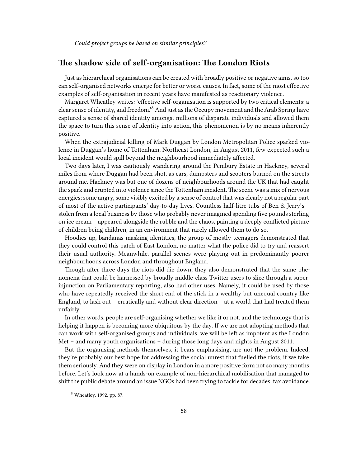## **The shadow side of self-organisation: The London Riots**

Just as hierarchical organisations can be created with broadly positive or negative aims, so too can self-organised networks emerge for better or worse causes. In fact, some of the most effective examples of self-organisation in recent years have manifested as reactionary violence.

Margaret Wheatley writes: 'effective self-organisation is supported by two critical elements: a clear sense of identity, and freedom.'<sup>8</sup> And just as the Occupy movement and the Arab Spring have captured a sense of shared identity amongst millions of disparate individuals and allowed them the space to turn this sense of identity into action, this phenomenon is by no means inherently positive.

When the extrajudicial killing of Mark Duggan by London Metropolitan Police sparked violence in Duggan's home of Tottenham, Northeast London, in August 2011, few expected such a local incident would spill beyond the neighbourhood immediately affected.

Two days later, I was cautiously wandering around the Pembury Estate in Hackney, several miles from where Duggan had been shot, as cars, dumpsters and scooters burned on the streets around me. Hackney was but one of dozens of neighbourhoods around the UK that had caught the spark and erupted into violence since the Tottenham incident. The scene was a mix of nervous energies; some angry, some visibly excited by a sense of control that was clearly not a regular part of most of the active participants' day-to-day lives. Countless half-litre tubs of Ben & Jerry's – stolen from a local business by those who probably never imagined spending five pounds sterling on ice cream – appeared alongside the rubble and the chaos, painting a deeply conflicted picture of children being children, in an environment that rarely allowed them to do so.

Hoodies up, bandanas masking identities, the group of mostly teenagers demonstrated that they could control this patch of East London, no matter what the police did to try and reassert their usual authority. Meanwhile, parallel scenes were playing out in predominantly poorer neighbourhoods across London and throughout England.

Though after three days the riots did die down, they also demonstrated that the same phenomena that could be harnessed by broadly middle-class Twitter users to slice through a superinjunction on Parliamentary reporting, also had other uses. Namely, it could be used by those who have repeatedly received the short end of the stick in a wealthy but unequal country like England, to lash out – erratically and without clear direction – at a world that had treated them unfairly.

In other words, people are self-organising whether we like it or not, and the technology that is helping it happen is becoming more ubiquitous by the day. If we are not adopting methods that can work with self-organised groups and individuals, we will be left as impotent as the London Met – and many youth organisations – during those long days and nights in August 2011.

But the organising methods themselves, it bears emphasising, are not the problem. Indeed, they're probably our best hope for addressing the social unrest that fuelled the riots, if we take them seriously. And they were on display in London in a more positive form not so many months before. Let's look now at a hands-on example of non-hierarchical mobilisation that managed to shift the public debate around an issue NGOs had been trying to tackle for decades: tax avoidance.

<sup>8</sup> Wheatley, 1992, pp. 87.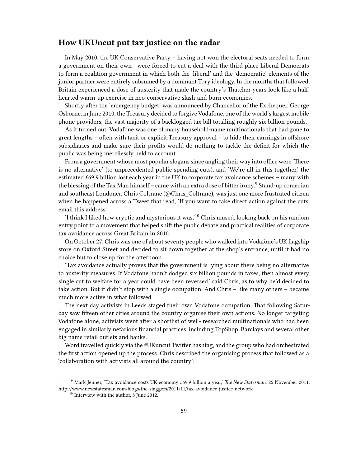## **How UKUncut put tax justice on the radar**

In May 2010, the UK Conservative Party – having not won the electoral seats needed to form a government on their own– were forced to cut a deal with the third-place Liberal Democrats to form a coalition government in which both the 'liberal' and the 'democratic' elements of the junior partner were entirely subsumed by a dominant Tory ideology. In the months that followed, Britain experienced a dose of austerity that made the country's Thatcher years look like a halfhearted warm-up exercise in neo-conservative slash-and-burn economics.

Shortly after the 'emergency budget' was announced by Chancellor of the Exchequer, George Osborne, in June 2010, the Treasury decided to forgive Vodafone, one of the world's largest mobile phone providers, the vast majority of a backlogged tax bill totalling roughly six billion pounds.

As it turned out, Vodafone was one of many household-name multinationals that had gone to great lengths – often with tacit or explicit Treasury approval – to hide their earnings in offshore subsidiaries and make sure their profits would do nothing to tackle the deficit for which the public was being mercilessly held to account.

From a government whose most popular slogans since angling their way into office were 'There is no alternative' (to unprecedented public spending cuts), and 'We're all in this together,' the estimated £69.9 billion lost each year in the UK to corporate tax avoidance schemes – many with the blessing of the Tax Man himself – came with an extra dose of bitter irony.<sup>9</sup> Stand-up comedian and southeast Londoner, Chris Coltrane (@Chris\_Coltrane), was just one more frustrated citizen when he happened across a Tweet that read, 'If you want to take direct action against the cuts, email this address.'

'I think I liked how cryptic and mysterious it was,'<sup>10</sup> Chris mused, looking back on his random entry point to a movement that helped shift the public debate and practical realities of corporate tax avoidance across Great Britain in 2010.

On October 27, Chris was one of about seventy people who walked into Vodafone's UK flagship store on Oxford Street and decided to sit down together at the shop's entrance, until it had no choice but to close up for the afternoon.

'Tax avoidance actually proves that the government is lying about there being no alternative to austerity measures. If Vodafone hadn't dodged six billion pounds in taxes, then almost every single cut to welfare for a year could have been reversed,' said Chris, as to why he'd decided to take action. But it didn't stop with a single occupation. And Chris – like many others – became much more active in what followed.

The next day activists in Leeds staged their own Vodafone occupation. That following Saturday saw fifteen other cities around the country organise their own actions. No longer targeting Vodafone alone, activists went after a shortlist of well- researched multinationals who had been engaged in similarly nefarious financial practices, including TopShop, Barclays and several other big name retail outlets and banks.

Word travelled quickly via the #UKuncut Twitter hashtag, and the group who had orchestrated the first action opened up the process. Chris described the organising process that followed as a 'collaboration with activists all around the country':

<sup>9</sup> Mark Jenner, 'Tax avoidance costs UK economy £69.9 billion a year,' *The New Statesman*, 25 November 2011. http://www.newstatesman.com/blogs/the-staggers/2011/11/tax-avoidance-justice-network

 $^{\rm 10}$  Interview with the author, 8 June 2012.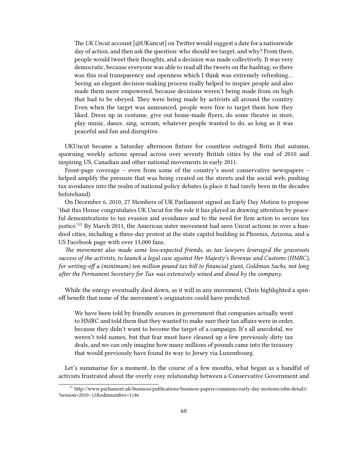The *UK Uncut* account [@UKuncut] on Twitter would suggest a date for a nationwide day of action, and then ask the question: who should we target, and why? From there, people would tweet their thoughts, and a decision was made collectively. It was very democratic, because everyone was able to read all the tweets on the hashtag, so there was this real transparency and openness which I think was extremely refreshing... Seeing an elegant decision-making process really helped to inspire people and also made them more empowered, because decisions weren't being made from on high that had to be obeyed. They were being made by activists all around the country. Even when the target was announced, people were free to target them how they liked. Dress up in costume, give out home-made flyers, do some theatre in store, play music, dance, sing, scream, whatever people wanted to do, as long as it was peaceful and fun and disruptive.

UKUncut became a Saturday afternoon fixture for countless outraged Brits that autumn, spawning weekly actions spread across over seventy British cities by the end of 2010 and inspiring US, Canadian and other national movements in early 2011.

Front-page coverage – even from some of the country's most conservative newspapers – helped amplify the pressure that was being created on the streets and the social web, pushing tax avoidance into the realm of national policy debates (a place it had rarely been in the decades beforehand).

On December 6, 2010, 27 Members of UK Parliament signed an Early Day Motion to propose 'that this House congratulates UK Uncut for the role it has played in drawing attention by peaceful demonstrations to tax evasion and avoidance and to the need for firm action to secure tax justice.'<sup>11</sup> By March 2011, the American sister movement had seen Uncut actions in over a hundred cities, including a three-day protest at the state capitol building in Phoenix, Arizona, and a US Facebook page with over 13,000 fans.

*The movement also made some less-expected friends, as tax lawyers leveraged the grassroots success of the activists, to launch a legal case against Her Majesty's Revenue and Customs (HMRC), for writing-off a (minimum) ten million pound tax bill to financial giant, Goldman Sachs, not long after the Permanent Secretary for Tax was extensively wined and dined by the company.*

While the energy eventually died down, as it will in any movement, Chris highlighted a spinoff benefit that none of the movement's originators could have predicted:

We have been told by friendly sources in government that companies actually went to HMRC and told them that they wanted to make sure their tax affairs were in order, because they didn't want to become the target of a campaign. It's all anecdotal, we weren't told names, but that fear must have cleaned up a few previously dirty tax deals, and we can only imagine how many millions of pounds came into the treasury that would previously have found its way to Jersey via Luxembourg.

Let's summarise for a moment. In the course of a few months, what began as a handful of activists frustrated about the overly cosy relationship between a Conservative Government and

 $^{11}$ http://www.parliament.uk/business/publications/business-papers/commons/early-day-motions/edm-detail1/  $\,$ ?session=2010–12&edmnumber=1146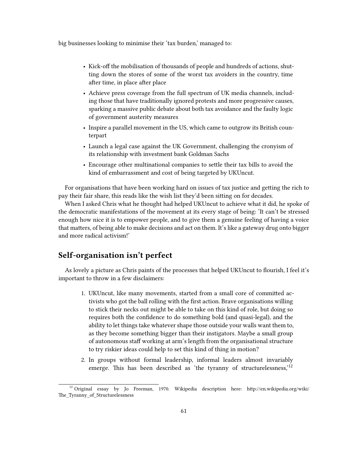big businesses looking to minimise their 'tax burden,' managed to:

- Kick-off the mobilisation of thousands of people and hundreds of actions, shutting down the stores of some of the worst tax avoiders in the country, time after time, in place after place
- Achieve press coverage from the full spectrum of UK media channels, including those that have traditionally ignored protests and more progressive causes, sparking a massive public debate about both tax avoidance and the faulty logic of government austerity measures
- Inspire a parallel movement in the US, which came to outgrow its British counterpart
- Launch a legal case against the UK Government, challenging the cronyism of its relationship with investment bank Goldman Sachs
- Encourage other multinational companies to settle their tax bills to avoid the kind of embarrassment and cost of being targeted by UKUncut.

For organisations that have been working hard on issues of tax justice and getting the rich to pay their fair share, this reads like the wish list they'd been sitting on for decades.

When I asked Chris what he thought had helped UKUncut to achieve what it did, he spoke of the democratic manifestations of the movement at its every stage of being: 'It can't be stressed enough how nice it is to empower people, and to give them a genuine feeling of having a voice that matters, of being able to make decisions and act on them. It's like a gateway drug onto bigger and more radical activism!'

# **Self-organisation isn't perfect**

As lovely a picture as Chris paints of the processes that helped UKUncut to flourish, I feel it's important to throw in a few disclaimers:

- 1. UKUncut, like many movements, started from a small core of committed activists who got the ball rolling with the first action. Brave organisations willing to stick their necks out might be able to take on this kind of role, but doing so requires both the confidence to do something bold (and quasi-legal), and the ability to let things take whatever shape those outside your walls want them to, as they become something bigger than their instigators. Maybe a small group of autonomous staff working at arm's length from the organisational structure to try riskier ideas could help to set this kind of thing in motion?
- 2. In groups without formal leadership, informal leaders almost invariably emerge. This has been described as 'the tyranny of structurelessness,'<sup>12</sup>

 $12$  Original essay by Jo Freeman, 1970. Wikipedia description here: http://en.wikipedia.org/wiki/ The\_Tyranny\_of\_Structurelessness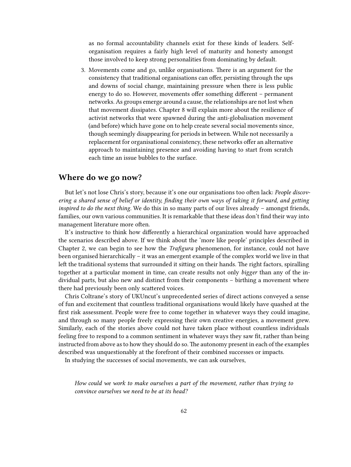as no formal accountability channels exist for these kinds of leaders. Selforganisation requires a fairly high level of maturity and honesty amongst those involved to keep strong personalities from dominating by default.

3. Movements come and go, unlike organisations. There is an argument for the consistency that traditional organisations can offer, persisting through the ups and downs of social change, maintaining pressure when there is less public energy to do so. However, movements offer something different – permanent networks. As groups emerge around a cause, the relationships are not lost when that movement dissipates. Chapter 8 will explain more about the resilience of activist networks that were spawned during the anti-globalisation movement (and before) which have gone on to help create several social movements since, though seemingly disappearing for periods in between. While not necessarily a replacement for organisational consistency, these networks offer an alternative approach to maintaining presence and avoiding having to start from scratch each time an issue bubbles to the surface.

# **Where do we go now?**

But let's not lose Chris's story, because it's one our organisations too often lack: *People discovering a shared sense of belief or identity, finding their own ways of taking it forward, and getting inspired to do the next thing.* We do this in so many parts of our lives already – amongst friends, families, our own various communities. It is remarkable that these ideas don't find their way into management literature more often.

It's instructive to think how differently a hierarchical organization would have approached the scenarios described above. If we think about the 'more like people' principles described in Chapter 2, we can begin to see how the *Trafigura* phenomenon, for instance, could not have been organised hierarchically – it was an emergent example of the complex world we live in that left the traditional systems that surrounded it sitting on their hands. The right factors, spiralling together at a particular moment in time, can create results not only *bigger* than any of the individual parts, but also new and distinct from their components – birthing a movement where there had previously been only scattered voices.

Chris Coltrane's story of UKUncut's unprecedented series of direct actions conveyed a sense of fun and excitement that countless traditional organisations would likely have quashed at the first risk assessment. People were free to come together in whatever ways they could imagine, and through so many people freely expressing their own creative energies, a movement grew. Similarly, each of the stories above could not have taken place without countless individuals feeling free to respond to a common sentiment in whatever ways they saw fit, rather than being instructed from above as to how they should do so. The autonomy present in each of the examples described was unquestionably at the forefront of their combined successes or impacts.

In studying the successes of social movements, we can ask ourselves,

*How could we work to make ourselves a part of the movement, rather than trying to convince ourselves we need to be at its head?*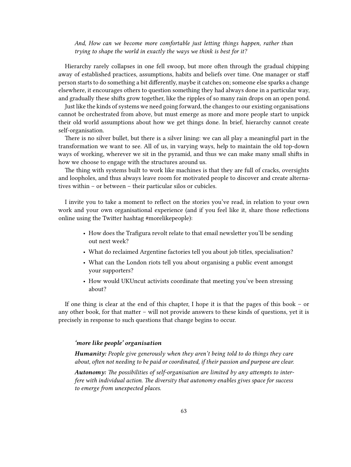*And, How can we become more comfortable just letting things happen, rather than trying to shape the world in exactly the ways we think is best for it?*

Hierarchy rarely collapses in one fell swoop, but more often through the gradual chipping away of established practices, assumptions, habits and beliefs over time. One manager or staff person starts to do something a bit differently, maybe it catches on; someone else sparks a change elsewhere, it encourages others to question something they had always done in a particular way, and gradually these shifts grow together, like the ripples of so many rain drops on an open pond.

Just like the kinds of systems we need going forward, the changes to our existing organisations cannot be orchestrated from above, but must emerge as more and more people start to unpick their old world assumptions about how we get things done. In brief, hierarchy cannot create self-organisation.

There is no silver bullet, but there is a silver lining: we can all play a meaningful part in the transformation we want to see. All of us, in varying ways, help to maintain the old top-down ways of working, wherever we sit in the pyramid, and thus we can make many small shifts in how we choose to engage with the structures around us.

The thing with systems built to work like machines is that they are full of cracks, oversights and loopholes, and thus always leave room for motivated people to discover and create alternatives within – or between – their particular silos or cubicles.

I invite you to take a moment to reflect on the stories you've read, in relation to your own work and your own organisational experience (and if you feel like it, share those reflections online using the Twitter hashtag #morelikepeople):

- How does the Trafigura revolt relate to that email newsletter you'll be sending out next week?
- What do reclaimed Argentine factories tell you about job titles, specialisation?
- What can the London riots tell you about organising a public event amongst your supporters?
- How would UKUncut activists coordinate that meeting you've been stressing about?

If one thing is clear at the end of this chapter, I hope it is that the pages of this book – or any other book, for that matter – will not provide answers to these kinds of questions, yet it is precisely in response to such questions that change begins to occur.

## *'more like people' organisation*

*Humanity: People give generously when they aren't being told to do things they care about, often not needing to be paid or coordinated, if their passion and purpose are clear.*

*Autonomy: The possibilities of self-organisation are limited by any attempts to interfere with individual action. The diversity that autonomy enables gives space for success to emerge from unexpected places.*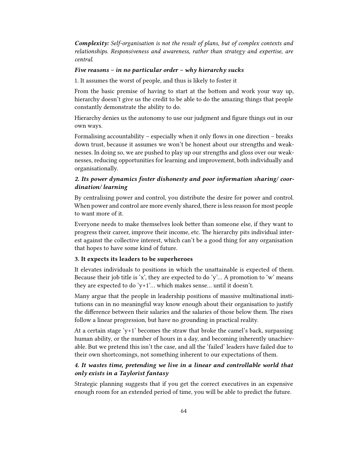*Complexity: Self-organisation is not the result of plans, but of complex contexts and relationships. Responsiveness and awareness, rather than strategy and expertise, are central.*

#### *Five reasons – in no particular order – why hierarchy sucks*

1. It assumes the worst of people, and thus is likely to foster it

From the basic premise of having to start at the bottom and work your way up, hierarchy doesn't give us the credit to be able to do the amazing things that people constantly demonstrate the ability to do.

Hierarchy denies us the autonomy to use our judgment and figure things out in our own ways.

Formalising accountability – especially when it only flows in one direction – breaks down trust, because it assumes we won't be honest about our strengths and weaknesses. In doing so, we are pushed to play up our strengths and gloss over our weaknesses, reducing opportunities for learning and improvement, both individually and organisationally.

## *2. Its power dynamics foster dishonesty and poor information sharing/ coordination/ learning*

By centralising power and control, you distribute the desire for power and control. When power and control are more evenly shared, there is less reason for most people to want more of it.

Everyone needs to make themselves look better than someone else, if they want to progress their career, improve their income, etc. The hierarchy pits individual interest against the collective interest, which can't be a good thing for any organisation that hopes to have some kind of future.

#### **3. It expects its leaders to be superheroes**

It elevates individuals to positions in which the unattainable is expected of them. Because their job title is 'x', they are expected to do 'y'... A promotion to 'w' means they are expected to do 'y+1'… which makes sense… until it doesn't.

Many argue that the people in leadership positions of massive multinational institutions can in no meaningful way know enough about their organisation to justify the difference between their salaries and the salaries of those below them. The rises follow a linear progression, but have no grounding in practical reality.

At a certain stage 'y+1' becomes the straw that broke the camel's back, surpassing human ability, or the number of hours in a day, and becoming inherently unachievable. But we pretend this isn't the case, and all the 'failed' leaders have failed due to their own shortcomings, not something inherent to our expectations of them.

## *4. It wastes time, pretending we live in a linear and controllable world that only exists in a Taylorist fantasy*

Strategic planning suggests that if you get the correct executives in an expensive enough room for an extended period of time, you will be able to predict the future.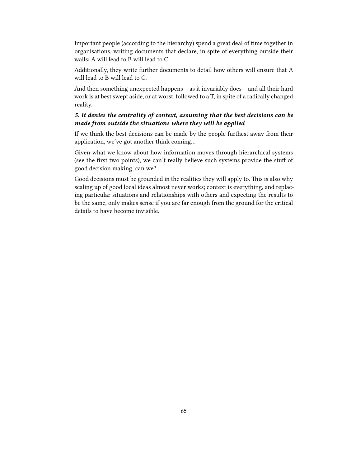Important people (according to the hierarchy) spend a great deal of time together in organisations, writing documents that declare, in spite of everything outside their walls: A will lead to B will lead to C.

Additionally, they write further documents to detail how others will ensure that A will lead to B will lead to C.

And then something unexpected happens – as it invariably does – and all their hard work is at best swept aside, or at worst, followed to a T, in spite of a radically changed reality.

## *5. It denies the centrality of context, assuming that the best decisions can be made from outside the situations where they will be applied*

If we think the best decisions can be made by the people furthest away from their application, we've got another think coming…

Given what we know about how information moves through hierarchical systems (see the first two points), we can't really believe such systems provide the stuff of good decision making, can we?

Good decisions must be grounded in the realities they will apply to. This is also why scaling up of good local ideas almost never works; context is everything, and replacing particular situations and relationships with others and expecting the results to be the same, only makes sense if you are far enough from the ground for the critical details to have become invisible.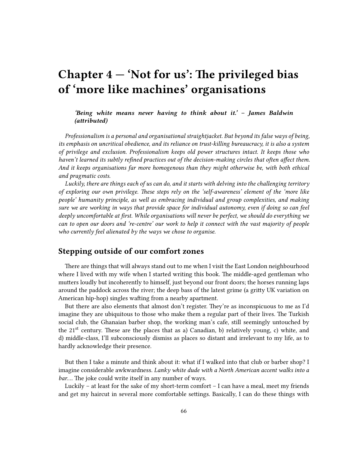# **Chapter 4 — 'Not for us': The privileged bias of 'more like machines' organisations**

*'Being white means never having to think about it.' – James Baldwin (attributed)*

*Professionalism is a personal and organisational straightjacket. But beyond its false ways of being, its emphasis on uncritical obedience, and its reliance on trust-killing bureaucracy, it is also a system of privilege and exclusion. Professionalism keeps old power structures intact. It keeps those who haven't learned its subtly refined practices out of the decision-making circles that often affect them. And it keeps organisations far more homogenous than they might otherwise be, with both ethical and pragmatic costs.*

*Luckily, there are things each of us can do, and it starts with delving into the challenging territory of exploring our own privilege. These steps rely on the 'self-awareness' element of the 'more like people' humanity principle, as well as embracing individual and group complexities, and making sure we are working in ways that provide space for individual autonomy, even if doing so can feel deeply uncomfortable at first. While organisations will never be perfect, we should do everything we can to open our doors and 're-centre' our work to help it connect with the vast majority of people who currently feel alienated by the ways we chose to organise.*

## **Stepping outside of our comfort zones**

There are things that will always stand out to me when I visit the East London neighbourhood where I lived with my wife when I started writing this book. The middle-aged gentleman who mutters loudly but incoherently to himself, just beyond our front doors; the horses running laps around the paddock across the river; the deep bass of the latest grime (a gritty UK variation on American hip-hop) singles wafting from a nearby apartment.

But there are also elements that almost don't register. They're as inconspicuous to me as I'd imagine they are ubiquitous to those who make them a regular part of their lives. The Turkish social club, the Ghanaian barber shop, the working man's cafe, still seemingly untouched by the  $21^{st}$  century. These are the places that as a) Canadian, b) relatively young, c) white, and d) middle-class, I'll subconsciously dismiss as places so distant and irrelevant to my life, as to hardly acknowledge their presence.

But then I take a minute and think about it: what if I walked into that club or barber shop? I imagine considerable awkwardness. *Lanky white dude with a North American accent walks into a bar….* The joke could write itself in any number of ways.

Luckily – at least for the sake of my short-term comfort – I can have a meal, meet my friends and get my haircut in several more comfortable settings. Basically, I can do these things with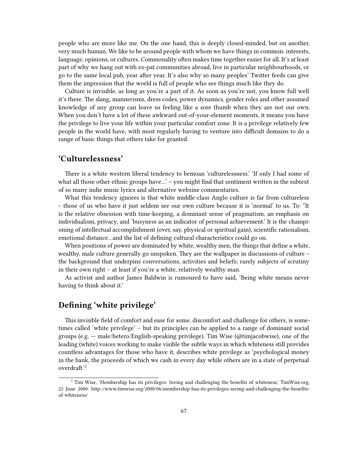people who are more like me. On the one hand, this is deeply closed-minded, but on another, very much human. We like to be around people with whom we have things in common: interests, language, opinions, or cultures. Commonality often makes time together easier for all. It's at least part of why we hang out with ex-pat communities abroad, live in particular neighbourhoods, or go to the same local pub, year after year. It's also why so many peoples' Twitter feeds can give them the impression that the world is full of people who see things much like they do.

Culture is invisible, as long as you're a part of it. As soon as you're not, you know full well it's there. The slang, mannerisms, dress codes, power dynamics, gender roles and other assumed knowledge of any group can leave us feeling like a sore thumb when they are not our own. When you don't have a lot of these awkward out-of-your-element moments, it means you have the privilege to live your life within your particular comfort zone. It is a privilege relatively few people in the world have, with most regularly having to venture into difficult domains to do a range of basic things that others take for granted.

# **'Culturelessness'**

There is a white western liberal tendency to bemoan 'culturelessness.' 'If only I had some of what all those other ethnic groups have…' – you might find that sentiment written in the subtext of so many indie music lyrics and alternative webzine commentaries.

What this tendency ignores is that white middle-class Anglo culture is far from cultureless – those of us who have it just seldom see our own culture because it is 'normal' to us. To: "It is the relative obsession with time-keeping, a dominant sense of pragmatism, an emphasis on individualism, privacy, and 'busyness as an indicator of personal achievement.' It is the championing of intellectual accomplishment (over, say, physical or spiritual gain), scientific rationalism, emotional distance…and the list of defining cultural characteristics could go on.

When positions of power are dominated by white, wealthy men, the things that define a white, wealthy, male culture generally go unspoken. They are the wallpaper in discussions of culture – the background that underpins conversations, activities and beliefs; rarely subjects of scrutiny in their own right – at least if you're a white, relatively wealthy man.

As activist and author James Baldwin is rumoured to have said, 'Being white means never having to think about it.'

# **Defining 'white privilege'**

This invisible field of comfort and ease for some, discomfort and challenge for others, is sometimes called 'white privilege' – but its principles can be applied to a range of dominant social groups (e.g. — male/hetero/English-speaking privilege). Tim Wise (@timjacobwise), one of the leading (white) voices working to make visible the subtle ways in which whiteness still provides countless advantages for those who have it, describes white privilege as 'psychological money in the bank, the proceeds of which we cash in every day while others are in a state of perpetual overdraft.'<sup>1</sup>

<sup>&</sup>lt;sup>1</sup> Tim Wise, 'Membership has its privileges: Seeing and challenging the benefits of whiteness,' TimWise.org, 22 June 2000. http://www.timwise.org/2000/06/membership-has-its-privileges-seeing-and-challenging-the-benefitsof-whiteness/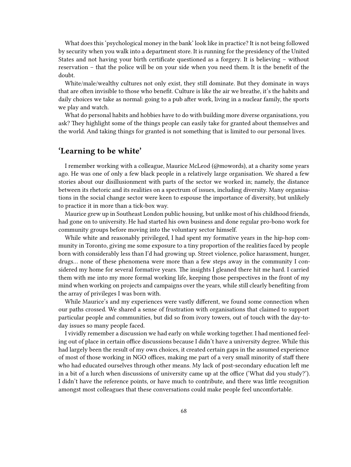What does this 'psychological money in the bank' look like in practice? It is not being followed by security when you walk into a department store. It is running for the presidency of the United States and not having your birth certificate questioned as a forgery. It is believing – without reservation – that the police will be on your side when you need them. It is the benefit of the doubt.

White/male/wealthy cultures not only exist, they still dominate. But they dominate in ways that are often invisible to those who benefit. Culture is like the air we breathe, it's the habits and daily choices we take as normal: going to a pub after work, living in a nuclear family, the sports we play and watch.

What do personal habits and hobbies have to do with building more diverse organisations, you ask? They highlight some of the things people can easily take for granted about themselves and the world. And taking things for granted is not something that is limited to our personal lives.

## **'Learning to be white'**

I remember working with a colleague, Maurice McLeod (@mowords), at a charity some years ago. He was one of only a few black people in a relatively large organisation. We shared a few stories about our disillusionment with parts of the sector we worked in; namely, the distance between its rhetoric and its realities on a spectrum of issues, including diversity. Many organisations in the social change sector were keen to espouse the importance of diversity, but unlikely to practice it in more than a tick-box way.

Maurice grew up in Southeast London public housing, but unlike most of his childhood friends, had gone on to university. He had started his own business and done regular pro-bono work for community groups before moving into the voluntary sector himself.

While white and reasonably privileged, I had spent my formative years in the hip-hop community in Toronto, giving me some exposure to a tiny proportion of the realities faced by people born with considerably less than I'd had growing up. Street violence, police harassment, hunger, drugs… none of these phenomena were more than a few steps away in the community I considered my home for several formative years. The insights I gleaned there hit me hard. I carried them with me into my more formal working life, keeping those perspectives in the front of my mind when working on projects and campaigns over the years, while still clearly benefiting from the array of privileges I was born with.

While Maurice's and my experiences were vastly different, we found some connection when our paths crossed. We shared a sense of frustration with organisations that claimed to support particular people and communities, but did so from ivory towers, out of touch with the day-today issues so many people faced.

I vividly remember a discussion we had early on while working together. I had mentioned feeling out of place in certain office discussions because I didn't have a university degree. While this had largely been the result of my own choices, it created certain gaps in the assumed experience of most of those working in NGO offices, making me part of a very small minority of staff there who had educated ourselves through other means. My lack of post-secondary education left me in a bit of a lurch when discussions of university came up at the office ('What did you study?'). I didn't have the reference points, or have much to contribute, and there was little recognition amongst most colleagues that these conversations could make people feel uncomfortable.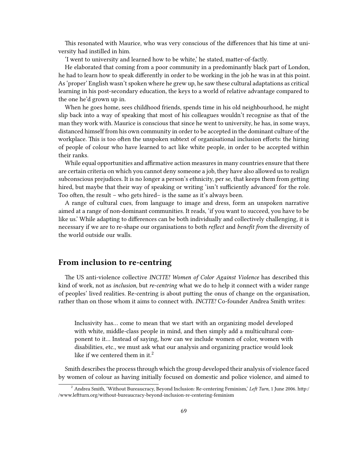This resonated with Maurice, who was very conscious of the differences that his time at university had instilled in him.

'I went to university and learned how to be white,' he stated, matter-of-factly.

He elaborated that coming from a poor community in a predominantly black part of London, he had to learn how to speak differently in order to be working in the job he was in at this point. As 'proper' English wasn't spoken where he grew up, he saw these cultural adaptations as critical learning in his post-secondary education, the keys to a world of relative advantage compared to the one he'd grown up in.

When he goes home, sees childhood friends, spends time in his old neighbourhood, he might slip back into a way of speaking that most of his colleagues wouldn't recognise as that of the man they work with. Maurice is conscious that since he went to university, he has, in some ways, distanced himself from his own community in order to be accepted in the dominant culture of the workplace. This is too often the unspoken subtext of organisational inclusion efforts: the hiring of people of colour who have learned to act like white people, in order to be accepted within their ranks.

While equal opportunities and affirmative action measures in many countries ensure that there are certain criteria on which you cannot deny someone a job, they have also allowed us to realign subconscious prejudices. It is no longer a person's ethnicity, per se, that keeps them from getting hired, but maybe that their way of speaking or writing 'isn't sufficiently advanced' for the role. Too often, the result – who gets hired– is the same as it's always been.

A range of cultural cues, from language to image and dress, form an unspoken narrative aimed at a range of non-dominant communities. It reads, 'if you want to succeed, you have to be like us.' While adapting to differences can be both individually and collectively challenging, it is necessary if we are to re-shape our organisations to both *reflect* and *benefit from* the diversity of the world outside our walls.

## **From inclusion to re-centring**

The US anti-violence collective *INCITE! Women of Color Against Violence* has described this kind of work, not as *inclusion*, but *re-centring* what we do to help it connect with a wider range of peoples' lived realities. Re-centring is about putting the onus of change on the organisation, rather than on those whom it aims to connect with. *INCITE!* Co-founder Andrea Smith writes:

Inclusivity has… come to mean that we start with an organizing model developed with white, middle-class people in mind, and then simply add a multicultural component to it… Instead of saying, how can we include women of color, women with disabilities, etc., we must ask what our analysis and organizing practice would look like if we centered them in it.<sup>2</sup>

Smith describes the process through which the group developed their analysis of violence faced by women of colour as having initially focused on domestic and police violence, and aimed to

<sup>2</sup> Andrea Smith, 'Without Bureaucracy, Beyond Inclusion: Re-centering Feminism,' *Left Turn*, 1 June 2006. http:/ /www.leftturn.org/without-bureaucracy-beyond-inclusion-re-centering-feminism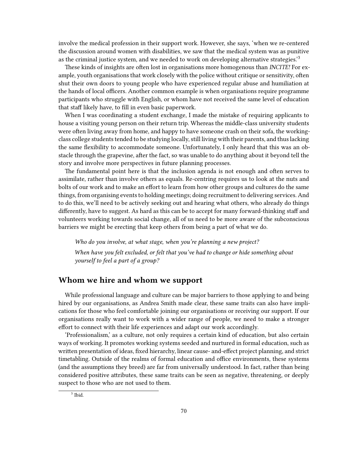involve the medical profession in their support work. However, she says, 'when we re-centered the discussion around women with disabilities, we saw that the medical system was as punitive as the criminal justice system, and we needed to work on developing alternative strategies.'<sup>3</sup>

These kinds of insights are often lost in organisations more homogenous than *INCITE!* For example, youth organisations that work closely with the police without critique or sensitivity, often shut their own doors to young people who have experienced regular abuse and humiliation at the hands of local officers. Another common example is when organisations require programme participants who struggle with English, or whom have not received the same level of education that staff likely have, to fill in even basic paperwork.

When I was coordinating a student exchange, I made the mistake of requiring applicants to house a visiting young person on their return trip. Whereas the middle-class university students were often living away from home, and happy to have someone crash on their sofa, the workingclass college students tended to be studying locally, still living with their parents, and thus lacking the same flexibility to accommodate someone. Unfortunately, I only heard that this was an obstacle through the grapevine, after the fact, so was unable to do anything about it beyond tell the story and involve more perspectives in future planning processes.

The fundamental point here is that the inclusion agenda is not enough and often serves to assimilate, rather than involve others as equals. Re-centring requires us to look at the nuts and bolts of our work and to make an effort to learn from how other groups and cultures do the same things, from organising events to holding meetings; doing recruitment to delivering services. And to do this, we'll need to be actively seeking out and hearing what others, who already do things differently, have to suggest. As hard as this can be to accept for many forward-thinking staff and volunteers working towards social change, all of us need to be more aware of the subconscious barriers we might be erecting that keep others from being a part of what we do.

*Who do you involve, at what stage, when you're planning a new project? When have you felt excluded, or felt that you've had to change or hide something about yourself to feel a part of a group?*

## **Whom we hire and whom we support**

While professional language and culture can be major barriers to those applying to and being hired by our organisations, as Andrea Smith made clear, these same traits can also have implications for those who feel comfortable joining our organisations or receiving our support. If our organisations really want to work with a wider range of people, we need to make a stronger effort to connect with their life experiences and adapt our work accordingly.

'Professionalism,' as a culture, not only requires a certain kind of education, but also certain ways of working. It promotes working systems seeded and nurtured in formal education, such as written presentation of ideas, fixed hierarchy, linear cause- and-effect project planning, and strict timetabling. Outside of the realms of formal education and office environments, these systems (and the assumptions they breed) are far from universally understood. In fact, rather than being considered positive attributes, these same traits can be seen as negative, threatening, or deeply suspect to those who are not used to them.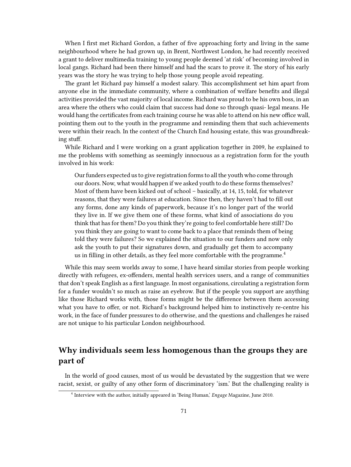When I first met Richard Gordon, a father of five approaching forty and living in the same neighbourhood where he had grown up, in Brent, Northwest London, he had recently received a grant to deliver multimedia training to young people deemed 'at risk' of becoming involved in local gangs. Richard had been there himself and had the scars to prove it. The story of his early years was the story he was trying to help those young people avoid repeating.

The grant let Richard pay himself a modest salary. This accomplishment set him apart from anyone else in the immediate community, where a combination of welfare benefits and illegal activities provided the vast majority of local income. Richard was proud to be his own boss, in an area where the others who could claim that success had done so through quasi- legal means. He would hang the certificates from each training course he was able to attend on his new office wall, pointing them out to the youth in the programme and reminding them that such achievements were within their reach. In the context of the Church End housing estate, this was groundbreaking stuff.

While Richard and I were working on a grant application together in 2009, he explained to me the problems with something as seemingly innocuous as a registration form for the youth involved in his work:

Our funders expected us to give registration forms to all the youth who come through our doors. Now, what would happen if we asked youth to do these forms themselves? Most of them have been kicked out of school – basically, at 14, 15, told, for whatever reasons, that they were failures at education. Since then, they haven't had to fill out any forms, done any kinds of paperwork, because it's no longer part of the world they live in. If we give them one of these forms, what kind of associations do you think that has for them? Do you think they're going to feel comfortable here still? Do you think they are going to want to come back to a place that reminds them of being told they were failures? So we explained the situation to our funders and now only ask the youth to put their signatures down, and gradually get them to accompany us in filling in other details, as they feel more comfortable with the programme.<sup>4</sup>

While this may seem worlds away to some, I have heard similar stories from people working directly with refugees, ex-offenders, mental health services users, and a range of communities that don't speak English as a first language. In most organisations, circulating a registration form for a funder wouldn't so much as raise an eyebrow. But if the people you support are anything like those Richard works with, those forms might be the difference between them accessing what you have to offer, or not. Richard's background helped him to instinctively re-centre his work, in the face of funder pressures to do otherwise, and the questions and challenges he raised are not unique to his particular London neighbourhood.

# **Why individuals seem less homogenous than the groups they are part of**

In the world of good causes, most of us would be devastated by the suggestion that we were racist, sexist, or guilty of any other form of discriminatory 'ism.' But the challenging reality is

<sup>4</sup> Interview with the author, initially appeared in 'Being Human,' *Engage* Magazine, June 2010.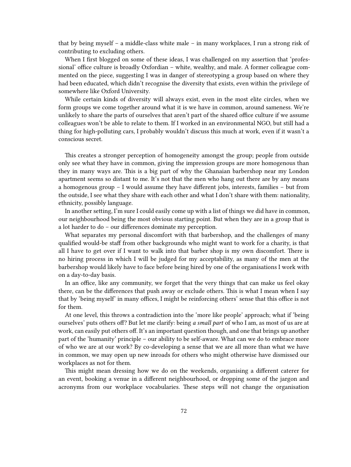that by being myself – a middle-class white male – in many workplaces, I run a strong risk of contributing to excluding others.

When I first blogged on some of these ideas, I was challenged on my assertion that 'professional' office culture is broadly Oxfordian – white, wealthy, and male. A former colleague commented on the piece, suggesting I was in danger of stereotyping a group based on where they had been educated, which didn't recognise the diversity that exists, even within the privilege of somewhere like Oxford University.

While certain kinds of diversity will always exist, even in the most elite circles, when we form groups we come together around what it is we have in common, around sameness. We're unlikely to share the parts of ourselves that aren't part of the shared office culture if we assume colleagues won't be able to relate to them. If I worked in an environmental NGO, but still had a thing for high-polluting cars, I probably wouldn't discuss this much at work, even if it wasn't a conscious secret.

This creates a stronger perception of homogeneity amongst the group; people from outside only see what they have in common, giving the impression groups are more homogenous than they in many ways are. This is a big part of why the Ghanaian barbershop near my London apartment seems so distant to me. It's not that the men who hang out there are by any means a homogenous group – I would assume they have different jobs, interests, families – but from the outside, I see what they share with each other and what I don't share with them: nationality, ethnicity, possibly language.

In another setting, I'm sure I could easily come up with a list of things we did have in common, our neighbourhood being the most obvious starting point. But when they are in a group that is a lot harder to do – our differences dominate my perception.

What separates my personal discomfort with that barbershop, and the challenges of many qualified would-be staff from other backgrounds who might want to work for a charity, is that all I have to get over if I want to walk into that barber shop is my own discomfort. There is no hiring process in which I will be judged for my acceptability, as many of the men at the barbershop would likely have to face before being hired by one of the organisations I work with on a day-to-day basis.

In an office, like any community, we forget that the very things that can make us feel okay there, can be the differences that push away or exclude others. This is what I mean when I say that by 'being myself' in many offices, I might be reinforcing others' sense that this office is not for them.

At one level, this throws a contradiction into the 'more like people' approach; what if 'being ourselves' puts others off? But let me clarify: being *a small part* of who I am, as most of us are at work, can easily put others off. It's an important question though, and one that brings up another part of the 'humanity' principle – our ability to be self-aware. What can we do to embrace more of who we are at our work? By co-developing a sense that we are all more than what we have in common, we may open up new inroads for others who might otherwise have dismissed our workplaces as not for them.

This might mean dressing how we do on the weekends, organising a different caterer for an event, booking a venue in a different neighbourhood, or dropping some of the jargon and acronyms from our workplace vocabularies. These steps will not change the organisation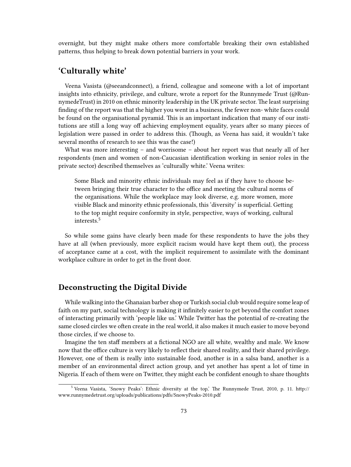overnight, but they might make others more comfortable breaking their own established patterns, thus helping to break down potential barriers in your work.

## **'Culturally white'**

Veena Vasista (@seeandconnect), a friend, colleague and someone with a lot of important insights into ethnicity, privilege, and culture, wrote a report for the Runnymede Trust (@RunnymedeTrust) in 2010 on ethnic minority leadership in the UK private sector. The least surprising finding of the report was that the higher you went in a business, the fewer non- white faces could be found on the organisational pyramid. This is an important indication that many of our institutions are still a long way off achieving employment equality, years after so many pieces of legislation were passed in order to address this. (Though, as Veena has said, it wouldn't take several months of research to see this was the case!)

What was more interesting – and worrisome – about her report was that nearly all of her respondents (men and women of non-Caucasian identification working in senior roles in the private sector) described themselves as 'culturally white.' Veena writes:

Some Black and minority ethnic individuals may feel as if they have to choose between bringing their true character to the office and meeting the cultural norms of the organisations. While the workplace may look diverse, e.g. more women, more visible Black and minority ethnic professionals, this 'diversity' is superficial. Getting to the top might require conformity in style, perspective, ways of working, cultural interests.<sup>5</sup>

So while some gains have clearly been made for these respondents to have the jobs they have at all (when previously, more explicit racism would have kept them out), the process of acceptance came at a cost, with the implicit requirement to assimilate with the dominant workplace culture in order to get in the front door.

#### **Deconstructing the Digital Divide**

While walking into the Ghanaian barber shop or Turkish social club would require some leap of faith on my part, social technology is making it infinitely easier to get beyond the comfort zones of interacting primarily with 'people like us.' While Twitter has the potential of re-creating the same closed circles we often create in the real world, it also makes it much easier to move beyond those circles, if we choose to.

Imagine the ten staff members at a fictional NGO are all white, wealthy and male. We know now that the office culture is very likely to reflect their shared reality, and their shared privilege. However, one of them is really into sustainable food, another is in a salsa band, another is a member of an environmental direct action group, and yet another has spent a lot of time in Nigeria. If each of them were on Twitter, they might each be confident enough to share thoughts

<sup>5</sup> Veena Vasista, 'Snowy Peaks': Ethnic diversity at the top,' The Runnymede Trust, 2010, p. 11. http:// www.runnymedetrust.org/uploads/publications/pdfs/SnowyPeaks-2010.pdf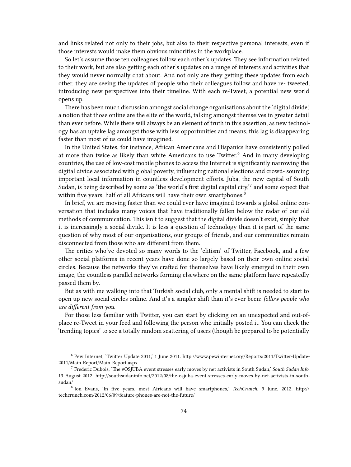and links related not only to their jobs, but also to their respective personal interests, even if those interests would make them obvious minorities in the workplace.

So let's assume those ten colleagues follow each other's updates. They see information related to their work, but are also getting each other's updates on a range of interests and activities that they would never normally chat about. And not only are they getting these updates from each other, they are seeing the updates of people who their colleagues follow and have re- tweeted, introducing new perspectives into their timeline. With each re-Tweet, a potential new world opens up.

There has been much discussion amongst social change organisations about the 'digital divide,' a notion that those online are the elite of the world, talking amongst themselves in greater detail than ever before. While there will always be an element of truth in this assertion, as new technology has an uptake lag amongst those with less opportunities and means, this lag is disappearing faster than most of us could have imagined.

In the United States, for instance, African Americans and Hispanics have consistently polled at more than twice as likely than white Americans to use Twitter.<sup>6</sup> And in many developing countries, the use of low-cost mobile phones to access the Internet is significantly narrowing the digital divide associated with global poverty, influencing national elections and crowd- sourcing important local information in countless development efforts. Juba, the new capital of South Sudan, is being described by some as 'the world's first digital capital city,<sup>'7</sup> and some expect that within five years, half of all Africans will have their own smartphones.<sup>8</sup>

In brief, we are moving faster than we could ever have imagined towards a global online conversation that includes many voices that have traditionally fallen below the radar of our old methods of communication. This isn't to suggest that the digital divide doesn't exist, simply that it is increasingly a social divide. It is less a question of technology than it is part of the same question of why most of our organisations, our groups of friends, and our communities remain disconnected from those who are different from them.

The critics who've devoted so many words to the 'elitism' of Twitter, Facebook, and a few other social platforms in recent years have done so largely based on their own online social circles. Because the networks they've crafted for themselves have likely emerged in their own image, the countless parallel networks forming elsewhere on the same platform have repeatedly passed them by.

But as with me walking into that Turkish social club, only a mental shift is needed to start to open up new social circles online. And it's a simpler shift than it's ever been: *follow people who are different from you*.

For those less familiar with Twitter, you can start by clicking on an unexpected and out-ofplace re-Tweet in your feed and following the person who initially posted it. You can check the 'trending topics' to see a totally random scattering of users (though be prepared to be potentially

<sup>6</sup> Pew Internet, 'Twitter Update 2011,' 1 June 2011. http://www.pewinternet.org/Reports/2011/Twitter-Update-2011/Main-Report/Main-Report.aspx

<sup>7</sup> Frederic Dubois, 'The #OSJUBA event stresses early moves by net activists in South Sudan,' *South Sudan Info*, 13 August 2012. http://southsudaninfo.net/2012/08/the-osjuba-event-stresses-early-moves-by-net-activists-in-southsudan/

<sup>8</sup> Jon Evans, 'In five years, most Africans will have smartphones,' *TechCrunch*, 9 June, 2012. http:// techcrunch.com/2012/06/09/feature-phones-are-not-the-future/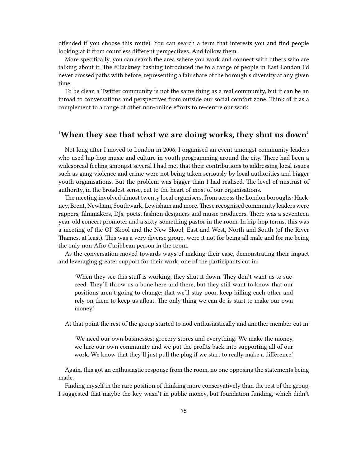offended if you choose this route). You can search a term that interests you and find people looking at it from countless different perspectives. And follow them.

More specifically, you can search the area where you work and connect with others who are talking about it. The #Hackney hashtag introduced me to a range of people in East London I'd never crossed paths with before, representing a fair share of the borough's diversity at any given time.

To be clear, a Twitter community is not the same thing as a real community, but it can be an inroad to conversations and perspectives from outside our social comfort zone. Think of it as a complement to a range of other non-online efforts to re-centre our work.

#### **'When they see that what we are doing works, they shut us down'**

Not long after I moved to London in 2006, I organised an event amongst community leaders who used hip-hop music and culture in youth programming around the city. There had been a widespread feeling amongst several I had met that their contributions to addressing local issues such as gang violence and crime were not being taken seriously by local authorities and bigger youth organisations. But the problem was bigger than I had realised. The level of mistrust of authority, in the broadest sense, cut to the heart of most of our organisations.

The meeting involved almost twenty local organisers, from across the London boroughs: Hackney, Brent, Newham, Southwark, Lewisham and more. These recognised community leaders were rappers, filmmakers, DJs, poets, fashion designers and music producers. There was a seventeen year-old concert promoter and a sixty-something pastor in the room. In hip-hop terms, this was a meeting of the Ol' Skool and the New Skool, East and West, North and South (of the River Thames, at least). This was a very diverse group, were it not for being all male and for me being the only non-Afro-Caribbean person in the room.

As the conversation moved towards ways of making their case, demonstrating their impact and leveraging greater support for their work, one of the participants cut in:

'When they see this stuff is working, they shut it down. They don't want us to succeed. They'll throw us a bone here and there, but they still want to know that our positions aren't going to change; that we'll stay poor, keep killing each other and rely on them to keep us afloat. The only thing we can do is start to make our own money.'

At that point the rest of the group started to nod enthusiastically and another member cut in:

'We need our own businesses; grocery stores and everything. We make the money, we hire our own community and we put the profits back into supporting all of our work. We know that they'll just pull the plug if we start to really make a difference.'

Again, this got an enthusiastic response from the room, no one opposing the statements being made.

Finding myself in the rare position of thinking more conservatively than the rest of the group, I suggested that maybe the key wasn't in public money, but foundation funding, which didn't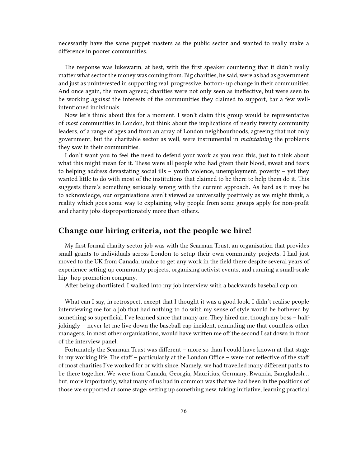necessarily have the same puppet masters as the public sector and wanted to really make a difference in poorer communities.

The response was lukewarm, at best, with the first speaker countering that it didn't really matter what sector the money was coming from. Big charities, he said, were as bad as government and just as uninterested in supporting real, progressive, bottom- up change in their communities. And once again, the room agreed; charities were not only seen as ineffective, but were seen to be working *against* the interests of the communities they claimed to support, bar a few wellintentioned individuals.

Now let's think about this for a moment. I won't claim this group would be representative of *most* communities in London, but think about the implications of nearly twenty community leaders, of a range of ages and from an array of London neighbourhoods, agreeing that not only government, but the charitable sector as well, were instrumental in *maintaining* the problems they saw in their communities.

I don't want you to feel the need to defend your work as you read this, just to think about what this might mean for it. These were all people who had given their blood, sweat and tears to helping address devastating social ills – youth violence, unemployment, poverty – yet they wanted little to do with most of the institutions that claimed to be there to help them do it. This suggests there's something seriously wrong with the current approach. As hard as it may be to acknowledge, our organisations aren't viewed as universally positively as we might think, a reality which goes some way to explaining why people from some groups apply for non-profit and charity jobs disproportionately more than others.

#### **Change our hiring criteria, not the people we hire!**

My first formal charity sector job was with the Scarman Trust, an organisation that provides small grants to individuals across London to setup their own community projects. I had just moved to the UK from Canada, unable to get any work in the field there despite several years of experience setting up community projects, organising activist events, and running a small-scale hip- hop promotion company.

After being shortlisted, I walked into my job interview with a backwards baseball cap on.

What can I say, in retrospect, except that I thought it was a good look. I didn't realise people interviewing me for a job that had nothing to do with my sense of style would be bothered by something so superficial. I've learned since that many are. They hired me, though my boss – halfjokingly – never let me live down the baseball cap incident, reminding me that countless other managers, in most other organisations, would have written me off the second I sat down in front of the interview panel.

Fortunately the Scarman Trust was different – more so than I could have known at that stage in my working life. The staff – particularly at the London Office – were not reflective of the staff of most charities I've worked for or with since. Namely, we had travelled many different paths to be there together. We were from Canada, Georgia, Mauritius, Germany, Rwanda, Bangladesh… but, more importantly, what many of us had in common was that we had been in the positions of those we supported at some stage: setting up something new, taking initiative, learning practical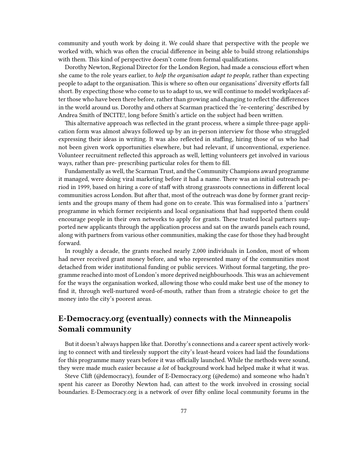community and youth work by doing it. We could share that perspective with the people we worked with, which was often the crucial difference in being able to build strong relationships with them. This kind of perspective doesn't come from formal qualifications.

Dorothy Newton, Regional Director for the London Region, had made a conscious effort when she came to the role years earlier, to *help the organisation adapt to people*, rather than expecting people to adapt to the organisation. This is where so often our organisations' diversity efforts fall short. By expecting those who come to us to adapt to us, we will continue to model workplaces after those who have been there before, rather than growing and changing to reflect the differences in the world around us. Dorothy and others at Scarman practiced the 're-centering' described by Andrea Smith of INCITE!, long before Smith's article on the subject had been written.

This alternative approach was reflected in the grant process, where a simple three-page application form was almost always followed up by an in-person interview for those who struggled expressing their ideas in writing. It was also reflected in staffing, hiring those of us who had not been given work opportunities elsewhere, but had relevant, if unconventional, experience. Volunteer recruitment reflected this approach as well, letting volunteers get involved in various ways, rather than pre- prescribing particular roles for them to fill.

Fundamentally as well, the Scarman Trust, and the Community Champions award programme it managed, were doing viral marketing before it had a name. There was an initial outreach period in 1999, based on hiring a core of staff with strong grassroots connections in different local communities across London. But after that, most of the outreach was done by former grant recipients and the groups many of them had gone on to create. This was formalised into a 'partners' programme in which former recipients and local organisations that had supported them could encourage people in their own networks to apply for grants. These trusted local partners supported new applicants through the application process and sat on the awards panels each round, along with partners from various other communities, making the case for those they had brought forward.

In roughly a decade, the grants reached nearly 2,000 individuals in London, most of whom had never received grant money before, and who represented many of the communities most detached from wider institutional funding or public services. Without formal targeting, the programme reached into most of London's more deprived neighbourhoods. This was an achievement for the ways the organisation worked, allowing those who could make best use of the money to find it, through well-nurtured word-of-mouth, rather than from a strategic choice to get the money into the city's poorest areas.

# **E-Democracy.org (eventually) connects with the Minneapolis Somali community**

But it doesn't always happen like that. Dorothy's connections and a career spent actively working to connect with and tirelessly support the city's least-heard voices had laid the foundations for this programme many years before it was officially launched. While the methods were sound, they were made much easier because *a lot* of background work had helped make it what it was.

Steve Clift (@democracy), founder of E-Democracy.org (@edemo) and someone who hadn't spent his career as Dorothy Newton had, can attest to the work involved in crossing social boundaries. E-Democracy.org is a network of over fifty online local community forums in the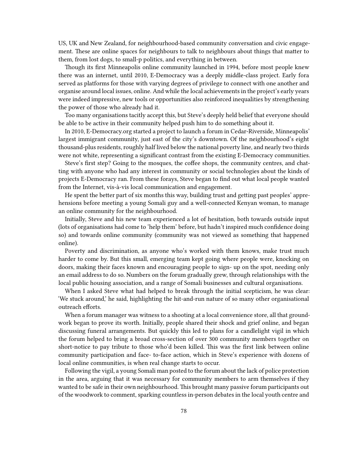US, UK and New Zealand, for neighbourhood-based community conversation and civic engagement. These are online spaces for neighbours to talk to neighbours about things that matter to them, from lost dogs, to small-p politics, and everything in between.

Though its first Minneapolis online community launched in 1994, before most people knew there was an internet, until 2010, E-Democracy was a deeply middle-class project. Early fora served as platforms for those with varying degrees of privilege to connect with one another and organise around local issues, online. And while the local achievements in the project's early years were indeed impressive, new tools or opportunities also reinforced inequalities by strengthening the power of those who already had it.

Too many organisations tacitly accept this, but Steve's deeply held belief that everyone should be able to be active in their community helped push him to do something about it.

In 2010, E-Democracy.org started a project to launch a forum in Cedar-Riverside, Minneapolis' largest immigrant community, just east of the city's downtown. Of the neighbourhood's eight thousand-plus residents, roughly half lived below the national poverty line, and nearly two thirds were not white, representing a significant contrast from the existing E-Democracy communities.

Steve's first step? Going to the mosques, the coffee shops, the community centres, and chatting with anyone who had any interest in community or social technologies about the kinds of projects E-Democracy ran. From these forays, Steve began to find out what local people wanted from the Internet, vis-à-vis local communication and engagement.

He spent the better part of six months this way, building trust and getting past peoples' apprehensions before meeting a young Somali guy and a well-connected Kenyan woman, to manage an online community for the neighbourhood.

Initially, Steve and his new team experienced a lot of hesitation, both towards outside input (lots of organisations had come to 'help them' before, but hadn't inspired much confidence doing so) and towards online community (community was not viewed as something that happened online).

Poverty and discrimination, as anyone who's worked with them knows, make trust much harder to come by. But this small, emerging team kept going where people were, knocking on doors, making their faces known and encouraging people to sign- up on the spot, needing only an email address to do so. Numbers on the forum gradually grew, through relationships with the local public housing association, and a range of Somali businesses and cultural organisations.

When I asked Steve what had helped to break through the initial scepticism, he was clear: 'We stuck around,' he said, highlighting the hit-and-run nature of so many other organisational outreach efforts.

When a forum manager was witness to a shooting at a local convenience store, all that groundwork began to prove its worth. Initially, people shared their shock and grief online, and began discussing funeral arrangements. But quickly this led to plans for a candlelight vigil in which the forum helped to bring a broad cross-section of over 300 community members together on short-notice to pay tribute to those who'd been killed. This was the first link between online community participation and face- to-face action, which in Steve's experience with dozens of local online communities, is when real change starts to occur.

Following the vigil, a young Somali man posted to the forum about the lack of police protection in the area, arguing that it was necessary for community members to arm themselves if they wanted to be safe in their own neighbourhood. This brought many passive forum participants out of the woodwork to comment, sparking countless in-person debates in the local youth centre and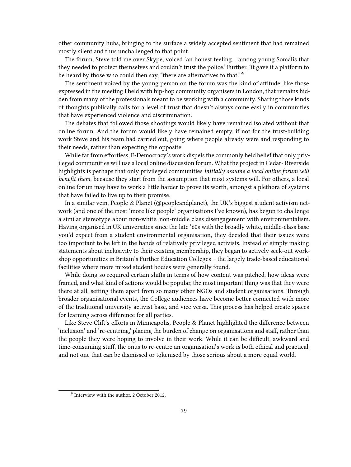other community hubs, bringing to the surface a widely accepted sentiment that had remained mostly silent and thus unchallenged to that point.

The forum, Steve told me over Skype, voiced 'an honest feeling… among young Somalis that they needed to protect themselves and couldn't trust the police.' Further, 'it gave it a platform to be heard by those who could then say, "there are alternatives to that."'<sup>9</sup>

The sentiment voiced by the young person on the forum was the kind of attitude, like those expressed in the meeting I held with hip-hop community organisers in London, that remains hidden from many of the professionals meant to be working with a community. Sharing those kinds of thoughts publically calls for a level of trust that doesn't always come easily in communities that have experienced violence and discrimination.

The debates that followed those shootings would likely have remained isolated without that online forum. And the forum would likely have remained empty, if not for the trust-building work Steve and his team had carried out, going where people already were and responding to their needs, rather than expecting the opposite.

While far from effortless, E-Democracy's work dispels the commonly held belief that only privileged communities will use a local online discussion forum. What the project in Cedar- Riverside highlights is perhaps that only privileged communities *initially assume a local online forum will benefit them*, because they start from the assumption that most systems will. For others, a local online forum may have to work a little harder to prove its worth, amongst a plethora of systems that have failed to live up to their promise.

In a similar vein, People & Planet (@peopleandplanet), the UK's biggest student activism network (and one of the most 'more like people' organisations I've known), has begun to challenge a similar stereotype about non-white, non-middle class disengagement with environmentalism. Having organised in UK universities since the late '60s with the broadly white, middle-class base you'd expect from a student environmental organisation, they decided that their issues were too important to be left in the hands of relatively privileged activists. Instead of simply making statements about inclusivity to their existing membership, they began to actively seek-out workshop opportunities in Britain's Further Education Colleges – the largely trade-based educational facilities where more mixed student bodies were generally found.

While doing so required certain shifts in terms of how content was pitched, how ideas were framed, and what kind of actions would be popular, the most important thing was that they were there at all, setting them apart from so many other NGOs and student organisations. Through broader organisational events, the College audiences have become better connected with more of the traditional university activist base, and vice versa. This process has helped create spaces for learning across difference for all parties.

Like Steve Clift's efforts in Minneapolis, People & Planet highlighted the difference between 'inclusion' and 're-centring,' placing the burden of change on organisations and staff, rather than the people they were hoping to involve in their work. While it can be difficult, awkward and time-consuming stuff, the onus to re-centre an organisation's work is both ethical and practical, and not one that can be dismissed or tokenised by those serious about a more equal world.

<sup>&</sup>lt;sup>9</sup> Interview with the author, 2 October 2012.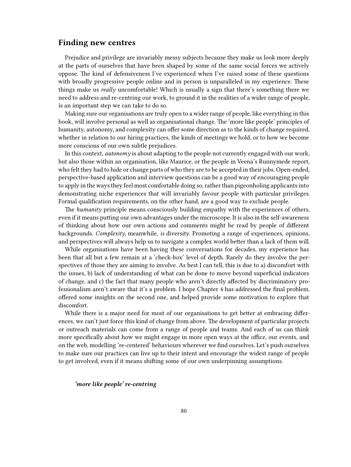#### **Finding new centres**

Prejudice and privilege are invariably messy subjects because they make us look more deeply at the parts of ourselves that have been shaped by some of the same social forces we actively oppose. The kind of defensiveness I've experienced when I've raised some of these questions with broadly progressive people online and in person is unparalleled in my experience. These things make us *really* uncomfortable! Which is usually a sign that there's something there we need to address and re-centring our work, to ground it in the realities of a wider range of people, is an important step we can take to do so.

Making sure our organisations are truly open to a wider range of people, like everything in this book, will involve personal as well as organisational change. The 'more like people' principles of humanity, autonomy, and complexity can offer some direction as to the kinds of change required, whether in relation to our hiring practices, the kinds of meetings we hold, or to how we become more conscious of our own subtle prejudices.

In this context, *autonomy* is about adapting to the people not currently engaged with our work, but also those within an organisation, like Maurice, or the people in Veena's Runnymede report, who felt they had to hide or change parts of who they are to be accepted in their jobs. Open-ended, perspective-based application and interview questions can be a good way of encouraging people to apply in the ways they feel most comfortable doing so, rather than pigeonholing applicants into demonstrating niche experiences that will invariably favour people with particular privileges. Formal qualification requirements, on the other hand, are a good way to exclude people.

The *humanity* principle means consciously building empathy with the experiences of others, even if it means putting our own advantages under the microscope. It is also in the self-awareness of thinking about how our own actions and comments might be read by people of different backgrounds. *Complexity,* meanwhile, *is* diversity. Promoting a range of experiences, opinions, and perspectives will always help us to navigate a complex world better than a lack of them will.

While organisations have been having these conversations for decades, my experience has been that all but a few remain at a 'check-box' level of depth. Rarely do they involve the perspectives of those they are aiming to involve. As best I can tell, this is due to a) discomfort with the issues, b) lack of understanding of what can be done to move beyond superficial indicators of change, and c) the fact that many people who aren't directly affected by discriminatory professionalism aren't aware that it's a problem. I hope Chapter 4 has addressed the final problem, offered some insights on the second one, and helped provide some motivation to explore that discomfort.

While there is a major need for most of our organisations to get better at embracing differences, we can't just force this kind of change from above. The development of particular projects or outreach materials can come from a range of people and teams. And each of us can think more specifically about how we might engage in more open ways at the office, our events, and on the web, modelling 're-centered' behaviours wherever we find ourselves. Let's push ourselves to make sure our practices can live up to their intent and encourage the widest range of people to get involved, even if it means shifting some of our own underpinning assumptions.

#### *'more like people' re-centring*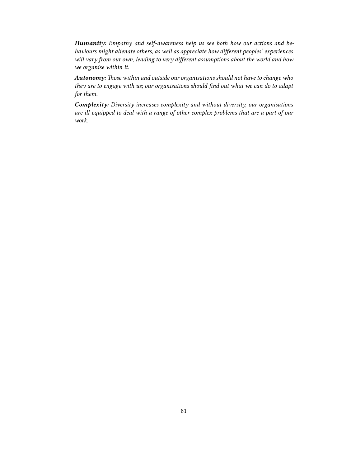*Humanity: Empathy and self-awareness help us see both how our actions and behaviours might alienate others, as well as appreciate how different peoples' experiences will vary from our own, leading to very different assumptions about the world and how we organise within it.*

*Autonomy: Those within and outside our organisations should not have to change who they are to engage with us; our organisations should find out what we can do to adapt for them.*

*Complexity: Diversity increases complexity and without diversity, our organisations are ill-equipped to deal with a range of other complex problems that are a part of our work.*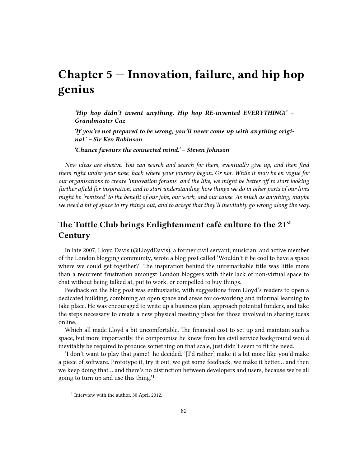# **Chapter 5 — Innovation, failure, and hip hop genius**

*'Hip hop didn't invent anything. Hip hop RE-invented EVERYTHING!' – Grandmaster Caz*

*'If you're not prepared to be wrong, you'll never come up with anything original.' – Sir Ken Robinson*

*'Chance favours the connected mind.' – Steven Johnson*

*New ideas are elusive. You can search and search for them, eventually give up, and then find them right under your nose, back where your journey began. Or not. While it may be en vogue for our organisations to create 'innovation forums' and the like, we might be better off to start looking further afield for inspiration, and to start understanding how things we do in other parts of our lives might be 'remixed' to the benefit of our jobs, our work, and our cause. As much as anything, maybe we need a bit of space to try things out, and to accept that they'll inevitably go wrong along the way.*

# **The Tuttle Club brings Enlightenment café culture to the 21st Century**

In late 2007, Lloyd Davis (@LloydDavis), a former civil servant, musician, and active member of the London blogging community, wrote a blog post called 'Wouldn't it be cool to have a space where we could get together?' The inspiration behind the unremarkable title was little more than a recurrent frustration amongst London bloggers with their lack of non-virtual space to chat without being talked at, put to work, or compelled to buy things.

Feedback on the blog post was enthusiastic, with suggestions from Lloyd's readers to open a dedicated building, combining an open space and areas for co-working and informal learning to take place. He was encouraged to write up a business plan, approach potential funders, and take the steps necessary to create a new physical meeting place for those involved in sharing ideas online.

Which all made Lloyd a bit uncomfortable. The financial cost to set up and maintain such a space, but more importantly, the compromise he knew from his civil service background would inevitably be required to produce something on that scale, just didn't seem to fit the need.

'I don't want to play that game!' he decided. '[I'd rather] make it a bit more like you'd make a piece of software. Prototype it, try it out, we get some feedback, we make it better… and then we keep doing that… and there's no distinction between developers and users, because we're all going to turn up and use this thing.'<sup>1</sup>

<sup>&</sup>lt;sup>1</sup> Interview with the author, 30 April 2012.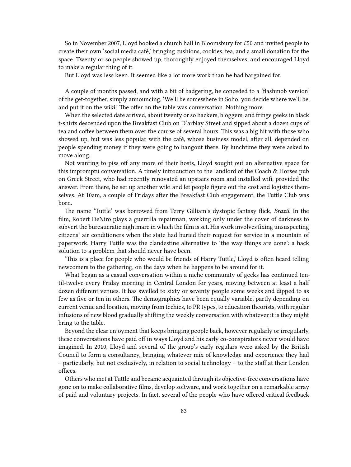So in November 2007, Lloyd booked a church hall in Bloomsbury for £50 and invited people to create their own 'social media café,' bringing cushions, cookies, tea, and a small donation for the space. Twenty or so people showed up, thoroughly enjoyed themselves, and encouraged Lloyd to make a regular thing of it.

But Lloyd was less keen. It seemed like a lot more work than he had bargained for.

A couple of months passed, and with a bit of badgering, he conceded to a 'flashmob version' of the get-together, simply announcing, 'We'll be somewhere in Soho; you decide where we'll be, and put it on the wiki.' The offer on the table was conversation. Nothing more.

When the selected date arrived, about twenty or so hackers, bloggers, and fringe geeks in black t-shirts descended upon the Breakfast Club on D'arblay Street and sipped about a dozen cups of tea and coffee between them over the course of several hours. This was a big hit with those who showed up, but was less popular with the café, whose business model, after all, depended on people spending money if they were going to hangout there. By lunchtime they were asked to move along.

Not wanting to piss off any more of their hosts, Lloyd sought out an alternative space for this impromptu conversation. A timely introduction to the landlord of the Coach & Horses pub on Greek Street, who had recently renovated an upstairs room and installed wifi, provided the answer. From there, he set up another wiki and let people figure out the cost and logistics themselves. At 10am, a couple of Fridays after the Breakfast Club engagement, the Tuttle Club was born.

The name 'Tuttle' was borrowed from Terry Gilliam's dystopic fantasy flick, *Brazil*. In the film, Robert DeNiro plays a guerrilla repairman, working only under the cover of darkness to subvert the bureaucratic nightmare in which the film is set. His work involves fixing unsuspecting citizens' air conditioners when the state had buried their request for service in a mountain of paperwork. Harry Tuttle was the clandestine alternative to 'the way things are done': a hack solution to a problem that should never have been.

'This is a place for people who would be friends of Harry Tuttle,' Lloyd is often heard telling newcomers to the gathering, on the days when he happens to be around for it.

What began as a casual conversation within a niche community of geeks has continued tentil-twelve every Friday morning in Central London for years, moving between at least a half dozen different venues. It has swelled to sixty or seventy people some weeks and dipped to as few as five or ten in others. The demographics have been equally variable, partly depending on current venue and location, moving from techies, to PR types, to education theorists, with regular infusions of new blood gradually shifting the weekly conversation with whatever it is they might bring to the table.

Beyond the clear enjoyment that keeps bringing people back, however regularly or irregularly, these conversations have paid off in ways Lloyd and his early co-conspirators never would have imagined. In 2010, Lloyd and several of the group's early regulars were asked by the British Council to form a consultancy, bringing whatever mix of knowledge and experience they had – particularly, but not exclusively, in relation to social technology – to the staff at their London offices.

Others who met at Tuttle and became acquainted through its objective-free conversations have gone on to make collaborative films, develop software, and work together on a remarkable array of paid and voluntary projects. In fact, several of the people who have offered critical feedback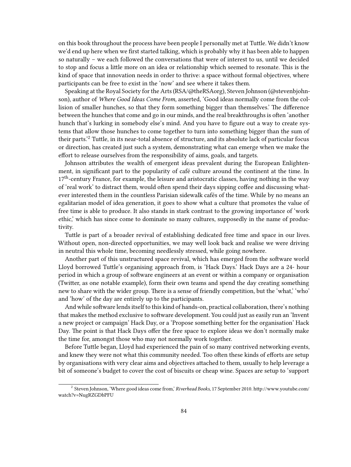on this book throughout the process have been people I personally met at Tuttle. We didn't know we'd end up here when we first started talking, which is probably why it has been able to happen so naturally – we each followed the conversations that were of interest to us, until we decided to stop and focus a little more on an idea or relationship which seemed to resonate. This is the kind of space that innovation needs in order to thrive: a space without formal objectives, where participants can be free to exist in the 'now' and see where it takes them.

Speaking at the Royal Society for the Arts (RSA/@theRSAorg), Steven Johnson (@stevenbjohnson), author of *Where Good Ideas Come From,* asserted, 'Good ideas normally come from the collision of smaller hunches, so that they form something bigger than themselves.' The difference between the hunches that come and go in our minds, and the real breakthroughs is often 'another hunch that's lurking in somebody else's mind. And you have to figure out a way to create systems that allow those hunches to come together to turn into something bigger than the sum of their parts.'<sup>2</sup> Tuttle, in its near-total absence of structure, and its absolute lack of particular focus or direction, has created just such a system, demonstrating what can emerge when we make the effort to release ourselves from the responsibility of aims, goals, and targets.

Johnson attributes the wealth of emergent ideas prevalent during the European Enlightenment, in significant part to the popularity of café culture around the continent at the time. In 17<sup>th</sup>-century France, for example, the leisure and aristocratic classes, having nothing in the way of 'real work' to distract them, would often spend their days sipping coffee and discussing whatever interested them in the countless Parisian sidewalk cafés of the time. While by no means an egalitarian model of idea generation, it goes to show what a culture that promotes the value of free time is able to produce. It also stands in stark contrast to the growing importance of 'work ethic,' which has since come to dominate so many cultures, supposedly in the name of productivity.

Tuttle is part of a broader revival of establishing dedicated free time and space in our lives. Without open, non-directed opportunities, we may well look back and realise we were driving in neutral this whole time, becoming needlessly stressed, while going nowhere.

Another part of this unstructured space revival, which has emerged from the software world Lloyd borrowed Tuttle's organising approach from, is 'Hack Days.' Hack Days are a 24- hour period in which a group of software engineers at an event or within a company or organisation (Twitter, as one notable example), form their own teams and spend the day creating something new to share with the wider group. There is a sense of friendly competition, but the 'what,' 'who' and 'how' of the day are entirely up to the participants.

And while software lends itself to this kind of hands-on, practical collaboration, there's nothing that makes the method exclusive to software development. You could just as easily run an 'Invent a new project or campaign' Hack Day, or a 'Propose something better for the organisation' Hack Day. The point is that Hack Days offer the free space to explore ideas we don't normally make the time for, amongst those who may not normally work together.

Before Tuttle began, Lloyd had experienced the pain of so many contrived networking events, and knew they were not what this community needed. Too often these kinds of efforts are setup by organisations with very clear aims and objectives attached to them, usually to help leverage a bit of someone's budget to cover the cost of biscuits or cheap wine. Spaces are setup to 'support

<sup>2</sup> Steven Johnson, 'Where good ideas come from,' *Riverhead Books*, 17 September 2010. http://www.youtube.com/ watch?v=NugRZGDbPFU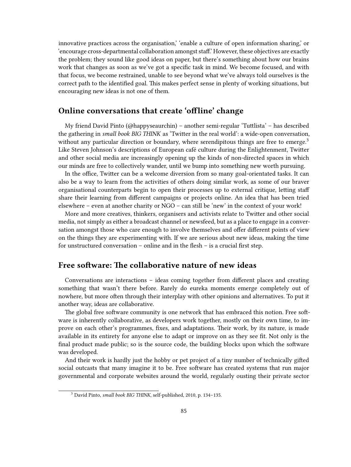innovative practices across the organisation,' 'enable a culture of open information sharing,' or 'encourage cross-departmental collaboration amongst staff.' However, these objectives are exactly the problem; they sound like good ideas on paper, but there's something about how our brains work that changes as soon as we've got a specific task in mind. We become focused, and with that focus, we become restrained, unable to see beyond what we've always told ourselves is the correct path to the identified goal. This makes perfect sense in plenty of working situations, but encouraging new ideas is not one of them.

#### **Online conversations that create 'offline' change**

My friend David Pinto (@happyseaurchin) – another semi-regular 'Tuttlista' – has described the gathering in *small book BIG THINK* as 'Twitter in the real world': a wide-open conversation, without any particular direction or boundary, where serendipitous things are free to emerge.<sup>3</sup> Like Steven Johnson's descriptions of European café culture during the Enlightenment, Twitter and other social media are increasingly opening up the kinds of non-directed spaces in which our minds are free to collectively wander, until we bump into something new worth pursuing.

In the office, Twitter can be a welcome diversion from so many goal-orientated tasks. It can also be a way to learn from the activities of others doing similar work, as some of our braver organisational counterparts begin to open their processes up to external critique, letting staff share their learning from different campaigns or projects online. An idea that has been tried elsewhere – even at another charity or NGO – can still be 'new' in the context of your work!

More and more creatives, thinkers, organisers and activists relate to Twitter and other social media, not simply as either a broadcast channel or newsfeed, but as a place to engage in a conversation amongst those who care enough to involve themselves and offer different points of view on the things they are experimenting with. If we are serious about new ideas, making the time for unstructured conversation – online and in the flesh – is a crucial first step.

#### **Free software: The collaborative nature of new ideas**

Conversations are interactions – ideas coming together from different places and creating something that wasn't there before. Rarely do eureka moments emerge completely out of nowhere, but more often through their interplay with other opinions and alternatives. To put it another way, ideas are collaborative.

The global free software community is one network that has embraced this notion. Free software is inherently collaborative, as developers work together, mostly on their own time, to improve on each other's programmes, fixes, and adaptations. Their work, by its nature, is made available in its entirety for anyone else to adapt or improve on as they see fit. Not only is the final product made public; so is the source code, the building blocks upon which the software was developed.

And their work is hardly just the hobby or pet project of a tiny number of technically gifted social outcasts that many imagine it to be. Free software has created systems that run major governmental and corporate websites around the world, regularly ousting their private sector

<sup>3</sup> David Pinto, *small book BIG THINK,* self-published, 2010, p. 134–135.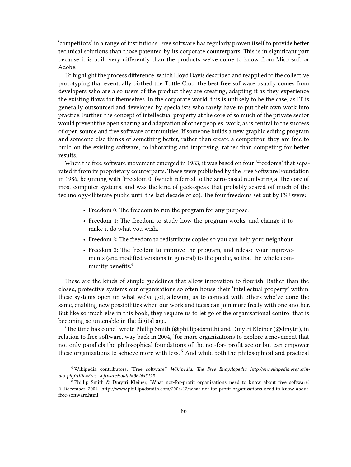'competitors' in a range of institutions. Free software has regularly proven itself to provide better technical solutions than those patented by its corporate counterparts. This is in significant part because it is built very differently than the products we've come to know from Microsoft or Adobe.

To highlight the process difference, which Lloyd Davis described and reapplied to the collective prototyping that eventually birthed the Tuttle Club, the best free software usually comes from developers who are also users of the product they are creating, adapting it as they experience the existing flaws for themselves. In the corporate world, this is unlikely to be the case, as IT is generally outsourced and developed by specialists who rarely have to put their own work into practice. Further, the concept of intellectual property at the core of so much of the private sector would prevent the open sharing and adaptation of other peoples' work, as is central to the success of open source and free software communities. If someone builds a new graphic editing program and someone else thinks of something better, rather than create a competitor, they are free to build on the existing software, collaborating and improving, rather than competing for better results.

When the free software movement emerged in 1983, it was based on four 'freedoms' that separated it from its proprietary counterparts. These were published by the Free Software Foundation in 1986, beginning with 'Freedom 0' (which referred to the zero-based numbering at the core of most computer systems, and was the kind of geek-speak that probably scared off much of the technology-illiterate public until the last decade or so). The four freedoms set out by FSF were:

- Freedom 0: The freedom to run the program for any purpose.
- Freedom 1: The freedom to study how the program works, and change it to make it do what you wish.
- Freedom 2: The freedom to redistribute copies so you can help your neighbour.
- Freedom 3: The freedom to improve the program, and release your improvements (and modified versions in general) to the public, so that the whole community benefits.<sup>4</sup>

These are the kinds of simple guidelines that allow innovation to flourish. Rather than the closed, protective systems our organisations so often house their 'intellectual property' within, these systems open up what we've got, allowing us to connect with others who've done the same, enabling new possibilities when our work and ideas can join more freely with one another. But like so much else in this book, they require us to let go of the organisational control that is becoming so untenable in the digital age.

'The time has come,' wrote Phillip Smith (@phillipadsmith) and Dmytri Kleiner (@dmytri), in relation to free software, way back in 2004, 'for more organizations to explore a movement that not only parallels the philosophical foundations of the not-for- profit sector but can empower these organizations to achieve more with less.<sup>5</sup> And while both the philosophical and practical

<sup>4</sup> Wikipedia contributors, "Free software," *Wikipedia, The Free Encyclopedia http://en.wikipedia.org/w/index.php?title=Free\_software&oldid=564645195*

<sup>5</sup> Phillip Smith & Dmytri Kleiner, 'What not-for-profit organizations need to know about free software,' 2 December 2004. http://www.phillipadsmith.com/2004/12/what-not-for-profit-organizations-need-to-know-aboutfree-software.html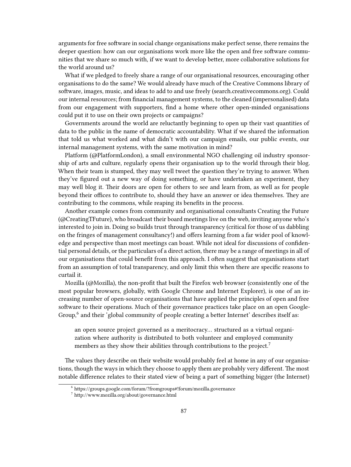arguments for free software in social change organisations make perfect sense, there remains the deeper question: how can our organisations work more like the open and free software communities that we share so much with, if we want to develop better, more collaborative solutions for the world around us?

What if we pledged to freely share a range of our organisational resources, encouraging other organisations to do the same? We would already have much of the Creative Commons library of software, images, music, and ideas to add to and use freely (search.creativecommons.org). Could our internal resources; from financial management systems, to the cleaned (impersonalised) data from our engagement with supporters, find a home where other open-minded organisations could put it to use on their own projects or campaigns?

Governments around the world are reluctantly beginning to open up their vast quantities of data to the public in the name of democratic accountability. What if we shared the information that told us what worked and what didn't with our campaign emails, our public events, our internal management systems, with the same motivation in mind?

Platform (@PlatformLondon), a small environmental NGO challenging oil industry sponsorship of arts and culture, regularly opens their organisation up to the world through their blog. When their team is stumped, they may well tweet the question they're trying to answer. When they've figured out a new way of doing something, or have undertaken an experiment, they may well blog it. Their doors are open for others to see and learn from, as well as for people beyond their offices to contribute to, should they have an answer or idea themselves. They are contributing to the commons, while reaping its benefits in the process.

Another example comes from community and organisational consultants Creating the Future (@CreatingTFuture), who broadcast their board meetings live on the web, inviting anyone who's interested to join in. Doing so builds trust through transparency (critical for those of us dabbling on the fringes of management consultancy!) and offers learning from a far wider pool of knowledge and perspective than most meetings can boast. While not ideal for discussions of confidential personal details, or the particulars of a direct action, there may be a range of meetings in all of our organisations that could benefit from this approach. I often suggest that organisations start from an assumption of total transparency, and only limit this when there are specific reasons to curtail it.

Mozilla (@Mozilla), the non-profit that built the Firefox web browser (consistently one of the most popular browsers, globally, with Google Chrome and Internet Explorer), is one of an increasing number of open-source organisations that have applied the principles of open and free software to their operations. Much of their governance practices take place on an open Google-Group,<sup>6</sup> and their 'global community of people creating a better Internet' describes itself as:

an open source project governed as a meritocracy… structured as a virtual organization where authority is distributed to both volunteer and employed community members as they show their abilities through contributions to the project.<sup>7</sup>

The values they describe on their website would probably feel at home in any of our organisations, though the ways in which they choose to apply them are probably very different. The most notable difference relates to their stated view of being a part of something bigger (the Internet)

<sup>6</sup> https://groups.google.com/forum/?fromgroups#!forum/mozilla.governance

<sup>7</sup> http://www.mozilla.org/about/governance.html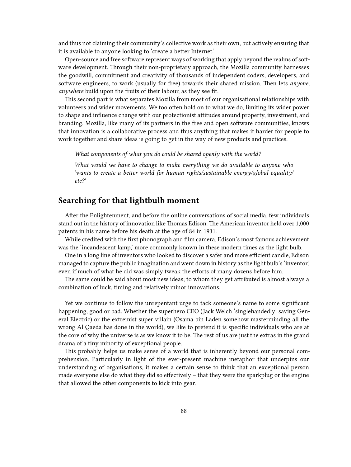and thus not claiming their community's collective work as their own, but actively ensuring that it is available to anyone looking to 'create a better Internet.'

Open-source and free software represent ways of working that apply beyond the realms of software development. Through their non-proprietary approach, the Mozilla community harnesses the goodwill, commitment and creativity of thousands of independent coders, developers, and software engineers, to work (usually for free) towards their shared mission. Then lets *anyone*, *anywhere* build upon the fruits of their labour, as they see fit.

This second part is what separates Mozilla from most of our organisational relationships with volunteers and wider movements. We too often hold on to what we do, limiting its wider power to shape and influence change with our protectionist attitudes around property, investment, and branding. Mozilla, like many of its partners in the free and open software communities, knows that innovation is a collaborative process and thus anything that makes it harder for people to work together and share ideas is going to get in the way of new products and practices.

*What components of what you do could be shared openly with the world?*

*What would we have to change to make everything we do available to anyone who 'wants to create a better world for human rights/sustainable energy/global equality/ etc?'*

#### **Searching for that lightbulb moment**

After the Enlightenment, and before the online conversations of social media, few individuals stand out in the history of innovation like Thomas Edison. The American inventor held over 1,000 patents in his name before his death at the age of 84 in 1931.

While credited with the first phonograph and film camera, Edison's most famous achievement was the 'incandescent lamp,' more commonly known in these modern times as the light bulb.

One in a long line of inventors who looked to discover a safer and more efficient candle, Edison managed to capture the public imagination and went down in history as the light bulb's 'inventor,' even if much of what he did was simply tweak the efforts of many dozens before him.

The same could be said about most new ideas; to whom they get attributed is almost always a combination of luck, timing and relatively minor innovations.

Yet we continue to follow the unrepentant urge to tack someone's name to some significant happening, good or bad. Whether the superhero CEO (Jack Welch 'singlehandedly' saving General Electric) or the extremist super villain (Osama bin Laden somehow masterminding all the wrong Al Qaeda has done in the world), we like to pretend it is specific individuals who are at the core of why the universe is as we know it to be. The rest of us are just the extras in the grand drama of a tiny minority of exceptional people.

This probably helps us make sense of a world that is inherently beyond our personal comprehension. Particularly in light of the ever-present machine metaphor that underpins our understanding of organisations, it makes a certain sense to think that an exceptional person made everyone else do what they did so effectively – that they were the sparkplug or the engine that allowed the other components to kick into gear.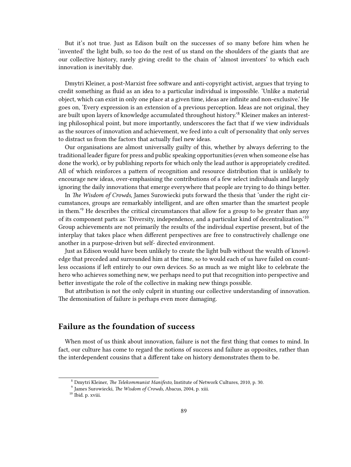But it's not true. Just as Edison built on the successes of so many before him when he 'invented' the light bulb, so too do the rest of us stand on the shoulders of the giants that are our collective history, rarely giving credit to the chain of 'almost inventors' to which each innovation is inevitably due.

Dmytri Kleiner, a post-Marxist free software and anti-copyright activist, argues that trying to credit something as fluid as an idea to a particular individual is impossible. 'Unlike a material object, which can exist in only one place at a given time, ideas are infinite and non-exclusive.' He goes on, 'Every expression is an extension of a previous perception. Ideas are not original, they are built upon layers of knowledge accumulated throughout history.'<sup>8</sup> Kleiner makes an interesting philosophical point, but more importantly, underscores the fact that if we view individuals as the sources of innovation and achievement, we feed into a cult of personality that only serves to distract us from the factors that actually fuel new ideas.

Our organisations are almost universally guilty of this, whether by always deferring to the traditional leader figure for press and public speaking opportunities (even when someone else has done the work), or by publishing reports for which only the lead author is appropriately credited. All of which reinforces a pattern of recognition and resource distribution that is unlikely to encourage new ideas, over-emphasising the contributions of a few select individuals and largely ignoring the daily innovations that emerge everywhere that people are trying to do things better.

In *The Wisdom of Crowds,* James Surowiecki puts forward the thesis that 'under the right circumstances, groups are remarkably intelligent, and are often smarter than the smartest people in them.'<sup>9</sup> He describes the critical circumstances that allow for a group to be greater than any of its component parts as: 'Diversity, independence, and a particular kind of decentralization.'<sup>10</sup> Group achievements are not primarily the results of the individual expertise present, but of the interplay that takes place when different perspectives are free to constructively challenge one another in a purpose-driven but self- directed environment.

Just as Edison would have been unlikely to create the light bulb without the wealth of knowledge that preceded and surrounded him at the time, so to would each of us have failed on countless occasions if left entirely to our own devices. So as much as we might like to celebrate the hero who achieves something new, we perhaps need to put that recognition into perspective and better investigate the role of the collective in making new things possible.

But attribution is not the only culprit in stunting our collective understanding of innovation. The demonisation of failure is perhaps even more damaging.

## **Failure as the foundation of success**

When most of us think about innovation, failure is not the first thing that comes to mind. In fact, our culture has come to regard the notions of success and failure as opposites, rather than the interdependent cousins that a different take on history demonstrates them to be.

<sup>8</sup> Dmytri Kleiner, *The Telekommunist Manifesto,* Institute of Network Cultures, 2010, p. 30.

<sup>9</sup> James Surowiecki, *The Wisdom of Crowds,* Abacus, 2004, p. xiii.

 $10$  Ibid. p. xviii.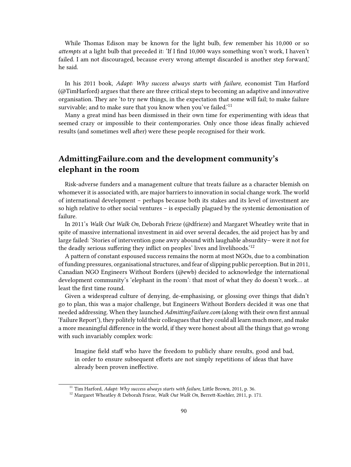While Thomas Edison may be known for the light bulb, few remember his 10,000 or so *attempts* at a light bulb that preceded it: 'If I find 10,000 ways something won't work, I haven't failed. I am not discouraged, because every wrong attempt discarded is another step forward,' he said.

In his 2011 book, *Adapt: Why success always starts with failure,* economist Tim Harford (@TimHarford) argues that there are three critical steps to becoming an adaptive and innovative organisation. They are 'to try new things, in the expectation that some will fail; to make failure survivable; and to make sure that you know when you've failed.<sup>'11</sup>

Many a great mind has been dismissed in their own time for experimenting with ideas that seemed crazy or impossible to their contemporaries. Only once those ideas finally achieved results (and sometimes well after) were these people recognised for their work.

# **AdmittingFailure.com and the development community's elephant in the room**

Risk-adverse funders and a management culture that treats failure as a character blemish on whomever it is associated with, are major barriers to innovation in social change work. The world of international development – perhaps because both its stakes and its level of investment are so high relative to other social ventures – is especially plagued by the systemic demonisation of failure.

In 2011's *Walk Out Walk On,* Deborah Frieze (@dfrieze) and Margaret Wheatley write that in spite of massive international investment in aid over several decades, the aid project has by and large failed: 'Stories of intervention gone awry abound with laughable absurdity– were it not for the deadly serious suffering they inflict on peoples' lives and livelihoods.<sup>'12</sup>

A pattern of constant espoused success remains the norm at most NGOs, due to a combination of funding pressures, organisational structures, and fear of slipping public perception. But in 2011, Canadian NGO Engineers Without Borders (@ewb) decided to acknowledge the international development community's 'elephant in the room': that most of what they do doesn't work… at least the first time round.

Given a widespread culture of denying, de-emphasising, or glossing over things that didn't go to plan, this was a major challenge, but Engineers Without Borders decided it was one that needed addressing. When they launched *AdmittingFailure.com* (along with their own first annual 'Failure Report'), they politely told their colleagues that they could all learn much more, and make a more meaningful difference in the world, if they were honest about all the things that go wrong with such invariably complex work:

Imagine field staff who have the freedom to publicly share results, good and bad, in order to ensure subsequent efforts are not simply repetitions of ideas that have already been proven ineffective.

<sup>11</sup> Tim Harford, *Adapt: Why success always starts with failure,* Little Brown, 2011, p. 36.

<sup>12</sup> Margaret Wheatley & Deborah Frieze, *Walk Out Walk On,* Berrett-Koehler, 2011, p. 171.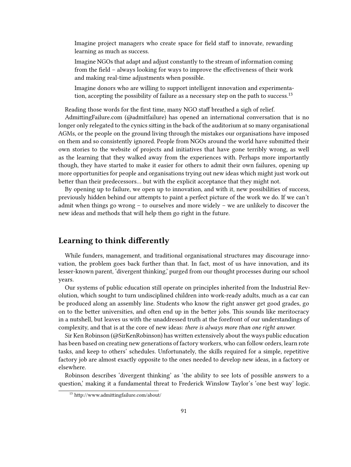Imagine project managers who create space for field staff to innovate, rewarding learning as much as success.

Imagine NGOs that adapt and adjust constantly to the stream of information coming from the field – always looking for ways to improve the effectiveness of their work and making real-time adjustments when possible.

Imagine donors who are willing to support intelligent innovation and experimentation, accepting the possibility of failure as a necessary step on the path to success.<sup>13</sup>

Reading those words for the first time, many NGO staff breathed a sigh of relief.

AdmittingFailure.com (@admitfailure) has opened an international conversation that is no longer only relegated to the cynics sitting in the back of the auditorium at so many organisational AGMs, or the people on the ground living through the mistakes our organisations have imposed on them and so consistently ignored. People from NGOs around the world have submitted their own stories to the website of projects and initiatives that have gone terribly wrong, as well as the learning that they walked away from the experiences with. Perhaps more importantly though, they have started to make it easier for others to admit their own failures, opening up more opportunities for people and organisations trying out new ideas which might just work out better than their predecessors… but with the explicit acceptance that they might not.

By opening up to failure, we open up to innovation, and with it, new possibilities of success, previously hidden behind our attempts to paint a perfect picture of the work we do. If we can't admit when things go wrong – to ourselves and more widely – we are unlikely to discover the new ideas and methods that will help them go right in the future.

#### **Learning to think differently**

While funders, management, and traditional organisational structures may discourage innovation, the problem goes back further than that. In fact, most of us have innovation, and its lesser-known parent, 'divergent thinking,' purged from our thought processes during our school years.

Our systems of public education still operate on principles inherited from the Industrial Revolution, which sought to turn undisciplined children into work-ready adults, much as a car can be produced along an assembly line. Students who know the right answer get good grades, go on to the better universities, and often end up in the better jobs. This sounds like meritocracy in a nutshell, but leaves us with the unaddressed truth at the forefront of our understandings of complexity, and that is at the core of new ideas: *there is always more than one right answer.*

Sir Ken Robinson (@SirKenRobinson) has written extensively about the ways public education has been based on creating new generations of factory workers, who can follow orders, learn rote tasks, and keep to others' schedules. Unfortunately, the skills required for a simple, repetitive factory job are almost exactly opposite to the ones needed to develop new ideas, in a factory or elsewhere.

Robinson describes 'divergent thinking' as 'the ability to see lots of possible answers to a question,' making it a fundamental threat to Frederick Winslow Taylor's 'one best way' logic.

<sup>13</sup> http://www.admittingfailure.com/about/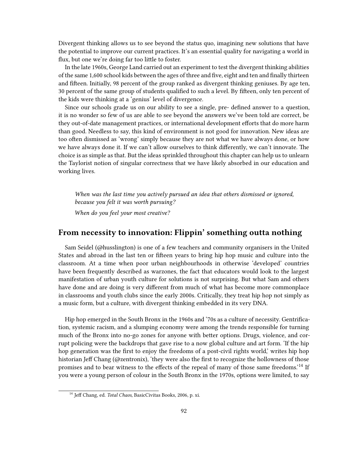Divergent thinking allows us to see beyond the status quo, imagining new solutions that have the potential to improve our current practices. It's an essential quality for navigating a world in flux, but one we're doing far too little to foster.

In the late 1960s, George Land carried out an experiment to test the divergent thinking abilities of the same 1,600 school kids between the ages of three and five, eight and ten and finally thirteen and fifteen. Initially, 98 percent of the group ranked as divergent thinking geniuses. By age ten, 30 percent of the same group of students qualified to such a level. By fifteen, only ten percent of the kids were thinking at a 'genius' level of divergence.

Since our schools grade us on our ability to see a single, pre- defined answer to a question, it is no wonder so few of us are able to see beyond the answers we've been told are correct, be they out-of-date management practices, or international development efforts that do more harm than good. Needless to say, this kind of environment is not good for innovation. New ideas are too often dismissed as 'wrong' simply because they are not what we have always done, or how we have always done it. If we can't allow ourselves to think differently, we can't innovate. The choice is as simple as that. But the ideas sprinkled throughout this chapter can help us to unlearn the Taylorist notion of singular correctness that we have likely absorbed in our education and working lives.

*When was the last time you actively pursued an idea that others dismissed or ignored, because you felt it was worth pursuing? When do you feel your most creative?*

## **From necessity to innovation: Flippin' something outta nothing**

Sam Seidel (@husslington) is one of a few teachers and community organisers in the United States and abroad in the last ten or fifteen years to bring hip hop music and culture into the classroom. At a time when poor urban neighbourhoods in otherwise 'developed' countries have been frequently described as warzones, the fact that educators would look to the largest manifestation of urban youth culture for solutions is not surprising. But what Sam and others have done and are doing is very different from much of what has become more commonplace in classrooms and youth clubs since the early 2000s. Critically, they treat hip hop not simply as a music form, but a culture, with divergent thinking embedded in its very DNA.

Hip hop emerged in the South Bronx in the 1960s and '70s as a culture of necessity. Gentrification, systemic racism, and a slumping economy were among the trends responsible for turning much of the Bronx into no-go zones for anyone with better options. Drugs, violence, and corrupt policing were the backdrops that gave rise to a now global culture and art form. 'If the hip hop generation was the first to enjoy the freedoms of a post-civil rights world,' writes hip hop historian Jeff Chang (@zentronix), 'they were also the first to recognize the hollowness of those promises and to bear witness to the effects of the repeal of many of those same freedoms.'<sup>14</sup> If you were a young person of colour in the South Bronx in the 1970s, options were limited, to say

<sup>14</sup> Jeff Chang, ed. *Total Chaos,* BasicCivitas Books, 2006, p. xi.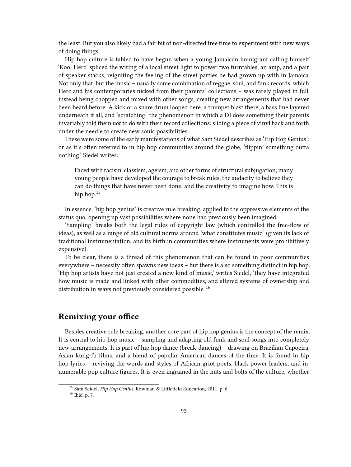the least. But you also likely had a fair bit of non-directed free time to experiment with new ways of doing things.

Hip hop culture is fabled to have begun when a young Jamaican immigrant calling himself 'Kool Herc' spliced the wiring of a local street light to power two turntables, an amp, and a pair of speaker stacks, reigniting the feeling of the street parties he had grown up with in Jamaica. Not only that, but the music – usually some combination of reggae, soul, and funk records, which Herc and his contemporaries nicked from their parents' collections – was rarely played in full, instead being chopped and mixed with other songs, creating new arrangements that had never been heard before. A kick or a snare drum looped here, a trumpet blast there, a bass line layered underneath it all, and 'scratching,' the phenomenon in which a DJ does something their parents invariably told them *not* to do with their record collections: sliding a piece of vinyl back and forth under the needle to create new sonic possibilities.

These were some of the early manifestations of what Sam Siedel describes as 'Hip Hop Genius'; or as it's often referred to in hip hop communities around the globe, 'flippin' something outta nothing.' Siedel writes:

Faced with racism, classism, ageism, and other forms of structural subjugation, many young people have developed the courage to break rules, the audacity to believe they can do things that have never been done, and the creativity to imagine how. This is hip hop.<sup>15</sup>

In essence, 'hip hop genius' is creative rule breaking, applied to the oppressive elements of the status quo, opening up vast possibilities where none had previously been imagined.

'Sampling' breaks both the legal rules of copyright law (which controlled the free-flow of ideas), as well as a range of old cultural norms around 'what constitutes music,' (given its lack of traditional instrumentation, and its birth in communities where instruments were prohibitively expensive).

To be clear, there is a thread of this phenomenon that can be found in poor communities everywhere – necessity often spawns new ideas – but there is also something distinct in hip hop. 'Hip hop artists have not just created a new kind of music,' writes Siedel, 'they have integrated how music is made and linked with other commodities, and altered systems of ownership and distribution in ways not previously considered possible.<sup>'16</sup>

#### **Remixing your office**

Besides creative rule breaking, another core part of hip hop genius is the concept of the remix. It is central to hip hop music – sampling and adapting old funk and soul songs into completely new arrangements. It is part of hip hop dance (break-dancing) – drawing on Brazilian Capoeira, Asian kung-fu films, and a blend of popular American dances of the time. It is found in hip hop lyrics – reviving the words and styles of African griot poets, black power leaders, and innumerable pop culture figures. It is even ingrained in the nuts and bolts of the culture, whether

<sup>15</sup> Sam Seidel, *Hip Hop Genius,* Rowman & Littlefield Education, 2011, p. 6.

<sup>16</sup> Ibid. p. 7.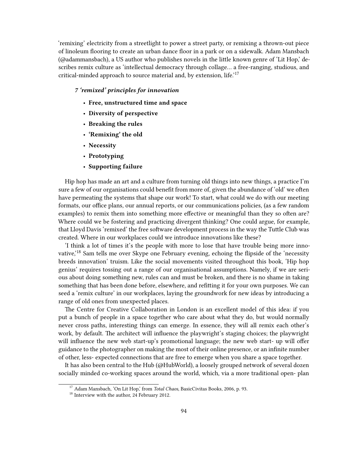'remixing' electricity from a streetlight to power a street party, or remixing a thrown-out piece of linoleum flooring to create an urban dance floor in a park or on a sidewalk. Adam Mansbach (@adammansbach), a US author who publishes novels in the little known genre of 'Lit Hop,' describes remix culture as 'intellectual democracy through collage… a free-ranging, studious, and critical-minded approach to source material and, by extension, life.<sup>'17</sup>

#### *7 'remixed' principles for innovation*

- **Free, unstructured time and space**
- **Diversity of perspective**
- **Breaking the rules**
- **'Remixing' the old**
- **Necessity**
- **Prototyping**
- **Supporting failure**

Hip hop has made an art and a culture from turning old things into new things, a practice I'm sure a few of our organisations could benefit from more of, given the abundance of 'old' we often have permeating the systems that shape our work! To start, what could we do with our meeting formats, our office plans, our annual reports, or our communications policies, (as a few random examples) to remix them into something more effective or meaningful than they so often are? Where could we be fostering and practicing divergent thinking? One could argue, for example, that Lloyd Davis 'remixed' the free software development process in the way the Tuttle Club was created. Where in our workplaces could we introduce innovations like these?

'I think a lot of times it's the people with more to lose that have trouble being more innovative,'<sup>18</sup> Sam tells me over Skype one February evening, echoing the flipside of the 'necessity breeds innovation' truism. Like the social movements visited throughout this book, 'Hip hop genius' requires tossing out a range of our organisational assumptions. Namely, if we are serious about doing something new, rules can and must be broken, and there is no shame in taking something that has been done before, elsewhere, and refitting it for your own purposes. We can seed a 'remix culture' in our workplaces, laying the groundwork for new ideas by introducing a range of old ones from unexpected places.

The Centre for Creative Collaboration in London is an excellent model of this idea: if you put a bunch of people in a space together who care about what they do, but would normally never cross paths, interesting things can emerge. In essence, they will all remix each other's work, by default. The architect will influence the playwright's staging choices; the playwright will influence the new web start-up's promotional language; the new web start- up will offer guidance to the photographer on making the most of their online presence, or an infinite number of other, less- expected connections that are free to emerge when you share a space together.

It has also been central to the Hub (@HubWorld), a loosely grouped network of several dozen socially minded co-working spaces around the world, which, via a more traditional open- plan

<sup>&</sup>lt;sup>17</sup> Adam Mansbach, 'On Lit Hop,' from *Total Chaos*, BasicCivitas Books, 2006, p. 93.

 $18$  Interview with the author, 24 February 2012.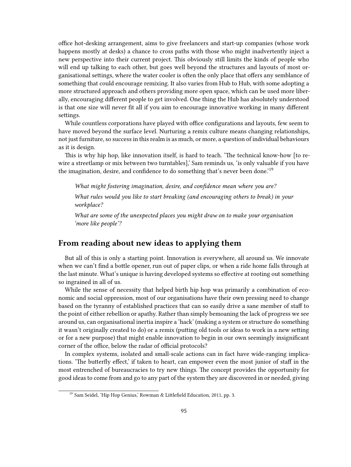office hot-desking arrangement, aims to give freelancers and start-up companies (whose work happens mostly at desks) a chance to cross paths with those who might inadvertently inject a new perspective into their current project. This obviously still limits the kinds of people who will end up talking to each other, but goes well beyond the structures and layouts of most organisational settings, where the water cooler is often the only place that offers any semblance of something that could encourage remixing. It also varies from Hub to Hub, with some adopting a more structured approach and others providing more open space, which can be used more liberally, encouraging different people to get involved. One thing the Hub has absolutely understood is that one size will never fit all if you aim to encourage innovative working in many different settings.

While countless corporations have played with office configurations and layouts, few seem to have moved beyond the surface level. Nurturing a remix culture means changing relationships, not just furniture, so success in this realm is as much, or more, a question of individual behaviours as it is design.

This is why hip hop, like innovation itself, is hard to teach. 'The technical know-how [to rewire a streetlamp or mix between two turntables],' Sam reminds us, 'is only valuable if you have the imagination, desire, and confidence to do something that's never been done.<sup>'19</sup>

*What might fostering imagination, desire, and confidence mean where you are?*

*What rules would you like to start breaking (and encouraging others to break) in your workplace?*

*What are some of the unexpected places you might draw on to make your organisation 'more like people'?*

#### **From reading about new ideas to applying them**

But all of this is only a starting point. Innovation is everywhere, all around us. We innovate when we can't find a bottle opener, run out of paper clips, or when a ride home falls through at the last minute. What's unique is having developed systems so effective at rooting out something so ingrained in all of us.

While the sense of necessity that helped birth hip hop was primarily a combination of economic and social oppression, most of our organisations have their own pressing need to change based on the tyranny of established practices that can so easily drive a sane member of staff to the point of either rebellion or apathy. Rather than simply bemoaning the lack of progress we see around us, can organisational inertia inspire a 'hack' (making a system or structure do something it wasn't originally created to do) or a remix (putting old tools or ideas to work in a new setting or for a new purpose) that might enable innovation to begin in our own seemingly insignificant corner of the office, below the radar of official protocols?

In complex systems, isolated and small-scale actions can in fact have wide-ranging implications. 'The butterfly effect,' if taken to heart, can empower even the most junior of staff in the most entrenched of bureaucracies to try new things. The concept provides the opportunity for good ideas to come from and go to any part of the system they are discovered in or needed, giving

<sup>&</sup>lt;sup>19</sup> Sam Seidel, 'Hip Hop Genius,' Rowman & Littlefield Education, 2011, pp. 3.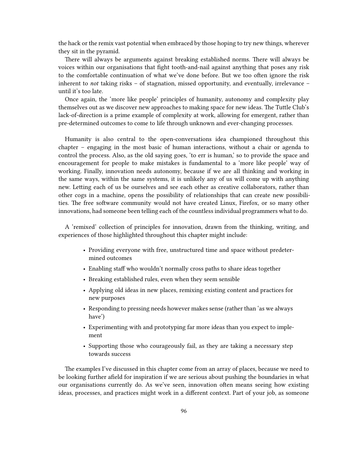the hack or the remix vast potential when embraced by those hoping to try new things, wherever they sit in the pyramid.

There will always be arguments against breaking established norms. There will always be voices within our organisations that fight tooth-and-nail against anything that poses any risk to the comfortable continuation of what we've done before. But we too often ignore the risk inherent to *not* taking risks – of stagnation, missed opportunity, and eventually, irrelevance – until it's too late.

Once again, the 'more like people' principles of humanity, autonomy and complexity play themselves out as we discover new approaches to making space for new ideas. The Tuttle Club's lack-of-direction is a prime example of complexity at work, allowing for emergent, rather than pre-determined outcomes to come to life through unknown and ever-changing processes.

Humanity is also central to the open-conversations idea championed throughout this chapter – engaging in the most basic of human interactions, without a chair or agenda to control the process. Also, as the old saying goes, 'to err is human,' so to provide the space and encouragement for people to make mistakes is fundamental to a 'more like people' way of working. Finally, innovation needs autonomy, because if we are all thinking and working in the same ways, within the same systems, it is unlikely any of us will come up with anything new. Letting each of us be ourselves and see each other as creative collaborators, rather than other cogs in a machine, opens the possibility of relationships that can create new possibilities. The free software community would not have created Linux, Firefox, or so many other innovations, had someone been telling each of the countless individual programmers what to do.

A 'remixed' collection of principles for innovation, drawn from the thinking, writing, and experiences of those highlighted throughout this chapter might include:

- Providing everyone with free, unstructured time and space without predetermined outcomes
- Enabling staff who wouldn't normally cross paths to share ideas together
- Breaking established rules, even when they seem sensible
- Applying old ideas in new places, remixing existing content and practices for new purposes
- Responding to pressing needs however makes sense (rather than 'as we always have')
- Experimenting with and prototyping far more ideas than you expect to implement
- Supporting those who courageously fail, as they are taking a necessary step towards success

The examples I've discussed in this chapter come from an array of places, because we need to be looking further afield for inspiration if we are serious about pushing the boundaries in what our organisations currently do. As we've seen, innovation often means seeing how existing ideas, processes, and practices might work in a different context. Part of your job, as someone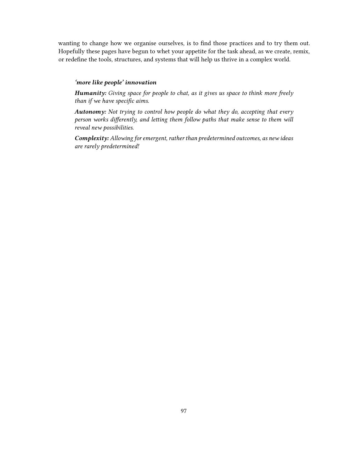wanting to change how we organise ourselves, is to find those practices and to try them out. Hopefully these pages have begun to whet your appetite for the task ahead, as we create, remix, or redefine the tools, structures, and systems that will help us thrive in a complex world.

#### *'more like people' innovation*

*Humanity: Giving space for people to chat, as it gives us space to think more freely than if we have specific aims.*

*Autonomy: Not trying to control how people do what they do, accepting that every person works differently, and letting them follow paths that make sense to them will reveal new possibilities.*

*Complexity: Allowing for emergent, rather than predetermined outcomes, as new ideas are rarely predetermined!*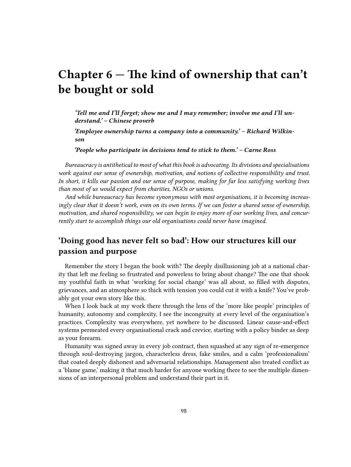# **Chapter 6 — The kind of ownership that can't be bought or sold**

*'Tell me and I'll forget; show me and I may remember; involve me and I'll understand.' – Chinese proverb*

*'Employee ownership turns a company into a community.' – Richard Wilkinson*

*'People who participate in decisions tend to stick to them.' – Carne Ross*

*Bureaucracy is antithetical to most of what this book is advocating. Its divisions and specialisations work against our sense of ownership, motivation, and notions of collective responsibility and trust. In short, it kills our passion and our sense of purpose, making for far less satisfying working lives than most of us would expect from charities, NGOs or unions.*

*And while bureaucracy has become synonymous with most organisations, it is becoming increasingly clear that it doesn't work, even on its own terms. If we can foster a shared sense of ownership, motivation, and shared responsibility, we can begin to enjoy more of our working lives, and concurrently start to accomplish things our old organisations could never have imagined.*

# **'Doing good has never felt so bad': How our structures kill our passion and purpose**

Remember the story I began the book with? The deeply disillusioning job at a national charity that left me feeling so frustrated and powerless to bring about change? The one that shook my youthful faith in what 'working for social change' was all about, so filled with disputes, grievances, and an atmosphere so thick with tension you could cut it with a knife? You've probably got your own story like this.

When I look back at my work there through the lens of the 'more like people' principles of humanity, autonomy and complexity, I see the incongruity at every level of the organisation's practices. Complexity was everywhere, yet nowhere to be discussed. Linear cause-and-effect systems permeated every organisational crack and crevice, starting with a policy binder as deep as your forearm.

Humanity was signed away in every job contract, then squashed at any sign of re-emergence through soul-destroying jargon, characterless dress, fake smiles, and a calm 'professionalism' that coated deeply dishonest and adversarial relationships. Management also treated conflict as a 'blame game,' making it that much harder for anyone working there to see the multiple dimensions of an interpersonal problem and understand their part in it.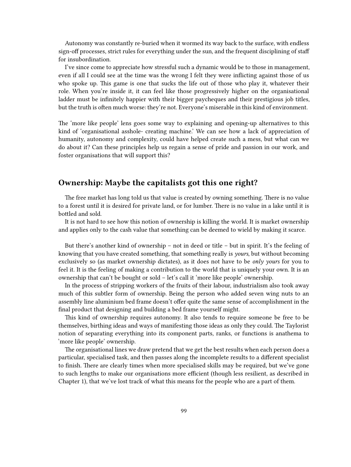Autonomy was constantly re-buried when it wormed its way back to the surface, with endless sign-off processes, strict rules for everything under the sun, and the frequent disciplining of staff for insubordination.

I've since come to appreciate how stressful such a dynamic would be to those in management, even if all I could see at the time was the wrong I felt they were inflicting against those of us who spoke up. This game is one that sucks the life out of those who play it, whatever their role. When you're inside it, it can feel like those progressively higher on the organisational ladder must be infinitely happier with their bigger paycheques and their prestigious job titles, but the truth is often much worse: they're not. Everyone's miserable in this kind of environment.

The 'more like people' lens goes some way to explaining and opening-up alternatives to this kind of 'organisational asshole- creating machine.' We can see how a lack of appreciation of humanity, autonomy and complexity, could have helped create such a mess, but what can we do about it? Can these principles help us regain a sense of pride and passion in our work, and foster organisations that will support this?

## **Ownership: Maybe the capitalists got this one right?**

The free market has long told us that value is created by owning something. There is no value to a forest until it is desired for private land, or for lumber. There is no value in a lake until it is bottled and sold.

It is not hard to see how this notion of ownership is killing the world. It is market ownership and applies only to the cash value that something can be deemed to wield by making it scarce.

But there's another kind of ownership – not in deed or title – but in spirit. It's the feeling of knowing that you have created something, that something really is *yours*, but without becoming exclusively so (as market ownership dictates), as it does not have to be *only yours* for you to feel it. It is the feeling of making a contribution to the world that is uniquely your own. It is an ownership that can't be bought or sold – let's call it 'more like people' ownership.

In the process of stripping workers of the fruits of their labour, industrialism also took away much of this subtler form of ownership. Being the person who added seven wing nuts to an assembly line aluminium bed frame doesn't offer quite the same sense of accomplishment in the final product that designing and building a bed frame yourself might.

This kind of ownership requires autonomy. It also tends to require someone be free to be themselves, birthing ideas and ways of manifesting those ideas as only they could. The Taylorist notion of separating everything into its component parts, ranks, or functions is anathema to 'more like people' ownership.

The organisational lines we draw pretend that we get the best results when each person does a particular, specialised task, and then passes along the incomplete results to a different specialist to finish. There are clearly times when more specialised skills may be required, but we've gone to such lengths to make our organisations more efficient (though less resilient, as described in Chapter 1), that we've lost track of what this means for the people who are a part of them.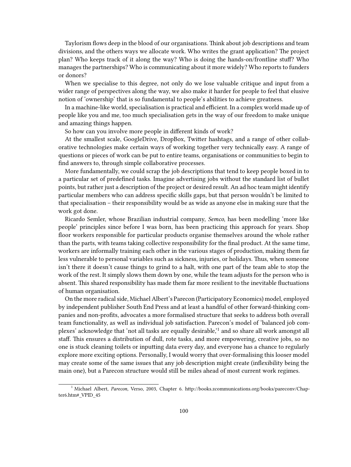Taylorism flows deep in the blood of our organisations. Think about job descriptions and team divisions, and the others ways we allocate work. Who writes the grant application? The project plan? Who keeps track of it along the way? Who is doing the hands-on/frontline stuff? Who manages the partnerships? Who is communicating about it more widely? Who reports to funders or donors?

When we specialise to this degree, not only do we lose valuable critique and input from a wider range of perspectives along the way, we also make it harder for people to feel that elusive notion of 'ownership' that is so fundamental to people's abilities to achieve greatness.

In a machine-like world, specialisation is practical and efficient. In a complex world made up of people like you and me, too much specialisation gets in the way of our freedom to make unique and amazing things happen.

So how can you involve more people in different kinds of work?

At the smallest scale, GoogleDrive, DropBox, Twitter hashtags, and a range of other collaborative technologies make certain ways of working together very technically easy. A range of questions or pieces of work can be put to entire teams, organisations or communities to begin to find answers to, through simple collaborative processes.

More fundamentally, we could scrap the job descriptions that tend to keep people boxed in to a particular set of predefined tasks. Imagine advertising jobs without the standard list of bullet points, but rather just a description of the project or desired result. An ad hoc team might identify particular members who can address specific skills gaps, but that person wouldn't be limited to that specialisation – their responsibility would be as wide as anyone else in making sure that the work got done.

Ricardo Semler, whose Brazilian industrial company, *Semco*, has been modelling 'more like people' principles since before I was born, has been practicing this approach for years. Shop floor workers responsible for particular products organise themselves around the whole rather than the parts, with teams taking collective responsibility for the final product. At the same time, workers are informally training each other in the various stages of production, making them far less vulnerable to personal variables such as sickness, injuries, or holidays. Thus, when someone isn't there it doesn't cause things to grind to a halt, with one part of the team able to stop the work of the rest. It simply slows them down by one, while the team adjusts for the person who is absent. This shared responsibility has made them far more resilient to the inevitable fluctuations of human organisation.

On the more radical side, Michael Albert's Parecon (Participatory Economics) model, employed by independent publisher South End Press and at least a handful of other forward-thinking companies and non-profits, advocates a more formalised structure that seeks to address both overall team functionality, as well as individual job satisfaction. Parecon's model of 'balanced job complexes' acknowledge that 'not all tasks are equally desirable,'<sup>1</sup> and so share all work amongst all staff. This ensures a distribution of dull, rote tasks, and more empowering, creative jobs, so no one is stuck cleaning toilets or inputting data every day, and everyone has a chance to regularly explore more exciting options. Personally, I would worry that over-formalising this looser model may create some of the same issues that any job description might create (inflexibility being the main one), but a Parecon structure would still be miles ahead of most current work regimes.

<sup>1</sup> Michael Albert, *Parecon,* Verso, 2003, Chapter 6. http://books.zcommunications.org/books/pareconv/Chapter6.htm#\_VPID\_45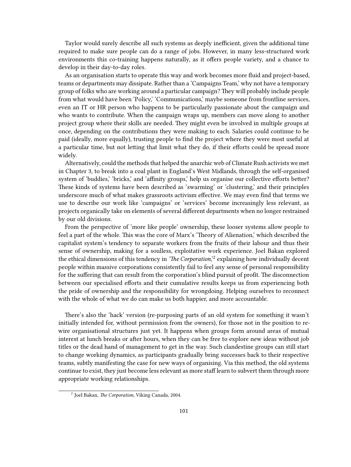Taylor would surely describe all such systems as deeply inefficient, given the additional time required to make sure people can do a range of jobs. However, in many less-structured work environments this co-training happens naturally, as it offers people variety, and a chance to develop in their day-to-day roles.

As an organisation starts to operate this way and work becomes more fluid and project-based, teams or departments may dissipate. Rather than a 'Campaigns Team,' why not have a temporary group of folks who are working around a particular campaign? They will probably include people from what would have been 'Policy,' 'Communications,' maybe someone from frontline services, even an IT or HR person who happens to be particularly passionate about the campaign and who wants to contribute. When the campaign wraps up, members can move along to another project group where their skills are needed. They might even be involved in multiple groups at once, depending on the contributions they were making to each. Salaries could continue to be paid (ideally, more equally), trusting people to find the project where they were most useful at a particular time, but not letting that limit what they do, if their efforts could be spread more widely.

Alternatively, could the methods that helped the anarchic web of Climate Rush activists we met in Chapter 3, to break into a coal plant in England's West Midlands, through the self-organised system of 'buddies,' 'bricks,' and 'affinity groups,' help us organise our collective efforts better? These kinds of systems have been described as 'swarming' or 'clustering,' and their principles underscore much of what makes grassroots activism effective. We may even find that terms we use to describe our work like 'campaigns' or 'services' become increasingly less relevant, as projects organically take on elements of several different departments when no longer restrained by our old divisions.

From the perspective of 'more like people' ownership, these looser systems allow people to feel a part of the whole. This was the core of Marx's 'Theory of Alienation,' which described the capitalist system's tendency to separate workers from the fruits of their labour and thus their sense of ownership, making for a soulless, exploitative work experience. Joel Bakan explored the ethical dimensions of this tendency in *'The Corporation*,'<sup>2</sup> explaining how individually decent people within massive corporations consistently fail to feel any sense of personal responsibility for the suffering that can result from the corporation's blind pursuit of profit. The disconnection between our specialised efforts and their cumulative results keeps us from experiencing both the pride of ownership and the responsibility for wrongdoing. Helping ourselves to reconnect with the whole of what we do can make us both happier, and more accountable.

There's also the 'hack' version (re-purposing parts of an old system for something it wasn't initially intended for, without permission from the owners), for those not in the position to rewire organisational structures just yet. It happens when groups form around areas of mutual interest at lunch breaks or after hours, when they can be free to explore new ideas without job titles or the dead hand of management to get in the way. Such clandestine groups can still start to change working dynamics, as participants gradually bring successes back to their respective teams, subtly manifesting the case for new ways of organising. Via this method, the old systems continue to exist, they just become less relevant as more staff learn to subvert them through more appropriate working relationships.

<sup>2</sup> Joel Bakan, *The Corporation,* Viking Canada, 2004.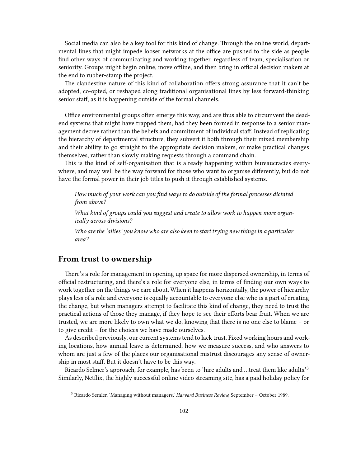Social media can also be a key tool for this kind of change. Through the online world, departmental lines that might impede looser networks at the office are pushed to the side as people find other ways of communicating and working together, regardless of team, specialisation or seniority. Groups might begin online, move offline, and then bring in official decision makers at the end to rubber-stamp the project.

The clandestine nature of this kind of collaboration offers strong assurance that it can't be adopted, co-opted, or reshaped along traditional organisational lines by less forward-thinking senior staff, as it is happening outside of the formal channels.

Office environmental groups often emerge this way, and are thus able to circumvent the deadend systems that might have trapped them, had they been formed in response to a senior management decree rather than the beliefs and commitment of individual staff. Instead of replicating the hierarchy of departmental structure, they subvert it both through their mixed membership and their ability to go straight to the appropriate decision makers, or make practical changes themselves, rather than slowly making requests through a command chain.

This is the kind of self-organisation that is already happening within bureaucracies everywhere, and may well be the way forward for those who want to organise differently, but do not have the formal power in their job titles to push it through established systems.

*How much of your work can you find ways to do outside of the formal processes dictated from above?*

*What kind of groups could you suggest and create to allow work to happen more organically across divisions?*

*Who are the 'allies' you know who are also keen to start trying new things in a particular area?*

## **From trust to ownership**

There's a role for management in opening up space for more dispersed ownership, in terms of official restructuring, and there's a role for everyone else, in terms of finding our own ways to work together on the things we care about. When it happens horizontally, the power of hierarchy plays less of a role and everyone is equally accountable to everyone else who is a part of creating the change, but when managers attempt to facilitate this kind of change, they need to trust the practical actions of those they manage, if they hope to see their efforts bear fruit. When we are trusted, we are more likely to own what we do, knowing that there is no one else to blame – or to give credit – for the choices we have made ourselves.

As described previously, our current systems tend to lack trust. Fixed working hours and working locations, how annual leave is determined, how we measure success, and who answers to whom are just a few of the places our organisational mistrust discourages any sense of ownership in most staff. But it doesn't have to be this way.

Ricardo Selmer's approach, for example, has been to 'hire adults and …treat them like adults.'<sup>3</sup> Similarly, Netflix, the highly successful online video streaming site, has a paid holiday policy for

<sup>3</sup> Ricardo Semler, 'Managing without managers,' *Harvard Business Review,* September – October 1989.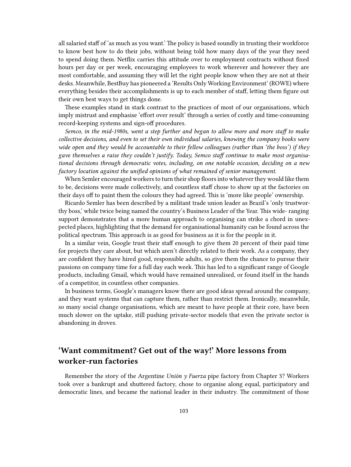all salaried staff of 'as much as you want.' The policy is based soundly in trusting their workforce to know best how to do their jobs, without being told how many days of the year they need to spend doing them. Netflix carries this attitude over to employment contracts without fixed hours per day or per week, encouraging employees to work wherever and however they are most comfortable, and assuming they will let the right people know when they are not at their desks. Meanwhile, BestBuy has pioneered a 'Results Only Working Environment' (ROWE) where everything besides their accomplishments is up to each member of staff, letting them figure out their own best ways to get things done.

These examples stand in stark contrast to the practices of most of our organisations, which imply mistrust and emphasise 'effort over result' through a series of costly and time-consuming record-keeping systems and sign-off procedures.

*Semco, in the mid-1980s, went a step further and began to allow more and more staff to make collective decisions, and even to set their own individual salaries, knowing the company books were wide open and they would be accountable to their fellow colleagues (rather than 'the boss') if they gave themselves a raise they couldn't justify. Today, Semco staff continue to make most organisational decisions through democratic votes, including, on one notable occasion, deciding on a new factory location against the unified opinions of what remained of senior management.*

When Semler encouraged workers to turn their shop floors into whatever they would like them to be, decisions were made collectively, and countless staff chose to show up at the factories on their days off to paint them the colours they had agreed. This is 'more like people' ownership.

Ricardo Semler has been described by a militant trade union leader as Brazil's 'only trustworthy boss,' while twice being named the country's Business Leader of the Year. This wide- ranging support demonstrates that a more human approach to organising can strike a chord in unexpected places, highlighting that the demand for organisational humanity can be found across the political spectrum. This approach is as good for business as it is for the people in it.

In a similar vein, Google trust their staff enough to give them 20 percent of their paid time for projects they care about, but which aren't directly related to their work. As a company, they are confident they have hired good, responsible adults, so give them the chance to pursue their passions on company time for a full day each week. This has led to a significant range of Google products, including Gmail, which would have remained unrealised, or found itself in the hands of a competitor, in countless other companies.

In business terms, Google's managers know there are good ideas spread around the company, and they want systems that can capture them, rather than restrict them. Ironically, meanwhile, so many social change organisations, which are meant to have people at their core, have been much slower on the uptake, still pushing private-sector models that even the private sector is abandoning in droves.

# **'Want commitment? Get out of the way!' More lessons from worker-run factories**

Remember the story of the Argentine *Unión y Fuerza* pipe factory from Chapter 3? Workers took over a bankrupt and shuttered factory, chose to organise along equal, participatory and democratic lines, and became the national leader in their industry. The commitment of those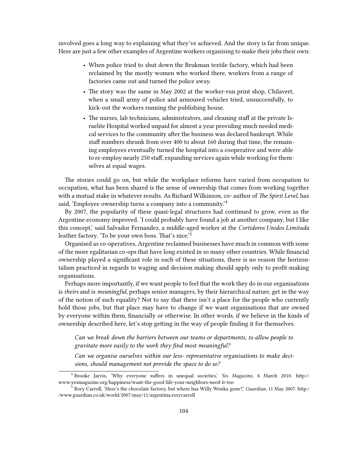involved goes a long way to explaining what they've achieved. And the story is far from unique. Here are just a few other examples of Argentine workers organising to make their jobs their own:

- When police tried to shut down the Brukman textile factory, which had been reclaimed by the mostly women who worked there, workers from a range of factories came out and turned the police away.
- The story was the same in May 2002 at the worker-run print shop, Chilavert, when a small army of police and armoured vehicles tried, unsuccessfully, to kick-out the workers running the publishing house.
- The nurses, lab technicians, administrators, and cleaning staff at the private Israelite Hospital worked unpaid for almost a year providing much needed medical services to the community after the business was declared bankrupt. While staff numbers shrunk from over 400 to about 160 during that time, the remaining employees eventually turned the hospital into a cooperative and were able to re-employ nearly 250 staff, expanding services again while working for themselves at equal wages.

The stories could go on, but while the workplace reforms have varied from occupation to occupation, what has been shared is the sense of ownership that comes from working together with a mutual stake in whatever results. As Richard Wilkinson, co- author of *The Spirit Level*, has said, 'Employee ownership turns a company into a community.'<sup>4</sup>

By 2007, the popularity of these quasi-legal structures had continued to grow, even as the Argentine economy improved. 'I could probably have found a job at another company, but I like this concept,' said Salvador Fernandez, a middle-aged worker at the *Cortidoros Unidos Limitada* leather factory. 'To be your own boss. That's nice.'<sup>5</sup>

Organised as co-operatives, Argentine reclaimed businesses have much in common with some of the more egalitarian co-ops that have long existed in so many other countries. While financial ownership played a significant role in each of these situations, there is no reason the horizontalism practiced in regards to waging and decision making should apply only to profit-making organisations.

Perhaps more importantly, if we want people to feel that the work they do in our organisations is *theirs* and is *meaningful*, perhaps senior managers, by their hierarchical nature, get in the way of the notion of such equality? Not to say that there isn't a place for the people who currently hold those jobs, but that place may have to change if we want organisations that are owned by everyone within them, financially or otherwise. In other words, if we believe in the kinds of ownership described here, let's stop getting in the way of people finding it for themselves.

*Can we break down the barriers between our teams or departments, to allow people to gravitate more easily to the work they find most meaningful?*

*Can we organise ourselves within our less- representative organisations to make decisions, should management not provide the space to do so?*

<sup>4</sup> Brooke Jarvis, 'Why everyone suffers in unequal societies,' *Yes Magazine,* 4 March 2010. http:// www.yesmagazine.org/happiness/want-the-good-life-your-neighbors-need-it-too

<sup>5</sup> Rory Carroll, 'Here's the chocolate factory, but where has Willy Wonka gone?,' *Guardian,* 11 May 2007. http:/ /www.guardian.co.uk/world/2007/may/11/argentina.rorycarroll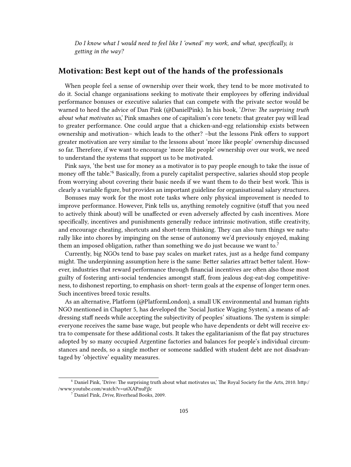*Do I know what I would need to feel like I 'owned' my work, and what, specifically, is getting in the way?*

#### **Motivation: Best kept out of the hands of the professionals**

When people feel a sense of ownership over their work, they tend to be more motivated to do it. Social change organisations seeking to motivate their employees by offering individual performance bonuses or executive salaries that can compete with the private sector would be warned to heed the advice of Dan Pink (@DanielPink). In his book, '*Drive: The surprising truth about what motivates us*,' Pink smashes one of capitalism's core tenets: that greater pay will lead to greater performance. One could argue that a chicken-and-egg relationship exists between ownership and motivation– which leads to the other? –but the lessons Pink offers to support greater motivation are very similar to the lessons about 'more like people' ownership discussed so far. Therefore, if we want to encourage 'more like people' ownership over our work, we need to understand the systems that support us to be motivated.

Pink says, 'the best use for money as a motivator is to pay people enough to take the issue of money off the table.<sup>'6</sup> Basically, from a purely capitalist perspective, salaries should stop people from worrying about covering their basic needs if we want them to do their best work. This is clearly a variable figure, but provides an important guideline for organisational salary structures.

Bonuses may work for the most rote tasks where only physical improvement is needed to improve performance. However, Pink tells us, anything remotely cognitive (stuff that you need to actively think about) will be unaffected or even adversely affected by cash incentives. More specifically, incentives and punishments generally reduce intrinsic motivation, stifle creativity, and encourage cheating, shortcuts and short-term thinking. They can also turn things we naturally like into chores by impinging on the sense of autonomy we'd previously enjoyed, making them an imposed obligation, rather than something we do just because we want to.<sup>7</sup>

Currently, big NGOs tend to base pay scales on market rates, just as a hedge fund company might. The underpinning assumption here is the same: Better salaries attract better talent. However, industries that reward performance through financial incentives are often also those most guilty of fostering anti-social tendencies amongst staff, from jealous dog-eat-dog competitiveness, to dishonest reporting, to emphasis on short- term goals at the expense of longer term ones. Such incentives breed toxic results.

As an alternative, Platform (@PlatformLondon), a small UK environmental and human rights NGO mentioned in Chapter 5, has developed the 'Social Justice Waging System,' a means of addressing staff needs while accepting the subjectivity of peoples' situations. The system is simple: everyone receives the same base wage, but people who have dependents or debt will receive extra to compensate for these additional costs. It takes the egalitarianism of the flat pay structures adopted by so many occupied Argentine factories and balances for people's individual circumstances and needs, so a single mother or someone saddled with student debt are not disadvantaged by 'objective' equality measures.

<sup>6</sup> Daniel Pink, 'Drive: The surprising truth about what motivates us,' The Royal Society for the Arts, 2010. http:/ /www.youtube.com/watch?v=u6XAPnuFjJc

<sup>7</sup> Daniel Pink, *Drive,* Riverhead Books, 2009.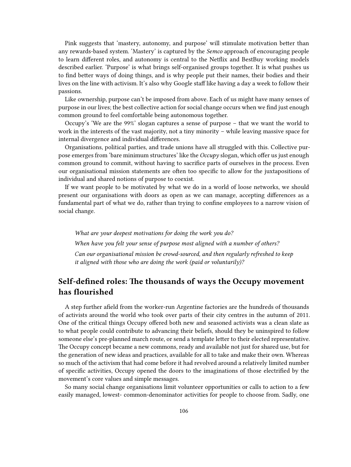Pink suggests that 'mastery, autonomy, and purpose' will stimulate motivation better than any rewards-based system. 'Mastery' is captured by the *Semco* approach of encouraging people to learn different roles, and autonomy is central to the Netflix and BestBuy working models described earlier. 'Purpose' is what brings self-organised groups together. It is what pushes us to find better ways of doing things, and is why people put their names, their bodies and their lives on the line with activism. It's also why Google staff like having a day a week to follow their passions.

Like ownership, purpose can't be imposed from above. Each of us might have many senses of purpose in our lives; the best collective action for social change occurs when we find just enough common ground to feel comfortable being autonomous together.

Occupy's 'We are the 99%' slogan captures a sense of purpose – that we want the world to work in the interests of the vast majority, not a tiny minority – while leaving massive space for internal divergence and individual differences.

Organisations, political parties, and trade unions have all struggled with this. Collective purpose emerges from 'bare minimum structures' like the *Occupy* slogan, which offer us just enough common ground to commit, without having to sacrifice parts of ourselves in the process. Even our organisational mission statements are often too specific to allow for the juxtapositions of individual and shared notions of purpose to coexist.

If we want people to be motivated by what we do in a world of loose networks, we should present our organisations with doors as open as we can manage, accepting differences as a fundamental part of what we do, rather than trying to confine employees to a narrow vision of social change.

*What are your deepest motivations for doing the work you do? When have you felt your sense of purpose most aligned with a number of others? Can our organisational mission be crowd-sourced, and then regularly refreshed to keep it aligned with those who are doing the work (paid or voluntarily)?*

## **Self-defined roles: The thousands of ways the Occupy movement has flourished**

A step further afield from the worker-run Argentine factories are the hundreds of thousands of activists around the world who took over parts of their city centres in the autumn of 2011. One of the critical things Occupy offered both new and seasoned activists was a clean slate as to what people could contribute to advancing their beliefs, should they be uninspired to follow someone else's pre-planned march route, or send a template letter to their elected representative. The Occupy concept became a new commons, ready and available not just for shared use, but for the generation of new ideas and practices, available for all to take and make their own. Whereas so much of the activism that had come before it had revolved around a relatively limited number of specific activities, Occupy opened the doors to the imaginations of those electrified by the movement's core values and simple messages.

So many social change organisations limit volunteer opportunities or calls to action to a few easily managed, lowest- common-denominator activities for people to choose from. Sadly, one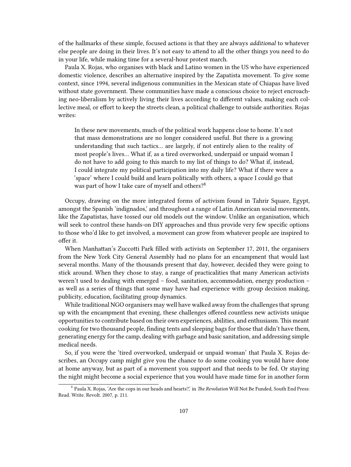of the hallmarks of these simple, focused actions is that they are always *additional* to whatever else people are doing in their lives. It's not easy to attend to all the other things you need to do in your life, while making time for a several-hour protest march.

Paula X. Rojas, who organises with black and Latino women in the US who have experienced domestic violence, describes an alternative inspired by the Zapatista movement. To give some context, since 1994, several indigenous communities in the Mexican state of Chiapas have lived without state government. These communities have made a conscious choice to reject encroaching neo-liberalism by actively living their lives according to different values, making each collective meal, or effort to keep the streets clean, a political challenge to outside authorities. Rojas writes:

In these new movements, much of the political work happens close to home. It's not that mass demonstrations are no longer considered useful. But there is a growing understanding that such tactics… are largely, if not entirely alien to the reality of most people's lives… What if, as a tired overworked, underpaid or unpaid woman I do not have to add going to this march to my list of things to do? What if, instead, I could integrate my political participation into my daily life? What if there were a 'space' where I could build and learn politically with others, a space I could go that was part of how I take care of myself and others?<sup>8</sup>

Occupy, drawing on the more integrated forms of activism found in Tahrir Square, Egypt, amongst the Spanish 'indignados,' and throughout a range of Latin American social movements, like the Zapatistas, have tossed our old models out the window. Unlike an organisation, which will seek to control these hands-on DIY approaches and thus provide very few specific options to those who'd like to get involved, a movement can grow from whatever people are inspired to offer it.

When Manhattan's Zuccotti Park filled with activists on September 17, 2011, the organisers from the New York City General Assembly had no plans for an encampment that would last several months. Many of the thousands present that day, however, decided they were going to stick around. When they chose to stay, a range of practicalities that many American activists weren't used to dealing with emerged – food, sanitation, accommodation, energy production – as well as a series of things that some may have had experience with: group decision making, publicity, education, facilitating group dynamics.

While traditional NGO organisers may well have walked away from the challenges that sprung up with the encampment that evening, these challenges offered countless new activists unique opportunities to contribute based on their own experiences, abilities, and enthusiasm. This meant cooking for two thousand people, finding tents and sleeping bags for those that didn't have them, generating energy for the camp, dealing with garbage and basic sanitation, and addressing simple medical needs.

So, if you were the 'tired overworked, underpaid or unpaid woman' that Paula X. Rojas describes, an Occupy camp might give you the chance to do some cooking you would have done at home anyway, but as part of a movement you support and that needs to be fed. Or staying the night might become a social experience that you would have made time for in another form

<sup>8</sup> Paula X. Rojas, 'Are the cops in our heads and hearts?,' in *The Revolution* Will Not Be Funded, South End Press: Read. Write. Revolt. 2007, p. 211.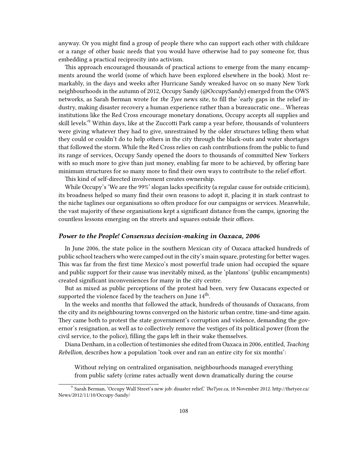anyway. Or you might find a group of people there who can support each other with childcare or a range of other basic needs that you would have otherwise had to pay someone for, thus embedding a practical reciprocity into activism.

This approach encouraged thousands of practical actions to emerge from the many encampments around the world (some of which have been explored elsewhere in the book). Most remarkably, in the days and weeks after Hurricane Sandy wreaked havoc on so many New York neighbourhoods in the autumn of 2012, Occupy Sandy (@OccupySandy) emerged from the OWS networks, as Sarah Berman wrote for *the Tyee* news site, to fill the 'early gaps in the relief industry, making disaster recovery a human experience rather than a bureaucratic one… Whereas institutions like the Red Cross encourage monetary donations, Occupy accepts all supplies and skill levels.'<sup>9</sup> Within days, like at the Zuccotti Park camp a year before, thousands of volunteers were giving whatever they had to give, unrestrained by the older structures telling them what they could or couldn't do to help others in the city through the black-outs and water shortages that followed the storm. While the Red Cross relies on cash contributions from the public to fund its range of services, Occupy Sandy opened the doors to thousands of committed New Yorkers with so much more to give than just money, enabling far more to be achieved, by offering bare minimum structures for so many more to find their own ways to contribute to the relief effort.

This kind of self-directed involvement creates ownership.

While Occupy's 'We are the 99%' slogan lacks specificity (a regular cause for outside criticism), its broadness helped so many find their own reasons to adopt it, placing it in stark contrast to the niche taglines our organisations so often produce for our campaigns or services. Meanwhile, the vast majority of these organisations kept a significant distance from the camps, ignoring the countless lessons emerging on the streets and squares outside their offices.

#### *Power to the People! Consensus decision-making in Oaxaca, 2006*

In June 2006, the state police in the southern Mexican city of Oaxaca attacked hundreds of public school teachers who were camped out in the city's main square, protesting for better wages. This was far from the first time Mexico's most powerful trade union had occupied the square and public support for their cause was inevitably mixed, as the 'plantons' (public encampments) created significant inconveniences for many in the city centre.

But as mixed as public perceptions of the protest had been, very few Oaxacans expected or supported the violence faced by the teachers on June  $14^{\text{th}}$ .

In the weeks and months that followed the attack, hundreds of thousands of Oaxacans, from the city and its neighbouring towns converged on the historic urban centre, time-and-time again. They came both to protest the state government's corruption and violence, demanding the governor's resignation, as well as to collectively remove the vestiges of its political power (from the civil service, to the police), filling the gaps left in their wake themselves.

Diana Denham, in a collection of testimonies she edited from Oaxaca in 2006, entitled, *Teaching Rebellion*, describes how a population 'took over and ran an entire city for six months':

Without relying on centralized organisation, neighbourhoods managed everything from public safety (crime rates actually went down dramatically during the course

<sup>9</sup> Sarah Berman, 'Occupy Wall Street's new job: disaster relief,' *TheTyee.ca,* 10 November 2012. http://thetyee.ca/ News/2012/11/10/Occupy-Sandy/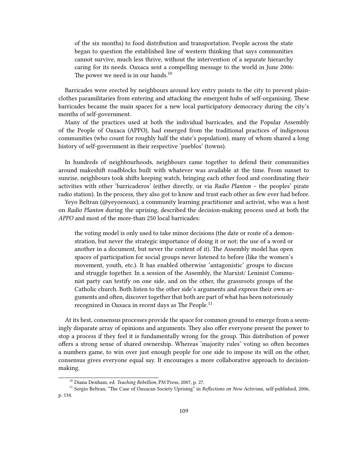of the six months) to food distribution and transportation. People across the state began to question the established line of western thinking that says communities cannot survive, much less thrive, without the intervention of a separate hierarchy caring for its needs. Oaxaca sent a compelling message to the world in June 2006: The power we need is in our hands. $10$ 

Barricades were erected by neighbours around key entry points to the city to prevent plainclothes paramilitaries from entering and attacking the emergent hubs of self-organising. These barricades became the main spaces for a new local participatory democracy during the city's months of self-government.

Many of the practices used at both the individual barricades, and the Popular Assembly of the People of Oaxaca (APPO), had emerged from the traditional practices of indigenous communities (who count for roughly half the state's population), many of whom shared a long history of self-government in their respective 'pueblos' (towns).

In hundreds of neighbourhoods, neighbours came together to defend their communities around makeshift roadblocks built with whatever was available at the time. From sunset to sunrise, neighbours took shifts keeping watch, bringing each other food and coordinating their activities with other 'barricaderos' (either directly, or via *Radio Planton* – the peoples' pirate radio station). In the process, they also got to know and trust each other as few ever had before.

Yeyo Beltran (@yeyoenoax), a community learning practitioner and activist, who was a host on *Radio Planton* during the uprising, described the decision-making process used at both the *APPO* and most of the more-than 250 local barricades:

the voting model is only used to take minor decisions (the date or route of a demonstration, but never the strategic importance of doing it or not; the use of a word or another in a document, but never the content of it). The Assembly model has open spaces of participation for social groups never listened to before (like the women's movement, youth, etc.). It has enabled otherwise 'antagonistic' groups to discuss and struggle together. In a session of the Assembly, the Marxist/ Leninist Communist party can testify on one side, and on the other, the grassroots groups of the Catholic church. Both listen to the other side's arguments and express their own arguments and often, discover together that both are part of what has been notoriously recognized in Oaxaca in recent days as The People.<sup>11</sup>

At its best, consensus processes provide the space for common ground to emerge from a seemingly disparate array of opinions and arguments. They also offer everyone present the power to stop a process if they feel it is fundamentally wrong for the group. This distribution of power offers a strong sense of shared ownership. Whereas 'majority rules' voting so often becomes a numbers game, to win over just enough people for one side to impose its will on the other, consensus gives everyone equal say. It encourages a more collaborative approach to decisionmaking.

<sup>10</sup> Diana Denham, ed. *Teaching Rebellion,* PM Press, 2007, p. 27.

<sup>&</sup>lt;sup>11</sup> Sergio Beltran, "The Case of Oaxacan Society Uprising" in *Reflections on Now Activism*, self-published, 2006, p. 134.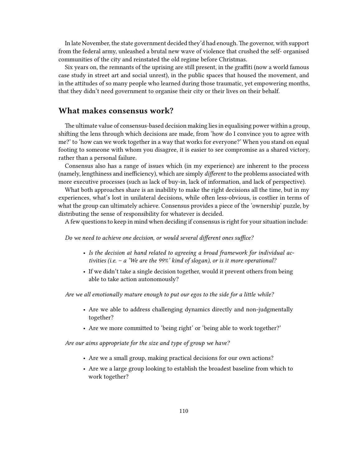In late November, the state government decided they'd had enough.The governor, with support from the federal army, unleashed a brutal new wave of violence that crushed the self- organised communities of the city and reinstated the old regime before Christmas.

Six years on, the remnants of the uprising are still present, in the graffiti (now a world famous case study in street art and social unrest), in the public spaces that housed the movement, and in the attitudes of so many people who learned during those traumatic, yet empowering months, that they didn't need government to organise their city or their lives on their behalf.

## **What makes consensus work?**

The ultimate value of consensus-based decision making lies in equalising power within a group, shifting the lens through which decisions are made, from 'how do I convince you to agree with me?' to 'how can we work together in a way that works for everyone?' When you stand on equal footing to someone with whom you disagree, it is easier to see compromise as a shared victory, rather than a personal failure.

Consensus also has a range of issues which (in my experience) are inherent to the process (namely, lengthiness and inefficiency), which are simply *different* to the problems associated with more executive processes (such as lack of buy-in, lack of information, and lack of perspective).

What both approaches share is an inability to make the right decisions all the time, but in my experiences, what's lost in unilateral decisions, while often less-obvious, is costlier in terms of what the group can ultimately achieve. Consensus provides a piece of the 'ownership' puzzle, by distributing the sense of responsibility for whatever is decided.

A few questions to keep in mind when deciding if consensus is right for your situation include:

*Do we need to achieve one decision, or would several different ones suffice?*

- *Is the decision at hand related to agreeing a broad framework for individual activities (i.e. – a 'We are the 99%' kind of slogan), or is it more operational?*
- If we didn't take a single decision together, would it prevent others from being able to take action autonomously?

*Are we all emotionally mature enough to put our egos to the side for a little while?*

- Are we able to address challenging dynamics directly and non-judgmentally together?
- Are we more committed to 'being right' or 'being able to work together?'

*Are our aims appropriate for the size and type of group we have?*

- Are we a small group, making practical decisions for our own actions?
- Are we a large group looking to establish the broadest baseline from which to work together?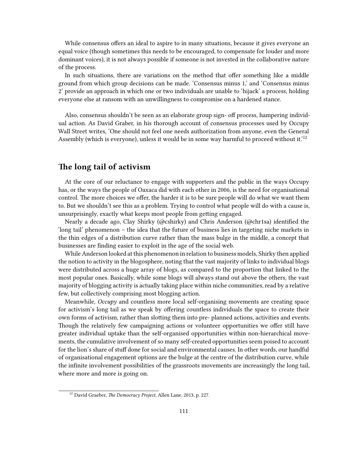While consensus offers an ideal to aspire to in many situations, because it gives everyone an equal voice (though sometimes this needs to be encouraged, to compensate for louder and more dominant voices), it is not always possible if someone is not invested in the collaborative nature of the process.

In such situations, there are variations on the method that offer something like a middle ground from which group decisions can be made. 'Consensus minus 1,' and 'Consensus minus 2' provide an approach in which one or two individuals are unable to 'hijack' a process, holding everyone else at ransom with an unwillingness to compromise on a hardened stance.

Also, consensus shouldn't be seen as an elaborate group sign- off process, hampering individual action. As David Graber, in his thorough account of consensus processes used by Occupy Wall Street writes, 'One should not feel one needs authorization from anyone, even the General Assembly (which is everyone), unless it would be in some way harmful to proceed without it.<sup>'12</sup>

## **The long tail of activism**

At the core of our reluctance to engage with supporters and the public in the ways Occupy has, or the ways the people of Oaxaca did with each other in 2006, is the need for organisational control. The more choices we offer, the harder it is to be sure people will do what we want them to. But we shouldn't see this as a problem. Trying to control what people will do with a cause is, unsurprisingly, exactly what keeps most people from getting engaged.

Nearly a decade ago, Clay Shirky (@cshirky) and Chris Anderson (@chr1sa) identified the 'long tail' phenomenon – the idea that the future of business lies in targeting niche markets in the thin edges of a distribution curve rather than the mass bulge in the middle, a concept that businesses are finding easier to exploit in the age of the social web.

While Anderson looked at this phenomenon in relation to business models, Shirky then applied the notion to activity in the blogosphere, noting that the vast majority of links to individual blogs were distributed across a huge array of blogs, as compared to the proportion that linked to the most popular ones. Basically, while some blogs will always stand out above the others, the vast majority of blogging activity is actually taking place within niche communities, read by a relative few, but collectively comprising most blogging action.

Meanwhile, *Occupy* and countless more local self-organising movements are creating space for activism's long tail as we speak by offering countless individuals the space to create their own forms of activism, rather than slotting them into pre- planned actions, activities and events. Though the relatively few campaigning actions or volunteer opportunities we offer still have greater individual uptake than the self-organised opportunities within non-hierarchical movements, the cumulative involvement of so many self-created opportunities seem poised to account for the lion's share of stuff done for social and environmental causes. In other words, our handful of organisational engagement options are the bulge at the centre of the distribution curve, while the infinite involvement possibilities of the grassroots movements are increasingly the long tail, where more and more is going on.

<sup>12</sup> David Graeber, *The Democracy Project*, Allen Lane, 2013, p. 227.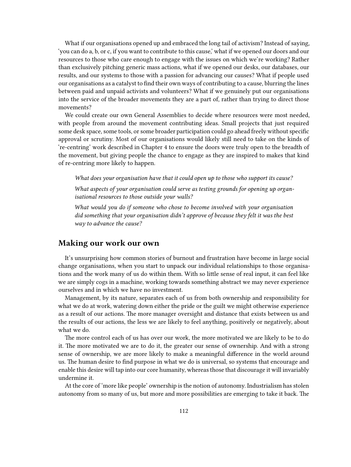What if our organisations opened up and embraced the long tail of activism? Instead of saying, 'you can do a, b, or c, if you want to contribute to this cause,' what if we opened our doors and our resources to those who care enough to engage with the issues on which we're working? Rather than exclusively pitching generic mass actions, what if we opened our desks, our databases, our results, and our systems to those with a passion for advancing our causes? What if people used our organisations as a catalyst to find their own ways of contributing to a cause, blurring the lines between paid and unpaid activists and volunteers? What if we genuinely put our organisations into the service of the broader movements they are a part of, rather than trying to direct those movements?

We could create our own General Assemblies to decide where resources were most needed, with people from around the movement contributing ideas. Small projects that just required some desk space, some tools, or some broader participation could go ahead freely without specific approval or scrutiny. Most of our organisations would likely still need to take on the kinds of 're-centring' work described in Chapter 4 to ensure the doors were truly open to the breadth of the movement, but giving people the chance to engage as they are inspired to makes that kind of re-centring more likely to happen.

*What does your organisation have that it could open up to those who support its cause?*

*What aspects of your organisation could serve as testing grounds for opening up organisational resources to those outside your walls?*

*What would you do if someone who chose to become involved with your organisation did something that your organisation didn't approve of because they felt it was the best way to advance the cause?*

## **Making our work our own**

It's unsurprising how common stories of burnout and frustration have become in large social change organisations, when you start to unpack our individual relationships to those organisations and the work many of us do within them. With so little sense of real input, it can feel like we are simply cogs in a machine, working towards something abstract we may never experience ourselves and in which we have no investment.

Management, by its nature, separates each of us from both ownership and responsibility for what we do at work, watering down either the pride or the guilt we might otherwise experience as a result of our actions. The more manager oversight and distance that exists between us and the results of our actions, the less we are likely to feel anything, positively or negatively, about what we do.

The more control each of us has over our work, the more motivated we are likely to be to do it. The more motivated we are to do it, the greater our sense of ownership. And with a strong sense of ownership, we are more likely to make a meaningful difference in the world around us. The human desire to find purpose in what we do is universal, so systems that encourage and enable this desire will tap into our core humanity, whereas those that discourage it will invariably undermine it.

At the core of 'more like people' ownership is the notion of autonomy. Industrialism has stolen autonomy from so many of us, but more and more possibilities are emerging to take it back. The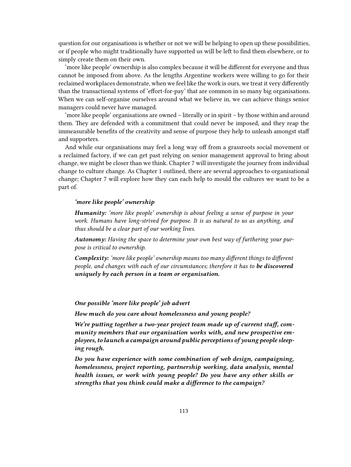question for our organisations is whether or not we will be helping to open up these possibilities, or if people who might traditionally have supported us will be left to find them elsewhere, or to simply create them on their own.

'more like people' ownership is also complex because it will be different for everyone and thus cannot be imposed from above. As the lengths Argentine workers were willing to go for their reclaimed workplaces demonstrate, when we feel like the work is ours, we treat it very differently than the transactional systems of 'effort-for-pay' that are common in so many big organisations. When we can self-organise ourselves around what we believe in, we can achieve things senior managers could never have managed.

'more like people' organisations are owned – literally or in spirit – by those within and around them. They are defended with a commitment that could never be imposed, and they reap the immeasurable benefits of the creativity and sense of purpose they help to unleash amongst staff and supporters.

And while our organisations may feel a long way off from a grassroots social movement or a reclaimed factory, if we can get past relying on senior management approval to bring about change, we might be closer than we think. Chapter 7 will investigate the journey from individual change to culture change. As Chapter 1 outlined, there are several approaches to organisational change; Chapter 7 will explore how they can each help to mould the cultures we want to be a part of.

#### *'more like people' ownership*

*Humanity: 'more like people' ownership is about feeling a sense of purpose in your work. Humans have long-strived for purpose. It is as natural to us as anything, and thus should be a clear part of our working lives.*

*Autonomy: Having the space to determine your own best way of furthering your purpose is critical to ownership.*

*Complexity: 'more like people' ownership means too many different things to different people, and changes with each of our circumstances; therefore it has to be discovered uniquely by each person in a team or organisation.*

*One possible 'more like people' job advert*

*How much do you care about homelessness and young people?*

*We're putting together a two-year project team made up of current staff, community members that our organisation works with, and new prospective employees, to launch a campaign around public perceptions of young people sleeping rough.*

*Do you have experience with some combination of web design, campaigning, homelessness, project reporting, partnership working, data analysis, mental health issues, or work with young people? Do you have any other skills or strengths that you think could make a difference to the campaign?*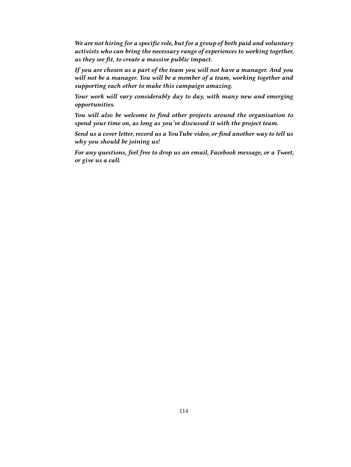*We are not hiring for a specific role, but for a group of both paid and voluntary activists who can bring the necessary range of experiences to working together, as they see fit, to create a massive public impact.*

*If you are chosen as a part of the team you will not have a manager. And you will not be a manager. You will be a member of a team, working together and supporting each other to make this campaign amazing.*

*Your work will vary considerably day to day, with many new and emerging opportunities.*

*You will also be welcome to find other projects around the organisation to spend your time on, as long as you've discussed it with the project team.*

*Send us a cover letter, record us a YouTube video, or find another way to tell us why you should be joining us!*

*For any questions, feel free to drop us an email, Facebook message, or a Tweet, or give us a call.*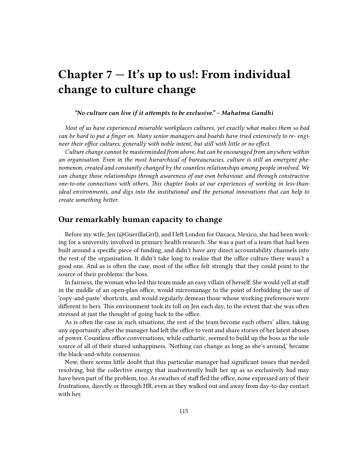# **Chapter 7 — It's up to us!: From individual change to culture change**

#### *"No culture can live if it attempts to be exclusive." – Mahatma Gandhi*

*Most of us have experienced miserable workplaces cultures, yet exactly what makes them so bad can be hard to put a finger on. Many senior managers and boards have tried extensively to re- engineer their office cultures, generally with noble intent, but still with little or no effect.*

*Culture change cannot be masterminded from above, but can be encouraged from anywhere within an organisation. Even in the most hierarchical of bureaucracies, culture is still an emergent phenomenon, created and constantly changed by the countless relationships among people involved. We can change those relationships through awareness of our own behaviour, and through constructive one-to-one connections with others. This chapter looks at our experiences of working in less-thanideal environments, and digs into the institutional and the personal innovations that can help to create something better.*

## **Our remarkably human capacity to change**

Before my wife, Jen (@GuerillaGrrl), and I left London for Oaxaca, Mexico, she had been working for a university involved in primary health research. She was a part of a team that had been built around a specific piece of funding, and didn't have any direct accountability channels into the rest of the organisation. It didn't take long to realise that the office culture there wasn't a good one. And as is often the case, most of the office felt strongly that they could point to the source of their problems: the boss.

In fairness, the woman who led this team made an easy villain of herself. She would yell at staff in the middle of an open-plan office, would micromanage to the point of forbidding the use of 'copy-and-paste' shortcuts, and would regularly demean those whose working preferences were different to hers. This environment took its toll on Jen each day, to the extent that she was often stressed at just the thought of going back to the office.

As is often the case in such situations, the rest of the team become each others' allies, taking any opportunity after the manager had left the office to vent and share stories of her latest abuses of power. Countless office conversations, while cathartic, seemed to build up the boss as the sole source of all of their shared unhappiness. 'Nothing can change as long as she's around,' became the black-and-white consensus.

Now, there seems little doubt that this particular manager had significant issues that needed resolving, but the collective energy that inadvertently built her up as so exclusively bad may have been part of the problem, too. As swathes of staff fled the office, none expressed any of their frustrations, directly or through HR, even as they walked out and away from day-to-day contact with her.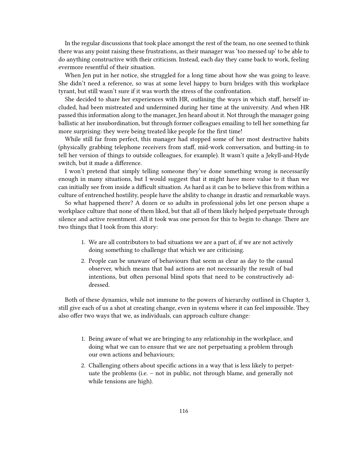In the regular discussions that took place amongst the rest of the team, no one seemed to think there was any point raising these frustrations, as their manager was 'too messed up' to be able to do anything constructive with their criticism. Instead, each day they came back to work, feeling evermore resentful of their situation.

When Jen put in her notice, she struggled for a long time about how she was going to leave. She didn't need a reference, so was at some level happy to burn bridges with this workplace tyrant, but still wasn't sure if it was worth the stress of the confrontation.

She decided to share her experiences with HR, outlining the ways in which staff, herself included, had been mistreated and undermined during her time at the university. And when HR passed this information along to the manager, Jen heard about it. Not through the manager going ballistic at her insubordination, but through former colleagues emailing to tell her something far more surprising: they were being treated like people for the first time!

While still far from perfect, this manager had stopped some of her most destructive habits (physically grabbing telephone receivers from staff, mid-work conversation, and butting-in to tell her version of things to outside colleagues, for example). It wasn't quite a Jekyll-and-Hyde switch, but it made a difference.

I won't pretend that simply telling someone they've done something wrong is necessarily enough in many situations, but I would suggest that it might have more value to it than we can initially see from inside a difficult situation. As hard as it can be to believe this from within a culture of entrenched hostility, people have the ability to change in drastic and remarkable ways.

So what happened there? A dozen or so adults in professional jobs let one person shape a workplace culture that none of them liked, but that all of them likely helped perpetuate through silence and active resentment. All it took was one person for this to begin to change. There are two things that I took from this story:

- 1. We are all contributors to bad situations we are a part of, if we are not actively doing something to challenge that which we are criticising.
- 2. People can be unaware of behaviours that seem as clear as day to the casual observer, which means that bad actions are not necessarily the result of bad intentions, but often personal blind spots that need to be constructively addressed.

Both of these dynamics, while not immune to the powers of hierarchy outlined in Chapter 3, still give each of us a shot at creating change, even in systems where it can feel impossible. They also offer two ways that we, as individuals, can approach culture change:

- 1. Being aware of what we are bringing to any relationship in the workplace, and doing what we can to ensure that we are not perpetuating a problem through our own actions and behaviours;
- 2. Challenging others about specific actions in a way that is less likely to perpetuate the problems (i.e. – not in public, not through blame, and generally not while tensions are high).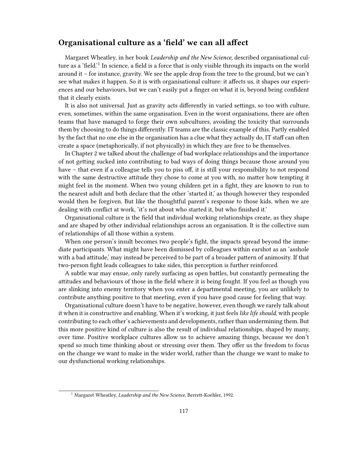## **Organisational culture as a 'field' we can all affect**

Margaret Wheatley, in her book *Leadership and the New Science*, described organisational culture as a 'field.'<sup>1</sup> In science, a field is a force that is only visible through its impacts on the world around it – for instance, gravity. We see the apple drop from the tree to the ground, but we can't see what makes it happen. So it is with organisational culture: it affects us, it shapes our experiences and our behaviours, but we can't easily put a finger on what it is, beyond being confident that it clearly exists.

It is also not universal. Just as gravity acts differently in varied settings, so too with culture, even, sometimes, within the same organisation. Even in the worst organisations, there are often teams that have managed to forge their own subcultures, avoiding the toxicity that surrounds them by choosing to do things differently. IT teams are the classic example of this. Partly enabled by the fact that no one else in the organisation has a clue what they actually do, IT staff can often create a space (metaphorically, if not physically) in which they are free to be themselves.

In Chapter 2 we talked about the challenge of bad workplace relationships and the importance of not getting sucked into contributing to bad ways of doing things because those around you have – that even if a colleague tells you to piss off, it is still your responsibility to not respond with the same destructive attitude they chose to come at you with, no matter how tempting it might feel in the moment. When two young children get in a fight, they are known to run to the nearest adult and both declare that the other 'started it,' as though however they responded would then be forgiven. But like the thoughtful parent's response to those kids, when we are dealing with conflict at work, 'it's not about who started it, but who finished it.'

Organisational culture is the field that individual working relationships create, as they shape and are shaped by other individual relationships across an organisation. It is the collective sum of relationships of all those within a system.

When one person's insult becomes two people's fight, the impacts spread beyond the immediate participants. What might have been dismissed by colleagues within earshot as an 'asshole with a bad attitude,' may instead be perceived to be part of a broader pattern of animosity. If that two-person fight leads colleagues to take sides, this perception is further reinforced.

A subtle war may ensue, only rarely surfacing as open battles, but constantly permeating the attitudes and behaviours of those in the field where it is being fought. If you feel as though you are slinking into enemy territory when you enter a departmental meeting, you are unlikely to contribute anything positive to that meeting, even if you have good cause for feeling that way.

Organisational culture doesn't have to be negative, however, even though we rarely talk about it when it is constructive and enabling. When it's working, it just feels*like life should*, with people contributing to each other's achievements and developments, rather than undermining them. But this more positive kind of culture is also the result of individual relationships, shaped by many, over time. Positive workplace cultures allow us to achieve amazing things, because we don't spend so much time thinking about or stressing over them. They offer us the freedom to focus on the change we want to make in the wider world, rather than the change we want to make to our dysfunctional working relationships.

<sup>1</sup> Margaret Wheatley, *Leadership and the New Science*, Berrett-Koehler, 1992.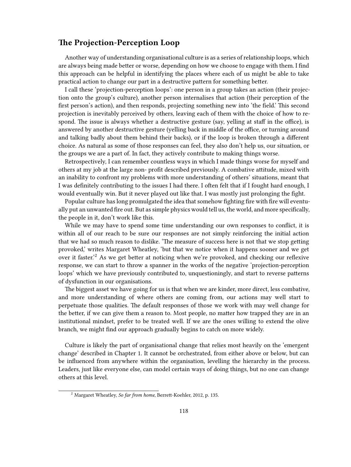## **The Projection-Perception Loop**

Another way of understanding organisational culture is as a series of relationship loops, which are always being made better or worse, depending on how we choose to engage with them. I find this approach can be helpful in identifying the places where each of us might be able to take practical action to change our part in a destructive pattern for something better.

I call these 'projection-perception loops': one person in a group takes an action (their projection onto the group's culture), another person internalises that action (their perception of the first person's action), and then responds, projecting something new into 'the field.' This second projection is inevitably perceived by others, leaving each of them with the choice of how to respond. The issue is always whether a destructive gesture (say, yelling at staff in the office), is answered by another destructive gesture (yelling back in middle of the office, or turning around and talking badly about them behind their backs), or if the loop is broken through a different choice. As natural as some of those responses can feel, they also don't help us, our situation, or the groups we are a part of. In fact, they actively contribute to making things worse.

Retrospectively, I can remember countless ways in which I made things worse for myself and others at my job at the large non- profit described previously. A combative attitude, mixed with an inability to confront my problems with more understanding of others' situations, meant that I was definitely contributing to the issues I had there. I often felt that if I fought hard enough, I would eventually win. But it never played out like that. I was mostly just prolonging the fight.

Popular culture has long promulgated the idea that somehow fighting fire with fire will eventually put an unwanted fire out. But as simple physics would tell us, the world, and more specifically, the people in it, don't work like this.

While we may have to spend some time understanding our own responses to conflict, it is within all of our reach to be sure our responses are not simply reinforcing the initial action that we had so much reason to dislike. 'The measure of success here is not that we stop getting provoked,' writes Margaret Wheatley, 'but that we notice when it happens sooner and we get over it faster.'<sup>2</sup> As we get better at noticing when we're provoked, and checking our reflexive response, we can start to throw a spanner in the works of the negative 'projection-perception loops' which we have previously contributed to, unquestioningly, and start to reverse patterns of dysfunction in our organisations.

The biggest asset we have going for us is that when we are kinder, more direct, less combative, and more understanding of where others are coming from, our actions may well start to perpetuate those qualities. The default responses of those we work with may well change for the better, if we can give them a reason to. Most people, no matter how trapped they are in an institutional mindset, prefer to be treated well. If we are the ones willing to extend the olive branch, we might find our approach gradually begins to catch on more widely.

Culture is likely the part of organisational change that relies most heavily on the 'emergent change' described in Chapter 1. It cannot be orchestrated, from either above or below, but can be influenced from anywhere within the organisation, levelling the hierarchy in the process. Leaders, just like everyone else, can model certain ways of doing things, but no one can change others at this level.

<sup>2</sup> Margaret Wheatley, *So far from home*, Berrett-Koehler, 2012, p. 135.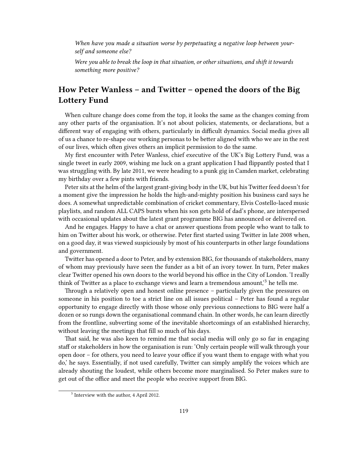*When have you made a situation worse by perpetuating a negative loop between yourself and someone else?*

*Were you able to break the loop in that situation, or other situations, and shift it towards something more positive?*

# **How Peter Wanless – and Twitter – opened the doors of the Big Lottery Fund**

When culture change does come from the top, it looks the same as the changes coming from any other parts of the organisation. It's not about policies, statements, or declarations, but a different way of engaging with others, particularly in difficult dynamics. Social media gives all of us a chance to re-shape our working personas to be better aligned with who we are in the rest of our lives, which often gives others an implicit permission to do the same.

My first encounter with Peter Wanless, chief executive of the UK's Big Lottery Fund, was a single tweet in early 2009, wishing me luck on a grant application I had flippantly posted that I was struggling with. By late 2011, we were heading to a punk gig in Camden market, celebrating my birthday over a few pints with friends.

Peter sits at the helm of the largest grant-giving body in the UK, but his Twitter feed doesn't for a moment give the impression he holds the high-and-mighty position his business card says he does. A somewhat unpredictable combination of cricket commentary, Elvis Costello-laced music playlists, and random ALL CAPS bursts when his son gets hold of dad's phone, are interspersed with occasional updates about the latest grant programme BIG has announced or delivered on.

And he engages. Happy to have a chat or answer questions from people who want to talk to him on Twitter about his work, or otherwise. Peter first started using Twitter in late 2008 when, on a good day, it was viewed suspiciously by most of his counterparts in other large foundations and government.

Twitter has opened a door to Peter, and by extension BIG, for thousands of stakeholders, many of whom may previously have seen the funder as a bit of an ivory tower. In turn, Peter makes clear Twitter opened his own doors to the world beyond his office in the City of London. 'I really think of Twitter as a place to exchange views and learn a tremendous amount,'<sup>3</sup> he tells me.

Through a relatively open and honest online presence – particularly given the pressures on someone in his position to toe a strict line on all issues political – Peter has found a regular opportunity to engage directly with those whose only previous connections to BIG were half a dozen or so rungs down the organisational command chain. In other words, he can learn directly from the frontline, subverting some of the inevitable shortcomings of an established hierarchy, without leaving the meetings that fill so much of his days.

That said, he was also keen to remind me that social media will only go so far in engaging staff or stakeholders in how the organisation is run: 'Only certain people will walk through your open door – for others, you need to leave your office if you want them to engage with what you do,' he says. Essentially, if not used carefully, Twitter can simply amplify the voices which are already shouting the loudest, while others become more marginalised. So Peter makes sure to get out of the office and meet the people who receive support from BIG.

<sup>&</sup>lt;sup>3</sup> Interview with the author, 4 April 2012.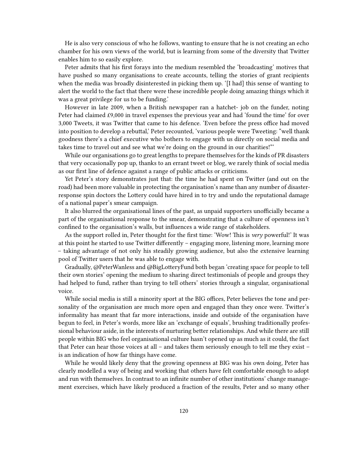He is also very conscious of who he follows, wanting to ensure that he is not creating an echo chamber for his own views of the world, but is learning from some of the diversity that Twitter enables him to so easily explore.

Peter admits that his first forays into the medium resembled the 'broadcasting' motives that have pushed so many organisations to create accounts, telling the stories of grant recipients when the media was broadly disinterested in picking them up. '[I had] this sense of wanting to alert the world to the fact that there were these incredible people doing amazing things which it was a great privilege for us to be funding.'

However in late 2009, when a British newspaper ran a hatchet- job on the funder, noting Peter had claimed £9,000 in travel expenses the previous year and had 'found the time' for over 3,000 Tweets, it was Twitter that came to his defence. 'Even before the press office had moved into position to develop a rebuttal,' Peter recounted, 'various people were Tweeting: "well thank goodness there's a chief executive who bothers to engage with us directly on social media and takes time to travel out and see what we're doing on the ground in our charities!"'

While our organisations go to great lengths to prepare themselves for the kinds of PR disasters that very occasionally pop up, thanks to an errant tweet or blog, we rarely think of social media as our first line of defence against a range of public attacks or criticisms.

Yet Peter's story demonstrates just that: the time he had spent on Twitter (and out on the road) had been more valuable in protecting the organisation's name than any number of disasterresponse spin doctors the Lottery could have hired in to try and undo the reputational damage of a national paper's smear campaign.

It also blurred the organisational lines of the past, as unpaid supporters unofficially became a part of the organisational response to the smear, demonstrating that a culture of openness isn't confined to the organisation's walls, but influences a wide range of stakeholders.

As the support rolled in, Peter thought for the first time: 'Wow! This is *very* powerful!' It was at this point he started to use Twitter differently – engaging more, listening more, learning more – taking advantage of not only his steadily growing audience, but also the extensive learning pool of Twitter users that he was able to engage with.

Gradually, @PeterWanless and @BigLotteryFund both began 'creating space for people to tell their own stories' opening the medium to sharing direct testimonials of people and groups they had helped to fund, rather than trying to tell others' stories through a singular, organisational voice.

While social media is still a minority sport at the BIG offices, Peter believes the tone and personality of the organisation are much more open and engaged than they once were. Twitter's informality has meant that far more interactions, inside and outside of the organisation have begun to feel, in Peter's words, more like an 'exchange of equals', brushing traditionally professional behaviour aside, in the interests of nurturing better relationships. And while there are still people within BIG who feel organisational culture hasn't opened up as much as it could, the fact that Peter can hear those voices at all – and takes them seriously enough to tell me they exist – is an indication of how far things have come.

While he would likely deny that the growing openness at BIG was his own doing, Peter has clearly modelled a way of being and working that others have felt comfortable enough to adopt and run with themselves. In contrast to an infinite number of other institutions' change management exercises, which have likely produced a fraction of the results, Peter and so many other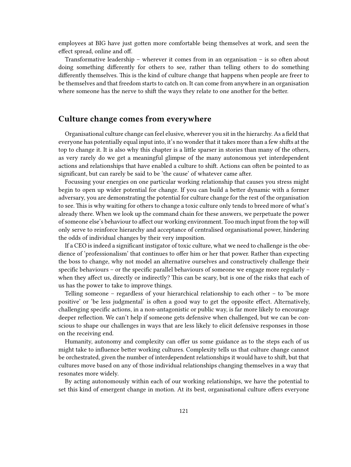employees at BIG have just gotten more comfortable being themselves at work, and seen the effect spread, online and off.

Transformative leadership – wherever it comes from in an organisation – is so often about doing something differently for others to see, rather than telling others to do something differently themselves. This is the kind of culture change that happens when people are freer to be themselves and that freedom starts to catch on. It can come from anywhere in an organisation where someone has the nerve to shift the ways they relate to one another for the better.

## **Culture change comes from everywhere**

Organisational culture change can feel elusive, wherever you sit in the hierarchy. As a field that everyone has potentially equal input into, it's no wonder that it takes more than a few shifts at the top to change it. It is also why this chapter is a little sparser in stories than many of the others, as very rarely do we get a meaningful glimpse of the many autonomous yet interdependent actions and relationships that have enabled a culture to shift. Actions can often be pointed to as significant, but can rarely be said to be 'the cause' of whatever came after.

Focussing your energies on one particular working relationship that causes you stress might begin to open up wider potential for change. If you can build a better dynamic with a former adversary, you are demonstrating the potential for culture change for the rest of the organisation to see. This is why waiting for others to change a toxic culture only tends to breed more of what's already there. When we look up the command chain for these answers, we perpetuate the power of someone else's behaviour to affect our working environment. Too much input from the top will only serve to reinforce hierarchy and acceptance of centralised organisational power, hindering the odds of individual changes by their very imposition.

If a CEO is indeed a significant instigator of toxic culture, what we need to challenge is the obedience of 'professionalism' that continues to offer him or her that power. Rather than expecting the boss to change, why not model an alternative ourselves and constructively challenge their specific behaviours – or the specific parallel behaviours of someone we engage more regularly – when they affect us, directly or indirectly? This can be scary, but is one of the risks that each of us has the power to take to improve things.

Telling someone – regardless of your hierarchical relationship to each other – to 'be more positive' or 'be less judgmental' is often a good way to get the opposite effect. Alternatively, challenging specific actions, in a non-antagonistic or public way, is far more likely to encourage deeper reflection. We can't help if someone gets defensive when challenged, but we can be conscious to shape our challenges in ways that are less likely to elicit defensive responses in those on the receiving end.

Humanity, autonomy and complexity can offer us some guidance as to the steps each of us might take to influence better working cultures. Complexity tells us that culture change cannot be orchestrated, given the number of interdependent relationships it would have to shift, but that cultures move based on any of those individual relationships changing themselves in a way that resonates more widely.

By acting autonomously within each of our working relationships, we have the potential to set this kind of emergent change in motion. At its best, organisational culture offers everyone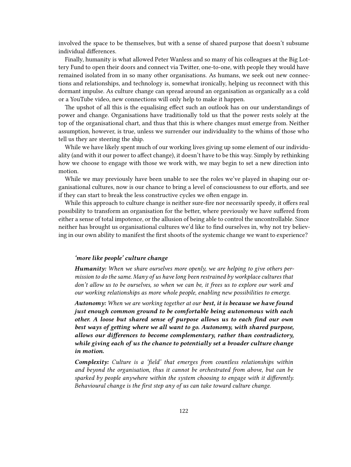involved the space to be themselves, but with a sense of shared purpose that doesn't subsume individual differences.

Finally, humanity is what allowed Peter Wanless and so many of his colleagues at the Big Lottery Fund to open their doors and connect via Twitter, one-to-one, with people they would have remained isolated from in so many other organisations. As humans, we seek out new connections and relationships, and technology is, somewhat ironically, helping us reconnect with this dormant impulse. As culture change can spread around an organisation as organically as a cold or a YouTube video, new connections will only help to make it happen.

The upshot of all this is the equalising effect such an outlook has on our understandings of power and change. Organisations have traditionally told us that the power rests solely at the top of the organisational chart, and thus that this is where changes must emerge from. Neither assumption, however, is true, unless we surrender our individuality to the whims of those who tell us they are steering the ship.

While we have likely spent much of our working lives giving up some element of our individuality (and with it our power to affect change), it doesn't have to be this way. Simply by rethinking how we choose to engage with those we work with, we may begin to set a new direction into motion.

While we may previously have been unable to see the roles we've played in shaping our organisational cultures, now is our chance to bring a level of consciousness to our efforts, and see if they can start to break the less constructive cycles we often engage in.

While this approach to culture change is neither sure-fire nor necessarily speedy, it offers real possibility to transform an organisation for the better, where previously we have suffered from either a sense of total impotence, or the allusion of being able to control the uncontrollable. Since neither has brought us organisational cultures we'd like to find ourselves in, why not try believing in our own ability to manifest the first shoots of the systemic change we want to experience?

#### *'more like people' culture change*

*Humanity: When we share ourselves more openly, we are helping to give others permission to do the same. Many of us have long been restrained by workplace cultures that don't allow us to be ourselves, so when we can be, it frees us to explore our work and our working relationships as more whole people, enabling new possibilities to emerge.*

*Autonomy: When we are working together at our best, it is because we have found just enough common ground to be comfortable being autonomous with each other. A loose but shared sense of purpose allows us to each find our own best ways of getting where we all want to go. Autonomy, with shared purpose, allows our differences to become complementary, rather than contradictory, while giving each of us the chance to potentially set a broader culture change in motion.*

*Complexity: Culture is a 'field' that emerges from countless relationships within and beyond the organisation, thus it cannot be orchestrated from above, but can be sparked by people anywhere within the system choosing to engage with it differently. Behavioural change is the first step any of us can take toward culture change.*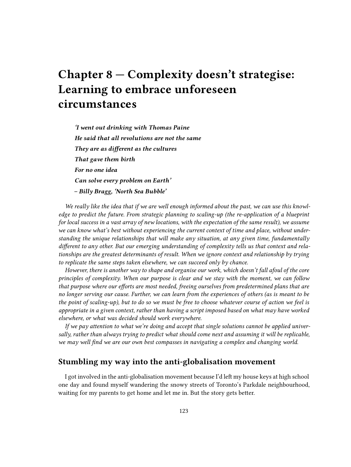# **Chapter 8 — Complexity doesn't strategise: Learning to embrace unforeseen circumstances**

*'I went out drinking with Thomas Paine He said that all revolutions are not the same They are as different as the cultures That gave them birth For no one idea Can solve every problem on Earth' – Billy Bragg, 'North Sea Bubble'*

*We really like the idea that if we are well enough informed about the past, we can use this knowledge to predict the future. From strategic planning to scaling-up (the re-application of a blueprint for local success in a vast array of new locations, with the expectation of the same result), we assume we can know what's best without experiencing the current context of time and place, without understanding the unique relationships that will make any situation, at any given time, fundamentally different to any other. But our emerging understanding of complexity tells us that context and relationships are the greatest determinants of result. When we ignore context and relationship by trying to replicate the same steps taken elsewhere, we can succeed only by chance.*

*However, there is another way to shape and organise our work, which doesn't fall afoul of the core principles of complexity. When our purpose is clear and we stay with the moment, we can follow that purpose where our efforts are most needed, freeing ourselves from predetermined plans that are no longer serving our cause. Further, we can learn from the experiences of others (as is meant to be the point of scaling-up), but to do so we must be free to choose whatever course of action we feel is appropriate in a given context, rather than having a script imposed based on what may have worked elsewhere, or what was decided should work everywhere.*

*If we pay attention to what we're doing and accept that single solutions cannot be applied universally, rather than always trying to predict what should come next and assuming it will be replicable, we may well find we are our own best compasses in navigating a complex and changing world.*

## **Stumbling my way into the anti-globalisation movement**

I got involved in the anti-globalisation movement because I'd left my house keys at high school one day and found myself wandering the snowy streets of Toronto's Parkdale neighbourhood, waiting for my parents to get home and let me in. But the story gets better.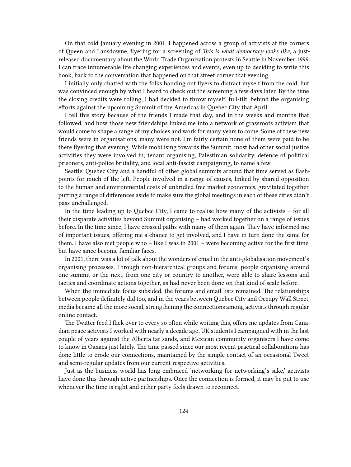On that cold January evening in 2001, I happened across a group of activists at the corners of Queen and Lansdowne, flyering for a screening of *This is what democracy looks like*, a justreleased documentary about the World Trade Organization protests in Seattle in November 1999. I can trace innumerable life changing experiences and events, even up to deciding to write this book, back to the conversation that happened on that street corner that evening.

I initially only chatted with the folks handing out flyers to distract myself from the cold, but was convinced enough by what I heard to check out the screening a few days later. By the time the closing credits were rolling, I had decided to throw myself, full-tilt, behind the organising efforts against the upcoming Summit of the Americas in Quebec City that April.

I tell this story because of the friends I made that day, and in the weeks and months that followed, and how those new friendships linked me into a network of grassroots activism that would come to shape a range of my choices and work for many years to come. Some of these new friends were in organisations, many were not. I'm fairly certain none of them were paid to be there flyering that evening. While mobilising towards the Summit, most had other social justice activities they were involved in; tenant organising, Palestinian solidarity, defence of political prisoners, anti-police brutality, and local anti-fascist campaigning, to name a few.

Seattle, Quebec City and a handful of other global summits around that time served as flashpoints for much of the left. People involved in a range of causes, linked by shared opposition to the human and environmental costs of unbridled free market economics, gravitated together, putting a range of differences aside to make sure the global meetings in each of these cities didn't pass unchallenged.

In the time leading up to Quebec City, I came to realise how many of the activists – for all their disparate activities beyond Summit organising – had worked together on a range of issues before. In the time since, I have crossed paths with many of them again. They have informed me of important issues, offering me a chance to get involved, and I have in turn done the same for them. I have also met people who – like I was in 2001 – were becoming active for the first time, but have since become familiar faces.

In 2001, there was a lot of talk about the wonders of email in the anti-globalisation movement's organising processes. Through non-hierarchical groups and forums, people organising around one summit or the next, from one city or country to another, were able to share lessons and tactics and coordinate actions together, as had never been done on that kind of scale before.

When the immediate focus subsided, the forums and email lists remained. The relationships between people definitely did too, and in the years between Quebec City and Occupy Wall Street, media became all the more social, strengthening the connections among activists through regular online contact.

The Twitter feed I flick over to every so often while writing this, offers me updates from Canadian peace activists I worked with nearly a decade ago, UK students I campaigned with in the last couple of years against the Alberta tar sands, and Mexican community organisers I have come to know in Oaxaca just lately. The time passed since our most recent practical collaborations has done little to erode our connections, maintained by the simple contact of an occasional Tweet and semi-regular updates from our current respective activities.

Just as the business world has long-embraced 'networking for networking's sake,' activists have done this through active partnerships. Once the connection is formed, it may be put to use whenever the time is right and either party feels drawn to reconnect.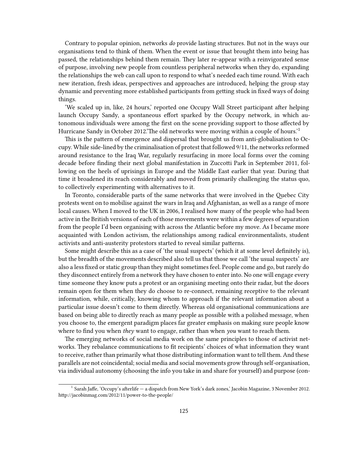Contrary to popular opinion, networks *do* provide lasting structures. But not in the ways our organisations tend to think of them. When the event or issue that brought them into being has passed, the relationships behind them remain. They later re-appear with a reinvigorated sense of purpose, involving new people from countless peripheral networks when they do, expanding the relationships the web can call upon to respond to what's needed each time round. With each new iteration, fresh ideas, perspectives and approaches are introduced, helping the group stay dynamic and preventing more established participants from getting stuck in fixed ways of doing things.

'We scaled up in, like, 24 hours,' reported one Occupy Wall Street participant after helping launch Occupy Sandy, a spontaneous effort sparked by the Occupy network, in which autonomous individuals were among the first on the scene providing support to those affected by Hurricane Sandy in October 2012.'The old networks were moving within a couple of hours.'<sup>1</sup>

This is the pattern of emergence and dispersal that brought us from anti-globalisation to Occupy. While side-lined by the criminalisation of protest that followed 9/11, the networks reformed around resistance to the Iraq War, regularly resurfacing in more local forms over the coming decade before finding their next global manifestation in Zuccotti Park in September 2011, following on the heels of uprisings in Europe and the Middle East earlier that year. During that time it broadened its reach considerably and moved from primarily challenging the status quo, to collectively experimenting with alternatives to it.

In Toronto, considerable parts of the same networks that were involved in the Quebec City protests went on to mobilise against the wars in Iraq and Afghanistan, as well as a range of more local causes. When I moved to the UK in 2006, I realised how many of the people who had been active in the British versions of each of those movements were within a few degrees of separation from the people I'd been organising with across the Atlantic before my move. As I became more acquainted with London activism, the relationships among radical environmentalists, student activists and anti-austerity protestors started to reveal similar patterns.

Some might describe this as a case of 'the usual suspects' (which it at some level definitely is), but the breadth of the movements described also tell us that those we call 'the usual suspects' are also a less fixed or static group than they might sometimes feel. People come and go, but rarely do they disconnect entirely from a network they have chosen to enter into. No one will engage every time someone they know puts a protest or an organising meeting onto their radar, but the doors remain open for them when they do choose to re-connect, remaining receptive to the relevant information, while, critically, knowing whom to approach if the relevant information about a particular issue doesn't come to them directly. Whereas old organisational communications are based on being able to directly reach as many people as possible with a polished message, when you choose to, the emergent paradigm places far greater emphasis on making sure people know where to find you when *they* want to engage, rather than when *you* want to reach them.

The emerging networks of social media work on the same principles to those of activist networks. They rebalance communications to fit recipients' choices of what information they want to receive, rather than primarily what those distributing information want to tell them. And these parallels are not coincidental; social media and social movements grow through self-organisation, via individual autonomy (choosing the info you take in and share for yourself) and purpose (con-

<sup>1</sup> Sarah Jaffe, 'Occupy's afterlife — a dispatch from New York's dark zones,' Jacobin Magazine, 3 November 2012. http://jacobinmag.com/2012/11/power-to-the-people/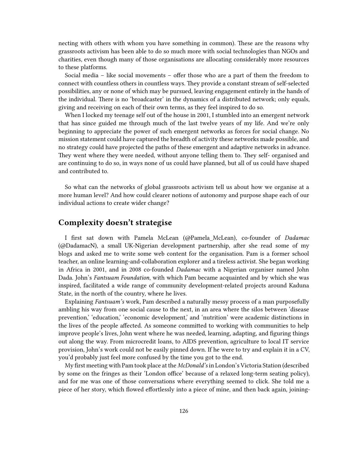necting with others with whom you have something in common). These are the reasons why grassroots activism has been able to do so much more with social technologies than NGOs and charities, even though many of those organisations are allocating considerably more resources to these platforms.

Social media – like social movements – offer those who are a part of them the freedom to connect with countless others in countless ways. They provide a constant stream of self-selected possibilities, any or none of which may be pursued, leaving engagement entirely in the hands of the individual. There is no 'broadcaster' in the dynamics of a distributed network; only equals, giving and receiving on each of their own terms, as they feel inspired to do so.

When I locked my teenage self out of the house in 2001, I stumbled into an emergent network that has since guided me through much of the last twelve years of my life. And we're only beginning to appreciate the power of such emergent networks as forces for social change. No mission statement could have captured the breadth of activity these networks made possible, and no strategy could have projected the paths of these emergent and adaptive networks in advance. They went where they were needed, without anyone telling them to. They self- organised and are continuing to do so, in ways none of us could have planned, but all of us could have shaped and contributed to.

So what can the networks of global grassroots activism tell us about how we organise at a more human level? And how could clearer notions of autonomy and purpose shape each of our individual actions to create wider change?

## **Complexity doesn't strategise**

I first sat down with Pamela McLean (@Pamela\_McLean), co-founder of *Dadamac* (@DadamacN), a small UK-Nigerian development partnership, after she read some of my blogs and asked me to write some web content for the organisation. Pam is a former school teacher, an online learning-and-collaboration explorer and a tireless activist. She began working in Africa in 2001, and in 2008 co-founded *Dadamac* with a Nigerian organiser named John Dada. John's *Fantsuam Foundation*, with which Pam became acquainted and by which she was inspired, facilitated a wide range of community development-related projects around Kaduna State, in the north of the country, where he lives.

Explaining *Fantsuam's* work, Pam described a naturally messy process of a man purposefully ambling his way from one social cause to the next, in an area where the silos between 'disease prevention,' 'education,' 'economic development,' and 'nutrition' were academic distinctions in the lives of the people affected. As someone committed to working with communities to help improve people's lives, John went where he was needed, learning, adapting, and figuring things out along the way. From microcredit loans, to AIDS prevention, agriculture to local IT service provision, John's work could not be easily pinned down. If he were to try and explain it in a CV, you'd probably just feel more confused by the time you got to the end.

My first meeting with Pam took place at the *McDonald's* in London's Victoria Station (described by some on the fringes as their 'London office' because of a relaxed long-term seating policy), and for me was one of those conversations where everything seemed to click. She told me a piece of her story, which flowed effortlessly into a piece of mine, and then back again, joining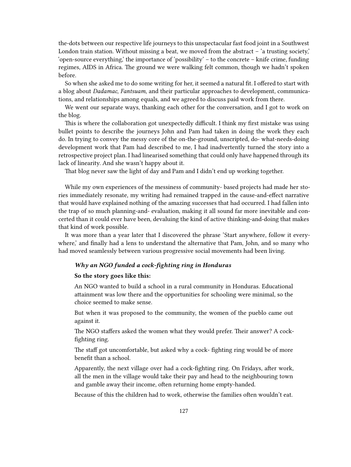the-dots between our respective life journeys to this unspectacular fast food joint in a Southwest London train station. Without missing a beat, we moved from the abstract – 'a trusting society,' 'open-source everything,' the importance of 'possibility' – to the concrete – knife crime, funding regimes, AIDS in Africa. The ground we were walking felt common, though we hadn't spoken before.

So when she asked me to do some writing for her, it seemed a natural fit. I offered to start with a blog about *Dadamac*, *Fantsuam*, and their particular approaches to development, communications, and relationships among equals, and we agreed to discuss paid work from there.

We went our separate ways, thanking each other for the conversation, and I got to work on the blog.

This is where the collaboration got unexpectedly difficult. I think my first mistake was using bullet points to describe the journeys John and Pam had taken in doing the work they each do. In trying to convey the messy core of the on-the-ground, unscripted, do- what-needs-doing development work that Pam had described to me, I had inadvertently turned the story into a retrospective project plan. I had linearised something that could only have happened through its lack of linearity. And she wasn't happy about it.

That blog never saw the light of day and Pam and I didn't end up working together.

While my own experiences of the messiness of community- based projects had made her stories immediately resonate, my writing had remained trapped in the cause-and-effect narrative that would have explained nothing of the amazing successes that had occurred. I had fallen into the trap of so much planning-and- evaluation, making it all sound far more inevitable and concerted than it could ever have been, devaluing the kind of active thinking-and-doing that makes that kind of work possible.

It was more than a year later that I discovered the phrase 'Start anywhere, follow it everywhere,' and finally had a lens to understand the alternative that Pam, John, and so many who had moved seamlessly between various progressive social movements had been living.

#### *Why an NGO funded a cock-fighting ring in Honduras*

#### **So the story goes like this:**

An NGO wanted to build a school in a rural community in Honduras. Educational attainment was low there and the opportunities for schooling were minimal, so the choice seemed to make sense.

But when it was proposed to the community, the women of the pueblo came out against it.

The NGO staffers asked the women what they would prefer. Their answer? A cockfighting ring.

The staff got uncomfortable, but asked why a cock- fighting ring would be of more benefit than a school.

Apparently, the next village over had a cock-fighting ring. On Fridays, after work, all the men in the village would take their pay and head to the neighbouring town and gamble away their income, often returning home empty-handed.

Because of this the children had to work, otherwise the families often wouldn't eat.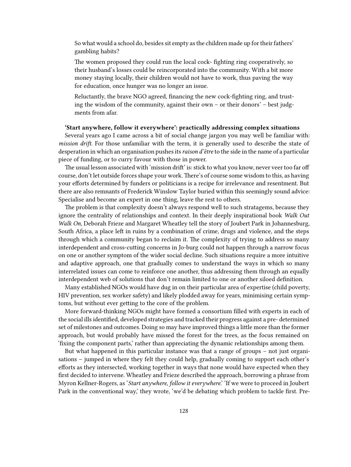So what would a school do, besides sit empty as the children made up for their fathers' gambling habits?

The women proposed they could run the local cock- fighting ring cooperatively, so their husband's losses could be reincorporated into the community. With a bit more money staying locally, their children would not have to work, thus paving the way for education, once hunger was no longer an issue.

Reluctantly, the brave NGO agreed, financing the new cock-fighting ring, and trusting the wisdom of the community, against their own – or their donors' – best judgments from afar.

#### **'Start anywhere, follow it everywhere': practically addressing complex situations**

Several years ago I came across a bit of social change jargon you may well be familiar with: *mission drift.* For those unfamiliar with the term, it is generally used to describe the state of desperation in which an organisation pushes its*raison d'être* to the side in the name of a particular piece of funding, or to curry favour with those in power.

The usual lesson associated with 'mission drift' is: stick to what you know, never veer too far off course, don't let outside forces shape your work. There's of course some wisdom to this, as having your efforts determined by funders or politicians is a recipe for irrelevance and resentment. But there are also remnants of Frederick Winslow Taylor buried within this seemingly sound advice: Specialise and become an expert in one thing, leave the rest to others.

The problem is that complexity doesn't always respond well to such stratagems, because they ignore the centrality of relationships and context. In their deeply inspirational book *Walk Out Walk On*, Deborah Frieze and Margaret Wheatley tell the story of Joubert Park in Johannesburg, South Africa, a place left in ruins by a combination of crime, drugs and violence, and the steps through which a community began to reclaim it. The complexity of trying to address so many interdependent and cross-cutting concerns in Jo-burg could not happen through a narrow focus on one or another symptom of the wider social decline. Such situations require a more intuitive and adaptive approach, one that gradually comes to understand the ways in which so many interrelated issues can come to reinforce one another, thus addressing them through an equally interdependent web of solutions that don't remain limited to one or another siloed definition.

Many established NGOs would have dug in on their particular area of expertise (child poverty, HIV prevention, sex worker safety) and likely plodded away for years, minimising certain symptoms, but without ever getting to the core of the problem.

More forward-thinking NGOs might have formed a consortium filled with experts in each of the social ills identified, developed strategies and tracked their progress against a pre- determined set of milestones and outcomes. Doing so may have improved things a little more than the former approach, but would probably have missed the forest for the trees, as the focus remained on 'fixing the component parts,' rather than appreciating the dynamic relationships among them.

But what happened in this particular instance was that a range of groups – not just organisations – jumped in where they felt they could help, gradually coming to support each other's efforts as they intersected, working together in ways that none would have expected when they first decided to intervene. Wheatley and Frieze described the approach, borrowing a phrase from Myron Kellner-Rogers, as '*Start anywhere, follow it everywhere*.' 'If we were to proceed in Joubert Park in the conventional way,' they wrote, 'we'd be debating which problem to tackle first. Pre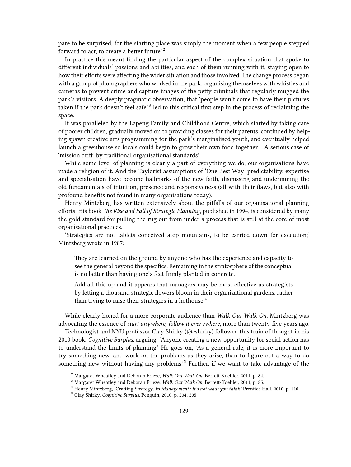pare to be surprised, for the starting place was simply the moment when a few people stepped forward to act, to create a better future.'<sup>2</sup>

In practice this meant finding the particular aspect of the complex situation that spoke to different individuals' passions and abilities, and each of them running with it, staying open to how their efforts were affecting the wider situation and those involved. The change process began with a group of photographers who worked in the park, organising themselves with whistles and cameras to prevent crime and capture images of the petty criminals that regularly mugged the park's visitors. A deeply pragmatic observation, that 'people won't come to have their pictures taken if the park doesn't feel safe,'<sup>3</sup> led to this critical first step in the process of reclaiming the space.

It was paralleled by the Lapeng Family and Childhood Centre, which started by taking care of poorer children, gradually moved on to providing classes for their parents, continued by helping spawn creative arts programming for the park's marginalised youth, and eventually helped launch a greenhouse so locals could begin to grow their own food together… A serious case of 'mission drift' by traditional organisational standards!

While some level of planning is clearly a part of everything we do, our organisations have made a religion of it. And the Taylorist assumptions of 'One Best Way' predictability, expertise and specialisation have become hallmarks of the new faith, dismissing and undermining the old fundamentals of intuition, presence and responsiveness (all with their flaws, but also with profound benefits not found in many organisations today).

Henry Mintzberg has written extensively about the pitfalls of our organisational planning efforts. His book *The Rise and Fall of Strategic Planning*, published in 1994, is considered by many the gold standard for pulling the rug out from under a process that is still at the core of most organisational practices.

'Strategies are not tablets conceived atop mountains, to be carried down for execution;' Mintzberg wrote in 1987:

They are learned on the ground by anyone who has the experience and capacity to see the general beyond the specifics. Remaining in the stratosphere of the conceptual is no better than having one's feet firmly planted in concrete.

Add all this up and it appears that managers may be most effective as strategists by letting a thousand strategic flowers bloom in their organizational gardens, rather than trying to raise their strategies in a hothouse. $4$ 

While clearly honed for a more corporate audience than *Walk Out Walk On*, Mintzberg was advocating the essence of *start anywhere, follow it everywhere*, more than twenty-five years ago.

Technologist and NYU professor Clay Shirky (@cshirky) followed this train of thought in his 2010 book, *Cognitive Surplus*, arguing, 'Anyone creating a new opportunity for social action has to understand the limits of planning.' He goes on, 'As a general rule, it is more important to try something new, and work on the problems as they arise, than to figure out a way to do something new without having any problems.'<sup>5</sup> Further, if we want to take advantage of the

<sup>2</sup> Margaret Wheatley and Deborah Frieze, *Walk Out Walk On*, Berrett-Koehler, 2011, p. 84.

<sup>3</sup> Margaret Wheatley and Deborah Frieze, *Walk Out Walk On*, Berrett-Koehler, 2011, p. 85.

<sup>4</sup> Henry Mintzberg, 'Crafting Strategy,' in *Management? It's not what you think!* Prentice Hall, 2010, p. 110.

<sup>5</sup> Clay Shirky, *Cognitive Surplus*, Penguin, 2010, p. 204, 205.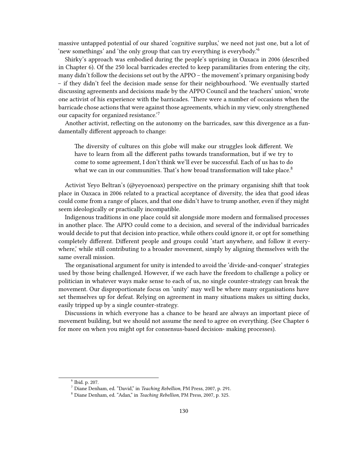massive untapped potential of our shared 'cognitive surplus,' we need not just one, but a lot of 'new somethings' and 'the only group that can try everything is everybody.'<sup>6</sup>

Shirky's approach was embodied during the people's uprising in Oaxaca in 2006 (described in Chapter 6). Of the 250 local barricades erected to keep paramilitaries from entering the city, many didn't follow the decisions set out by the APPO – the movement's primary organising body – if they didn't feel the decision made sense for their neighbourhood. 'We eventually started discussing agreements and decisions made by the APPO Council and the teachers' union,' wrote one activist of his experience with the barricades. 'There were a number of occasions when the barricade chose actions that were against those agreements, which in my view, only strengthened our capacity for organized resistance.'<sup>7</sup>

Another activist, reflecting on the autonomy on the barricades, saw this divergence as a fundamentally different approach to change:

The diversity of cultures on this globe will make our struggles look different. We have to learn from all the different paths towards transformation, but if we try to come to some agreement, I don't think we'll ever be successful. Each of us has to do what we can in our communities. That's how broad transformation will take place.<sup>8</sup>

Activist Yeyo Beltran's (@yeyoenoax) perspective on the primary organising shift that took place in Oaxaca in 2006 related to a practical acceptance of diversity, the idea that good ideas could come from a range of places, and that one didn't have to trump another, even if they might seem ideologically or practically incompatible.

Indigenous traditions in one place could sit alongside more modern and formalised processes in another place. The APPO could come to a decision, and several of the individual barricades would decide to put that decision into practice, while others could ignore it, or opt for something completely different. Different people and groups could 'start anywhere, and follow it everywhere,' while still contributing to a broader movement, simply by aligning themselves with the same overall mission.

The organisational argument for unity is intended to avoid the 'divide-and-conquer' strategies used by those being challenged. However, if we each have the freedom to challenge a policy or politician in whatever ways make sense to each of us, no single counter-strategy can break the movement. Our disproportionate focus on 'unity' may well be where many organisations have set themselves up for defeat. Relying on agreement in many situations makes us sitting ducks, easily tripped up by a single counter-strategy.

Discussions in which everyone has a chance to be heard are always an important piece of movement building, but we should not assume the need to agree on everything. (See Chapter 6 for more on when you might opt for consensus-based decision- making processes).

<sup>6</sup> Ibid. p. 207.

<sup>7</sup> Diane Denham, ed. "David," in *Teaching Rebellion*, PM Press, 2007, p. 291.

<sup>8</sup> Diane Denham, ed. "Adan," in *Teaching Rebellion*, PM Press, 2007, p. 325.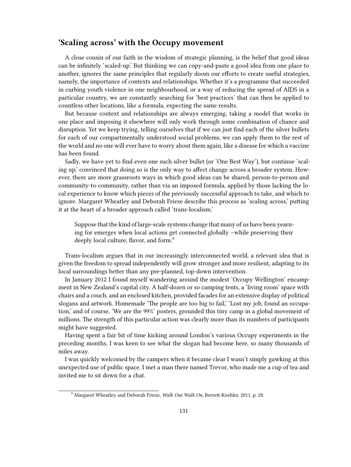## **'Scaling across' with the Occupy movement**

A close cousin of our faith in the wisdom of strategic planning, is the belief that good ideas can be infinitely 'scaled-up.' But thinking we can copy-and-paste a good idea from one place to another, ignores the same principles that regularly doom our efforts to create useful strategies, namely, the importance of contexts and relationships. Whether it's a programme that succeeded in curbing youth violence in one neighbourhood, or a way of reducing the spread of AIDS in a particular country, we are constantly searching for 'best practices' that can then be applied to countless other locations, like a formula, expecting the same results.

But because context and relationships are always emerging, taking a model that works in one place and imposing it elsewhere will only work through some combination of chance and disruption. Yet we keep trying, telling ourselves that if we can just find each of the silver bullets for each of our compartmentally understood social problems, we can apply them to the rest of the world and no one will ever have to worry about them again, like a disease for which a vaccine has been found.

Sadly, we have yet to find even one such silver bullet (or 'One Best Way'), but continue 'scaling up,' convinced that doing so is the only way to affect change across a broader system. However, there are more grassroots ways in which good ideas can be shared, person-to-person and community-to-community, rather than via an imposed formula, applied by those lacking the local experience to know which pieces of the previously successful approach to take, and which to ignore. Margaret Wheatley and Deborah Frieze describe this process as 'scaling across,' putting it at the heart of a broader approach called 'trans-localism.'

Suppose that the kind of large-scale systems change that many of us have been yearning for emerges when local actions get connected globally –while preserving their deeply local culture, flavor, and form.<sup>9</sup>

Trans-localism argues that in our increasingly interconnected world, a relevant idea that is given the freedom to spread independently will grow stronger and more resilient, adapting to its local surroundings better than any pre-planned, top-down intervention.

In January 2012 I found myself wandering around the modest 'Occupy Wellington' encampment in New Zealand's capital city. A half-dozen or so camping tents, a 'living room' space with chairs and a couch, and an enclosed kitchen, provided facades for an extensive display of political slogans and artwork. Homemade 'The people are too big to fail,' 'Lost my job, found an occupation,' and of course, 'We are the 99%' posters, grounded this tiny camp in a global movement of millions. The strength of this particular action was clearly more than its numbers of participants might have suggested.

Having spent a fair bit of time kicking around London's various Occupy experiments in the preceding months, I was keen to see what the slogan had become here, so many thousands of miles away.

I was quickly welcomed by the campers when it became clear I wasn't simply gawking at this unexpected use of public space. I met a man there named Trevor, who made me a cup of tea and invited me to sit down for a chat.

<sup>9</sup> Margaret Wheatley and Deborah Frieze, *Walk Out Walk On*, Berrett-Koehler, 2011, p. 28.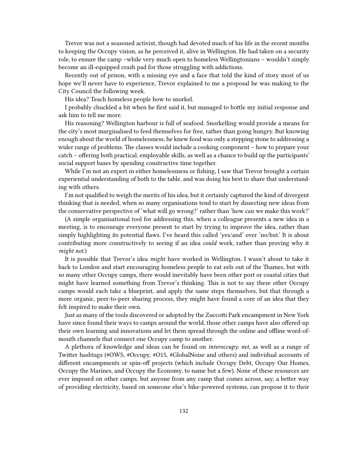Trevor was not a seasoned activist, though had devoted much of his life in the recent months to keeping the Occupy vision, as he perceived it, alive in Wellington. He had taken on a security role, to ensure the camp –while very much open to homeless Wellingtonians – wouldn't simply become an ill-equipped crash pad for those struggling with addictions.

Recently out of prison, with a missing eye and a face that told the kind of story most of us hope we'll never have to experience, Trevor explained to me a proposal he was making to the City Council the following week.

His idea? Teach homeless people how to snorkel.

I probably chuckled a bit when he first said it, but managed to bottle my initial response and ask him to tell me more.

His reasoning? Wellington harbour is full of seafood. Snorkelling would provide a means for the city's most marginalised to feed themselves for free, rather than going hungry. But knowing enough about the world of homelessness, he knew food was only a stepping stone to addressing a wider range of problems. The classes would include a cooking component – how to prepare your catch – offering both practical, employable skills, as well as a chance to build up the participants' social support bases by spending constructive time together.

While I'm not an expert in either homelessness or fishing, I saw that Trevor brought a certain experiential understanding of both to the table, and was doing his best to share that understanding with others.

I'm not qualified to weigh the merits of his idea, but it certainly captured the kind of divergent thinking that is needed, when so many organisations tend to start by dissecting new ideas from the conservative perspective of 'what will go wrong?' rather than 'how can we make this work?'

(A simple organisational tool for addressing this, when a colleague presents a new idea in a meeting, is to encourage everyone present to start by trying to improve the idea, rather than simply highlighting its potential flaws. I've heard this called 'yes/and' over 'no/but.' It is about contributing more constructively to seeing if an idea *could* work, rather than proving why it *might not*.)

It is possible that Trevor's idea *might* have worked in Wellington. I wasn't about to take it back to London and start encouraging homeless people to eat eels out of the Thames, but with so many other Occupy camps, there would inevitably have been other port or coastal cities that might have learned something from Trevor's thinking. This is not to say these other Occupy camps would each take a blueprint, and apply the same steps themselves, but that through a more organic, peer-to-peer sharing process, they might have found a core of an idea that they felt inspired to make their own.

Just as many of the tools discovered or adopted by the Zuccotti Park encampment in New York have since found their ways to camps around the world, those other camps have also offered-up their own learning and innovations and let them spread through the online and offline word-ofmouth channels that connect one Occupy camp to another.

A plethora of knowledge and ideas can be found on *interoccupy. net*, as well as a range of Twitter hashtags (#OWS, #Occupy, #O15, #GlobalNoise and others) and individual accounts of different encampments or spin-off projects (which include Occupy Debt, Occupy Our Homes, Occupy the Marines, and Occupy the Economy, to name but a few). None of these resources are ever imposed on other camps, but anyone from any camp that comes across, say, a better way of providing electricity, based on someone else's bike-powered systems, can propose it to their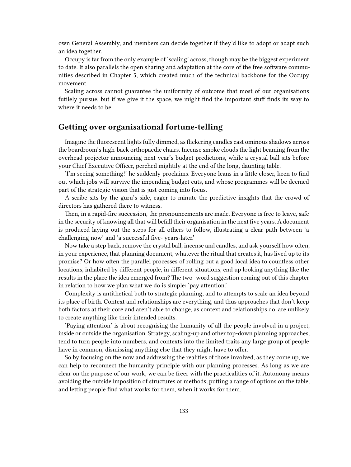own General Assembly, and members can decide together if they'd like to adopt or adapt such an idea together.

Occupy is far from the only example of 'scaling' across, though may be the biggest experiment to date. It also parallels the open sharing and adaptation at the core of the free software communities described in Chapter 5, which created much of the technical backbone for the Occupy movement.

Scaling across cannot guarantee the uniformity of outcome that most of our organisations futilely pursue, but if we give it the space, we might find the important stuff finds its way to where it needs to be.

## **Getting over organisational fortune-telling**

Imagine the fluorescent lights fully dimmed, as flickering candles cast ominous shadows across the boardroom's high-back orthopaedic chairs. Incense smoke clouds the light beaming from the overhead projector announcing next year's budget predictions, while a crystal ball sits before your Chief Executive Officer, perched mightily at the end of the long, daunting table.

'I'm seeing something!' he suddenly proclaims. Everyone leans in a little closer, keen to find out which jobs will survive the impending budget cuts, and whose programmes will be deemed part of the strategic vision that is just coming into focus.

A scribe sits by the guru's side, eager to minute the predictive insights that the crowd of directors has gathered there to witness.

Then, in a rapid-fire succession, the pronouncements are made. Everyone is free to leave, safe in the security of knowing all that will befall their organisation in the next five years. A document is produced laying out the steps for all others to follow, illustrating a clear path between 'a challenging now' and 'a successful five- years-later.'

Now take a step back, remove the crystal ball, incense and candles, and ask yourself how often, in your experience, that planning document, whatever the ritual that creates it, has lived up to its promise? Or how often the parallel processes of rolling out a good local idea to countless other locations, inhabited by different people, in different situations, end up looking anything like the results in the place the idea emerged from? The two- word suggestion coming out of this chapter in relation to how we plan what we do is simple: 'pay attention.'

Complexity is antithetical both to strategic planning, and to attempts to scale an idea beyond its place of birth. Context and relationships are everything, and thus approaches that don't keep both factors at their core and aren't able to change, as context and relationships do, are unlikely to create anything like their intended results.

'Paying attention' is about recognising the humanity of all the people involved in a project, inside or outside the organisation. Strategy, scaling-up and other top-down planning approaches, tend to turn people into numbers, and contexts into the limited traits any large group of people have in common, dismissing anything else that they might have to offer.

So by focusing on the now and addressing the realities of those involved, as they come up, we can help to reconnect the humanity principle with our planning processes. As long as we are clear on the purpose of our work, we can be freer with the practicalities of it. Autonomy means avoiding the outside imposition of structures or methods, putting a range of options on the table, and letting people find what works for them, when it works for them.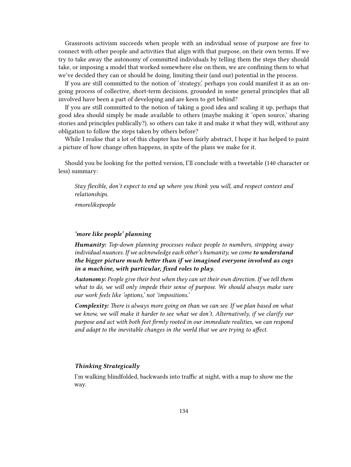Grassroots activism succeeds when people with an individual sense of purpose are free to connect with other people and activities that align with that purpose, on their own terms. If we try to take away the autonomy of committed individuals by telling them the steps they should take, or imposing a model that worked somewhere else on them, we are confining them to what we've decided they can or should be doing, limiting their (and our) potential in the process.

If you are still committed to the notion of 'strategy,' perhaps you could manifest it as an ongoing process of collective, short-term decisions, grounded in some general principles that all involved have been a part of developing and are keen to get behind?

If you are still committed to the notion of taking a good idea and scaling it up, perhaps that good idea should simply be made available to others (maybe making it 'open source,' sharing stories and principles publically?), so others can take it and make it what they will, without any obligation to follow the steps taken by others before?

While I realise that a lot of this chapter has been fairly abstract, I hope it has helped to paint a picture of how change often happens, in spite of the plans we make for it.

Should you be looking for the potted version, I'll conclude with a tweetable (140 character or less) summary:

*Stay flexible, don't expect to end up where you think you will, and respect context and relationships.*

*#morelikepeople*

#### *'more like people' planning*

*Humanity: Top-down planning processes reduce people to numbers, stripping away individual nuances. If we acknowledge each other's humanity, we come to understand the bigger picture much better than if we imagined everyone involved as cogs in a machine, with particular, fixed roles to play.*

*Autonomy: People give their best when they can set their own direction. If we tell them what to do, we will only impede their sense of purpose. We should always make sure our work feels like 'options,' not 'impositions.'*

*Complexity: There is always more going on than we can see. If we plan based on what we know, we will make it harder to see what we don't. Alternatively, if we clarify our purpose and act with both feet firmly rooted in our immediate realities, we can respond and adapt to the inevitable changes in the world that we are trying to affect.*

#### *Thinking Strategically*

I'm walking blindfolded, backwards into traffic at night, with a map to show me the way.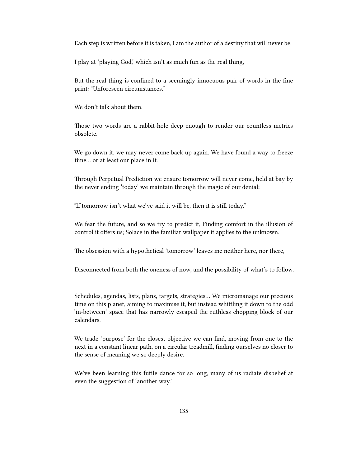Each step is written before it is taken, I am the author of a destiny that will never be.

I play at 'playing God,' which isn't as much fun as the real thing,

But the real thing is confined to a seemingly innocuous pair of words in the fine print: "Unforeseen circumstances."

We don't talk about them.

Those two words are a rabbit-hole deep enough to render our countless metrics obsolete.

We go down it, we may never come back up again. We have found a way to freeze time… or at least our place in it.

Through Perpetual Prediction we ensure tomorrow will never come, held at bay by the never ending 'today' we maintain through the magic of our denial:

"If tomorrow isn't what we've said it will be, then it is still today."

We fear the future, and so we try to predict it, Finding comfort in the illusion of control it offers us; Solace in the familiar wallpaper it applies to the unknown.

The obsession with a hypothetical 'tomorrow' leaves me neither here, nor there,

Disconnected from both the oneness of now, and the possibility of what's to follow.

Schedules, agendas, lists, plans, targets, strategies… We micromanage our precious time on this planet, aiming to maximise it, but instead whittling it down to the odd 'in-between' space that has narrowly escaped the ruthless chopping block of our calendars.

We trade 'purpose' for the closest objective we can find, moving from one to the next in a constant linear path, on a circular treadmill, finding ourselves no closer to the sense of meaning we so deeply desire.

We've been learning this futile dance for so long, many of us radiate disbelief at even the suggestion of 'another way.'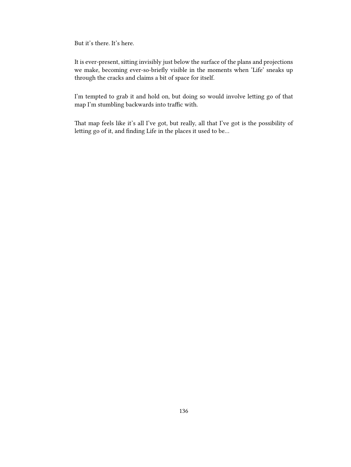But it's there. It's here.

It is ever-present, sitting invisibly just below the surface of the plans and projections we make, becoming ever-so-briefly visible in the moments when 'Life' sneaks up through the cracks and claims a bit of space for itself.

I'm tempted to grab it and hold on, but doing so would involve letting go of that map I'm stumbling backwards into traffic with.

That map feels like it's all I've got, but really, all that I've got is the possibility of letting go of it, and finding Life in the places it used to be…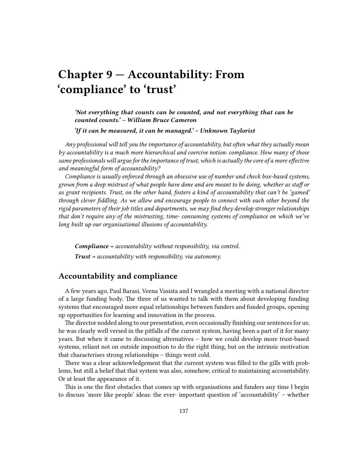# **Chapter 9 — Accountability: From 'compliance' to 'trust'**

*'Not everything that counts can be counted, and not everything that can be counted counts.' – William Bruce Cameron*

*'If it can be measured, it can be managed.' – Unknown Taylorist*

*Any professional will tell you the importance of accountability, but often what they actually mean by accountability is a much more hierarchical and coercive notion: compliance. How many of those same professionals will argue for the importance of trust, which is actually the core of a more effective and meaningful form of accountability?*

*Compliance is usually enforced through an obsessive use of number and check box-based systems, grown from a deep mistrust of what people have done and are meant to be doing, whether as staff or as grant recipients. Trust, on the other hand, fosters a kind of accountability that can't be 'gamed' through clever fiddling. As we allow and encourage people to connect with each other beyond the rigid parameters of their job titles and departments, we may find they develop stronger relationships that don't require any of the mistrusting, time- consuming systems of compliance on which we've long built up our organisational illusions of accountability.*

*Compliance = accountability without responsibility, via control. Trust = accountability with responsibility, via autonomy.*

## **Accountability and compliance**

A few years ago, Paul Barasi, Veena Vasista and I wrangled a meeting with a national director of a large funding body. The three of us wanted to talk with them about developing funding systems that encouraged more equal relationships between funders and funded groups, opening up opportunities for learning and innovation in the process.

The director nodded along to our presentation, even occasionally finishing our sentences for us; he was clearly well versed in the pitfalls of the current system, having been a part of it for many years. But when it came to discussing alternatives – how we could develop more trust-based systems, reliant not on outside imposition to do the right thing, but on the intrinsic motivation that characterises strong relationships – things went cold.

There was a clear acknowledgement that the current system was filled to the gills with problems, but still a belief that that system was also, somehow, critical to maintaining accountability. Or at least the appearance of it.

This is one the first obstacles that comes up with organisations and funders any time I begin to discuss 'more like people' ideas: the ever- important question of 'accountability' – whether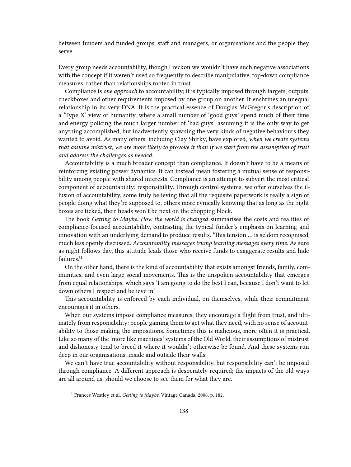between funders and funded groups, staff and managers, or organisations and the people they serve.

Every group needs accountability, though I reckon we wouldn't have such negative associations with the concept if it weren't used so frequently to describe manipulative, top-down compliance measures, rather than relationships rooted in trust.

Compliance is *one approach* to accountability; it is typically imposed through targets, outputs, checkboxes and other requirements imposed by one group on another. It enshrines an unequal relationship in its very DNA. It is the practical essence of Douglas McGregor's description of a 'Type X' view of humanity, where a small number of 'good guys' spend much of their time and energy policing the much larger number of 'bad guys,' assuming it is the only way to get anything accomplished, but inadvertently spawning the very kinds of negative behaviours they wanted to avoid. As many others, including Clay Shirky, have explored, *when we create systems that assume mistrust, we are more likely to provoke it than if we start from the assumption of trust and address the challenges as needed.*

Accountability is a much broader concept than compliance. It doesn't have to be a means of reinforcing existing power dynamics. It can instead mean fostering a mutual sense of responsibility among people with shared interests. Compliance is an attempt to subvert the most critical component of accountability: responsibility. Through control systems, we offer ourselves the illusion of accountability, some truly believing that all the requisite paperwork is really a sign of people doing what they're supposed to, others more cynically knowing that as long as the right boxes are ticked, their heads won't be next on the chopping block.

The book *Getting to Maybe: How the world is changed* summarises the costs and realities of compliance-focused accountability, contrasting the typical funder's emphasis on learning and innovation with an underlying demand to produce results. 'This tension … is seldom recognised, much less openly discussed. *Accountability messages trump learning messages every time*. As sure as night follows day, this attitude leads those who receive funds to exaggerate results and hide failures.<sup>1</sup>

On the other hand, there is the kind of accountability that exists amongst friends, family, communities, and even large social movements. This is the unspoken accountability that emerges from equal relationships, which says 'I am going to do the best I can, because I don't want to let down others I respect and believe in.'

This accountability is enforced by each individual, on themselves, while their commitment encourages it in others.

When our systems impose compliance measures, they encourage a flight from trust, and ultimately from responsibility: people gaming them to get what they need, with no sense of accountability to those making the impositions. Sometimes this is malicious, more often it is practical. Like so many of the 'more like machines' systems of the Old World, their assumptions of mistrust and dishonesty tend to breed it where it wouldn't otherwise be found. And these systems run deep in our organisations, inside and outside their walls.

We can't have true accountability without responsibility, but responsibility can't be imposed through compliance. A different approach is desperately required; the impacts of the old ways are all around us, should we choose to see them for what they are.

<sup>&</sup>lt;sup>1</sup> Frances Westley et al, *Getting to Maybe*, Vintage Canada, 2006, p. 182.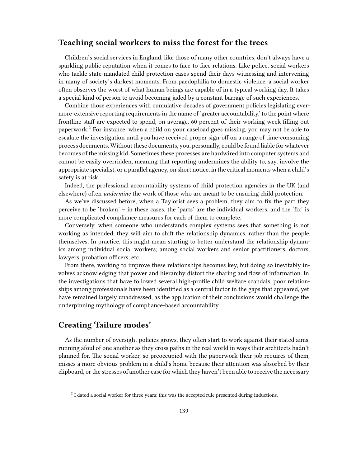## **Teaching social workers to miss the forest for the trees**

Children's social services in England, like those of many other countries, don't always have a sparkling public reputation when it comes to face-to-face relations. Like police, social workers who tackle state-mandated child protection cases spend their days witnessing and intervening in many of society's darkest moments. From paedophilia to domestic violence, a social worker often observes the worst of what human beings are capable of in a typical working day. It takes a special kind of person to avoid becoming jaded by a constant barrage of such experiences.

Combine those experiences with cumulative decades of government policies legislating evermore-extensive reporting requirements in the name of 'greater accountability,' to the point where frontline staff are expected to spend, on average, 60 percent of their working week filling out paperwork.<sup>2</sup> For instance, when a child on your caseload goes missing, you may not be able to escalate the investigation until you have received proper sign-off on a range of time-consuming process documents. Without these documents, you, personally, could be found liable for whatever becomes of the missing kid. Sometimes these processes are hardwired into computer systems and cannot be easily overridden, meaning that reporting undermines the ability to, say, involve the appropriate specialist, or a parallel agency, on short notice, in the critical moments when a child's safety is at risk.

Indeed, the professional accountability systems of child protection agencies in the UK (and elsewhere) often *undermine* the work of those who are meant to be ensuring child protection.

As we've discussed before, when a Taylorist sees a problem, they aim to fix the part they perceive to be 'broken' – in these cases, the 'parts' are the individual workers, and the 'fix' is more complicated compliance measures for each of them to complete.

Conversely, when someone who understands complex systems sees that something is not working as intended, they will aim to shift the relationship dynamics, rather than the people themselves. In practice, this might mean starting to better understand the relationship dynamics among individual social workers; among social workers and senior practitioners, doctors, lawyers, probation officers, etc.

From there, working to improve these relationships becomes key, but doing so inevitably involves acknowledging that power and hierarchy distort the sharing and flow of information. In the investigations that have followed several high-profile child welfare scandals, poor relationships among professionals have been identified as a central factor in the gaps that appeared, yet have remained largely unaddressed, as the application of their conclusions would challenge the underpinning mythology of compliance-based accountability.

## **Creating 'failure modes'**

As the number of oversight policies grows, they often start to work against their stated aims, running afoul of one another as they cross paths in the real world in ways their architects hadn't planned for. The social worker, so preoccupied with the paperwork their job requires of them, misses a more obvious problem in a child's home because their attention was absorbed by their clipboard, or the stresses of another case for which they haven't been able to receive the necessary

 $2^{2}$  I dated a social worker for three years; this was the accepted rule presented during inductions.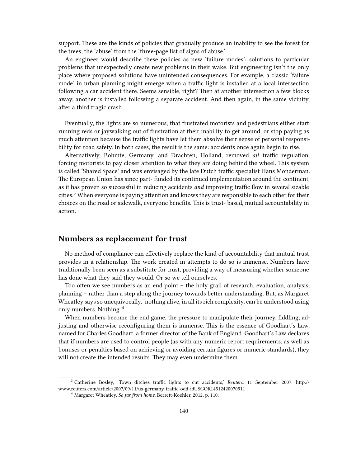support. These are the kinds of policies that gradually produce an inability to see the forest for the trees; the 'abuse' from the 'three-page list of signs of abuse.'

An engineer would describe these policies as new 'failure modes': solutions to particular problems that unexpectedly create new problems in their wake. But engineering isn't the only place where proposed solutions have unintended consequences. For example, a classic 'failure mode' in urban planning might emerge when a traffic light is installed at a local intersection following a car accident there. Seems sensible, right? Then at another intersection a few blocks away, another is installed following a separate accident. And then again, in the same vicinity, after a third tragic crash…

Eventually, the lights are so numerous, that frustrated motorists and pedestrians either start running reds or jaywalking out of frustration at their inability to get around, or stop paying as much attention because the traffic lights have let them absolve their sense of personal responsibility for road safety. In both cases, the result is the same: accidents once again begin to rise.

Alternatively, Bohmte, Germany, and Drachten, Holland, removed *all* traffic regulation, forcing motorists to pay closer attention to what they are doing behind the wheel. This system is called 'Shared Space' and was envisaged by the late Dutch traffic specialist Hans Monderman. The European Union has since part- funded its continued implementation around the continent, as it has proven so successful in reducing accidents *and* improving traffic flow in several sizable cities.<sup>3</sup> When everyone is paying attention and knows they are responsible to each other for their choices on the road or sidewalk, everyone benefits. This is trust- based, mutual accountability in action.

## **Numbers as replacement for trust**

No method of compliance can effectively replace the kind of accountability that mutual trust provides in a relationship. The work created in attempts to do so is immense. Numbers have traditionally been seen as a substitute for trust, providing a way of measuring whether someone has done what they said they would. Or so we tell ourselves.

Too often we see numbers as an end point – the holy grail of research, evaluation, analysis, planning – rather than a step along the journey towards better understanding. But, as Margaret Wheatley says so unequivocally, 'nothing alive, in all its rich complexity, can be understood using only numbers. Nothing.'<sup>4</sup>

When numbers become the end game, the pressure to manipulate their journey, fiddling, adjusting and otherwise reconfiguring them is immense. This is the essence of Goodhart's Law, named for Charles Goodhart, a former director of the Bank of England. Goodhart's Law declares that if numbers are used to control people (as with any numeric report requirements, as well as bonuses or penalties based on achieving or avoiding certain figures or numeric standards), they will not create the intended results. They may even undermine them.

<sup>3</sup> Catherine Bosley, 'Town ditches traffic lights to cut accidents,' *Reuters,* 11 September 2007. http:// www.reuters.com/article/2007/09/11/us-germany-traffic-odd-idUSGOR14512420070911

<sup>4</sup> Margaret Wheatley, *So far from home,* Berrett-Koehler, 2012, p. 110.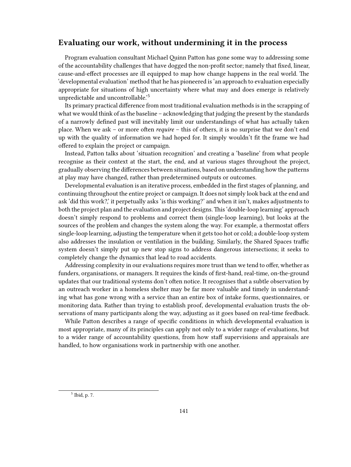## **Evaluating our work, without undermining it in the process**

Program evaluation consultant Michael Quinn Patton has gone some way to addressing some of the accountability challenges that have dogged the non-profit sector; namely that fixed, linear, cause-and-effect processes are ill equipped to map how change happens in the real world. The 'developmental evaluation' method that he has pioneered is 'an approach to evaluation especially appropriate for situations of high uncertainty where what may and does emerge is relatively unpredictable and uncontrollable.'<sup>5</sup>

Its primary practical difference from most traditional evaluation methods is in the scrapping of what we would think of as the baseline – acknowledging that judging the present by the standards of a narrowly defined past will inevitably limit our understandings of what has actually taken place. When we ask – or more often *require* – this of others, it is no surprise that we don't end up with the quality of information we had hoped for. It simply wouldn't fit the frame we had offered to explain the project or campaign.

Instead, Patton talks about 'situation recognition' and creating a 'baseline' from what people recognise as their context at the start, the end, and at various stages throughout the project, gradually observing the differences between situations, based on understanding how the patterns at play may have changed, rather than predetermined outputs or outcomes.

Developmental evaluation is an iterative process, embedded in the first stages of planning, and continuing throughout the entire project or campaign. It does not simply look back at the end and ask 'did this work?,' it perpetually asks 'is this working?' and when it isn't, makes adjustments to both the project plan and the evaluation and project designs.This 'double-loop learning' approach doesn't simply respond to problems and correct them (single-loop learning), but looks at the sources of the problem and changes the system along the way. For example, a thermostat offers single-loop learning, adjusting the temperature when it gets too hot or cold; a double-loop system also addresses the insulation or ventilation in the building. Similarly, the Shared Spaces traffic system doesn't simply put up new stop signs to address dangerous intersections; it seeks to completely change the dynamics that lead to road accidents.

Addressing complexity in our evaluations requires more trust than we tend to offer, whether as funders, organisations, or managers. It requires the kinds of first-hand, real-time, on-the-ground updates that our traditional systems don't often notice. It recognises that a subtle observation by an outreach worker in a homeless shelter may be far more valuable and timely in understanding what has gone wrong with a service than an entire box of intake forms, questionnaires, or monitoring data. Rather than trying to establish proof, developmental evaluation trusts the observations of many participants along the way, adjusting as it goes based on real-time feedback.

While Patton describes a range of specific conditions in which developmental evaluation is most appropriate, many of its principles can apply not only to a wider range of evaluations, but to a wider range of accountability questions, from how staff supervisions and appraisals are handled, to how organisations work in partnership with one another.

<sup>5</sup> Ibid, p. 7.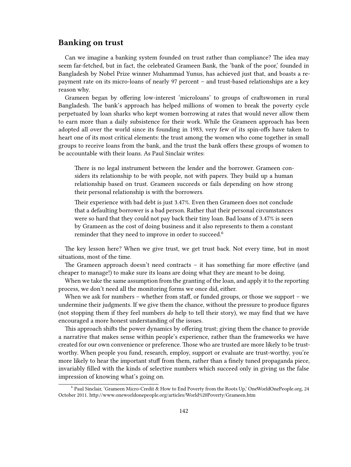### **Banking on trust**

Can we imagine a banking system founded on trust rather than compliance? The idea may seem far-fetched, but in fact, the celebrated Grameen Bank, the 'bank of the poor,' founded in Bangladesh by Nobel Prize winner Muhammad Yunus, has achieved just that, and boasts a repayment rate on its micro-loans of nearly 97 percent – and trust-based relationships are a key reason why.

Grameen began by offering low-interest 'microloans' to groups of craftswomen in rural Bangladesh. The bank's approach has helped millions of women to break the poverty cycle perpetuated by loan sharks who kept women borrowing at rates that would never allow them to earn more than a daily subsistence for their work. While the Grameen approach has been adopted all over the world since its founding in 1983, very few of its spin-offs have taken to heart one of its most critical elements: the trust among the women who come together in small groups to receive loans from the bank, and the trust the bank offers these groups of women to be accountable with their loans. As Paul Sinclair writes:

There is no legal instrument between the lender and the borrower. Grameen considers its relationship to be with people, not with papers. They build up a human relationship based on trust. Grameen succeeds or fails depending on how strong their personal relationship is with the borrowers.

Their experience with bad debt is just 3.47%. Even then Grameen does not conclude that a defaulting borrower is a bad person. Rather that their personal circumstances were so hard that they could not pay back their tiny loan. Bad loans of 3.47% is seen by Grameen as the cost of doing business and it also represents to them a constant reminder that they need to improve in order to succeed.<sup>6</sup>

The key lesson here? When we give trust, we get trust back. Not every time, but in most situations, most of the time.

The Grameen approach doesn't need contracts – it has something far more effective (and cheaper to manage!) to make sure its loans are doing what they are meant to be doing.

When we take the same assumption from the granting of the loan, and apply it to the reporting process, we don't need all the monitoring forms we once did, either.

When we ask for numbers – whether from staff, or funded groups, or those we support – we undermine their judgments. If we give them the chance, without the pressure to produce figures (not stopping them if they feel numbers *do* help to tell their story), we may find that we have encouraged a more honest understanding of the issues.

This approach shifts the power dynamics by offering trust; giving them the chance to provide a narrative that makes sense within people's experience, rather than the frameworks we have created for our own convenience or preference. Those who are trusted are more likely to be trustworthy. When people you fund, research, employ, support or evaluate are trust-worthy, you're more likely to hear the important stuff from them, rather than a finely tuned propaganda piece, invariably filled with the kinds of selective numbers which succeed only in giving us the false impression of knowing what's going on.

<sup>6</sup> Paul Sinclair, 'Grameen Micro-Credit & How to End Poverty from the Roots Up,' OneWorldOnePeople.org, 24 October 2011. http://www.oneworldonepeople.org/articles/World%20Poverty/Grameen.htm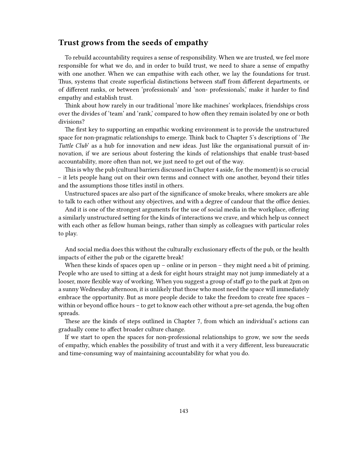## **Trust grows from the seeds of empathy**

To rebuild accountability requires a sense of responsibility. When we are trusted, we feel more responsible for what we do, and in order to build trust, we need to share a sense of empathy with one another. When we can empathise with each other, we lay the foundations for trust. Thus, systems that create superficial distinctions between staff from different departments, or of different ranks, or between 'professionals' and 'non- professionals,' make it harder to find empathy and establish trust.

Think about how rarely in our traditional 'more like machines' workplaces, friendships cross over the divides of 'team' and 'rank,' compared to how often they remain isolated by one or both divisions?

The first key to supporting an empathic working environment is to provide the unstructured space for non-pragmatic relationships to emerge. Think back to Chapter 5's descriptions of '*The Tuttle Club*' as a hub for innovation and new ideas. Just like the organisational pursuit of innovation, if we are serious about fostering the kinds of relationships that enable trust-based accountability, more often than not, we just need to get out of the way.

This is why the pub (cultural barriers discussed in Chapter 4 aside, for the moment) is so crucial – it lets people hang out on their own terms and connect with one another, beyond their titles and the assumptions those titles instil in others.

Unstructured spaces are also part of the significance of smoke breaks, where smokers are able to talk to each other without any objectives, and with a degree of candour that the office denies.

And it is one of the strongest arguments for the use of social media in the workplace, offering a similarly unstructured setting for the kinds of interactions we crave, and which help us connect with each other as fellow human beings, rather than simply as colleagues with particular roles to play.

And social media does this without the culturally exclusionary effects of the pub, or the health impacts of either the pub or the cigarette break!

When these kinds of spaces open up – online or in person – they might need a bit of priming. People who are used to sitting at a desk for eight hours straight may not jump immediately at a looser, more flexible way of working. When you suggest a group of staff go to the park at 2pm on a sunny Wednesday afternoon, it is unlikely that those who most need the space will immediately embrace the opportunity. But as more people decide to take the freedom to create free spaces – within or beyond office hours – to get to know each other without a pre-set agenda, the bug often spreads.

These are the kinds of steps outlined in Chapter 7, from which an individual's actions can gradually come to affect broader culture change.

If we start to open the spaces for non-professional relationships to grow, we sow the seeds of empathy, which enables the possibility of trust and with it a very different, less bureaucratic and time-consuming way of maintaining accountability for what you do.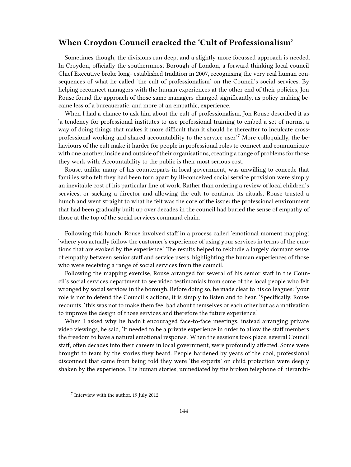## **When Croydon Council cracked the 'Cult of Professionalism'**

Sometimes though, the divisions run deep, and a slightly more focussed approach is needed. In Croydon, officially the southernmost Borough of London, a forward-thinking local council Chief Executive broke long- established tradition in 2007, recognising the very real human consequences of what he called 'the cult of professionalism' on the Council's social services. By helping reconnect managers with the human experiences at the other end of their policies, Jon Rouse found the approach of those same managers changed significantly, as policy making became less of a bureaucratic, and more of an empathic, experience.

When I had a chance to ask him about the cult of professionalism, Jon Rouse described it as 'a tendency for professional institutes to use professional training to embed a set of norms, a way of doing things that makes it more difficult than it should be thereafter to inculcate crossprofessional working and shared accountability to the service user.'<sup>7</sup> More colloquially, the behaviours of the cult make it harder for people in professional roles to connect and communicate with one another, inside and outside of their organisations, creating a range of problems for those they work with. Accountability to the public is their most serious cost.

Rouse, unlike many of his counterparts in local government, was unwilling to concede that families who felt they had been torn apart by ill-conceived social service provision were simply an inevitable cost of his particular line of work. Rather than ordering a review of local children's services, or sacking a director and allowing the cult to continue its rituals, Rouse trusted a hunch and went straight to what he felt was the core of the issue: the professional environment that had been gradually built up over decades in the council had buried the sense of empathy of those at the top of the social services command chain.

Following this hunch, Rouse involved staff in a process called 'emotional moment mapping,' 'where you actually follow the customer's experience of using your services in terms of the emotions that are evoked by the experience.' The results helped to rekindle a largely dormant sense of empathy between senior staff and service users, highlighting the human experiences of those who were receiving a range of social services from the council.

Following the mapping exercise, Rouse arranged for several of his senior staff in the Council's social services department to see video testimonials from some of the local people who felt wronged by social services in the borough. Before doing so, he made clear to his colleagues: 'your role is not to defend the Council's actions, it is simply to listen and to hear. 'Specifically, Rouse recounts, 'this was not to make them feel bad about themselves or each other but as a motivation to improve the design of those services and therefore the future experience.'

When I asked why he hadn't encouraged face-to-face meetings, instead arranging private video viewings, he said, 'It needed to be a private experience in order to allow the staff members the freedom to have a natural emotional response.' When the sessions took place, several Council staff, often decades into their careers in local government, were profoundly affected. Some were brought to tears by the stories they heard. People hardened by years of the cool, professional disconnect that came from being told they were 'the experts' on child protection were deeply shaken by the experience. The human stories, unmediated by the broken telephone of hierarchi-

<sup>&</sup>lt;sup>7</sup> Interview with the author, 19 July 2012.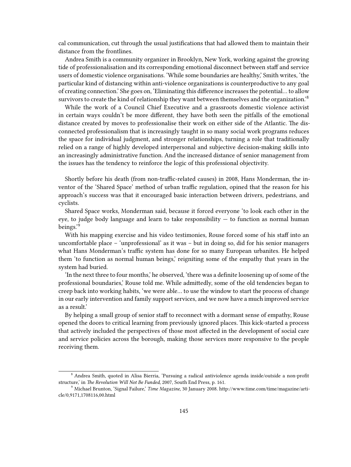cal communication, cut through the usual justifications that had allowed them to maintain their distance from the frontlines.

Andrea Smith is a community organizer in Brooklyn, New York, working against the growing tide of professionalisation and its corresponding emotional disconnect between staff and service users of domestic violence organisations. 'While some boundaries are healthy,' Smith writes, 'the particular kind of distancing within anti-violence organizations is counterproductive to any goal of creating connection.' She goes on, 'Eliminating this difference increases the potential… to allow survivors to create the kind of relationship they want between themselves and the organization.'<sup>8</sup>

While the work of a Council Chief Executive and a grassroots domestic violence activist in certain ways couldn't be more different, they have both seen the pitfalls of the emotional distance created by moves to professionalise their work on either side of the Atlantic. The disconnected professionalism that is increasingly taught in so many social work programs reduces the space for individual judgment, and stronger relationships, turning a role that traditionally relied on a range of highly developed interpersonal and subjective decision-making skills into an increasingly administrative function. And the increased distance of senior management from the issues has the tendency to reinforce the logic of this professional objectivity.

Shortly before his death (from non-traffic-related causes) in 2008, Hans Monderman, the inventor of the 'Shared Space' method of urban traffic regulation, opined that the reason for his approach's success was that it encouraged basic interaction between drivers, pedestrians, and cyclists.

Shared Space works, Monderman said, because it forced everyone 'to look each other in the eye, to judge body language and learn to take responsibility  $-$  to function as normal human beings.'<sup>9</sup>

With his mapping exercise and his video testimonies, Rouse forced some of his staff into an uncomfortable place – 'unprofessional' as it was – but in doing so, did for his senior managers what Hans Monderman's traffic system has done for so many European urbanites. He helped them 'to function as normal human beings,' reigniting some of the empathy that years in the system had buried.

'In the next three to four months,' he observed, 'there was a definite loosening up of some of the professional boundaries,' Rouse told me. While admittedly, some of the old tendencies began to creep back into working habits, 'we were able… to use the window to start the process of change in our early intervention and family support services, and we now have a much improved service as a result.'

By helping a small group of senior staff to reconnect with a dormant sense of empathy, Rouse opened the doors to critical learning from previously ignored places. This kick-started a process that actively included the perspectives of those most affected in the development of social care and service policies across the borough, making those services more responsive to the people receiving them.

<sup>8</sup> Andrea Smith, quoted in Alisa Bierria, 'Pursuing a radical antiviolence agenda inside/outside a non-profit structure,' in *The Revolution Will Not Be Funded,* 2007, South End Press, p. 161.

<sup>9</sup> Michael Brunton, 'Signal Failure,' *Time Magazine,* 30 January 2008. http://www.time.com/time/magazine/article/0,9171,1708116,00.html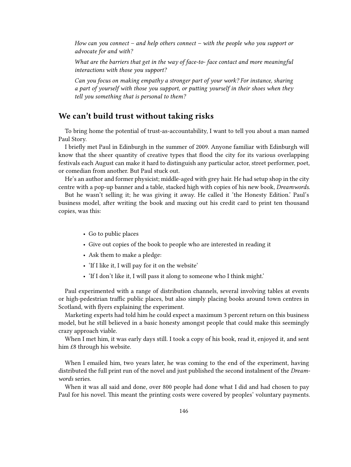*How can you connect – and help others connect – with the people who you support or advocate for and with?*

*What are the barriers that get in the way of face-to- face contact and more meaningful interactions with those you support?*

*Can you focus on making empathy a stronger part of your work? For instance, sharing a part of yourself with those you support, or putting yourself in their shoes when they tell you something that is personal to them?*

#### **We can't build trust without taking risks**

To bring home the potential of trust-as-accountability, I want to tell you about a man named Paul Story.

I briefly met Paul in Edinburgh in the summer of 2009. Anyone familiar with Edinburgh will know that the sheer quantity of creative types that flood the city for its various overlapping festivals each August can make it hard to distinguish any particular actor, street performer, poet, or comedian from another. But Paul stuck out.

He's an author and former physicist; middle-aged with grey hair. He had setup shop in the city centre with a pop-up banner and a table, stacked high with copies of his new book, *Dreamwords*.

But he wasn't selling it; he was giving it away. He called it 'the Honesty Edition.' Paul's business model, after writing the book and maxing out his credit card to print ten thousand copies, was this:

- Go to public places
- Give out copies of the book to people who are interested in reading it
- Ask them to make a pledge:
- 'If I like it, I will pay for it on the website'
- 'If I don't like it, I will pass it along to someone who I think might.'

Paul experimented with a range of distribution channels, several involving tables at events or high-pedestrian traffic public places, but also simply placing books around town centres in Scotland, with flyers explaining the experiment.

Marketing experts had told him he could expect a maximum 3 percent return on this business model, but he still believed in a basic honesty amongst people that could make this seemingly crazy approach viable.

When I met him, it was early days still. I took a copy of his book, read it, enjoyed it, and sent him £8 through his website.

When I emailed him, two years later, he was coming to the end of the experiment, having distributed the full print run of the novel and just published the second instalment of the *Dreamwords* series.

When it was all said and done, over 800 people had done what I did and had chosen to pay Paul for his novel. This meant the printing costs were covered by peoples' voluntary payments.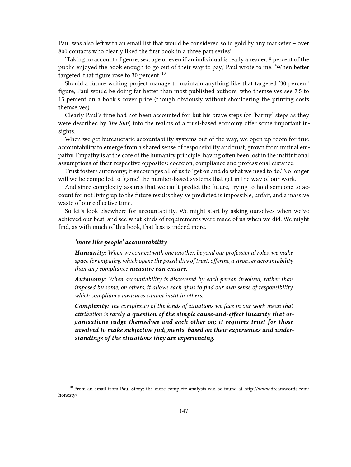Paul was also left with an email list that would be considered solid gold by any marketer – over 800 contacts who clearly liked the first book in a three part series!

'Taking no account of genre, sex, age or even if an individual is really a reader, 8 percent of the public enjoyed the book enough to go out of their way to pay,' Paul wrote to me. 'When better targeted, that figure rose to 30 percent.<sup>'10</sup>

Should a future writing project manage to maintain anything like that targeted '30 percent' figure, Paul would be doing far better than most published authors, who themselves see 7.5 to 15 percent on a book's cover price (though obviously without shouldering the printing costs themselves).

Clearly Paul's time had not been accounted for, but his brave steps (or 'barmy' steps as they were described by *The Sun*) into the realms of a trust-based economy offer some important insights.

When we get bureaucratic accountability systems out of the way, we open up room for true accountability to emerge from a shared sense of responsibility and trust, grown from mutual empathy. Empathy is at the core of the humanity principle, having often been lost in the institutional assumptions of their respective opposites: coercion, compliance and professional distance.

Trust fosters autonomy; it encourages all of us to 'get on and do what we need to do.' No longer will we be compelled to 'game' the number-based systems that get in the way of our work.

And since complexity assures that we can't predict the future, trying to hold someone to account for not living up to the future results they've predicted is impossible, unfair, and a massive waste of our collective time.

So let's look elsewhere for accountability. We might start by asking ourselves when we've achieved our best, and see what kinds of requirements were made of us when we did. We might find, as with much of this book, that less is indeed more.

#### *'more like people' accountability*

*Humanity: When we connect with one another, beyond our professional roles, we make space for empathy, which opens the possibility of trust, offering a stronger accountability than any compliance measure can ensure.*

*Autonomy: When accountability is discovered by each person involved, rather than imposed by some, on others, it allows each of us to find our own sense of responsibility, which compliance measures cannot instil in others.*

*Complexity: The complexity of the kinds of situations we face in our work mean that attribution is rarely a question of the simple cause-and-effect linearity that organisations judge themselves and each other on; it requires trust for those involved to make subjective judgments, based on their experiences and understandings of the situations they are experiencing.*

<sup>10</sup> From an email from Paul Story; the more complete analysis can be found at http://www.dreamwords.com/ honesty/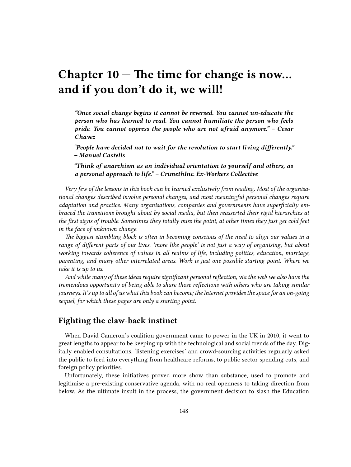# **Chapter 10 — The time for change is now… and if you don't do it, we will!**

*"Once social change begins it cannot be reversed. You cannot un-educate the person who has learned to read. You cannot humiliate the person who feels pride. You cannot oppress the people who are not afraid anymore." – Cesar Chavez*

*"People have decided not to wait for the revolution to start living differently." – Manuel Castells*

*"Think of anarchism as an individual orientation to yourself and others, as a personal approach to life." – CrimethInc. Ex-Workers Collective*

*Very few of the lessons in this book can be learned exclusively from reading. Most of the organisational changes described involve personal changes, and most meaningful personal changes require adaptation and practice. Many organisations, companies and governments have superficially embraced the transitions brought about by social media, but then reasserted their rigid hierarchies at the first signs of trouble. Sometimes they totally miss the point, at other times they just get cold feet in the face of unknown change.*

*The biggest stumbling block is often in becoming conscious of the need to align our values in a range of different parts of our lives. 'more like people' is not just a way of organising, but about working towards coherence of values in all realms of life, including politics, education, marriage, parenting, and many other interrelated areas. Work is just one possible starting point. Where we take it is up to us.*

*And while many of these ideas require significant personal reflection, via the web we also have the tremendous opportunity of being able to share those reflections with others who are taking similar journeys. It's up to all of us what this book can become; the Internet provides the space for an on-going sequel, for which these pages are only a starting point.*

#### **Fighting the claw-back instinct**

When David Cameron's coalition government came to power in the UK in 2010, it went to great lengths to appear to be keeping up with the technological and social trends of the day. Digitally enabled consultations, 'listening exercises' and crowd-sourcing activities regularly asked the public to feed into everything from healthcare reforms, to public sector spending cuts, and foreign policy priorities.

Unfortunately, these initiatives proved more show than substance, used to promote and legitimise a pre-existing conservative agenda, with no real openness to taking direction from below. As the ultimate insult in the process, the government decision to slash the Education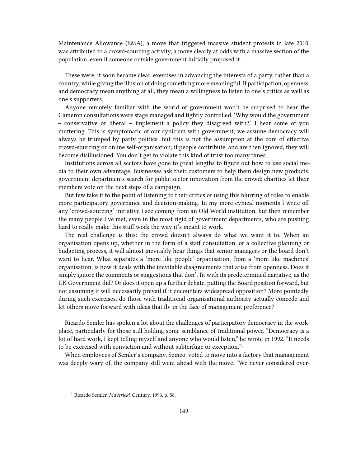Maintenance Allowance (EMA), a move that triggered massive student protests in late 2010, was attributed to a crowd-sourcing activity, a move clearly at odds with a massive section of the population, even if someone outside government initially proposed it.

These were, it soon became clear, exercises in advancing the interests of a party, rather than a country, while giving the illusion of doing something more meaningful. If participation, openness, and democracy mean anything at all, they mean a willingness to listen to one's critics as well as one's supporters.

Anyone remotely familiar with the world of government won't be surprised to hear the Cameron consultations were stage managed and tightly controlled. 'Why would the government – conservative or liberal – implement a policy they disagreed with?,' I hear some of you muttering. This is symptomatic of our cynicism with government; we assume democracy will always be trumped by party politics. But this is not the assumption at the core of effective crowd-sourcing or online self-organisation; if people contribute, and are then ignored, they will become disillusioned. You don't get to violate this kind of trust too many times.

Institutions across all sectors have gone to great lengths to figure out how to use social media to their own advantage. Businesses ask their customers to help them design new products; government departments search for public sector innovation from the crowd; charities let their members vote on the next steps of a campaign.

But few take it to the point of listening to their critics or using this blurring of roles to enable more participatory governance and decision-making. In my more cynical moments I write off any 'crowd-sourcing' initiative I see coming from an Old World institution, but then remember the many people I've met, even in the most rigid of government departments, who are pushing hard to really make this stuff work the way it's meant to work.

The real challenge is this: the crowd doesn't always do what we want it to. When an organisation opens up, whether in the form of a staff consultation, or a collective planning or budgeting process, it will almost inevitably hear things that senior managers or the board don't want to hear. What separates a 'more like people' organisation, from a 'more like machines' organisation, is how it deals with the inevitable disagreements that arise from openness. Does it simply ignore the comments or suggestions that don't fit with its predetermined narrative, as the UK Government did? Or does it open up a further debate, putting the Board position forward, but not assuming it will necessarily prevail if it encounters widespread opposition? More pointedly, during such exercises, do those with traditional organisational authority actually concede and let others move forward with ideas that fly in the face of management preference?

Ricardo Semler has spoken a lot about the challenges of participatory democracy in the workplace, particularly for those still holding some semblance of traditional power. "Democracy is a lot of hard work, I kept telling myself and anyone who would listen," he wrote in 1992. "It needs to be exercised with conviction and without subterfuge or exception."<sup>1</sup>

When employees of Semler's company, Semco, voted to move into a factory that management was deeply wary of, the company still went ahead with the move. "We never considered over-

<sup>1</sup> Ricardo Semler, *Maverick!*, Century, 1993, p. 58.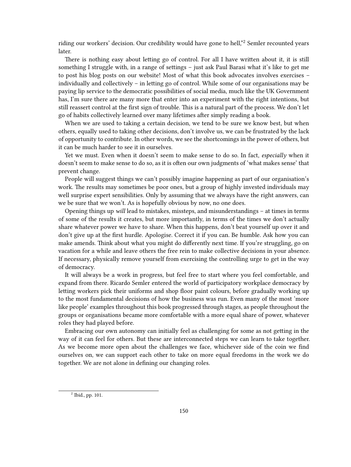riding our workers' decision. Our credibility would have gone to hell,"<sup>2</sup> Semler recounted years later.

There is nothing easy about letting go of control. For all I have written about it, it is still something I struggle with, in a range of settings – just ask Paul Barasi what it's like to get me to post his blog posts on our website! Most of what this book advocates involves exercises – individually and collectively – in letting go of control. While some of our organisations may be paying lip service to the democratic possibilities of social media, much like the UK Government has, I'm sure there are many more that enter into an experiment with the right intentions, but still reassert control at the first sign of trouble. This is a natural part of the process. We don't let go of habits collectively learned over many lifetimes after simply reading a book.

When we are used to taking a certain decision, we tend to be sure we know best, but when others, equally used to taking other decisions, don't involve us, we can be frustrated by the lack of opportunity to contribute. In other words, we see the shortcomings in the power of others, but it can be much harder to see it in ourselves.

Yet we must. Even when it doesn't seem to make sense to do so. In fact, *especially* when it doesn't seem to make sense to do so, as it is often our own judgments of 'what makes sense' that prevent change.

People will suggest things we can't possibly imagine happening as part of our organisation's work. The results may sometimes be poor ones, but a group of highly invested individuals may well surprise expert sensibilities. Only by assuming that we always have the right answers, can we be sure that we won't. As is hopefully obvious by now, no one does.

Opening things up *will* lead to mistakes, missteps, and misunderstandings – at times in terms of some of the results it creates, but more importantly, in terms of the times we don't actually share whatever power we have to share. When this happens, don't beat yourself up over it and don't give up at the first hurdle. Apologise. Correct it if you can. Be humble. Ask how you can make amends. Think about what you might do differently next time. If you're struggling, go on vacation for a while and leave others the free rein to make collective decisions in your absence. If necessary, physically remove yourself from exercising the controlling urge to get in the way of democracy.

It will always be a work in progress, but feel free to start where you feel comfortable, and expand from there. Ricardo Semler entered the world of participatory workplace democracy by letting workers pick their uniforms and shop floor paint colours, before gradually working up to the most fundamental decisions of how the business was run. Even many of the most 'more like people' examples throughout this book progressed through stages, as people throughout the groups or organisations became more comfortable with a more equal share of power, whatever roles they had played before.

Embracing our own autonomy can initially feel as challenging for some as not getting in the way of it can feel for others. But these are interconnected steps we can learn to take together. As we become more open about the challenges we face, whichever side of the coin we find ourselves on, we can support each other to take on more equal freedoms in the work we do together. We are not alone in defining our changing roles.

<sup>2</sup> Ibid., pp. 101.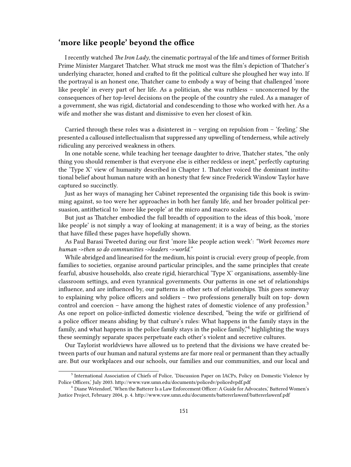## **'more like people' beyond the office**

I recently watched *The Iron Lady*, the cinematic portrayal of the life and times of former British Prime Minister Margaret Thatcher. What struck me most was the film's depiction of Thatcher's underlying character, honed and crafted to fit the political culture she ploughed her way into. If the portrayal is an honest one, Thatcher came to embody a way of being that challenged 'more like people' in every part of her life. As a politician, she was ruthless – unconcerned by the consequences of her top-level decisions on the people of the country she ruled. As a manager of a government, she was rigid, dictatorial and condescending to those who worked with her. As a wife and mother she was distant and dismissive to even her closest of kin.

Carried through these roles was a disinterest in – verging on repulsion from – 'feeling.' She presented a calloused intellectualism that suppressed any upwelling of tenderness, while actively ridiculing any perceived weakness in others.

In one notable scene, while teaching her teenage daughter to drive, Thatcher states, "the only thing you should remember is that everyone else is either reckless or inept," perfectly capturing the 'Type X' view of humanity described in Chapter 1. Thatcher voiced the dominant institutional belief about human nature with an honesty that few since Frederick Winslow Taylor have captured so succinctly.

Just as her ways of managing her Cabinet represented the organising tide this book is swimming against, so too were her approaches in both her family life, and her broader political persuasion, antithetical to 'more like people' at the micro and macro scales.

But just as Thatcher embodied the full breadth of opposition to the ideas of this book, 'more like people' is not simply a way of looking at management; it is a way of being, as the stories that have filled these pages have hopefully shown.

As Paul Barasi Tweeted during our first 'more like people action week': *"Work becomes more human ->then so do communities ->leaders ->world."*

While abridged and linearised for the medium, his point is crucial: every group of people, from families to societies, organise around particular principles, and the same principles that create fearful, abusive households, also create rigid, hierarchical 'Type X' organisations, assembly-line classroom settings, and even tyrannical governments. Our patterns in one set of relationships influence, and are influenced by, our patterns in other sets of relationships. This goes someway to explaining why police officers and soldiers – two professions generally built on top- down control and coercion – have among the highest rates of domestic violence of any profession.<sup>3</sup> As one report on police-inflicted domestic violence described, "being the wife or girlfriend of a police officer means abiding by that culture's rules: What happens in the family stays in the family, and what happens in the police family stays in the police family,<sup>"4</sup> highlighting the ways these seemingly separate spaces perpetuate each other's violent and secretive cultures.

Our Taylorist worldviews have allowed us to pretend that the divisions we have created between parts of our human and natural systems are far more real or permanent than they actually are. But our workplaces and our schools, our families and our communities, and our local and

<sup>&</sup>lt;sup>3</sup> International Association of Chiefs of Police, 'Discussion Paper on IACPs, Policy on Domestic Violence by Police Officers,' July 2003. http://www.vaw.umn.edu/documents/policedv/policedvpdf.pdf

<sup>4</sup> Diane Wetendorf, 'When the Batterer Is a Law Enforcement Officer: A Guide for Advocates,' Battered Women's Justice Project, February 2004, p. 4. http://www.vaw.umn.edu/documents/battererlawenf/battererlawenf.pdf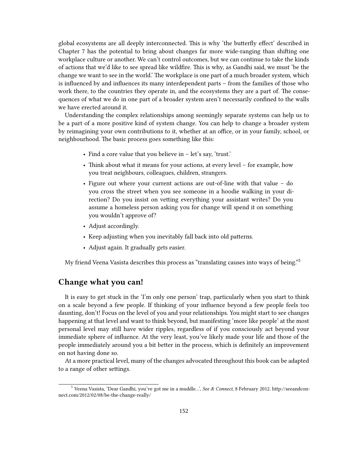global ecosystems are all deeply interconnected. This is why 'the butterfly effect' described in Chapter 7 has the potential to bring about changes far more wide-ranging than shifting one workplace culture or another. We can't control outcomes, but we can continue to take the kinds of actions that we'd like to see spread like wildfire. This is why, as Gandhi said, we must 'be the change we want to see in the world.' The workplace is one part of a much broader system, which is influenced by and influences its many interdependent parts – from the families of those who work there, to the countries they operate in, and the ecosystems they are a part of. The consequences of what we do in one part of a broader system aren't necessarily confined to the walls we have erected around it.

Understanding the complex relationships among seemingly separate systems can help us to be a part of a more positive kind of system change. You can help to change a broader system by reimagining your own contributions to it, whether at an office, or in your family, school, or neighbourhood. The basic process goes something like this:

- Find a core value that you believe in let's say, 'trust.'
- Think about what it means for your actions, at every level for example, how you treat neighbours, colleagues, children, strangers.
- Figure out where your current actions are out-of-line with that value do you cross the street when you see someone in a hoodie walking in your direction? Do you insist on vetting everything your assistant writes? Do you assume a homeless person asking you for change will spend it on something you wouldn't approve of?
- Adjust accordingly.
- Keep adjusting when you inevitably fall back into old patterns.
- Adjust again. It gradually gets easier.

My friend Veena Vasista describes this process as "translating causes into ways of being."<sup>5</sup>

#### **Change what you can!**

It is easy to get stuck in the 'I'm only one person' trap, particularly when you start to think on a scale beyond a few people. If thinking of your influence beyond a few people feels too daunting, don't! Focus on the level of you and your relationships. You might start to see changes happening at that level and want to think beyond, but manifesting 'more like people' at the most personal level may still have wider ripples, regardless of if you consciously act beyond your immediate sphere of influence. At the very least, you've likely made your life and those of the people immediately around you a bit better in the process, which is definitely an improvement on not having done so.

At a more practical level, many of the changes advocated throughout this book can be adapted to a range of other settings.

<sup>5</sup> Veena Vasista, 'Dear Gandhi, you've got me in a muddle…', *See & Connect*, 8 February 2012. http://seeandconnect.com/2012/02/08/be-the-change-really/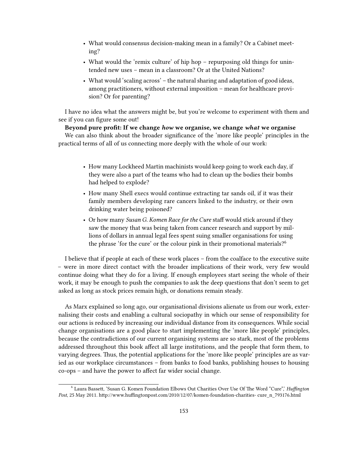- What would consensus decision-making mean in a family? Or a Cabinet meeting?
- What would the 'remix culture' of hip hop repurposing old things for unintended new uses – mean in a classroom? Or at the United Nations?
- What would 'scaling across' the natural sharing and adaptation of good ideas, among practitioners, without external imposition – mean for healthcare provision? Or for parenting?

I have no idea what the answers might be, but you're welcome to experiment with them and see if you can figure some out!

**Beyond pure profit: If we change** *how* **we organise, we change** *what* **we organise** We can also think about the broader significance of the 'more like people' principles in the practical terms of all of us connecting more deeply with the whole of our work:

- How many Lockheed Martin machinists would keep going to work each day, if they were also a part of the teams who had to clean up the bodies their bombs had helped to explode?
- How many Shell execs would continue extracting tar sands oil, if it was their family members developing rare cancers linked to the industry, or their own drinking water being poisoned?
- Or how many *Susan G. Komen Race for the Cure* staff would stick around if they saw the money that was being taken from cancer research and support by millions of dollars in annual legal fees spent suing smaller organisations for using the phrase 'for the cure' or the colour pink in their promotional materials?<sup>6</sup>

I believe that if people at each of these work places – from the coalface to the executive suite – were in more direct contact with the broader implications of their work, very few would continue doing what they do for a living. If enough employees start seeing the whole of their work, it may be enough to push the companies to ask the deep questions that don't seem to get asked as long as stock prices remain high, or donations remain steady.

As Marx explained so long ago, our organisational divisions alienate us from our work, externalising their costs and enabling a cultural sociopathy in which our sense of responsibility for our actions is reduced by increasing our individual distance from its consequences. While social change organisations are a good place to start implementing the 'more like people' principles, because the contradictions of our current organising systems are so stark, most of the problems addressed throughout this book affect all large institutions, and the people that form them, to varying degrees. Thus, the potential applications for the 'more like people' principles are as varied as our workplace circumstances – from banks to food banks, publishing houses to housing co-ops – and have the power to affect far wider social change.

<sup>6</sup> Laura Bassett, 'Susan G. Komen Foundation Elbows Out Charities Over Use Of The Word "Cure",' *Huffington Post*, 25 May 2011. http://www.huffingtonpost.com/2010/12/07/komen-foundation-charities- cure\_n\_793176.html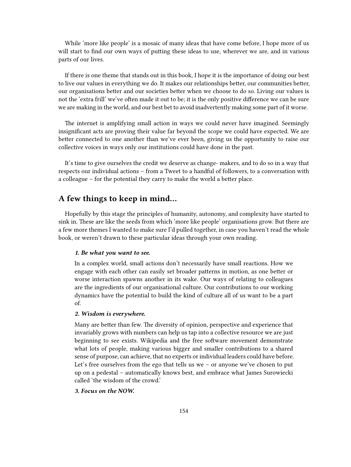While 'more like people' is a mosaic of many ideas that have come before, I hope more of us will start to find our own ways of putting these ideas to use, wherever we are, and in various parts of our lives.

If there is one theme that stands out in this book, I hope it is the importance of doing our best to live our values in everything we do. It makes our relationships better, our communities better, our organisations better and our societies better when we choose to do so. Living our values is not the 'extra frill' we've often made it out to be; it is the only positive difference we can be sure we are making in the world, and our best bet to avoid inadvertently making some part of it worse.

The internet is amplifying small action in ways we could never have imagined. Seemingly insignificant acts are proving their value far beyond the scope we could have expected. We are better connected to one another than we've ever been, giving us the opportunity to raise our collective voices in ways only our institutions could have done in the past.

It's time to give ourselves the credit we deserve as change- makers, and to do so in a way that respects our individual actions – from a Tweet to a handful of followers, to a conversation with a colleague – for the potential they carry to make the world a better place.

#### **A few things to keep in mind…**

Hopefully by this stage the principles of humanity, autonomy, and complexity have started to sink in. These are like the seeds from which 'more like people' organisations grow. But there are a few more themes I wanted to make sure I'd pulled together, in case you haven't read the whole book, or weren't drawn to these particular ideas through your own reading.

#### *1. Be what you want to see.*

In a complex world, small actions don't necessarily have small reactions. How we engage with each other can easily set broader patterns in motion, as one better or worse interaction spawns another in its wake. Our ways of relating to colleagues are the ingredients of our organisational culture. Our contributions to our working dynamics have the potential to build the kind of culture all of us want to be a part of.

#### *2. Wisdom is everywhere.*

Many are better than few. The diversity of opinion, perspective and experience that invariably grows with numbers can help us tap into a collective resource we are just beginning to see exists. Wikipedia and the free software movement demonstrate what lots of people, making various bigger and smaller contributions to a shared sense of purpose, can achieve, that no experts or individual leaders could have before. Let's free ourselves from the ego that tells us we – or anyone we've chosen to put up on a pedestal – automatically knows best, and embrace what James Surowiecki called 'the wisdom of the crowd.'

#### *3. Focus on the NOW.*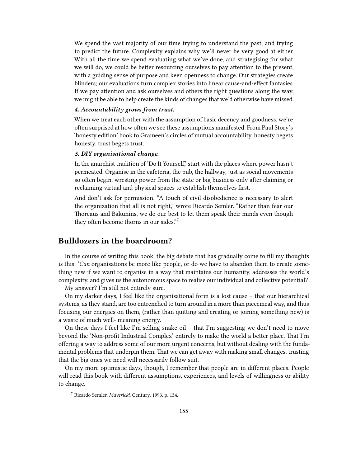We spend the vast majority of our time trying to understand the past, and trying to predict the future. Complexity explains why we'll never be very good at either. With all the time we spend evaluating what we've done, and strategising for what we will do, we could be better resourcing ourselves to pay attention to the present, with a guiding sense of purpose and keen openness to change. Our strategies create blinders; our evaluations turn complex stories into linear cause-and-effect fantasies. If we pay attention and ask ourselves and others the right questions along the way, we might be able to help create the kinds of changes that we'd otherwise have missed.

#### *4. Accountability grows from trust.*

When we treat each other with the assumption of basic decency and goodness, we're often surprised at how often we see these assumptions manifested. From Paul Story's 'honesty edition' book to Grameen's circles of mutual accountability, honesty begets honesty, trust begets trust.

#### *5. DIY organisational change.*

In the anarchist tradition of 'Do It Yourself,' start with the places where power hasn't permeated. Organise in the cafeteria, the pub, the hallway, just as social movements so often begin, wresting power from the state or big business only after claiming or reclaiming virtual and physical spaces to establish themselves first.

And don't ask for permission. "A touch of civil disobedience is necessary to alert the organization that all is not right," wrote Ricardo Semler. "Rather than fear our Thoreaus and Bakunins, we do our best to let them speak their minds even though they often become thorns in our sides."<sup>7</sup>

#### **Bulldozers in the boardroom?**

In the course of writing this book, the big debate that has gradually come to fill my thoughts is this: '*Can* organisations be more like people, or do we have to abandon them to create something new if we want to organise in a way that maintains our humanity, addresses the world's complexity, and gives us the autonomous space to realise our individual and collective potential?'

My answer? I'm still not entirely sure.

On my darker days, I feel like the organisational form is a lost cause – that our hierarchical systems, as they stand, are too entrenched to turn around in a more than piecemeal way, and thus focusing our energies on them, (rather than quitting and creating or joining something new) is a waste of much well- meaning energy.

On these days I feel like I'm selling snake oil – that I'm suggesting we don't need to move beyond the 'Non-profit Industrial Complex' entirely to make the world a better place. That I'm offering a way to address some of our more urgent concerns, but without dealing with the fundamental problems that underpin them. That we can get away with making small changes, trusting that the big ones we need will necessarily follow suit.

On my more optimistic days, though, I remember that people are in different places. People will read this book with different assumptions, experiences, and levels of willingness or ability to change.

<sup>7</sup> Ricardo Semler, *Maverick!*, Century, 1993, p. 134.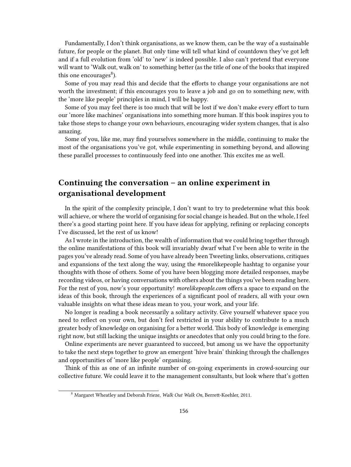Fundamentally, I don't think organisations, as we know them, can be the way of a sustainable future, for people or the planet. But only time will tell what kind of countdown they've got left and if a full evolution from 'old' to 'new' is indeed possible. I also can't pretend that everyone will want to 'Walk out, walk on' to something better (as the title of one of the books that inspired this one encourages $8$ ).

Some of you may read this and decide that the efforts to change your organisations are not worth the investment; if this encourages you to leave a job and go on to something new, with the 'more like people' principles in mind, I will be happy.

Some of you may feel there is too much that will be lost if we don't make every effort to turn our 'more like machines' organisations into something more human. If this book inspires you to take those steps to change your own behaviours, encouraging wider system changes, that is also amazing.

Some of you, like me, may find yourselves somewhere in the middle, continuing to make the most of the organisations you've got, while experimenting in something beyond, and allowing these parallel processes to continuously feed into one another. This excites me as well.

## **Continuing the conversation – an online experiment in organisational development**

In the spirit of the complexity principle, I don't want to try to predetermine what this book will achieve, or where the world of organising for social change is headed. But on the whole, I feel there's a good starting point here. If you have ideas for applying, refining or replacing concepts I've discussed, let the rest of us know!

As I wrote in the introduction, the wealth of information that we could bring together through the online manifestations of this book will invariably dwarf what I've been able to write in the pages you've already read. Some of you have already been Tweeting links, observations, critiques and expansions of the text along the way, using the #morelikepeople hashtag to organise your thoughts with those of others. Some of you have been blogging more detailed responses, maybe recording videos, or having conversations with others about the things you've been reading here. For the rest of you, now's your opportunity! *morelikepeople.com* offers a space to expand on the ideas of this book, through the experiences of a significant pool of readers, all with your own valuable insights on what these ideas mean to you, your work, and your life.

No longer is reading a book necessarily a solitary activity. Give yourself whatever space you need to reflect on your own, but don't feel restricted in your ability to contribute to a much greater body of knowledge on organising for a better world. This body of knowledge is emerging right now, but still lacking the unique insights or anecdotes that only you could bring to the fore.

Online experiments are never guaranteed to succeed, but among us we have the opportunity to take the next steps together to grow an emergent 'hive brain' thinking through the challenges and opportunities of 'more like people' organising.

Think of this as one of an infinite number of on-going experiments in crowd-sourcing our collective future. We could leave it to the management consultants, but look where that's gotten

<sup>8</sup> Margaret Wheatley and Deborah Frieze, *Walk Out Walk On*, Berrett-Koehler, 2011.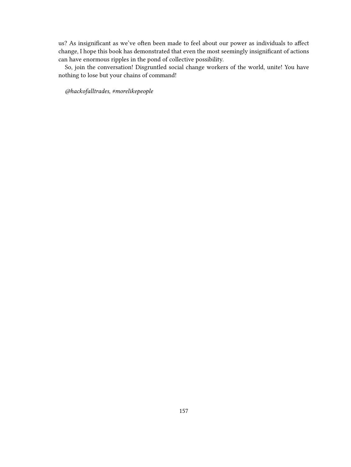us? As insignificant as we've often been made to feel about our power as individuals to affect change, I hope this book has demonstrated that even the most seemingly insignificant of actions can have enormous ripples in the pond of collective possibility.

So, join the conversation! Disgruntled social change workers of the world, unite! You have nothing to lose but your chains of command!

*@hackofalltrades, #morelikepeople*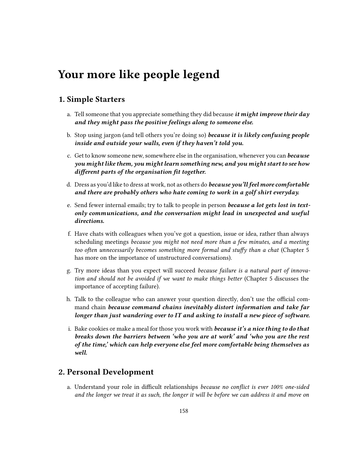# **Your more like people legend**

#### **1. Simple Starters**

- a. Tell someone that you appreciate something they did because *it might improve their day and they might pass the positive feelings along to someone else.*
- b. Stop using jargon (and tell others you're doing so) *because it is likely confusing people inside and outside your walls, even if they haven't told you.*
- c. Get to know someone new, somewhere else in the organisation, whenever you can *because you might like them, you might learn something new, and you might start to see how different parts of the organisation fit together.*
- d. Dress as you'd like to dress at work, not as others do *because you'll feel more comfortable and there are probably others who hate coming to work in a golf shirt everyday.*
- e. Send fewer internal emails; try to talk to people in person *because a lot gets lost in textonly communications, and the conversation might lead in unexpected and useful directions.*
- f. Have chats with colleagues when you've got a question, issue or idea, rather than always scheduling meetings *because you might not need more than a few minutes, and a meeting too often unnecessarily becomes something more formal and stuffy than a chat* (Chapter 5 has more on the importance of unstructured conversations).
- g. Try more ideas than you expect will succeed *because failure is a natural part of innovation and should not be avoided if we want to make things better* (Chapter 5 discusses the importance of accepting failure).
- h. Talk to the colleague who can answer your question directly, don't use the official command chain *because command chains inevitably distort information and take far longer than just wandering over to IT and asking to install a new piece of software.*
- i. Bake cookies or make a meal for those you work with *because it's a nice thing to do that breaks down the barriers between 'who you are at work' and 'who you are the rest of the time,' which can help everyone else feel more comfortable being themselves as well.*

## **2. Personal Development**

a. Understand your role in difficult relationships *because no conflict is ever 100% one-sided and the longer we treat it as such, the longer it will be before we can address it and move on*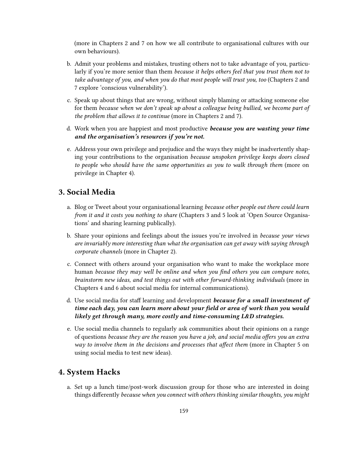(more in Chapters 2 and 7 on how we all contribute to organisational cultures with our own behaviours).

- b. Admit your problems and mistakes, trusting others not to take advantage of you, particularly if you're more senior than them *because it helps others feel that you trust them not to take advantage of you, and when you do that most people will trust you, too* (Chapters 2 and 7 explore 'conscious vulnerability').
- c. Speak up about things that are wrong, without simply blaming or attacking someone else for them *because when we don't speak up about a colleague being bullied, we become part of the problem that allows it to continue* (more in Chapters 2 and 7).
- d. Work when you are happiest and most productive *because you are wasting your time and the organisation's resources if you're not.*
- e. Address your own privilege and prejudice and the ways they might be inadvertently shaping your contributions to the organisation *because unspoken privilege keeps doors closed to people who should have the same opportunities as you to walk through them* (more on privilege in Chapter 4).

## **3. Social Media**

- a. Blog or Tweet about your organisational learning *because other people out there could learn from it and it costs you nothing to share* (Chapters 3 and 5 look at 'Open Source Organisations' and sharing learning publically).
- b. Share your opinions and feelings about the issues you're involved in *because your views are invariably more interesting than what the organisation can get away with saying through corporate channels* (more in Chapter 2).
- c. Connect with others around your organisation who want to make the workplace more human *because they may well be online and when you find others you can compare notes, brainstorm new ideas, and test things out with other forward-thinking individuals* (more in Chapters 4 and 6 about social media for internal communications).
- d. Use social media for staff learning and development *because for a small investment of time each day, you can learn more about your field or area of work than you would likely get through many, more costly and time-consuming L&D strategies.*
- e. Use social media channels to regularly ask communities about their opinions on a range of questions *because they are the reason you have a job, and social media offers you an extra way to involve them in the decisions and processes that affect them* (more in Chapter 5 on using social media to test new ideas).

#### **4. System Hacks**

a. Set up a lunch time/post-work discussion group for those who are interested in doing things differently *because when you connect with others thinking similar thoughts, you might*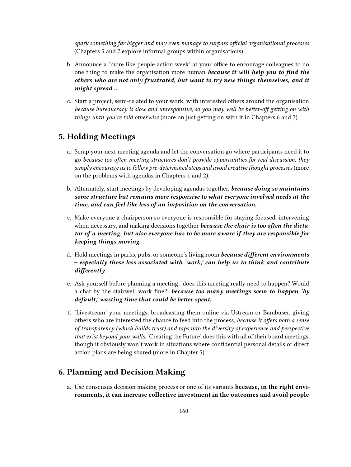*spark something far bigger and may even manage to surpass official organisational processes* (Chapters 5 and 7 explore informal groups within organisations).

- b. Announce a 'more like people action week' at your office to encourage colleagues to do one thing to make the organisation more human *because it will help you to find the others who are not only frustrated, but want to try new things themselves, and it might spread…*
- c. Start a project, semi-related to your work, with interested others around the organisation *because bureaucracy is slow and unresponsive, so you may well be better-off getting on with things until you're told otherwise* (more on just getting on with it in Chapters 6 and 7).

#### **5. Holding Meetings**

- a. Scrap your next meeting agenda and let the conversation go where participants need it to go *because too often meeting structures don't provide opportunities for real discussion, they simply encourage us to follow pre-determined steps and avoid creative thought processes* (more on the problems with agendas in Chapters 1 and 2).
- b. Alternately, start meetings by developing agendas together, *because doing so maintains some structure but remains more responsive to what everyone involved needs at the time, and can feel like less of an imposition on the conversation.*
- c. Make everyone a chairperson so everyone is responsible for staying focused, intervening when necessary, and making decisions together *because the chair is too often the dictator of a meeting, but also everyone has to be more aware if they are responsible for keeping things moving.*
- d. Hold meetings in parks, pubs, or someone's living room *because different environments – especially those less associated with 'work,' can help us to think and contribute differently.*
- e. Ask yourself before planning a meeting, 'does this meeting really need to happen? Would a chat by the stairwell work fine?' *because too many meetings seem to happen 'by default,' wasting time that could be better spent.*
- f. 'Livestream' your meetings, broadcasting them online via Ustream or Bambuser, giving others who are interested the chance to feed into the process, *because it offers both a sense of transparency (which builds trust) and taps into the diversity of experience and perspective that exist beyond your walls.* 'Creating the Future' does this with all of their board meetings, though it obviously won't work in situations where confidential personal details or direct action plans are being shared (more in Chapter 5).

#### **6. Planning and Decision Making**

a. Use consensus decision making process or one of its variants **because, in the right environments, it can increase collective investment in the outcomes and avoid people**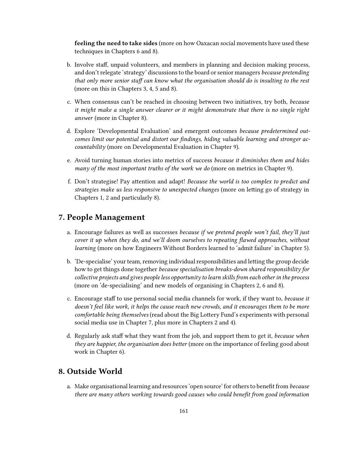**feeling the need to take sides** (more on how Oaxacan social movements have used these techniques in Chapters 6 and 8).

- b. Involve staff, unpaid volunteers, and members in planning and decision making process, and don't relegate 'strategy' discussions to the board or senior managers *because pretending that only more senior staff can know what the organisation should do is insulting to the rest* (more on this in Chapters 3, 4, 5 and 8).
- c. When consensus can't be reached in choosing between two initiatives, try both, *because it might make a single answer clearer or it might demonstrate that there is no single right answer* (more in Chapter 8).
- d. Explore 'Developmental Evaluation' and emergent outcomes *because predetermined outcomes limit our potential and distort our findings, hiding valuable learning and stronger accountability* (more on Developmental Evaluation in Chapter 9).
- e. Avoid turning human stories into metrics of success *because it diminishes them and hides many of the most important truths of the work we do* (more on metrics in Chapter 9).
- f. Don't strategise! Pay attention and adapt! *Because the world is too complex to predict and strategies make us less responsive to unexpected changes* (more on letting go of strategy in Chapters 1, 2 and particularly 8).

#### **7. People Management**

- a. Encourage failures as well as successes *because if we pretend people won't fail, they'll just cover it up when they do, and we'll doom ourselves to repeating flawed approaches, without learning* (more on how Engineers Without Borders learned to 'admit failure' in Chapter 5).
- b. 'De-specialise' your team, removing individual responsibilities and letting the group decide how to get things done together *because specialisation breaks-down shared responsibility for collective projects and gives people less opportunity to learn skills from each other in the process* (more on 'de-specialising' and new models of organising in Chapters 2, 6 and 8).
- c. Encourage staff to use personal social media channels for work, if they want to, *because it doesn't feel like work, it helps the cause reach new crowds, and it encourages them to be more comfortable being themselves* (read about the Big Lottery Fund's experiments with personal social media use in Chapter 7, plus more in Chapters 2 and 4).
- d. Regularly ask staff what they want from the job, and support them to get it, *because when they are happier, the organisation does better* (more on the importance of feeling good about work in Chapter 6).

#### **8. Outside World**

a. Make organisational learning and resources 'open source' for others to benefit from *because there are many others working towards good causes who could benefit from good information*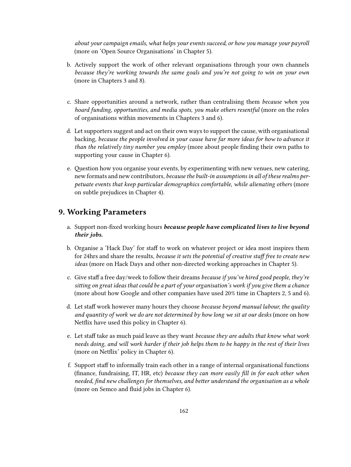*about your campaign emails, what helps your events succeed, or how you manage your payroll* (more on 'Open Source Organisations' in Chapter 5).

- b. Actively support the work of other relevant organisations through your own channels *because they're working towards the same goals and you're not going to win on your own* (more in Chapters 3 and 8).
- c. Share opportunities around a network, rather than centralising them *because when you hoard funding, opportunities, and media spots, you make others resentful* (more on the roles of organisations within movements in Chapters 3 and 6).
- d. Let supporters suggest and act on their own ways to support the cause, with organisational backing, *because the people involved in your cause have far more ideas for how to advance it than the relatively tiny number you employ* (more about people finding their own paths to supporting your cause in Chapter 6).
- e. Question how you organise your events, by experimenting with new venues, new catering, new formats and new contributors, *because the built-in assumptions in all of these realms perpetuate events that keep particular demographics comfortable, while alienating others* (more on subtle prejudices in Chapter 4).

#### **9. Working Parameters**

- a. Support non-fixed working hours *because people have complicated lives to live beyond their jobs.*
- b. Organise a 'Hack Day' for staff to work on whatever project or idea most inspires them for 24hrs and share the results, *because it sets the potential of creative staff free to create new ideas* (more on Hack Days and other non-directed working approaches in Chapter 5).
- c. Give staff a free day/week to follow their dreams *because if you've hired good people, they're sitting on great ideas that could be a part of your organisation's work if you give them a chance* (more about how Google and other companies have used 20% time in Chapters 2, 5 and 6).
- d. Let staff work however many hours they choose *because beyond manual labour, the quality and quantity of work we do are not determined by how long we sit at our desks* (more on how Netflix have used this policy in Chapter 6).
- e. Let staff take as much paid leave as they want *because they are adults that know what work needs doing, and will work harder if their job helps them to be happy in the rest of their lives* (more on Netflix' policy in Chapter 6).
- f. Support staff to informally train each other in a range of internal organisational functions (finance, fundraising, IT, HR, etc) *because they can more easily fill in for each other when needed, find new challenges for themselves, and better understand the organisation as a whole* (more on Semco and fluid jobs in Chapter 6).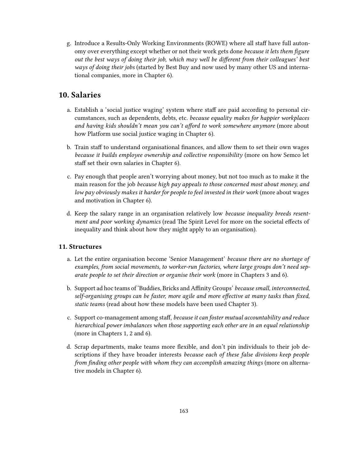g. Introduce a Results-Only Working Environments (ROWE) where all staff have full autonomy over everything except whether or not their work gets done *because it lets them figure out the best ways of doing their job, which may well be different from their colleagues' best ways of doing their jobs* (started by Best Buy and now used by many other US and international companies, more in Chapter 6).

## **10. Salaries**

- a. Establish a 'social justice waging' system where staff are paid according to personal circumstances, such as dependents, debts, etc. *because equality makes for happier workplaces and having kids shouldn't mean you can't afford to work somewhere anymore* (more about how Platform use social justice waging in Chapter 6).
- b. Train staff to understand organisational finances, and allow them to set their own wages *because it builds employee ownership and collective responsibility* (more on how Semco let staff set their own salaries in Chapter 6).
- c. Pay enough that people aren't worrying about money, but not too much as to make it the main reason for the job *because high pay appeals to those concerned most about money, and low pay obviously makes it harder for people to feel invested in their work* (more about wages and motivation in Chapter 6).
- d. Keep the salary range in an organisation relatively low *because inequality breeds resentment and poor working dynamics* (read The Spirit Level for more on the societal effects of inequality and think about how they might apply to an organisation).

#### **11. Structures**

- a. Let the entire organisation become 'Senior Management' *because there are no shortage of examples, from social movements, to worker-run factories, where large groups don't need separate people to set their direction or organise their work* (more in Chapters 3 and 6).
- b. Support ad hoc teams of 'Buddies, Bricks and Affinity Groups' *because small, interconnected, self-organising groups can be faster, more agile and more effective at many tasks than fixed, static teams* (read about how these models have been used Chapter 3).
- c. Support co-management among staff, *because it can foster mutual accountability and reduce hierarchical power imbalances when those supporting each other are in an equal relationship* (more in Chapters 1, 2 and 6).
- d. Scrap departments, make teams more flexible, and don't pin individuals to their job descriptions if they have broader interests *because each of these false divisions keep people from finding other people with whom they can accomplish amazing things* (more on alternative models in Chapter 6).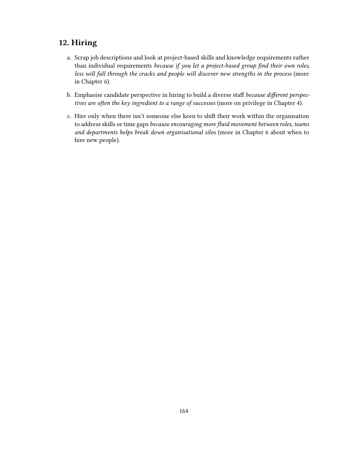## **12. Hiring**

- a. Scrap job descriptions and look at project-based skills and knowledge requirements rather than individual requirements *because if you let a project-based group find their own roles, less will fall through the cracks and people will discover new strengths in the process* (more in Chapter 6).
- b. Emphasise candidate perspective in hiring to build a diverse staff *because different perspectives are often the key ingredient to a range of successes* (more on privilege in Chapter 4).
- c. Hire only when there isn't someone else keen to shift their work within the organisation to address skills or time gaps *because encouraging more fluid movement between roles, teams and departments helps break down organisational silos* (more in Chapter 6 about when to hire new people).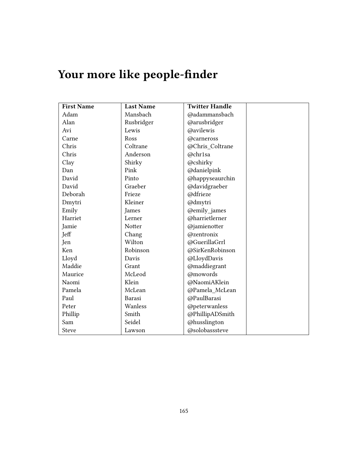# **Your more like people-finder**

| <b>First Name</b> | <b>Last Name</b> | <b>Twitter Handle</b> |  |
|-------------------|------------------|-----------------------|--|
| Adam              | Mansbach         | @adammansbach         |  |
| Alan              | Rusbridger       | @arusbridger          |  |
| Avi               | Lewis            | @avilewis             |  |
| Carne             | Ross             | @carneross            |  |
| Chris             | Coltrane         | @Chris Coltrane       |  |
| Chris             | Anderson         | @chr1sa               |  |
| Clay              | Shirky           | @cshirky              |  |
| Dan               | Pink             | @danielpink           |  |
| David             | Pinto            | @happyseaurchin       |  |
| David             | Graeber          | @davidgraeber         |  |
| Deborah           | Frieze           | @dfrieze              |  |
| Dmytri            | Kleiner          | @dmytri               |  |
| Emily             | James            | @emily_james          |  |
| Harriet           | Lerner           | @harrietlerner        |  |
| Jamie             | Notter           | @jamienotter          |  |
| Jeff              | Chang            | @zentronix            |  |
| Jen               | Wilton           | @GuerillaGrrl         |  |
| Ken               | Robinson         | @SirKenRobinson       |  |
| Lloyd             | Davis            | @LloydDavis           |  |
| Maddie            | Grant            | @maddiegrant          |  |
| Maurice           | McLeod           | @mowords              |  |
| Naomi             | Klein            | @NaomiAKlein          |  |
| Pamela            | McLean           | @Pamela McLean        |  |
| Paul              | Barasi           | @PaulBarasi           |  |
| Peter             | Wanless          | @peterwanless         |  |
| Phillip           | Smith            | @PhillipADSmith       |  |
| Sam               | Seidel           | @husslington          |  |
| Steve             | Lawson           | @solobasssteve        |  |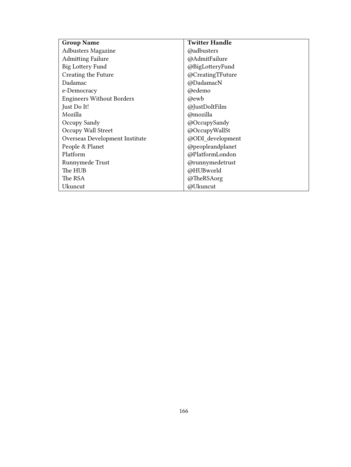| <b>Group Name</b>                | <b>Twitter Handle</b> |  |
|----------------------------------|-----------------------|--|
| <b>Adbusters Magazine</b>        | @adbusters            |  |
| <b>Admitting Failure</b>         | @AdmitFailure         |  |
| Big Lottery Fund                 | @BigLotteryFund       |  |
| Creating the Future              | @CreatingTFuture      |  |
| Dadamac                          | @DadamacN             |  |
| e-Democracy                      | @edemo                |  |
| <b>Engineers Without Borders</b> | @ewb                  |  |
| Just Do It!                      | @JustDoItFilm         |  |
| Mozilla                          | @mozilla              |  |
| Occupy Sandy                     | @OccupySandy          |  |
| Occupy Wall Street               | @OccupyWallSt         |  |
| Overseas Development Institute   | @ODI_development      |  |
| People & Planet                  | @peopleandplanet      |  |
| Platform                         | @PlatformLondon       |  |
| Runnymede Trust                  | @runnymedetrust       |  |
| The HUB                          | @HUBworld             |  |
| The RSA                          | @TheRSAorg            |  |
| Ukuncut                          | @Ukuncut              |  |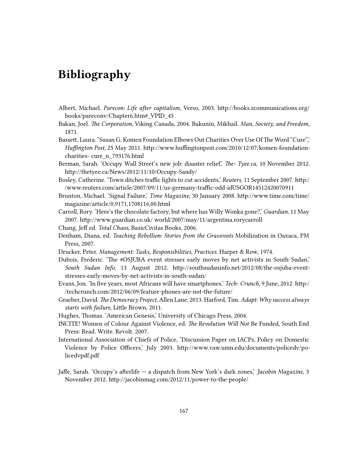# **Bibliography**

- Albert, Michael. *Parecon: Life after capitalism,* Verso, 2003. http://books.zcommunications.org/ books/pareconv/Chapter6.htm#\_VPID\_45
- Bakan, Joel. *The Corporation,* Viking Canada, 2004. Bakunin, Mikhail. *Man, Society, and Freedom*, 1871.
- Bassett, Laura. 'Susan G. Komen Foundation Elbows Out Charities Over Use Of The Word "Cure",' *Huffington Post,* 25 May 2011. http://www.huffingtonpost.com/2010/12/07/komen-foundationcharities- cure\_n\_793176.html
- Berman, Sarah. 'Occupy Wall Street's new job: disaster relief,' *The- Tyee.ca,* 10 November 2012. http://thetyee.ca/News/2012/11/10/Occupy-Sandy/
- Bosley, Catherine. 'Town ditches traffic lights to cut accidents,' *Reuters,* 11 September 2007. http:/ /www.reuters.com/article/2007/09/11/us-germany-traffic-odd-idUSGOR14512420070911
- Brunton, Michael. 'Signal Failure,' *Time Magazine,* 30 January 2008. http://www.time.com/time/ magazine/article/0,9171,1708116,00.html
- Carroll, Rory. 'Here's the chocolate factory, but where has Willy Wonka gone?,' *Guardian,* 11 May 2007. http://www.guardian.co.uk/ world/2007/may/11/argentina.rorycarroll
- Chang, Jeff ed. *Total Chaos,* BasicCivitas Books, 2006.
- Denham, Diana, ed. *Teaching Rebellion: Stories from the Grassroots* Mobilization in Oaxaca, PM Press, 2007.
- Drucker, Peter. *Management: Tasks, Responsibilities, Practices.* Harper & Row, 1974.
- Dubois, Frederic. 'The #OSJUBA event stresses early moves by net activists in South Sudan,' *South Sudan Info,* 13 August 2012. http://southsudaninfo.net/2012/08/the-osjuba-eventstresses-early-moves-by-net-activists-in-south-sudan/
- Evans, Jon. 'In five years, most Africans will have smartphones,' *Tech- Crunch,* 9 June, 2012. http:/ /techcrunch.com/2012/06/09/feature-phones-are-not-the-future/
- Graeber, David. *The Democracy Project*, Allen Lane, 2013. Harford, Tim. *Adapt: Why success always starts with failure,* Little Brown, 2011.
- Hughes, Thomas. 'American Genesis,' University of Chicago Press, 2004.
- INCITE! Women of Colour Against Violence, ed. *The Revolution Will Not* Be Funded, South End Press: Read. Write. Revolt. 2007.
- International Association of Chiefs of Police, 'Discussion Paper on IACPs, Policy on Domestic Violence by Police Officers,' July 2003. http://www.vaw.umn.edu/documents/policedv/policedvpdf.pdf
- Jaffe, Sarah. 'Occupy's afterlife a dispatch from New York's dark zones,' *Jacobin Magazine,* 3 November 2012. http://jacobinmag.com/2012/11/power-to-the-people/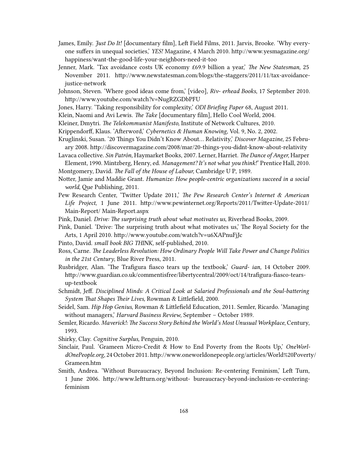- James, Emily. *Just Do It!* [documentary film], Left Field Films, 2011. Jarvis, Brooke. 'Why everyone suffers in unequal societies,' *YES!* Magazine, 4 March 2010. http://www.yesmagazine.org/ happiness/want-the-good-life-your-neighbors-need-it-too
- Jenner, Mark. 'Tax avoidance costs UK economy £69.9 billion a year,' *The New Statesman,* 25 November 2011. http://www.newstatesman.com/blogs/the-staggers/2011/11/tax-avoidancejustice-network
- Johnson, Steven. 'Where good ideas come from,' [video], *Riv- erhead Books*, 17 September 2010. http://www.youtube.com/watch?v=NugRZGDbPFU
- Jones, Harry. 'Taking responsibility for complexity,' *ODI Briefing Paper* 68, August 2011.
- Klein, Naomi and Avi Lewis. *The Take* [documentary film]*,* Hello Cool World, 2004.
- Kleiner, Dmytri. *The Telekommunist Manifesto,* Institute of Network Cultures, 2010.
- Krippendorff, Klaus. 'Afterword,' *Cybernetics & Human Knowing,* Vol. 9, No. 2, 2002.
- Kruglinski, Susan. '20 Things You Didn't Know About… Relativity,' *Discover Magazine*, 25 February 2008. http://discovermagazine.com/2008/mar/20-things-you-didnt-know-about-relativity
- Lavaca collective. *Sin Patrón,* Haymarket Books, 2007. Lerner, Harriet. *The Dance of Anger,* Harper Element, 1990. Mintzberg, Henry, ed. *Management? It's not what you think!*' Prentice Hall, 2010.

Montgomery, David. *The Fall of the House of Labour,* Cambridge U P, 1989.

- Notter, Jamie and Maddie Grant. *Humanize: How people-centric organizations succeed in a social world*, Que Publishing, 2011.
- Pew Research Center, 'Twitter Update 2011,' *The Pew Research Center's Internet & American Life Project*, 1 June 2011. http://www.pewinternet.org/Reports/2011/Twitter-Update-2011/ Main-Report/ Main-Report.aspx
- Pink, Daniel. *Drive: The surprising truth about what motivates us,* Riverhead Books, 2009.
- Pink, Daniel. 'Drive: The surprising truth about what motivates us,' The Royal Society for the Arts, 1 April 2010. http://www.youtube.com/watch?v=u6XAPnuFjJc
- Pinto, David. *small book BIG THINK,* self-published, 2010.
- Ross, Carne. *The Leaderless Revolution: How Ordinary People Will Take Power and Change Politics in the 21st Century*, Blue River Press, 2011.
- Rusbridger, Alan. 'The Trafigura fiasco tears up the textbook,' *Guard- ian,* 14 October 2009. http://www.guardian.co.uk/commentisfree/libertycentral/2009/oct/14/trafigura-fiasco-tearsup-textbook
- Schmidt, Jeff. *Disciplined Minds: A Critical Look at Salaried Professionals and the Soul-battering System That Shapes Their Lives,* Rowman & Littlefield, 2000.
- Seidel, Sam. *Hip Hop Genius*, Rowman & Littlefield Education, 2011. Semler, Ricardo. 'Managing without managers,' *Harvard Business Review*, September – October 1989.
- Semler, Ricardo. *Maverick!: The Success Story Behind the World's Most Unusual Workplace*, Century, 1993.
- Shirky, Clay. *Cognitive Surplus,* Penguin, 2010.
- Sinclair, Paul. 'Grameen Micro-Credit & How to End Poverty from the Roots Up,' *OneWorldOnePeople.org*, 24 October 2011. http://www.oneworldonepeople.org/articles/World%20Poverty/ Grameen.htm
- Smith, Andrea. 'Without Bureaucracy, Beyond Inclusion: Re-centering Feminism,' Left Turn, 1 June 2006. http://www.leftturn.org/without- bureaucracy-beyond-inclusion-re-centeringfeminism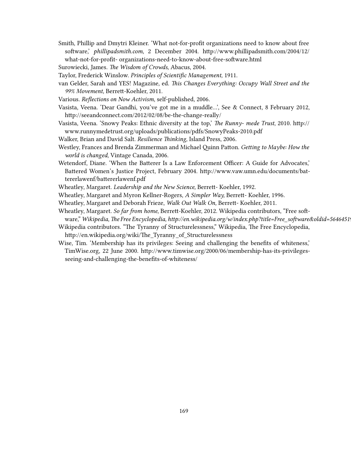- Smith, Phillip and Dmytri Kleiner. 'What not-for-profit organizations need to know about free software,' *phillipadsmith.com*, 2 December 2004. http://www.phillipadsmith.com/2004/12/ what-not-for-profit- organizations-need-to-know-about-free-software.html
- Surowiecki, James. *The Wisdom of Crowds,* Abacus, 2004.
- Taylor, Frederick Winslow. *Principles of Scientific Management,* 1911.
- van Gelder, Sarah and YES! Magazine, ed. *This Changes Everything: Occupy Wall Street and the 99% Movement,* Berrett-Koehler, 2011.
- Various. *Reflections on Now Activism*, self-published, 2006.
- Vasista, Veena. 'Dear Gandhi, you've got me in a muddle…', See & Connect, 8 February 2012, http://seeandconnect.com/2012/02/08/be-the-change-really/
- Vasista, Veena. 'Snowy Peaks: Ethnic diversity at the top,' *The Runny- mede Trust*, 2010. http:// www.runnymedetrust.org/uploads/publications/pdfs/SnowyPeaks-2010.pdf
- Walker, Brian and David Salt. *Resilience Thinking,* Island Press, 2006.
- Westley, Frances and Brenda Zimmerman and Michael Quinn Patton. *Getting to Maybe: How the world is changed*, Vintage Canada, 2006.
- Wetendorf, Diane. 'When the Batterer Is a Law Enforcement Officer: A Guide for Advocates,' Battered Women's Justice Project, February 2004. http://www.vaw.umn.edu/documents/battererlawenf/battererlawenf.pdf
- Wheatley, Margaret. *Leadership and the New Science,* Berrett- Koehler, 1992.
- Wheatley, Margaret and Myron Kellner-Rogers, *A Simpler Way,* Berrett- Koehler, 1996.
- Wheatley, Margaret and Deborah Frieze, *Walk Out Walk On,* Berrett- Koehler, 2011.
- Wheatley, Margaret. *So far from home*, Berrett-Koehler, 2012. Wikipedia contributors, "Free software," *Wikipedia, The Free Encyclopedia, http://en.wikipedia.org/w/index.php?title=Free\_software&oldid=564645195*
- Wikipedia contributors. "The Tyranny of Structurelessness," Wikipedia, The Free Encyclopedia, http://en.wikipedia.org/wiki/The\_Tyranny\_of\_Structurelessness
- Wise, Tim. 'Membership has its privileges: Seeing and challenging the benefits of whiteness,' TimWise.org, 22 June 2000. http://www.timwise.org/2000/06/membership-has-its-privilegesseeing-and-challenging-the-benefits-of-whiteness/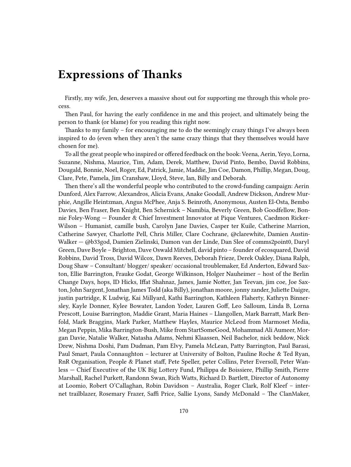# **Expressions of Thanks**

Firstly, my wife, Jen, deserves a massive shout out for supporting me through this whole process.

Then Paul, for having the early confidence in me and this project, and ultimately being the person to thank (or blame) for you reading this right now.

Thanks to my family – for encouraging me to do the seemingly crazy things I've always been inspired to do (even when they aren't the same crazy things that they themselves would have chosen for me).

To all the great people who inspired or offered feedback on the book: Veena, Aerin, Yeyo, Lorna, Suzanne, Nishma, Maurice, Tim, Adam, Derek, Matthew, David Pinto, Bembo, David Robbins, Dougald, Bonnie, Noel, Roger, Ed, Patrick, Jamie, Maddie, Jim Coe, Damon, Phillip, Megan, Doug, Clare, Pete, Pamela, Jim Cranshaw, Lloyd, Steve, Ian, Billy and Deborah.

Then there's all the wonderful people who contributed to the crowd-funding campaign: Aerin Dunford, Alex Farrow, Alexandros, Alicia Evans, Anake Goodall, Andrew Dickson, Andrew Murphie, Angille Heintzman, Angus McPhee, Anja S. Beinroth, Anonymous, Austen El-Osta, Bembo Davies, Ben Fraser, Ben Knight, Ben Schernick – Namibia, Beverly Green, Bob Goodfellow, Bonnie Foley-Wong — Founder & Chief Investment Innovator at Pique Ventures, Caedmon Ricker-Wilson – Humanist, camille bush, Carolyn Jane Davies, Casper ter Kuile, Catherine Marrion, Catherine Sawyer, Charlotte Pell, Chris Miller, Clare Cochrane, @clarewhite, Damien Austin-Walker — @b33god, Damien Zielinski, Damon van der Linde, Dan Slee of comms2point0, Daryl Green, Dave Boyle – Brighton, Dave Oswald Mitchell, david pinto – founder of ecosquared, David Robbins, David Tross, David Wilcox, Dawn Reeves, Deborah Frieze, Derek Oakley, Diana Ralph, Doug Shaw – Consultant/ blogger/ speaker/ occasional troublemaker, Ed Anderton, Edward Saxton, Ellie Barrington, Frauke Godat, George Wilkinson, Holger Nauheimer – host of the Berlin Change Days, hops, ID Hicks, Iffat Shahnaz, James, Jamie Notter, Jan Teevan, jim coe, Joe Saxton, John Sargent, Jonathan James Todd (aka Billy), jonathan moore, jonny zander, Juliette Daigre, justin partridge, K Ludwig, Kai Millyard, Kathi Barrington, Kathleen Flaherty, Kathryn Binnersley, Kayle Donner, Kylee Bowater, Landon Yoder, Lauren Goff, Leo Salloum, Linda B, Lorna Prescott, Louise Barrington, Maddie Grant, Maria Haines – Llangollen, Mark Barratt, Mark Benfold, Mark Braggins, Mark Parker, Matthew Hayles, Maurice McLeod from Marmoset Media, Megan Peppin, Mika Barrington-Bush, Mike from StartSomeGood, Mohammad Ali Aumeer, Morgan Davie, Natalie Walker, Natasha Adams, Nehmi Klaassen, Neil Bachelor, nick beddow, Nick Drew, Nishma Doshi, Pam Dudman, Pam Elvy, Pamela McLean, Patty Barrington, Paul Barasi, Paul Smart, Paula Connaughton – lecturer at University of Bolton, Pauline Roche & Ted Ryan, RnR Organisation, People & Planet staff, Pete Speller, peter Collins, Peter Eversoll, Peter Wanless — Chief Executive of the UK Big Lottery Fund, Philippa de Boissiere, Phillip Smith, Pierre Marshall, Rachel Purkett, Randonn Swan, Rich Watts, Richard D. Bartlett, Director of Autonomy at Loomio, Robert O'Callaghan, Robin Davidson – Australia, Roger Clark, Rolf Kleef – internet trailblazer, Rosemary Frazer, Saffi Price, Sallie Lyons, Sandy McDonald – The ClanMaker,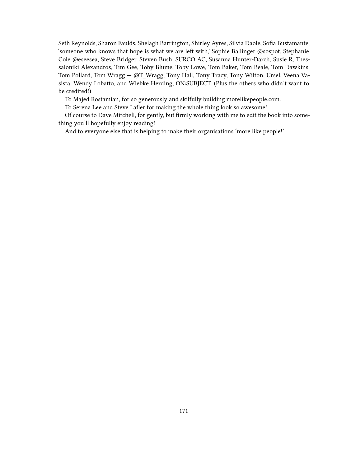Seth Reynolds, Sharon Faulds, Shelagh Barrington, Shirley Ayres, Silvia Daole, Sofia Bustamante, 'someone who knows that hope is what we are left with,' Sophie Ballinger @sospot, Stephanie Cole @eseesea, Steve Bridger, Steven Bush, SURCO AC, Susanna Hunter-Darch, Susie R, Thessaloniki Alexandros, Tim Gee, Toby Blume, Toby Lowe, Tom Baker, Tom Beale, Tom Dawkins, Tom Pollard, Tom Wragg — @T\_Wragg, Tony Hall, Tony Tracy, Tony Wilton, Ursel, Veena Vasista, Wendy Lobatto, and Wiebke Herding, ON:SUBJECT. (Plus the others who didn't want to be credited!)

To Majed Rostamian, for so generously and skilfully building morelikepeople.com.

To Serena Lee and Steve Lafler for making the whole thing look so awesome!

Of course to Dave Mitchell, for gently, but firmly working with me to edit the book into something you'll hopefully enjoy reading!

And to everyone else that is helping to make their organisations 'more like people!'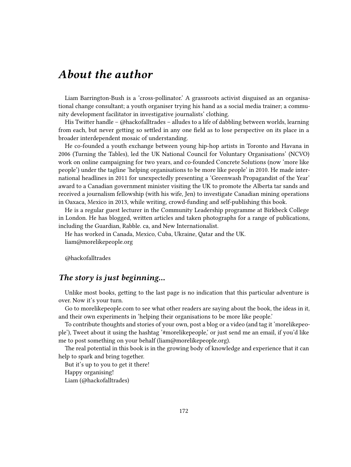# *About the author*

Liam Barrington-Bush is a 'cross-pollinator.' A grassroots activist disguised as an organisational change consultant; a youth organiser trying his hand as a social media trainer; a community development facilitator in investigative journalists' clothing.

His Twitter handle – @hackofalltrades – alludes to a life of dabbling between worlds, learning from each, but never getting so settled in any one field as to lose perspective on its place in a broader interdependent mosaic of understanding.

He co-founded a youth exchange between young hip-hop artists in Toronto and Havana in 2006 (Turning the Tables), led the UK National Council for Voluntary Organisations' (NCVO) work on online campaigning for two years, and co-founded Concrete Solutions (now 'more like people') under the tagline 'helping organisations to be more like people' in 2010. He made international headlines in 2011 for unexpectedly presenting a 'Greenwash Propagandist of the Year' award to a Canadian government minister visiting the UK to promote the Alberta tar sands and received a journalism fellowship (with his wife, Jen) to investigate Canadian mining operations in Oaxaca, Mexico in 2013, while writing, crowd-funding and self-publishing this book.

He is a regular guest lecturer in the Community Leadership programme at Birkbeck College in London. He has blogged, written articles and taken photographs for a range of publications, including the Guardian, Rabble. ca, and New Internationalist.

He has worked in Canada, Mexico, Cuba, Ukraine, Qatar and the UK. liam@morelikepeople.org

@hackofalltrades

#### *The story is just beginning…*

Unlike most books, getting to the last page is no indication that this particular adventure is over. Now it's your turn.

Go to morelikepeople.com to see what other readers are saying about the book, the ideas in it, and their own experiments in 'helping their organisations to be more like people.'

To contribute thoughts and stories of your own, post a blog or a video (and tag it 'morelikepeople'), Tweet about it using the hashtag '#morelikepeople,' or just send me an email, if you'd like me to post something on your behalf (liam@morelikepeople.org).

The real potential in this book is in the growing body of knowledge and experience that it can help to spark and bring together.

But it's up to you to get it there! Happy organising! Liam (@hackofalltrades)